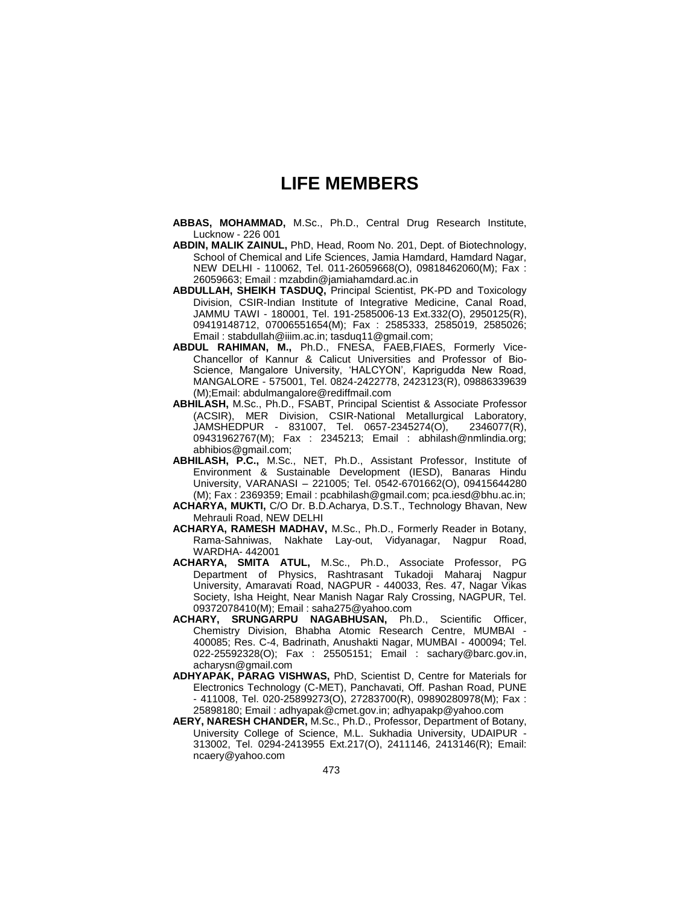## **LIFE MEMBERS**

- **ABBAS, MOHAMMAD,** M.Sc., Ph.D., Central Drug Research Institute, Lucknow - 226 001
- **ABDIN, MALIK ZAINUL,** PhD, Head, Room No. 201, Dept. of Biotechnology, School of Chemical and Life Sciences, Jamia Hamdard, Hamdard Nagar, NEW DELHI - 110062, Tel. 011-26059668(O), 09818462060(M); Fax : 26059663; Email : mzabdin@jamiahamdard.ac.in
- **ABDULLAH, SHEIKH TASDUQ,** Principal Scientist, PK-PD and Toxicology Division, CSIR-Indian Institute of Integrative Medicine, Canal Road, JAMMU TAWI - 180001, Tel. 191-2585006-13 Ext.332(O), 2950125(R), 09419148712, 07006551654(M); Fax : 2585333, 2585019, 2585026; Email : stabdullah@iiim.ac.in; tasduq11@gmail.com;
- **ABDUL RAHIMAN, M.,** Ph.D., FNESA, FAEB,FIAES, Formerly Vice-Chancellor of Kannur & Calicut Universities and Professor of Bio-Science, Mangalore University, "HALCYON", Kaprigudda New Road, MANGALORE - 575001, Tel. 0824-2422778, 2423123(R), 09886339639 (M);Email: abdulmangalore@rediffmail.com
- **ABHILASH,** M.Sc., Ph.D., FSABT, Principal Scientist & Associate Professor (ACSIR), MER Division, CSIR-National Metallurgical Laboratory, JAMSHEDPUR - 831007, Tel. 0657-2345274(O), 2346077(R), 09431962767(M); Fax : 2345213; Email : abhilash@nmlindia.org; abhibios@gmail.com;
- **ABHILASH, P.C.,** M.Sc., NET, Ph.D., Assistant Professor, Institute of Environment & Sustainable Development (IESD), Banaras Hindu University, VARANASI – 221005; Tel. 0542-6701662(O), 09415644280 (M); Fax : 2369359; Email : pcabhilash@gmail.com; pca.iesd@bhu.ac.in;
- **ACHARYA, MUKTI,** C/O Dr. B.D.Acharya, D.S.T., Technology Bhavan, New Mehrauli Road, NEW DELHI
- **ACHARYA, RAMESH MADHAV,** M.Sc., Ph.D., Formerly Reader in Botany, Rama-Sahniwas, Nakhate Lay-out, Vidyanagar, Nagpur Road, WARDHA- 442001
- **ACHARYA, SMITA ATUL,** M.Sc., Ph.D., Associate Professor, PG Department of Physics, Rashtrasant Tukadoji Maharaj Nagpur University, Amaravati Road, NAGPUR - 440033, Res. 47, Nagar Vikas Society, Isha Height, Near Manish Nagar Raly Crossing, NAGPUR, Tel. 09372078410(M); Email : saha275@yahoo.com
- **ACHARY, SRUNGARPU NAGABHUSAN,** Ph.D., Scientific Officer, Chemistry Division, Bhabha Atomic Research Centre, MUMBAI - 400085; Res. C-4, Badrinath, Anushakti Nagar, MUMBAI - 400094; Tel. 022-25592328(O); Fax : 25505151; Email : sachary@barc.gov.in, acharysn@gmail.com
- **ADHYAPAK, PARAG VISHWAS,** PhD, Scientist D, Centre for Materials for Electronics Technology (C-MET), Panchavati, Off. Pashan Road, PUNE - 411008, Tel. 020-25899273(O), 27283700(R), 09890280978(M); Fax : 25898180; Email : adhyapak@cmet.gov.in; adhyapakp@yahoo.com
- **AERY, NARESH CHANDER,** M.Sc., Ph.D., Professor, Department of Botany, University College of Science, M.L. Sukhadia University, UDAIPUR - 313002, Tel. 0294-2413955 Ext.217(O), 2411146, 2413146(R); Email: ncaery@yahoo.com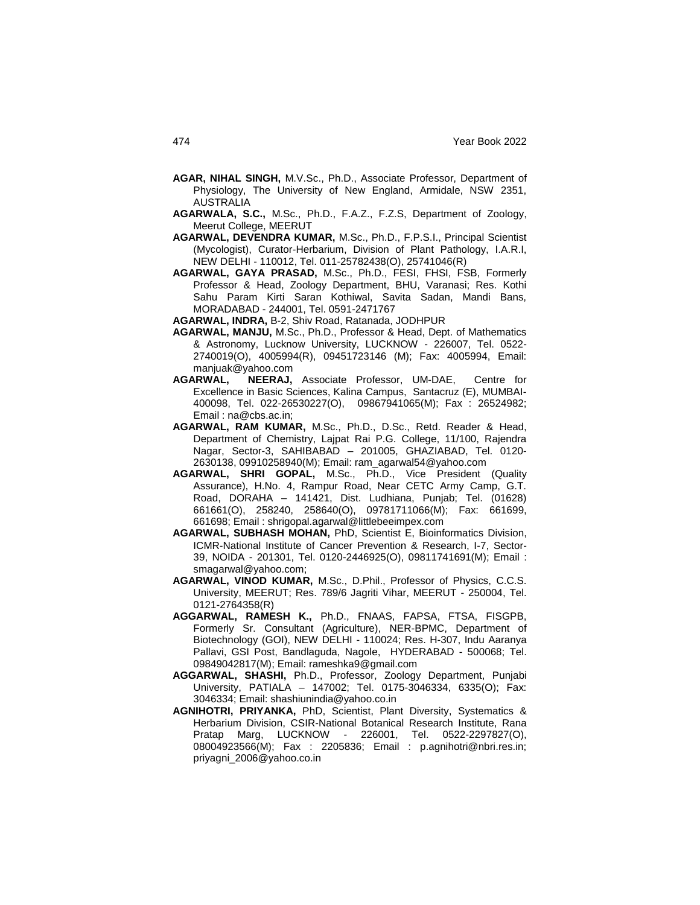- **AGAR, NIHAL SINGH,** M.V.Sc., Ph.D., Associate Professor, Department of Physiology, The University of New England, Armidale, NSW 2351, AUSTRALIA
- **AGARWALA, S.C.,** M.Sc., Ph.D., F.A.Z., F.Z.S, Department of Zoology, Meerut College, MEERUT
- **AGARWAL, DEVENDRA KUMAR,** M.Sc., Ph.D., F.P.S.I., Principal Scientist (Mycologist), Curator-Herbarium, Division of Plant Pathology, I.A.R.I, NEW DELHI - 110012, Tel. 011-25782438(O), 25741046(R)
- **AGARWAL, GAYA PRASAD,** M.Sc., Ph.D., FESI, FHSI, FSB, Formerly Professor & Head, Zoology Department, BHU, Varanasi; Res. Kothi Sahu Param Kirti Saran Kothiwal, Savita Sadan, Mandi Bans, MORADABAD - 244001, Tel. 0591-2471767

**AGARWAL, INDRA,** B-2, Shiv Road, Ratanada, JODHPUR

- **AGARWAL, MANJU,** M.Sc., Ph.D., Professor & Head, Dept. of Mathematics & Astronomy, Lucknow University, LUCKNOW - 226007, Tel. 0522- 2740019(O), 4005994(R), 09451723146 (M); Fax: 4005994, Email: manjuak@yahoo.com
- **AGARWAL, NEERAJ,** Associate Professor, UM-DAE, Centre for Excellence in Basic Sciences, Kalina Campus, Santacruz (E), MUMBAI-400098, Tel. 022-26530227(O), 09867941065(M); Fax : 26524982; Email : na@cbs.ac.in;
- **AGARWAL, RAM KUMAR,** M.Sc., Ph.D., D.Sc., Retd. Reader & Head, Department of Chemistry, Lajpat Rai P.G. College, 11/100, Rajendra Nagar, Sector-3, SAHIBABAD – 201005, GHAZIABAD, Tel. 0120- 2630138, 09910258940(M); Email: ram\_agarwal54@yahoo.com
- **AGARWAL, SHRI GOPAL,** M.Sc., Ph.D., Vice President (Quality Assurance), H.No. 4, Rampur Road, Near CETC Army Camp, G.T. Road, DORAHA – 141421, Dist. Ludhiana, Punjab; Tel. (01628) 661661(O), 258240, 258640(O), 09781711066(M); Fax: 661699, 661698; Email : shrigopal.agarwal@littlebeeimpex.com
- **AGARWAL, SUBHASH MOHAN,** PhD, Scientist E, Bioinformatics Division, ICMR-National Institute of Cancer Prevention & Research, I-7, Sector-39, NOIDA - 201301, Tel. 0120-2446925(O), 09811741691(M); Email : smagarwal@yahoo.com;
- **AGARWAL, VINOD KUMAR,** M.Sc., D.Phil., Professor of Physics, C.C.S. University, MEERUT; Res. 789/6 Jagriti Vihar, MEERUT - 250004, Tel. 0121-2764358(R)
- **AGGARWAL, RAMESH K.,** Ph.D., FNAAS, FAPSA, FTSA, FISGPB, Formerly Sr. Consultant (Agriculture), NER-BPMC, Department of Biotechnology (GOI), NEW DELHI - 110024; Res. H-307, Indu Aaranya Pallavi, GSI Post, Bandlaguda, Nagole, HYDERABAD - 500068; Tel. 09849042817(M); Email: rameshka9@gmail.com
- **AGGARWAL, SHASHI,** Ph.D., Professor, Zoology Department, Punjabi University, PATIALA – 147002; Tel. 0175-3046334, 6335(O); Fax: 3046334; Email: shashiunindia@yahoo.co.in
- **AGNIHOTRI, PRIYANKA,** PhD, Scientist, Plant Diversity, Systematics & Herbarium Division, CSIR-National Botanical Research Institute, Rana Pratap Marg, LUCKNOW - 226001, Tel. 0522-2297827(O), 08004923566(M); Fax : 2205836; Email : p.agnihotri@nbri.res.in; priyagni\_2006@yahoo.co.in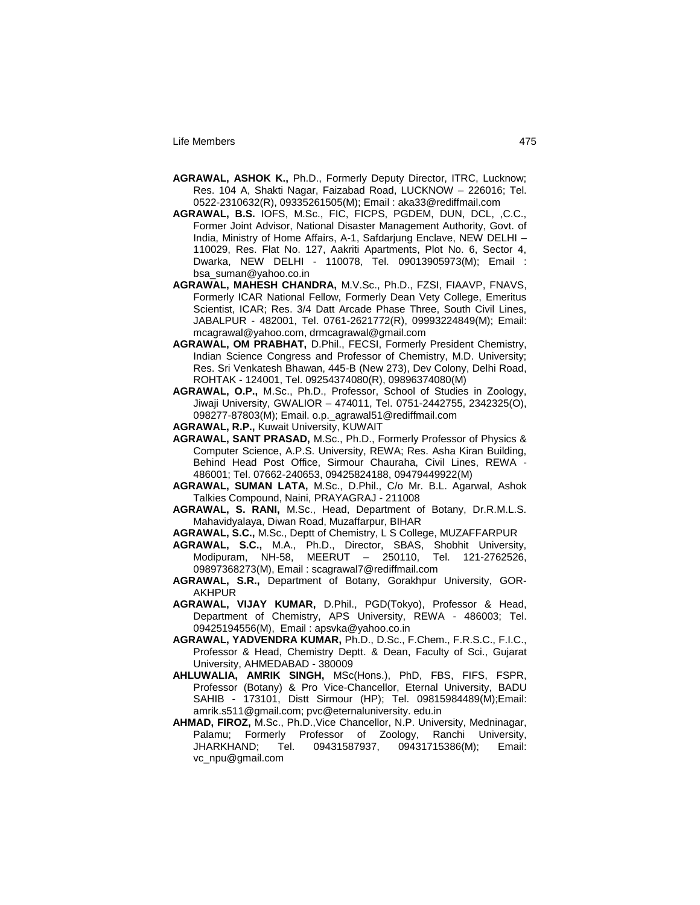- **AGRAWAL, ASHOK K.,** Ph.D., Formerly Deputy Director, ITRC, Lucknow; Res. 104 A, Shakti Nagar, Faizabad Road, LUCKNOW – 226016; Tel. 0522-2310632(R), 09335261505(M); Email : aka33@rediffmail.com
- **AGRAWAL, B.S.** IOFS, M.Sc., FIC, FICPS, PGDEM, DUN, DCL, ,C.C., Former Joint Advisor, National Disaster Management Authority, Govt. of India, Ministry of Home Affairs, A-1, Safdarjung Enclave, NEW DELHI – 110029, Res. Flat No. 127, Aakriti Apartments, Plot No. 6, Sector 4, Dwarka, NEW DELHI - 110078, Tel. 09013905973(M); Email : bsa\_suman@yahoo.co.in
- **AGRAWAL, MAHESH CHANDRA,** M.V.Sc., Ph.D., FZSI, FIAAVP, FNAVS, Formerly ICAR National Fellow, Formerly Dean Vety College, Emeritus Scientist, ICAR; Res. 3/4 Datt Arcade Phase Three, South Civil Lines, JABALPUR - 482001, Tel. 0761-2621772(R), 09993224849(M); Email: mcagrawal@yahoo.com, drmcagrawal@gmail.com
- **AGRAWAL, OM PRABHAT,** D.Phil., FECSI, Formerly President Chemistry, Indian Science Congress and Professor of Chemistry, M.D. University; Res. Sri Venkatesh Bhawan, 445-B (New 273), Dev Colony, Delhi Road, ROHTAK - 124001, Tel. 09254374080(R), 09896374080(M)
- **AGRAWAL, O.P.,** M.Sc., Ph.D., Professor, School of Studies in Zoology, Jiwaji University, GWALIOR – 474011, Tel. 0751-2442755, 2342325(O), 098277-87803(M); Email. o.p.\_agrawal51@rediffmail.com
- **AGRAWAL, R.P.,** Kuwait University, KUWAIT
- **AGRAWAL, SANT PRASAD,** M.Sc., Ph.D., Formerly Professor of Physics & Computer Science, A.P.S. University, REWA; Res. Asha Kiran Building, Behind Head Post Office, Sirmour Chauraha, Civil Lines, REWA - 486001; Tel. 07662-240653, 09425824188, 09479449922(M)
- **AGRAWAL, SUMAN LATA,** M.Sc., D.Phil., C/o Mr. B.L. Agarwal, Ashok Talkies Compound, Naini, PRAYAGRAJ - 211008
- **AGRAWAL, S. RANI,** M.Sc., Head, Department of Botany, Dr.R.M.L.S. Mahavidyalaya, Diwan Road, Muzaffarpur, BIHAR
- **AGRAWAL, S.C.,** M.Sc., Deptt of Chemistry, L S College, MUZAFFARPUR
- **AGRAWAL, S.C.,** M.A., Ph.D., Director, SBAS, Shobhit University, Modipuram, NH-58, MEERUT – 250110, Tel. 121-2762526, 09897368273(M), Email : scagrawal7@rediffmail.com
- **AGRAWAL, S.R.,** Department of Botany, Gorakhpur University, GOR-AKHPUR
- **AGRAWAL, VIJAY KUMAR,** D.Phil., PGD(Tokyo), Professor & Head, Department of Chemistry, APS University, REWA - 486003; Tel. 09425194556(M), Email : apsvka@yahoo.co.in
- **AGRAWAL, YADVENDRA KUMAR,** Ph.D., D.Sc., F.Chem., F.R.S.C., F.I.C., Professor & Head, Chemistry Deptt. & Dean, Faculty of Sci., Gujarat University, AHMEDABAD - 380009
- **AHLUWALIA, AMRIK SINGH,** MSc(Hons.), PhD, FBS, FIFS, FSPR, Professor (Botany) & Pro Vice-Chancellor, Eternal University, BADU SAHIB - 173101, Distt Sirmour (HP); Tel. 09815984489(M);Email: amrik.s511@gmail.com; pvc@eternaluniversity. edu.in
- **AHMAD, FIROZ,** M.Sc., Ph.D.,Vice Chancellor, N.P. University, Medninagar, Palamu; Formerly Professor of Zoology, Ranchi University, JHARKHAND; Tel. 09431587937, 09431715386(M); Email: vc\_npu@gmail.com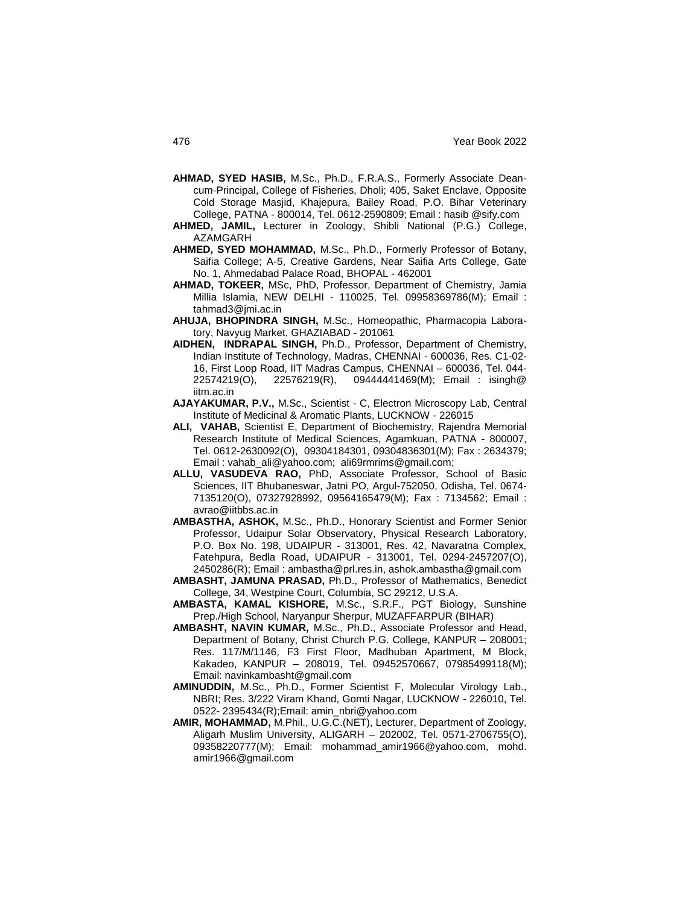- **AHMAD, SYED HASIB,** M.Sc., Ph.D., F.R.A.S., Formerly Associate Deancum-Principal, College of Fisheries, Dholi; 405, Saket Enclave, Opposite Cold Storage Masjid, Khajepura, Bailey Road, P.O. Bihar Veterinary College, PATNA - 800014, Tel. 0612-2590809; Email : hasib @sify.com
- **AHMED, JAMIL,** Lecturer in Zoology, Shibli National (P.G.) College, AZAMGARH
- **AHMED, SYED MOHAMMAD,** M.Sc., Ph.D., Formerly Professor of Botany, Saifia College; A-5, Creative Gardens, Near Saifia Arts College, Gate No. 1, Ahmedabad Palace Road, BHOPAL - 462001
- **AHMAD, TOKEER,** MSc, PhD, Professor, Department of Chemistry, Jamia Millia Islamia, NEW DELHI - 110025, Tel. 09958369786(M); Email : tahmad3@jmi.ac.in
- **AHUJA, BHOPINDRA SINGH,** M.Sc., Homeopathic, Pharmacopia Laboratory, Navyug Market, GHAZIABAD - 201061
- **AIDHEN, INDRAPAL SINGH,** Ph.D., Professor, Department of Chemistry, Indian Institute of Technology, Madras, CHENNAI - 600036, Res. C1-02- 16, First Loop Road, IIT Madras Campus, CHENNAI – 600036, Tel. 044- 22574219(O), 22576219(R), 09444441469(M); Email : isingh@ iitm.ac.in
- **AJAYAKUMAR, P.V.,** M.Sc., Scientist C, Electron Microscopy Lab, Central Institute of Medicinal & Aromatic Plants, LUCKNOW - 226015
- **ALI, VAHAB,** Scientist E, Department of Biochemistry, Rajendra Memorial Research Institute of Medical Sciences, Agamkuan, PATNA - 800007, Tel. 0612-2630092(O), 09304184301, 09304836301(M); Fax : 2634379; Email : vahab\_ali@yahoo.com; ali69rmrims@gmail.com;
- **ALLU, VASUDEVA RAO,** PhD, Associate Professor, School of Basic Sciences, IIT Bhubaneswar, Jatni PO, Argul-752050, Odisha, Tel. 0674- 7135120(O), 07327928992, 09564165479(M); Fax : 7134562; Email : avrao@iitbbs.ac.in
- **AMBASTHA, ASHOK,** M.Sc., Ph.D., Honorary Scientist and Former Senior Professor, Udaipur Solar Observatory, Physical Research Laboratory, P.O. Box No. 198, UDAIPUR - 313001, Res. 42, Navaratna Complex, Fatehpura, Bedla Road, UDAIPUR - 313001, Tel. 0294-2457207(O), 2450286(R); Email : ambastha@prl.res.in, ashok.ambastha@gmail.com
- **AMBASHT, JAMUNA PRASAD,** Ph.D., Professor of Mathematics, Benedict College, 34, Westpine Court, Columbia, SC 29212, U.S.A.
- **AMBASTA, KAMAL KISHORE,** M.Sc., S.R.F., PGT Biology, Sunshine Prep./High School, Naryanpur Sherpur, MUZAFFARPUR (BIHAR)
- **AMBASHT, NAVIN KUMAR,** M.Sc., Ph.D., Associate Professor and Head, Department of Botany, Christ Church P.G. College, KANPUR – 208001; Res. 117/M/1146, F3 First Floor, Madhuban Apartment, M Block, Kakadeo, KANPUR – 208019, Tel. 09452570667, 07985499118(M); Email: navinkambasht@gmail.com
- **AMINUDDIN,** M.Sc., Ph.D., Former Scientist F, Molecular Virology Lab., NBRI; Res. 3/222 Viram Khand, Gomti Nagar, LUCKNOW - 226010, Tel. 0522- 2395434(R);Email: amin\_nbri@yahoo.com
- **AMIR, MOHAMMAD,** M.Phil., U.G.C.(NET), Lecturer, Department of Zoology, Aligarh Muslim University, ALIGARH – 202002, Tel. 0571-2706755(O), 09358220777(M); Email: mohammad\_amir1966@yahoo.com, mohd. amir1966@gmail.com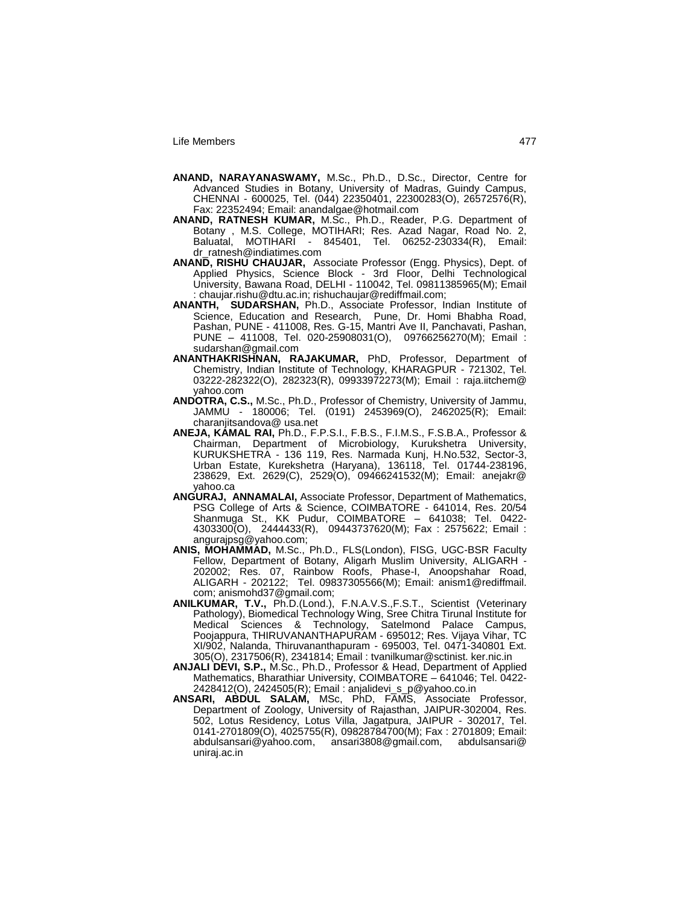- **ANAND, NARAYANASWAMY,** M.Sc., Ph.D., D.Sc., Director, Centre for Advanced Studies in Botany, University of Madras, Guindy Campus, CHENNAI - 600025, Tel. (044) 22350401, 22300283(O), 26572576(R), Fax: 22352494; Email: anandalgae@hotmail.com
- **ANAND, RATNESH KUMAR,** M.Sc., Ph.D., Reader, P.G. Department of Botany , M.S. College, MOTIHARI; Res. Azad Nagar, Road No. 2, Baluatal, MOTIHARI - 845401, Tel. 06252-230334(R), Email: dr\_ratnesh@indiatimes.com
- **ANAND, RISHU CHAUJAR,** Associate Professor (Engg. Physics), Dept. of Applied Physics, Science Block - 3rd Floor, Delhi Technological University, Bawana Road, DELHI - 110042, Tel. 09811385965(M); Email : chaujar.rishu@dtu.ac.in; rishuchaujar@rediffmail.com;
- **ANANTH, SUDARSHAN,** Ph.D., Associate Professor, Indian Institute of Science, Education and Research, Pune, Dr. Homi Bhabha Road, Pashan, PUNE - 411008, Res. G-15, Mantri Ave II, Panchavati, Pashan, PUNE – 411008, Tel. 020-25908031(O), 09766256270(M); Email : sudarshan@gmail.com
- **ANANTHAKRISHNAN, RAJAKUMAR,** PhD, Professor, Department of Chemistry, Indian Institute of Technology, KHARAGPUR - 721302, Tel. 03222-282322(O), 282323(R), 09933972273(M); Email : raja.iitchem@ yahoo.com
- **ANDOTRA, C.S.,** M.Sc., Ph.D., Professor of Chemistry, University of Jammu, JAMMU - 180006; Tel. (0191) 2453969(O), 2462025(R); Email: charanjitsandova@ usa.net
- **ANEJA, KAMAL RAI,** Ph.D., F.P.S.I., F.B.S., F.I.M.S., F.S.B.A., Professor & Chairman, Department of Microbiology, Kurukshetra University, KURUKSHETRA - 136 119, Res. Narmada Kunj, H.No.532, Sector-3, Urban Estate, Kurekshetra (Haryana), 136118, Tel. 01744-238196, 238629, Ext. 2629(C), 2529(O), 09466241532(M); Email: anejakr@ yahoo.ca
- **ANGURAJ, ANNAMALAI,** Associate Professor, Department of Mathematics, PSG College of Arts & Science, COIMBATORE - 641014, Res. 20/54 Shanmuga St., KK Pudur, COIMBATORE – 641038; Tel. 0422- 4303300(O), 2444433(R), 09443737620(M); Fax : 2575622; Email : angurajpsg@yahoo.com;
- **ANIS, MOHAMMAD,** M.Sc., Ph.D., FLS(London), FISG, UGC-BSR Faculty Fellow, Department of Botany, Aligarh Muslim University, ALIGARH - 202002; Res. 07, Rainbow Roofs, Phase-I, Anoopshahar Road, ALIGARH - 202122; Tel. 09837305566(M); Email: anism1@rediffmail. com; anismohd37@gmail.com;
- **ANILKUMAR, T.V.,** Ph.D.(Lond.), F.N.A.V.S.,F.S.T., Scientist (Veterinary Pathology), Biomedical Technology Wing, Sree Chitra Tirunal Institute for Medical Sciences & Technology, Satelmond Palace Campus, Poojappura, THIRUVANANTHAPURAM - 695012; Res. Vijaya Vihar, TC XI/902, Nalanda, Thiruvananthapuram - 695003, Tel. 0471-340801 Ext. 305(O), 2317506(R), 2341814; Email : tvanilkumar@sctinist. ker.nic.in
- **ANJALI DEVI, S.P.,** M.Sc., Ph.D., Professor & Head, Department of Applied Mathematics, Bharathiar University, COIMBATORE – 641046; Tel. 0422- 2428412(O), 2424505(R); Email : anjalidevi\_s\_p@yahoo.co.in
- **ANSARI, ABDUL SALAM,** MSc, PhD, FAMS, Associate Professor, Department of Zoology, University of Rajasthan, JAIPUR-302004, Res. 502, Lotus Residency, Lotus Villa, Jagatpura, JAIPUR - 302017, Tel. 0141-2701809(O), 4025755(R), 09828784700(M); Fax : 2701809; Email: abdulsansari@yahoo.com, ansari3808@gmail.com, abdulsansari@ uniraj.ac.in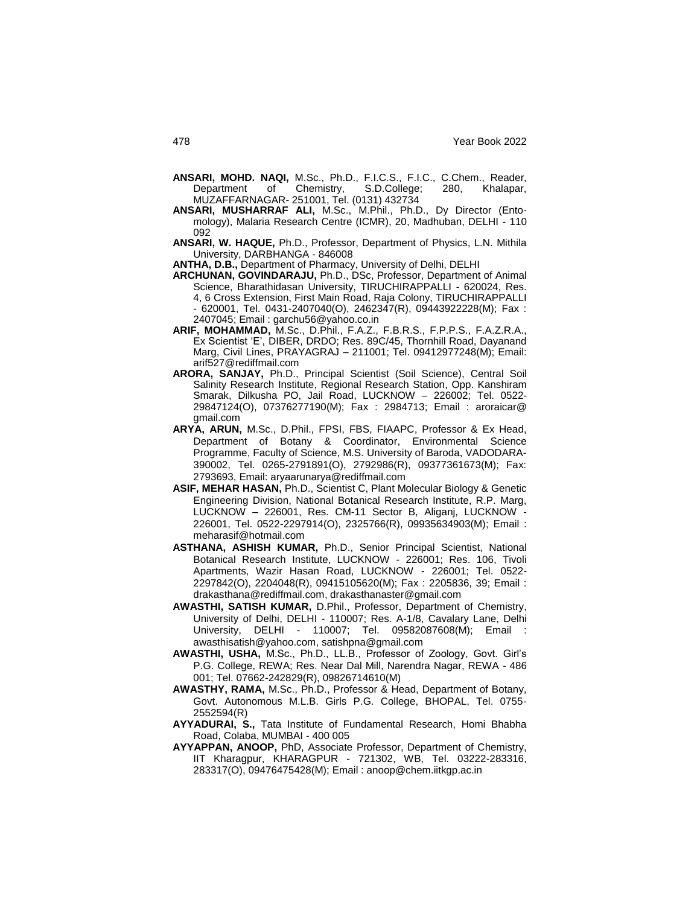- **ANSARI, MOHD. NAQI,** M.Sc., Ph.D., F.I.C.S., F.I.C., C.Chem., Reader, Department of Chemistry, S.D.College; 280, Khalapar, MUZAFFARNAGAR- 251001, Tel. (0131) 432734
- **ANSARI, MUSHARRAF ALI,** M.Sc., M.Phil., Ph.D., Dy Director (Entomology), Malaria Research Centre (ICMR), 20, Madhuban, DELHI - 110 092
- **ANSARI, W. HAQUE,** Ph.D., Professor, Department of Physics, L.N. Mithila University, DARBHANGA - 846008

**ANTHA, D.B.,** Department of Pharmacy, University of Delhi, DELHI

- **ARCHUNAN, GOVINDARAJU,** Ph.D., DSc, Professor, Department of Animal Science, Bharathidasan University, TIRUCHIRAPPALLI - 620024, Res. 4, 6 Cross Extension, First Main Road, Raja Colony, TIRUCHIRAPPALLI - 620001, Tel. 0431-2407040(O), 2462347(R), 09443922228(M); Fax : 2407045; Email : garchu56@yahoo.co.in
- **ARIF, MOHAMMAD,** M.Sc., D.Phil., F.A.Z., F.B.R.S., F.P.P.S., F.A.Z.R.A., Ex Scientist "E", DIBER, DRDO; Res. 89C/45, Thornhill Road, Dayanand Marg, Civil Lines, PRAYAGRAJ – 211001; Tel. 09412977248(M); Email: arif527@rediffmail.com
- **ARORA, SANJAY,** Ph.D., Principal Scientist (Soil Science), Central Soil Salinity Research Institute, Regional Research Station, Opp. Kanshiram Smarak, Dilkusha PO, Jail Road, LUCKNOW – 226002; Tel. 0522- 29847124(O), 07376277190(M); Fax : 2984713; Email : aroraicar@ gmail.com
- **ARYA, ARUN,** M.Sc., D.Phil., FPSI, FBS, FIAAPC, Professor & Ex Head, Department of Botany & Coordinator, Environmental Science Programme, Faculty of Science, M.S. University of Baroda, VADODARA-390002, Tel. 0265-2791891(O), 2792986(R), 09377361673(M); Fax: 2793693, Email: aryaarunarya@rediffmail.com
- **ASIF, MEHAR HASAN,** Ph.D., Scientist C, Plant Molecular Biology & Genetic Engineering Division, National Botanical Research Institute, R.P. Marg, LUCKNOW – 226001, Res. CM-11 Sector B, Aliganj, LUCKNOW - 226001, Tel. 0522-2297914(O), 2325766(R), 09935634903(M); Email : meharasif@hotmail.com
- **ASTHANA, ASHISH KUMAR,** Ph.D., Senior Principal Scientist, National Botanical Research Institute, LUCKNOW - 226001; Res. 106, Tivoli Apartments, Wazir Hasan Road, LUCKNOW - 226001; Tel. 0522- 2297842(O), 2204048(R), 09415105620(M); Fax : 2205836, 39; Email : drakasthana@rediffmail.com, drakasthanaster@gmail.com
- **AWASTHI, SATISH KUMAR,** D.Phil., Professor, Department of Chemistry, University of Delhi, DELHI - 110007; Res. A-1/8, Cavalary Lane, Delhi University, DELHI - 110007; Tel. 09582087608(M); Email : awasthisatish@yahoo.com, satishpna@gmail.com
- **AWASTHI, USHA,** M.Sc., Ph.D., LL.B., Professor of Zoology, Govt. Girl"s P.G. College, REWA; Res. Near Dal Mill, Narendra Nagar, REWA - 486 001; Tel. 07662-242829(R), 09826714610(M)
- **AWASTHY, RAMA,** M.Sc., Ph.D., Professor & Head, Department of Botany, Govt. Autonomous M.L.B. Girls P.G. College, BHOPAL, Tel. 0755- 2552594(R)
- **AYYADURAI, S.,** Tata Institute of Fundamental Research, Homi Bhabha Road, Colaba, MUMBAI - 400 005
- **AYYAPPAN, ANOOP,** PhD, Associate Professor, Department of Chemistry, IIT Kharagpur, KHARAGPUR - 721302, WB, Tel. 03222-283316, 283317(O), 09476475428(M); Email : anoop@chem.iitkgp.ac.in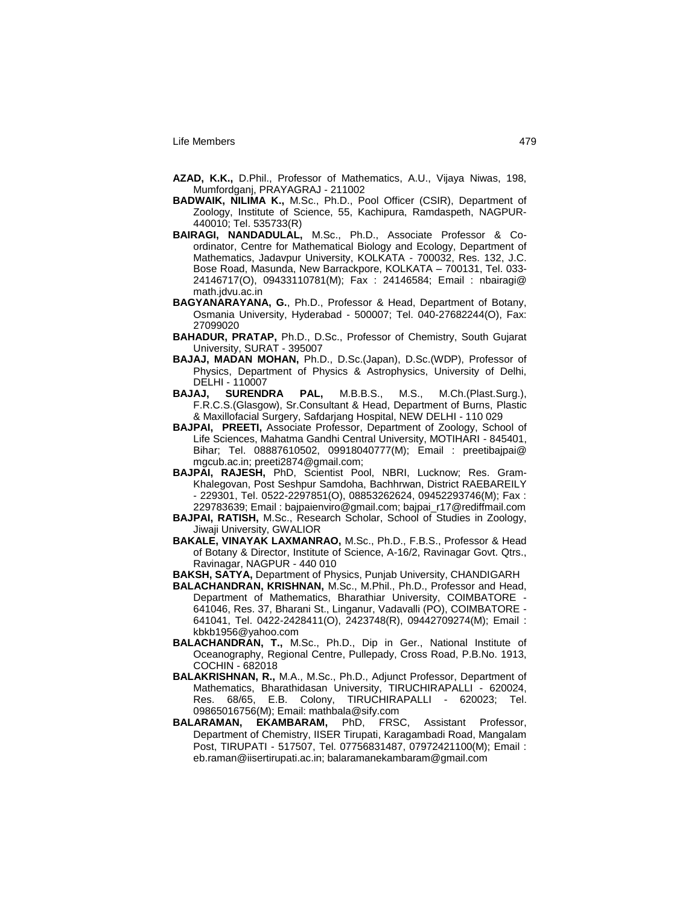- **AZAD, K.K.,** D.Phil., Professor of Mathematics, A.U., Vijaya Niwas, 198, Mumfordganj, PRAYAGRAJ - 211002
- **BADWAIK, NILIMA K.,** M.Sc., Ph.D., Pool Officer (CSIR), Department of Zoology, Institute of Science, 55, Kachipura, Ramdaspeth, NAGPUR-440010; Tel. 535733(R)
- **BAIRAGI, NANDADULAL,** M.Sc., Ph.D., Associate Professor & Coordinator, Centre for Mathematical Biology and Ecology, Department of Mathematics, Jadavpur University, KOLKATA - 700032, Res. 132, J.C. Bose Road, Masunda, New Barrackpore, KOLKATA – 700131, Tel. 033- 24146717(O), 09433110781(M); Fax : 24146584; Email : nbairagi@ math.jdvu.ac.in
- **BAGYANARAYANA, G.**, Ph.D., Professor & Head, Department of Botany, Osmania University, Hyderabad - 500007; Tel. 040-27682244(O), Fax: 27099020
- **BAHADUR, PRATAP,** Ph.D., D.Sc., Professor of Chemistry, South Gujarat University, SURAT - 395007
- **BAJAJ, MADAN MOHAN,** Ph.D., D.Sc.(Japan), D.Sc.(WDP), Professor of Physics, Department of Physics & Astrophysics, University of Delhi, DELHI - 110007
- **BAJAJ, SURENDRA PAL,** M.B.B.S., M.S., M.Ch.(Plast.Surg.), F.R.C.S.(Glasgow), Sr.Consultant & Head, Department of Burns, Plastic & Maxillofacial Surgery, Safdarjang Hospital, NEW DELHI - 110 029
- **BAJPAI, PREETI,** Associate Professor, Department of Zoology, School of Life Sciences, Mahatma Gandhi Central University, MOTIHARI - 845401, Bihar; Tel. 08887610502, 09918040777(M); Email : preetibajpai@ mgcub.ac.in; preeti2874@gmail.com;
- **BAJPAI, RAJESH,** PhD, Scientist Pool, NBRI, Lucknow; Res. Gram-Khalegovan, Post Seshpur Samdoha, Bachhrwan, District RAEBAREILY - 229301, Tel. 0522-2297851(O), 08853262624, 09452293746(M); Fax : 229783639; Email : bajpaienviro@gmail.com; bajpai\_r17@rediffmail.com
- **BAJPAI, RATISH,** M.Sc., Research Scholar, School of Studies in Zoology, Jiwaji University, GWALIOR
- **BAKALE, VINAYAK LAXMANRAO,** M.Sc., Ph.D., F.B.S., Professor & Head of Botany & Director, Institute of Science, A-16/2, Ravinagar Govt. Qtrs., Ravinagar, NAGPUR - 440 010
- **BAKSH, SATYA,** Department of Physics, Punjab University, CHANDIGARH
- **BALACHANDRAN, KRISHNAN,** M.Sc., M.Phil., Ph.D., Professor and Head, Department of Mathematics, Bharathiar University, COIMBATORE - 641046, Res. 37, Bharani St., Linganur, Vadavalli (PO), COIMBATORE - 641041, Tel. 0422-2428411(O), 2423748(R), 09442709274(M); Email : kbkb1956@yahoo.com
- **BALACHANDRAN, T.,** M.Sc., Ph.D., Dip in Ger., National Institute of Oceanography, Regional Centre, Pullepady, Cross Road, P.B.No. 1913, COCHIN - 682018
- **BALAKRISHNAN, R.,** M.A., M.Sc., Ph.D., Adjunct Professor, Department of Mathematics, Bharathidasan University, TIRUCHIRAPALLI - 620024, Res. 68/65, E.B. Colony, TIRUCHIRAPALLI - 620023; Tel. 09865016756(M); Email: mathbala@sify.com
- **BALARAMAN, EKAMBARAM,** PhD, FRSC, Assistant Professor, Department of Chemistry, IISER Tirupati, Karagambadi Road, Mangalam Post, TIRUPATI - 517507, Tel. 07756831487, 07972421100(M); Email : eb.raman@iisertirupati.ac.in; balaramanekambaram@gmail.com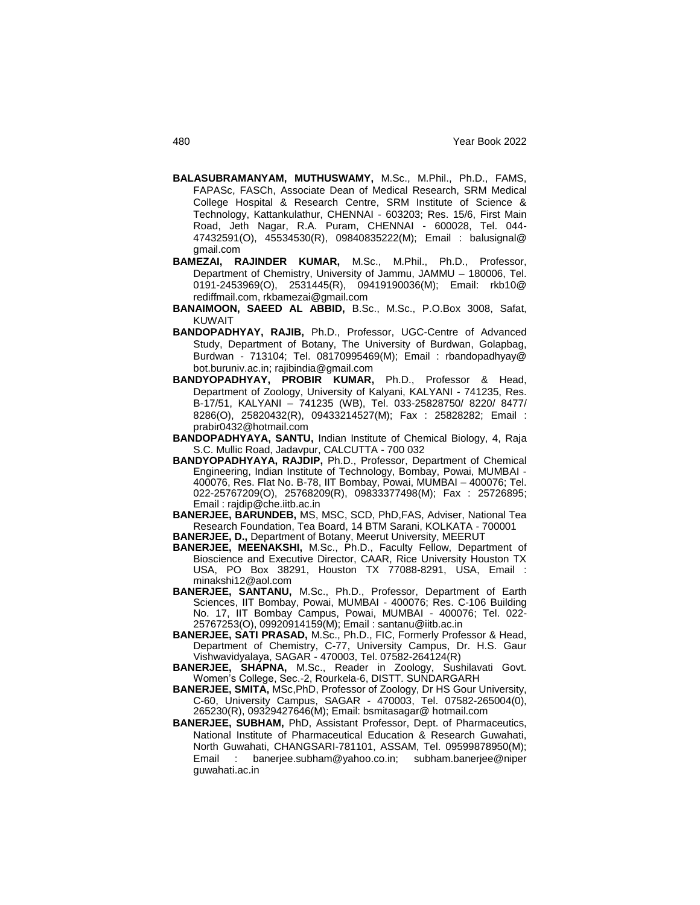- **BALASUBRAMANYAM, MUTHUSWAMY,** M.Sc., M.Phil., Ph.D., FAMS, FAPASc, FASCh, Associate Dean of Medical Research, SRM Medical College Hospital & Research Centre, SRM Institute of Science & Technology, Kattankulathur, CHENNAI - 603203; Res. 15/6, First Main Road, Jeth Nagar, R.A. Puram, CHENNAI - 600028, Tel. 044- 47432591(O), 45534530(R), 09840835222(M); Email : balusignal@ gmail.com
- **BAMEZAI, RAJINDER KUMAR,** M.Sc., M.Phil., Ph.D., Professor, Department of Chemistry, University of Jammu, JAMMU – 180006, Tel. 0191-2453969(O), 2531445(R), 09419190036(M); Email: rkb10@ rediffmail.com, rkbamezai@gmail.com
- **BANAIMOON, SAEED AL ABBID,** B.Sc., M.Sc., P.O.Box 3008, Safat, KUWAIT
- **BANDOPADHYAY, RAJIB,** Ph.D., Professor, UGC-Centre of Advanced Study, Department of Botany, The University of Burdwan, Golapbag, Burdwan - 713104; Tel. 08170995469(M); Email : rbandopadhyay@ bot.buruniv.ac.in; rajibindia@gmail.com
- **BANDYOPADHYAY, PROBIR KUMAR,** Ph.D., Professor & Head, Department of Zoology, University of Kalyani, KALYANI - 741235, Res. B-17/51, KALYANI – 741235 (WB), Tel. 033-25828750/ 8220/ 8477/ 8286(O), 25820432(R), 09433214527(M); Fax : 25828282; Email : prabir0432@hotmail.com
- **BANDOPADHYAYA, SANTU,** Indian Institute of Chemical Biology, 4, Raja S.C. Mullic Road, Jadavpur, CALCUTTA - 700 032
- **BANDYOPADHYAYA, RAJDIP,** Ph.D., Professor, Department of Chemical Engineering, Indian Institute of Technology, Bombay, Powai, MUMBAI - 400076, Res. Flat No. B-78, IIT Bombay, Powai, MUMBAI – 400076; Tel. 022-25767209(O), 25768209(R), 09833377498(M); Fax : 25726895; Email : rajdip@che.iitb.ac.in
- **BANERJEE, BARUNDEB,** MS, MSC, SCD, PhD,FAS, Adviser, National Tea Research Foundation, Tea Board, 14 BTM Sarani, KOLKATA - 700001
- **BANERJEE, D.,** Department of Botany, Meerut University, MEERUT
- **BANERJEE, MEENAKSHI,** M.Sc., Ph.D., Faculty Fellow, Department of Bioscience and Executive Director, CAAR, Rice University Houston TX USA, PO Box 38291, Houston TX 77088-8291, USA, Email : minakshi12@aol.com
- **BANERJEE, SANTANU,** M.Sc., Ph.D., Professor, Department of Earth Sciences, IIT Bombay, Powai, MUMBAI - 400076; Res. C-106 Building No. 17, IIT Bombay Campus, Powai, MUMBAI - 400076; Tel. 022- 25767253(O), 09920914159(M); Email : santanu@iitb.ac.in
- **BANERJEE, SATI PRASAD,** M.Sc., Ph.D., FIC, Formerly Professor & Head, Department of Chemistry, C-77, University Campus, Dr. H.S. Gaur Vishwavidyalaya, SAGAR - 470003, Tel. 07582-264124(R)
- **BANERJEE, SHAPNA,** M.Sc., Reader in Zoology, Sushilavati Govt. Women"s College, Sec.-2, Rourkela-6, DISTT. SUNDARGARH
- **BANERJEE, SMITA,** MSc,PhD, Professor of Zoology, Dr HS Gour University, C-60, University Campus, SAGAR - 470003, Tel. 07582-265004(0), 265230(R), 09329427646(M); Email: bsmitasagar@ hotmail.com
- **BANERJEE, SUBHAM,** PhD, Assistant Professor, Dept. of Pharmaceutics, National Institute of Pharmaceutical Education & Research Guwahati, North Guwahati, CHANGSARI-781101, ASSAM, Tel. 09599878950(M); Email : banerjee.subham@yahoo.co.in; subham.banerjee@niper guwahati.ac.in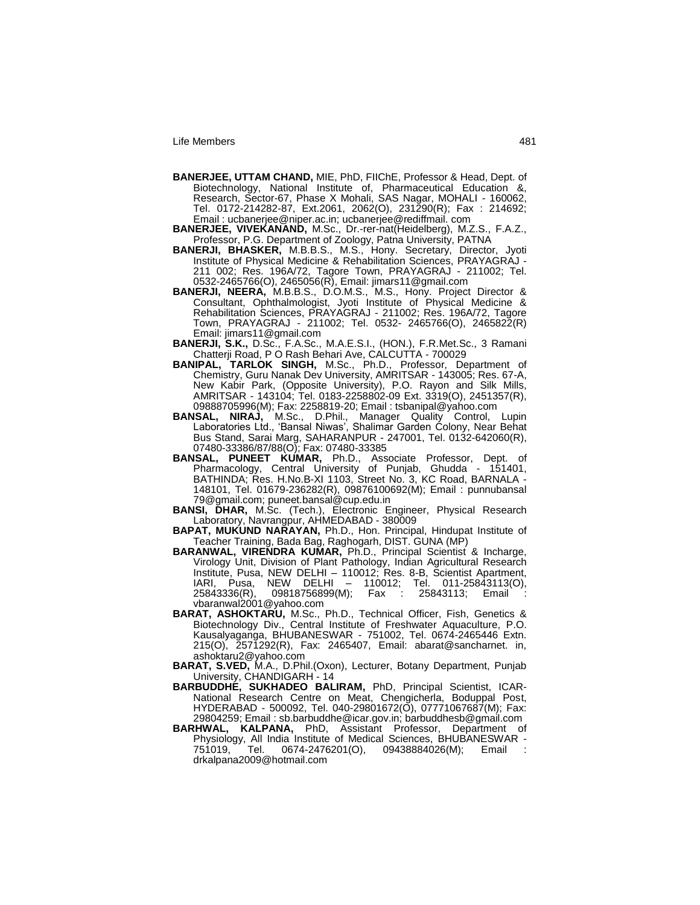- **BANERJEE, UTTAM CHAND,** MIE, PhD, FIIChE, Professor & Head, Dept. of Biotechnology, National Institute of, Pharmaceutical Education &, Research, Sector-67, Phase X Mohali, SAS Nagar, MOHALI - 160062, Tel. 0172-214282-87, Ext.2061, 2062(O), 231290(R); Fax : 214692; Email : ucbanerjee@niper.ac.in; ucbanerjee@rediffmail. com
- **BANERJEE, VIVEKANAND,** M.Sc., Dr.-rer-nat(Heidelberg), M.Z.S., F.A.Z., Professor, P.G. Department of Zoology, Patna University, PATNA
- **BANERJI, BHASKER,** M.B.B.S., M.S., Hony. Secretary, Director, Jyoti Institute of Physical Medicine & Rehabilitation Sciences, PRAYAGRAJ - 211 002; Res. 196A/72, Tagore Town, PRAYAGRAJ - 211002; Tel. 0532-2465766(O), 2465056(R), Email: jimars11@gmail.com
- **BANERJI, NEERA,** M.B.B.S., D.O.M.S., M.S., Hony. Project Director & Consultant, Ophthalmologist, Jyoti Institute of Physical Medicine & Rehabilitation Sciences, PRAYAGRAJ - 211002; Res. 196A/72, Tagore Town, PRAYAGRAJ - 211002; Tel. 0532- 2465766(O), 2465822(R) Email: jimars11@gmail.com
- **BANERJI, S.K.,** D.Sc., F.A.Sc., M.A.E.S.I., (HON.), F.R.Met.Sc., 3 Ramani Chatterji Road, P O Rash Behari Ave, CALCUTTA - 700029
- **BANIPAL, TARLOK SINGH,** M.Sc., Ph.D., Professor, Department of Chemistry, Guru Nanak Dev University, AMRITSAR - 143005; Res. 67-A, New Kabir Park, (Opposite University), P.O. Rayon and Silk Mills, AMRITSAR - 143104; Tel. 0183-2258802-09 Ext. 3319(O), 2451357(R), 09888705996(M); Fax: 2258819-20; Email : tsbanipal@yahoo.com
- **BANSAL, NIRAJ,** M.Sc., D.Phil., Manager Quality Control, Lupin Laboratories Ltd., "Bansal Niwas", Shalimar Garden Colony, Near Behat Bus Stand, Sarai Marg, SAHARANPUR - 247001, Tel. 0132-642060(R), 07480-33386/87/88(O); Fax: 07480-33385
- **BANSAL, PUNEET KUMAR,** Ph.D., Associate Professor, Dept. of Pharmacology, Central University of Punjab, Ghudda - 151401, BATHINDA; Res. H.No.B-XI 1103, Street No. 3, KC Road, BARNALA - 148101, Tel. 01679-236282(R), 09876100692(M); Email : punnubansal 79@gmail.com; puneet.bansal@cup.edu.in
- **BANSI, DHAR,** M.Sc. (Tech.), Electronic Engineer, Physical Research Laboratory, Navrangpur, AHMEDABAD - 380009
- **BAPAT, MUKUND NARAYAN,** Ph.D., Hon. Principal, Hindupat Institute of Teacher Training, Bada Bag, Raghogarh, DIST. GUNA (MP)
- **BARANWAL, VIRENDRA KUMAR,** Ph.D., Principal Scientist & Incharge, Virology Unit, Division of Plant Pathology, Indian Agricultural Research Institute, Pusa, NEW DELHI – 110012; Res. 8-B, Scientist Apartment, IARI, Pusa, NEW DELHI – 110012; Tel. 011-25843113(O), 25843336(R), 09818756899(M); Fax : 25843113; Email : vbaranwal2001@yahoo.com
- **BARAT, ASHOKTARU,** M.Sc., Ph.D., Technical Officer, Fish, Genetics & Biotechnology Div., Central Institute of Freshwater Aquaculture, P.O. Kausalyaganga, BHUBANESWAR - 751002, Tel. 0674-2465446 Extn. 215(O), 2571292(R), Fax: 2465407, Email: abarat@sancharnet. in, ashoktaru2@yahoo.com
- **BARAT, S.VED,** M.A., D.Phil.(Oxon), Lecturer, Botany Department, Punjab University, CHANDIGARH - 14
- **BARBUDDHE, SUKHADEO BALIRAM,** PhD, Principal Scientist, ICAR-National Research Centre on Meat, Chengicherla, Boduppal Post, HYDERABAD - 500092, Tel. 040-29801672(O), 07771067687(M); Fax: 29804259; Email : sb.barbuddhe@icar.gov.in; barbuddhesb@gmail.com
- **BARHWAL, KALPANA,** PhD, Assistant Professor, Department of Physiology, All India Institute of Medical Sciences, BHUBANESWAR - 751019, Tel. 0674-2476201(O), 09438884026(M); Email : drkalpana2009@hotmail.com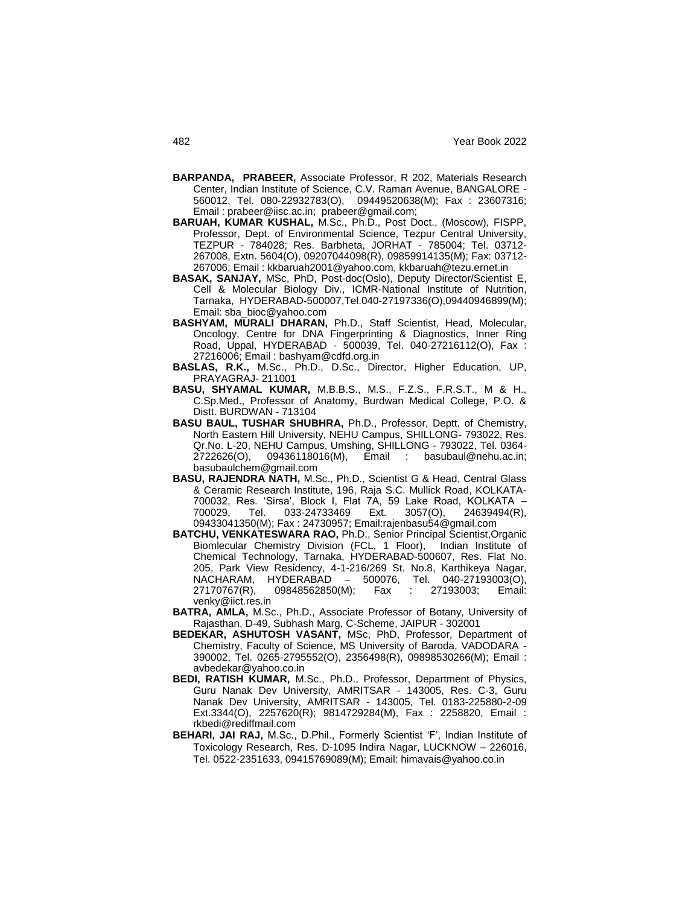- **BARPANDA, PRABEER,** Associate Professor, R 202, Materials Research Center, Indian Institute of Science, C.V. Raman Avenue, BANGALORE - 560012, Tel. 080-22932783(O), 09449520638(M); Fax : 23607316; Email : prabeer@iisc.ac.in; prabeer@gmail.com;
- **BARUAH, KUMAR KUSHAL,** M.Sc., Ph.D., Post Doct., (Moscow), FISPP, Professor, Dept. of Environmental Science, Tezpur Central University, TEZPUR - 784028; Res. Barbheta, JORHAT - 785004; Tel. 03712- 267008, Extn. 5604(O), 09207044098(R), 09859914135(M); Fax: 03712- 267006; Email : kkbaruah2001@yahoo.com, kkbaruah@tezu.ernet.in
- **BASAK, SANJAY,** MSc, PhD, Post-doc(Oslo), Deputy Director/Scientist E, Cell & Molecular Biology Div., ICMR-National Institute of Nutrition, Tarnaka, HYDERABAD-500007,Tel.040-27197336(O),09440946899(M); Email: sba\_bioc@yahoo.com
- **BASHYAM, MURALI DHARAN,** Ph.D., Staff Scientist, Head, Molecular, Oncology, Centre for DNA Fingerprinting & Diagnostics, Inner Ring Road, Uppal, HYDERABAD - 500039, Tel. 040-27216112(O), Fax : 27216006; Email : bashyam@cdfd.org.in
- **BASLAS, R.K.,** M.Sc., Ph.D., D.Sc., Director, Higher Education, UP, PRAYAGRAJ- 211001
- **BASU, SHYAMAL KUMAR,** M.B.B.S., M.S., F.Z.S., F.R.S.T., M & H., C.Sp.Med., Professor of Anatomy, Burdwan Medical College, P.O. & Distt. BURDWAN - 713104
- **BASU BAUL, TUSHAR SHUBHRA,** Ph.D., Professor, Deptt. of Chemistry, North Eastern Hill University, NEHU Campus, SHILLONG- 793022, Res. Qr.No. L-20, NEHU Campus, Umshing, SHILLONG - 793022, Tel. 0364- Email : basubaul@nehu.ac.in; basubaulchem@gmail.com
- **BASU, RAJENDRA NATH,** M.Sc., Ph.D., Scientist G & Head, Central Glass & Ceramic Research Institute, 196, Raja S.C. Mullick Road, KOLKATA-700032, Res. "Sirsa", Block I, Flat 7A, 59 Lake Road, KOLKATA – 700029, Tel. 033-24733469 Ext. 3057(O), 24639494(R), 09433041350(M); Fax : 24730957; Email:rajenbasu54@gmail.com
- **BATCHU, VENKATESWARA RAO,** Ph.D., Senior Principal Scientist,Organic Biomlecular Chemistry Division (FCL, 1 Floor), Indian Institute of Chemical Technology, Tarnaka, HYDERABAD-500607, Res. Flat No. 205, Park View Residency, 4-1-216/269 St. No.8, Karthikeya Nagar, NACHARAM, HYDERABAD – 500076, Tel. 040-27193003(O), 27170767(R), 09848562850(M); Fax : 27193003; Email: venky@iict.res.in
- **BATRA, AMLA,** M.Sc., Ph.D., Associate Professor of Botany, University of Rajasthan, D-49, Subhash Marg, C-Scheme, JAIPUR - 302001
- **BEDEKAR, ASHUTOSH VASANT,** MSc, PhD, Professor, Department of Chemistry, Faculty of Science, MS University of Baroda, VADODARA - 390002, Tel. 0265-2795552(O), 2356498(R), 09898530266(M); Email : avbedekar@yahoo.co.in
- **BEDI, RATISH KUMAR,** M.Sc., Ph.D., Professor, Department of Physics, Guru Nanak Dev University, AMRITSAR - 143005, Res. C-3, Guru Nanak Dev University, AMRITSAR - 143005, Tel. 0183-225880-2-09 Ext.3344(O), 2257620(R); 9814729284(M), Fax : 2258820, Email : rkbedi@rediffmail.com
- **BEHARI, JAI RAJ,** M.Sc., D.Phil., Formerly Scientist "F", Indian Institute of Toxicology Research, Res. D-1095 Indira Nagar, LUCKNOW – 226016, Tel. 0522-2351633, 09415769089(M); Email: himavais@yahoo.co.in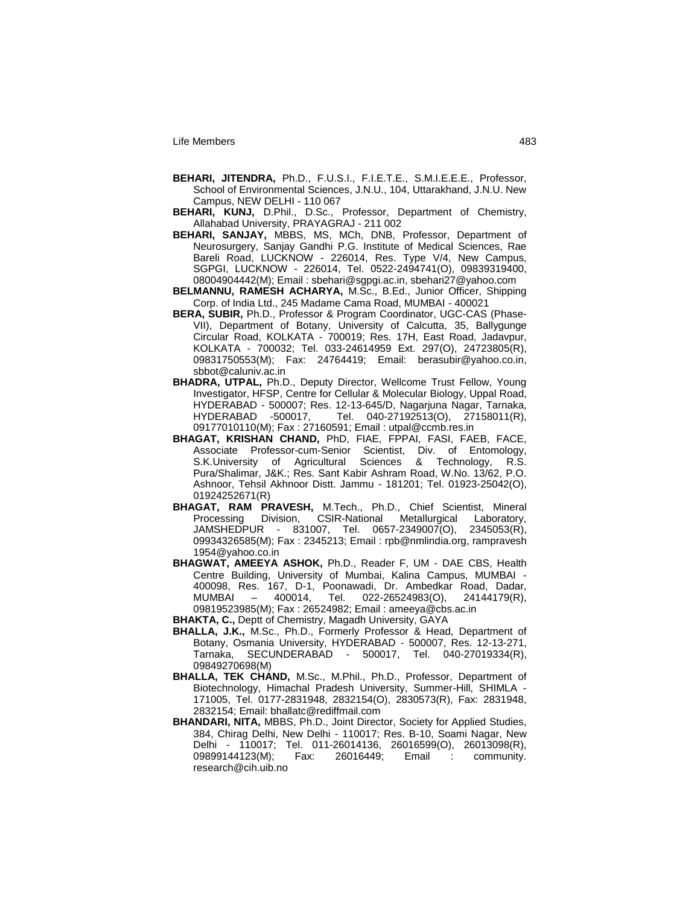- **BEHARI, JITENDRA,** Ph.D., F.U.S.I., F.I.E.T.E., S.M.I.E.E.E., Professor, School of Environmental Sciences, J.N.U., 104, Uttarakhand, J.N.U. New Campus, NEW DELHI - 110 067
- **BEHARI, KUNJ,** D.Phil., D.Sc., Professor, Department of Chemistry, Allahabad University, PRAYAGRAJ - 211 002
- **BEHARI, SANJAY,** MBBS, MS, MCh, DNB, Professor, Department of Neurosurgery, Sanjay Gandhi P.G. Institute of Medical Sciences, Rae Bareli Road, LUCKNOW - 226014, Res. Type V/4, New Campus, SGPGI, LUCKNOW - 226014, Tel. 0522-2494741(O), 09839319400, 08004904442(M); Email : sbehari@sgpgi.ac.in, sbehari27@yahoo.com
- **BELMANNU, RAMESH ACHARYA,** M.Sc., B.Ed., Junior Officer, Shipping Corp. of India Ltd., 245 Madame Cama Road, MUMBAI - 400021
- **BERA, SUBIR,** Ph.D., Professor & Program Coordinator, UGC-CAS (Phase-VII), Department of Botany, University of Calcutta, 35, Ballygunge Circular Road, KOLKATA - 700019; Res. 17H, East Road, Jadavpur, KOLKATA - 700032; Tel. 033-24614959 Ext. 297(O), 24723805(R), 09831750553(M); Fax: 24764419; Email: berasubir@yahoo.co.in, sbbot@caluniv.ac.in
- **BHADRA, UTPAL,** Ph.D., Deputy Director, Wellcome Trust Fellow, Young Investigator, HFSP, Centre for Cellular & Molecular Biology, Uppal Road, HYDERABAD - 500007; Res. 12-13-645/D, Nagarjuna Nagar, Tarnaka, HYDERABAD -500017, Tel. 040-27192513(O), 27158011(R), 09177010110(M); Fax : 27160591; Email : utpal@ccmb.res.in
- **BHAGAT, KRISHAN CHAND,** PhD, FIAE, FPPAI, FASI, FAEB, FACE, Associate Professor-cum-Senior Scientist, Div. of Entomology,<br>S.K.University of Agricultural Sciences & Technology, R.S. S.K.University of Agricultural Sciences & Technology, R.S. Pura/Shalimar, J&K.; Res. Sant Kabir Ashram Road, W.No. 13/62, P.O. Ashnoor, Tehsil Akhnoor Distt. Jammu - 181201; Tel. 01923-25042(O), 01924252671(R)
- **BHAGAT, RAM PRAVESH,** M.Tech., Ph.D., Chief Scientist, Mineral Processing Division, CSIR-National Metallurgical Laboratory, JAMSHEDPUR - 831007, Tel. 0657-2349007(O), 2345053(R), 09934326585(M); Fax : 2345213; Email : rpb@nmlindia.org, rampravesh 1954@yahoo.co.in
- **BHAGWAT, AMEEYA ASHOK,** Ph.D., Reader F, UM DAE CBS, Health Centre Building, University of Mumbai, Kalina Campus, MUMBAI - 400098, Res. 167, D-1, Poonawadi, Dr. Ambedkar Road, Dadar, MUMBAI – 400014, Tel. 022-26524983(O), 24144179(R), 09819523985(M); Fax : 26524982; Email : ameeya@cbs.ac.in
- **BHAKTA, C.,** Deptt of Chemistry, Magadh University, GAYA
- **BHALLA, J.K.,** M.Sc., Ph.D., Formerly Professor & Head, Department of Botany, Osmania University, HYDERABAD - 500007, Res. 12-13-271, Tarnaka, SECUNDERABAD - 500017, Tel. 040-27019334(R), 09849270698(M)
- **BHALLA, TEK CHAND,** M.Sc., M.Phil., Ph.D., Professor, Department of Biotechnology, Himachal Pradesh University, Summer-Hill, SHIMLA - 171005, Tel. 0177-2831948, 2832154(O), 2830573(R), Fax: 2831948, 2832154; Email: bhallatc@rediffmail.com
- **BHANDARI, NITA,** MBBS, Ph.D., Joint Director, Society for Applied Studies, 384, Chirag Delhi, New Delhi - 110017; Res. B-10, Soami Nagar, New Delhi - 110017; Tel. 011-26014136, 26016599(O), 26013098(R), 09899144123(M); Fax: 26016449; Email : community. research@cih.uib.no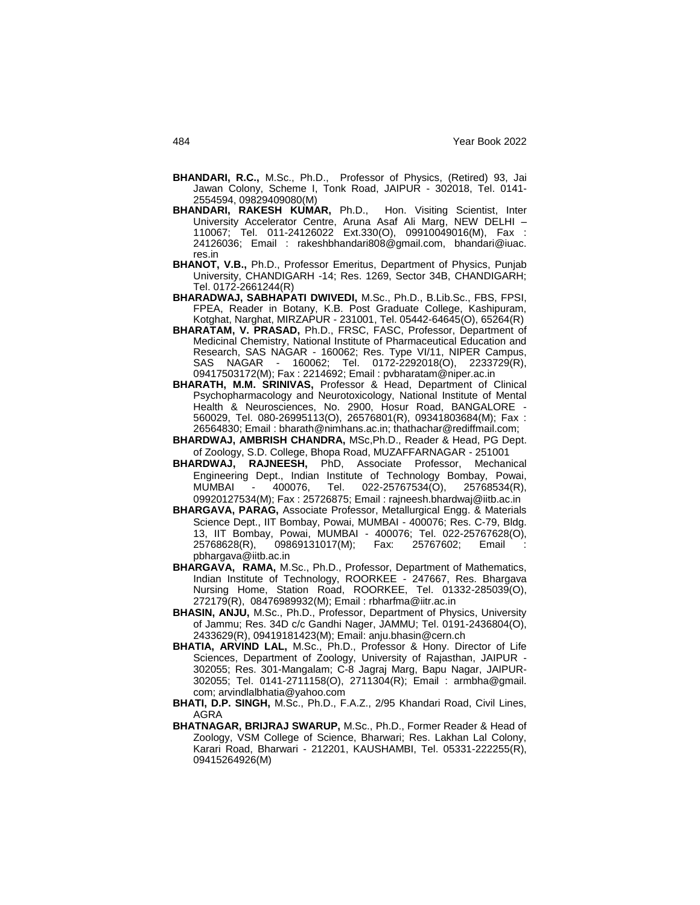- **BHANDARI, R.C.,** M.Sc., Ph.D., Professor of Physics, (Retired) 93, Jai Jawan Colony, Scheme I, Tonk Road, JAIPUR - 302018, Tel. 0141- 2554594, 09829409080(M)
- **BHANDARI, RAKESH KUMAR,** Ph.D., Hon. Visiting Scientist, Inter University Accelerator Centre, Aruna Asaf Ali Marg, NEW DELHI – 110067; Tel. 011-24126022 Ext.330(O), 09910049016(M), Fax : 24126036; Email : rakeshbhandari808@gmail.com, bhandari@iuac. res.in
- **BHANOT, V.B.,** Ph.D., Professor Emeritus, Department of Physics, Punjab University, CHANDIGARH -14; Res. 1269, Sector 34B, CHANDIGARH; Tel. 0172-2661244(R)
- **BHARADWAJ, SABHAPATI DWIVEDI,** M.Sc., Ph.D., B.Lib.Sc., FBS, FPSI, FPEA, Reader in Botany, K.B. Post Graduate College, Kashipuram, Kotghat, Narghat, MIRZAPUR - 231001, Tel. 05442-64645(O), 65264(R)
- **BHARATAM, V. PRASAD,** Ph.D., FRSC, FASC, Professor, Department of Medicinal Chemistry, National Institute of Pharmaceutical Education and Research, SAS NAGAR - 160062; Res. Type VI/11, NIPER Campus, SAS NAGAR - 160062; Tel. 0172-2292018(O), 2233729(R), 09417503172(M); Fax : 2214692; Email : pvbharatam@niper.ac.in
- **BHARATH, M.M. SRINIVAS,** Professor & Head, Department of Clinical Psychopharmacology and Neurotoxicology, National Institute of Mental Health & Neurosciences, No. 2900, Hosur Road, BANGALORE - 560029, Tel. 080-26995113(O), 26576801(R), 09341803684(M); Fax : 26564830; Email : bharath@nimhans.ac.in; thathachar@rediffmail.com;
- **BHARDWAJ, AMBRISH CHANDRA,** MSc,Ph.D., Reader & Head, PG Dept. of Zoology, S.D. College, Bhopa Road, MUZAFFARNAGAR - 251001
- **BHARDWAJ, RAJNEESH,** PhD, Associate Professor, Mechanical Engineering Dept., Indian Institute of Technology Bombay, Powai, MUMBAI - 400076, Tel. 022-25767534(O), 25768534(R), 09920127534(M); Fax : 25726875; Email : rajneesh.bhardwaj@iitb.ac.in
- **BHARGAVA, PARAG,** Associate Professor, Metallurgical Engg. & Materials Science Dept., IIT Bombay, Powai, MUMBAI - 400076; Res. C-79, Bldg. 13, IIT Bombay, Powai, MUMBAI - 400076; Tel. 022-25767628(O), 25768628(R), 09869131017(M); Fax: 25767602; Email : pbhargava@iitb.ac.in
- **BHARGAVA, RAMA,** M.Sc., Ph.D., Professor, Department of Mathematics, Indian Institute of Technology, ROORKEE - 247667, Res. Bhargava Nursing Home, Station Road, ROORKEE, Tel. 01332-285039(O), 272179(R), 08476989932(M); Email : rbharfma@iitr.ac.in
- **BHASIN, ANJU,** M.Sc., Ph.D., Professor, Department of Physics, University of Jammu; Res. 34D c/c Gandhi Nager, JAMMU; Tel. 0191-2436804(O), 2433629(R), 09419181423(M); Email: anju.bhasin@cern.ch
- **BHATIA, ARVIND LAL,** M.Sc., Ph.D., Professor & Hony. Director of Life Sciences, Department of Zoology, University of Rajasthan, JAIPUR - 302055; Res. 301-Mangalam; C-8 Jagraj Marg, Bapu Nagar, JAIPUR-302055; Tel. 0141-2711158(O), 2711304(R); Email : armbha@gmail. com; arvindlalbhatia@yahoo.com
- **BHATI, D.P. SINGH,** M.Sc., Ph.D., F.A.Z., 2/95 Khandari Road, Civil Lines, AGRA
- **BHATNAGAR, BRIJRAJ SWARUP,** M.Sc., Ph.D., Former Reader & Head of Zoology, VSM College of Science, Bharwari; Res. Lakhan Lal Colony, Karari Road, Bharwari - 212201, KAUSHAMBI, Tel. 05331-222255(R), 09415264926(M)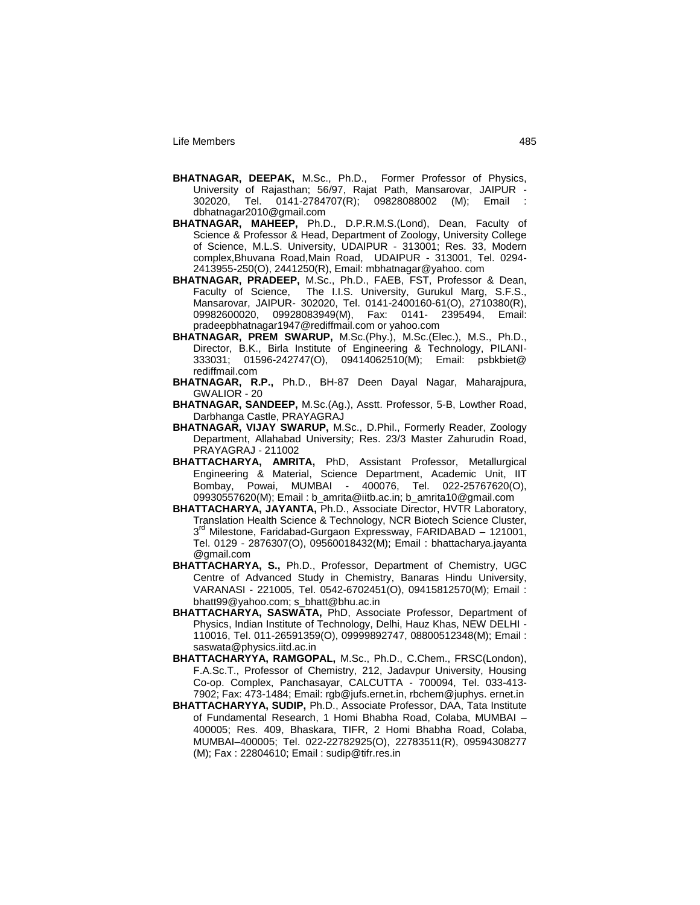- **BHATNAGAR, DEEPAK,** M.Sc., Ph.D., Former Professor of Physics, University of Rajasthan; 56/97, Rajat Path, Mansarovar, JAIPUR - 302020, Tel. 0141-2784707(R); 09828088002 (M); Email : dbhatnagar2010@gmail.com
- **BHATNAGAR, MAHEEP,** Ph.D., D.P.R.M.S.(Lond), Dean, Faculty of Science & Professor & Head, Department of Zoology, University College of Science, M.L.S. University, UDAIPUR - 313001; Res. 33, Modern complex,Bhuvana Road,Main Road, UDAIPUR - 313001, Tel. 0294- 2413955-250(O), 2441250(R), Email: mbhatnagar@yahoo. com
- **BHATNAGAR, PRADEEP,** M.Sc., Ph.D., FAEB, FST, Professor & Dean, Faculty of Science, The I.I.S. University, Gurukul Marg, S.F.S., Mansarovar, JAIPUR- 302020, Tel. 0141-2400160-61(O), 2710380(R), 09982600020, 09928083949(M), Fax: 0141- 2395494, Email: pradeepbhatnagar1947@rediffmail.com or yahoo.com
- **BHATNAGAR, PREM SWARUP,** M.Sc.(Phy.), M.Sc.(Elec.), M.S., Ph.D., Director, B.K., Birla Institute of Engineering & Technology, PILANI-333031; 01596-242747(O), 09414062510(M); Email: psbkbiet@ rediffmail.com
- **BHATNAGAR, R.P.,** Ph.D., BH-87 Deen Dayal Nagar, Maharajpura, GWALIOR - 20
- **BHATNAGAR, SANDEEP,** M.Sc.(Ag.), Asstt. Professor, 5-B, Lowther Road, Darbhanga Castle, PRAYAGRAJ
- **BHATNAGAR, VIJAY SWARUP,** M.Sc., D.Phil., Formerly Reader, Zoology Department, Allahabad University; Res. 23/3 Master Zahurudin Road, PRAYAGRAJ - 211002
- **BHATTACHARYA, AMRITA,** PhD, Assistant Professor, Metallurgical Engineering & Material, Science Department, Academic Unit, IIT Bombay, Powai, MUMBAI - 400076, Tel. 022-25767620(O), 09930557620(M); Email : b\_amrita@iitb.ac.in; b\_amrita10@gmail.com
- **BHATTACHARYA, JAYANTA,** Ph.D., Associate Director, HVTR Laboratory, Translation Health Science & Technology, NCR Biotech Science Cluster, 3<sup>rd</sup> Milestone, Faridabad-Gurgaon Expressway, FARIDABAD - 121001, Tel. 0129 - 2876307(O), 09560018432(M); Email : bhattacharya.jayanta @gmail.com
- **BHATTACHARYA, S.,** Ph.D., Professor, Department of Chemistry, UGC Centre of Advanced Study in Chemistry, Banaras Hindu University, VARANASI - 221005, Tel. 0542-6702451(O), 09415812570(M); Email : bhatt99@yahoo.com; s\_bhatt@bhu.ac.in
- **BHATTACHARYA, SASWATA,** PhD, Associate Professor, Department of Physics, Indian Institute of Technology, Delhi, Hauz Khas, NEW DELHI - 110016, Tel. 011-26591359(O), 09999892747, 08800512348(M); Email : saswata@physics.iitd.ac.in
- **BHATTACHARYYA, RAMGOPAL,** M.Sc., Ph.D., C.Chem., FRSC(London), F.A.Sc.T., Professor of Chemistry, 212, Jadavpur University, Housing Co-op. Complex, Panchasayar, CALCUTTA - 700094, Tel. 033-413- 7902; Fax: 473-1484; Email: rgb@jufs.ernet.in, rbchem@juphys. ernet.in
- **BHATTACHARYYA, SUDIP,** Ph.D., Associate Professor, DAA, Tata Institute of Fundamental Research, 1 Homi Bhabha Road, Colaba, MUMBAI – 400005; Res. 409, Bhaskara, TIFR, 2 Homi Bhabha Road, Colaba, MUMBAI–400005; Tel. 022-22782925(O), 22783511(R), 09594308277 (M); Fax : 22804610; Email : sudip@tifr.res.in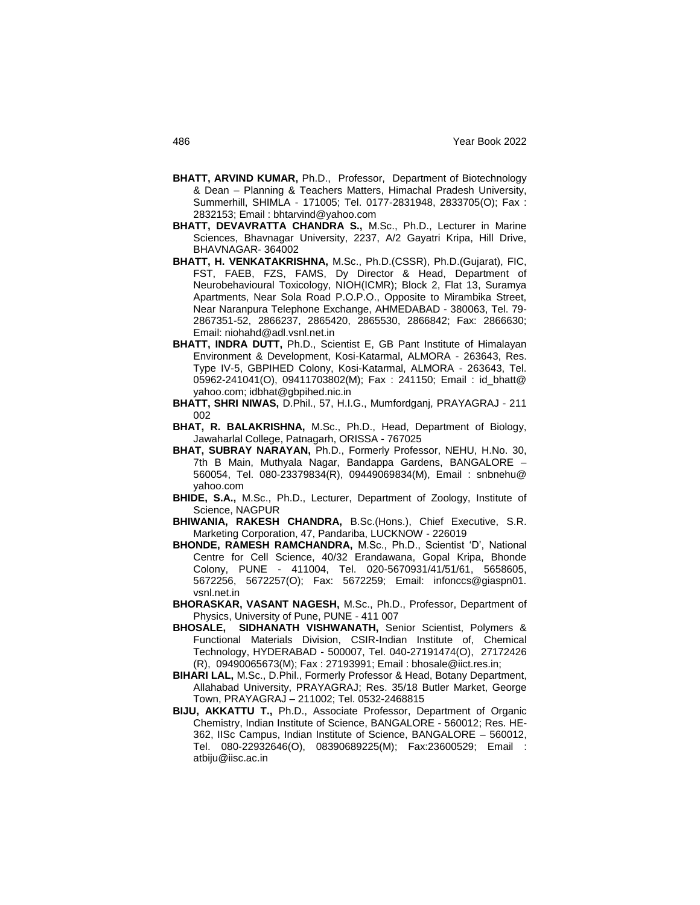- **BHATT, ARVIND KUMAR,** Ph.D., Professor, Department of Biotechnology & Dean – Planning & Teachers Matters, Himachal Pradesh University, Summerhill, SHIMLA - 171005; Tel. 0177-2831948, 2833705(O); Fax : 2832153; Email : bhtarvind@yahoo.com
- **BHATT, DEVAVRATTA CHANDRA S.,** M.Sc., Ph.D., Lecturer in Marine Sciences, Bhavnagar University, 2237, A/2 Gayatri Kripa, Hill Drive, BHAVNAGAR- 364002
- **BHATT, H. VENKATAKRISHNA,** M.Sc., Ph.D.(CSSR), Ph.D.(Gujarat), FIC, FST, FAEB, FZS, FAMS, Dy Director & Head, Department of Neurobehavioural Toxicology, NIOH(ICMR); Block 2, Flat 13, Suramya Apartments, Near Sola Road P.O.P.O., Opposite to Mirambika Street, Near Naranpura Telephone Exchange, AHMEDABAD - 380063, Tel. 79- 2867351-52, 2866237, 2865420, 2865530, 2866842; Fax: 2866630; Email: niohahd@adl.vsnl.net.in
- **BHATT, INDRA DUTT,** Ph.D., Scientist E, GB Pant Institute of Himalayan Environment & Development, Kosi-Katarmal, ALMORA - 263643, Res. Type IV-5, GBPIHED Colony, Kosi-Katarmal, ALMORA - 263643, Tel. 05962-241041(O), 09411703802(M); Fax : 241150; Email : id bhatt@ yahoo.com; idbhat@gbpihed.nic.in
- **BHATT, SHRI NIWAS,** D.Phil., 57, H.I.G., Mumfordganj, PRAYAGRAJ 211 002
- **BHAT, R. BALAKRISHNA,** M.Sc., Ph.D., Head, Department of Biology, Jawaharlal College, Patnagarh, ORISSA - 767025
- **BHAT, SUBRAY NARAYAN,** Ph.D., Formerly Professor, NEHU, H.No. 30, 7th B Main, Muthyala Nagar, Bandappa Gardens, BANGALORE – 560054, Tel. 080-23379834(R), 09449069834(M), Email : snbnehu@ yahoo.com
- **BHIDE, S.A.,** M.Sc., Ph.D., Lecturer, Department of Zoology, Institute of Science, NAGPUR
- **BHIWANIA, RAKESH CHANDRA,** B.Sc.(Hons.), Chief Executive, S.R. Marketing Corporation, 47, Pandariba, LUCKNOW - 226019
- **BHONDE, RAMESH RAMCHANDRA,** M.Sc., Ph.D., Scientist "D", National Centre for Cell Science, 40/32 Erandawana, Gopal Kripa, Bhonde Colony, PUNE - 411004, Tel. 020-5670931/41/51/61, 5658605, 5672256, 5672257(O); Fax: 5672259; Email: infonccs@giaspn01. vsnl.net.in
- **BHORASKAR, VASANT NAGESH,** M.Sc., Ph.D., Professor, Department of Physics, University of Pune, PUNE - 411 007
- **BHOSALE, SIDHANATH VISHWANATH,** Senior Scientist, Polymers & Functional Materials Division, CSIR-Indian Institute of, Chemical Technology, HYDERABAD - 500007, Tel. 040-27191474(O), 27172426 (R), 09490065673(M); Fax : 27193991; Email : bhosale@iict.res.in;
- **BIHARI LAL,** M.Sc., D.Phil., Formerly Professor & Head, Botany Department, Allahabad University, PRAYAGRAJ; Res. 35/18 Butler Market, George Town, PRAYAGRAJ – 211002; Tel. 0532-2468815
- **BIJU, AKKATTU T.,** Ph.D., Associate Professor, Department of Organic Chemistry, Indian Institute of Science, BANGALORE - 560012; Res. HE-362, IISc Campus, Indian Institute of Science, BANGALORE – 560012, Tel. 080-22932646(O), 08390689225(M); Fax:23600529; Email : atbiju@iisc.ac.in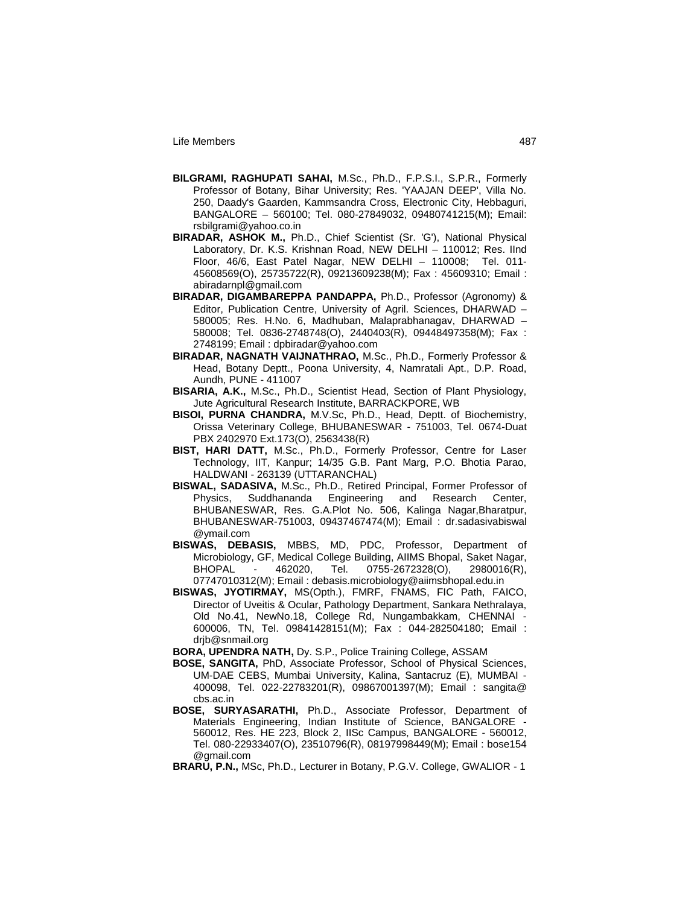- **BILGRAMI, RAGHUPATI SAHAI,** M.Sc., Ph.D., F.P.S.I., S.P.R., Formerly Professor of Botany, Bihar University; Res. 'YAAJAN DEEP', Villa No. 250, Daady's Gaarden, Kammsandra Cross, Electronic City, Hebbaguri, BANGALORE – 560100; Tel. 080-27849032, 09480741215(M); Email: rsbilgrami@yahoo.co.in
- **BIRADAR, ASHOK M.,** Ph.D., Chief Scientist (Sr. 'G'), National Physical Laboratory, Dr. K.S. Krishnan Road, NEW DELHI – 110012; Res. IInd Floor, 46/6, East Patel Nagar, NEW DELHI – 110008; Tel. 011- 45608569(O), 25735722(R), 09213609238(M); Fax : 45609310; Email : abiradarnpl@gmail.com
- **BIRADAR, DIGAMBAREPPA PANDAPPA,** Ph.D., Professor (Agronomy) & Editor, Publication Centre, University of Agril. Sciences, DHARWAD – 580005; Res. H.No. 6, Madhuban, Malaprabhanagav, DHARWAD – 580008; Tel. 0836-2748748(O), 2440403(R), 09448497358(M); Fax : 2748199; Email : dpbiradar@yahoo.com
- **BIRADAR, NAGNATH VAIJNATHRAO,** M.Sc., Ph.D., Formerly Professor & Head, Botany Deptt., Poona University, 4, Namratali Apt., D.P. Road, Aundh, PUNE - 411007
- **BISARIA, A.K.,** M.Sc., Ph.D., Scientist Head, Section of Plant Physiology, Jute Agricultural Research Institute, BARRACKPORE, WB
- **BISOI, PURNA CHANDRA,** M.V.Sc, Ph.D., Head, Deptt. of Biochemistry, Orissa Veterinary College, BHUBANESWAR - 751003, Tel. 0674-Duat PBX 2402970 Ext.173(O), 2563438(R)
- **BIST, HARI DATT,** M.Sc., Ph.D., Formerly Professor, Centre for Laser Technology, IIT, Kanpur; 14/35 G.B. Pant Marg, P.O. Bhotia Parao, HALDWANI - 263139 (UTTARANCHAL)
- **BISWAL, SADASIVA,** M.Sc., Ph.D., Retired Principal, Former Professor of Physics, Suddhananda Engineering and Research Center, BHUBANESWAR, Res. G.A.Plot No. 506, Kalinga Nagar,Bharatpur, BHUBANESWAR-751003, 09437467474(M); Email : dr.sadasivabiswal @ymail.com
- **BISWAS, DEBASIS,** MBBS, MD, PDC, Professor, Department of Microbiology, GF, Medical College Building, AIIMS Bhopal, Saket Nagar, BHOPAL - 462020, Tel. 0755-2672328(O), 2980016(R), 07747010312(M); Email : debasis.microbiology@aiimsbhopal.edu.in
- **BISWAS, JYOTIRMAY,** MS(Opth.), FMRF, FNAMS, FIC Path, FAICO, Director of Uveitis & Ocular, Pathology Department, Sankara Nethralaya, Old No.41, NewNo.18, College Rd, Nungambakkam, CHENNAI - 600006, TN, Tel. 09841428151(M); Fax : 044-282504180; Email : drjb@snmail.org

**BORA, UPENDRA NATH,** Dy. S.P., Police Training College, ASSAM

- **BOSE, SANGITA,** PhD, Associate Professor, School of Physical Sciences, UM-DAE CEBS, Mumbai University, Kalina, Santacruz (E), MUMBAI - 400098, Tel. 022-22783201(R), 09867001397(M); Email : sangita@ cbs.ac.in
- **BOSE, SURYASARATHI,** Ph.D., Associate Professor, Department of Materials Engineering, Indian Institute of Science, BANGALORE - 560012, Res. HE 223, Block 2, IISc Campus, BANGALORE - 560012, Tel. 080-22933407(O), 23510796(R), 08197998449(M); Email : bose154 @gmail.com
- **BRARU, P.N.,** MSc, Ph.D., Lecturer in Botany, P.G.V. College, GWALIOR 1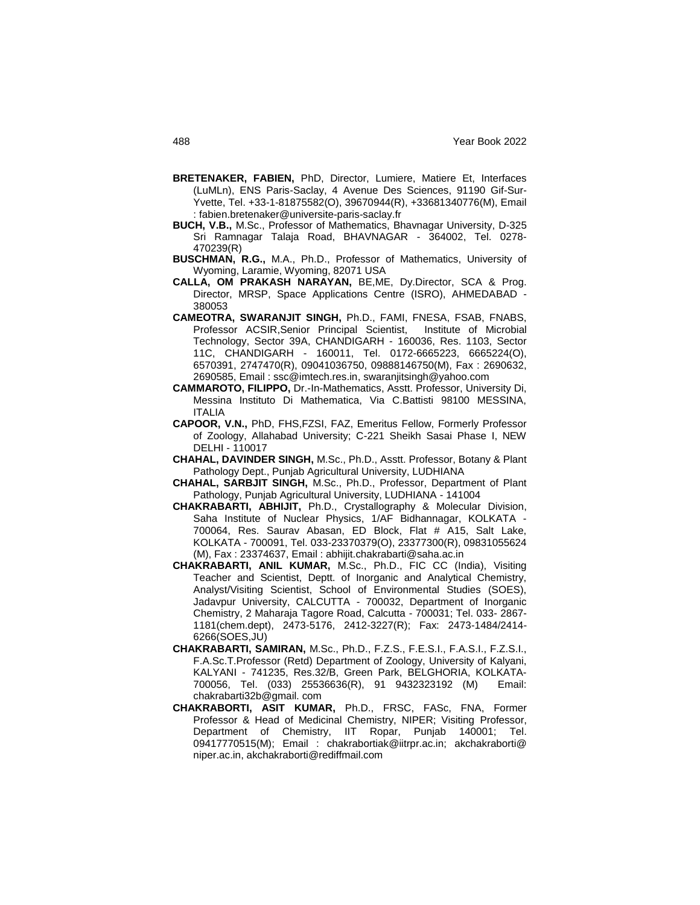- **BRETENAKER, FABIEN,** PhD, Director, Lumiere, Matiere Et, Interfaces (LuMLn), ENS Paris-Saclay, 4 Avenue Des Sciences, 91190 Gif-Sur-Yvette, Tel. +33-1-81875582(O), 39670944(R), +33681340776(M), Email : fabien.bretenaker@universite-paris-saclay.fr
- **BUCH, V.B.,** M.Sc., Professor of Mathematics, Bhavnagar University, D-325 Sri Ramnagar Talaja Road, BHAVNAGAR - 364002, Tel. 0278- 470239(R)
- **BUSCHMAN, R.G.,** M.A., Ph.D., Professor of Mathematics, University of Wyoming, Laramie, Wyoming, 82071 USA
- **CALLA, OM PRAKASH NARAYAN,** BE,ME, Dy.Director, SCA & Prog. Director, MRSP, Space Applications Centre (ISRO), AHMEDABAD - 380053
- **CAMEOTRA, SWARANJIT SINGH,** Ph.D., FAMI, FNESA, FSAB, FNABS, Professor ACSIR,Senior Principal Scientist, Institute of Microbial Technology, Sector 39A, CHANDIGARH - 160036, Res. 1103, Sector 11C, CHANDIGARH - 160011, Tel. 0172-6665223, 6665224(O), 6570391, 2747470(R), 09041036750, 09888146750(M), Fax : 2690632, 2690585, Email : ssc@imtech.res.in, swaranjitsingh@yahoo.com
- **CAMMAROTO, FILIPPO,** Dr.-In-Mathematics, Asstt. Professor, University Di, Messina Instituto Di Mathematica, Via C.Battisti 98100 MESSINA, ITALIA
- **CAPOOR, V.N.,** PhD, FHS,FZSI, FAZ, Emeritus Fellow, Formerly Professor of Zoology, Allahabad University; C-221 Sheikh Sasai Phase I, NEW DELHI - 110017
- **CHAHAL, DAVINDER SINGH,** M.Sc., Ph.D., Asstt. Professor, Botany & Plant Pathology Dept., Punjab Agricultural University, LUDHIANA
- **CHAHAL, SARBJIT SINGH,** M.Sc., Ph.D., Professor, Department of Plant Pathology, Punjab Agricultural University, LUDHIANA - 141004
- **CHAKRABARTI, ABHIJIT,** Ph.D., Crystallography & Molecular Division, Saha Institute of Nuclear Physics, 1/AF Bidhannagar, KOLKATA - 700064, Res. Saurav Abasan, ED Block, Flat # A15, Salt Lake, KOLKATA - 700091, Tel. 033-23370379(O), 23377300(R), 09831055624 (M), Fax : 23374637, Email : abhijit.chakrabarti@saha.ac.in
- **CHAKRABARTI, ANIL KUMAR,** M.Sc., Ph.D., FIC CC (India), Visiting Teacher and Scientist, Deptt. of Inorganic and Analytical Chemistry, Analyst/Visiting Scientist, School of Environmental Studies (SOES), Jadavpur University, CALCUTTA - 700032, Department of Inorganic Chemistry, 2 Maharaja Tagore Road, Calcutta - 700031; Tel. 033- 2867- 1181(chem.dept), 2473-5176, 2412-3227(R); Fax: 2473-1484/2414- 6266(SOES,JU)
- **CHAKRABARTI, SAMIRAN,** M.Sc., Ph.D., F.Z.S., F.E.S.I., F.A.S.I., F.Z.S.I., F.A.Sc.T.Professor (Retd) Department of Zoology, University of Kalyani, KALYANI - 741235, Res.32/B, Green Park, BELGHORIA, KOLKATA-700056, Tel. (033) 25536636(R), 91 9432323192 (M) Email: chakrabarti32b@gmail. com
- **CHAKRABORTI, ASIT KUMAR,** Ph.D., FRSC, FASc, FNA, Former Professor & Head of Medicinal Chemistry, NIPER; Visiting Professor, Department of Chemistry, IIT Ropar, Punjab 140001; Tel. 09417770515(M); Email : chakrabortiak@iitrpr.ac.in; akchakraborti@ niper.ac.in, akchakraborti@rediffmail.com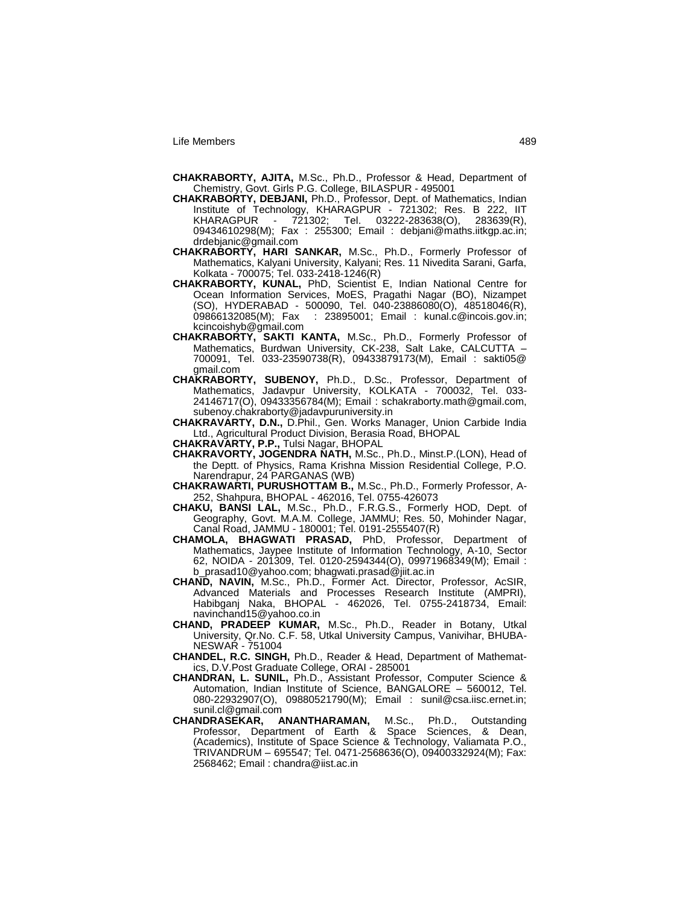- **CHAKRABORTY, AJITA,** M.Sc., Ph.D., Professor & Head, Department of Chemistry, Govt. Girls P.G. College, BILASPUR - 495001
- **CHAKRABORTY, DEBJANI,** Ph.D., Professor, Dept. of Mathematics, Indian Institute of Technology, KHARAGPUR - 721302; Res. B 222, IIT - 721302; Tel. 03222-283638(O), 09434610298(M); Fax : 255300; Email : debjani@maths.iitkgp.ac.in; drdebjanic@gmail.com
- **CHAKRABORTY, HARI SANKAR,** M.Sc., Ph.D., Formerly Professor of Mathematics, Kalyani University, Kalyani; Res. 11 Nivedita Sarani, Garfa, Kolkata - 700075; Tel. 033-2418-1246(R)
- **CHAKRABORTY, KUNAL,** PhD, Scientist E, Indian National Centre for Ocean Information Services, MoES, Pragathi Nagar (BO), Nizampet (SO), HYDERABAD - 500090, Tel. 040-23886080(O), 48518046(R), 09866132085(M); Fax : 23895001; Email : kunal.c@incois.gov.in; kcincoishyb@gmail.com
- **CHAKRABORTY, SAKTI KANTA,** M.Sc., Ph.D., Formerly Professor of Mathematics, Burdwan University, CK-238, Salt Lake, CALCUTTA – 700091, Tel. 033-23590738(R), 09433879173(M), Email : sakti05@ gmail.com
- **CHAKRABORTY, SUBENOY,** Ph.D., D.Sc., Professor, Department of Mathematics, Jadavpur University, KOLKATA - 700032, Tel. 033- 24146717(O), 09433356784(M); Email : schakraborty.math@gmail.com, subenoy.chakraborty@jadavpuruniversity.in
- **CHAKRAVARTY, D.N.,** D.Phil., Gen. Works Manager, Union Carbide India Ltd., Agricultural Product Division, Berasia Road, BHOPAL
- **CHAKRAVARTY, P.P.,** Tulsi Nagar, BHOPAL
- **CHAKRAVORTY, JOGENDRA NATH,** M.Sc., Ph.D., Minst.P.(LON), Head of the Deptt. of Physics, Rama Krishna Mission Residential College, P.O. Narendrapur, 24 PARGANAS (WB)
- **CHAKRAWARTI, PURUSHOTTAM B.,** M.Sc., Ph.D., Formerly Professor, A-252, Shahpura, BHOPAL - 462016, Tel. 0755-426073
- **CHAKU, BANSI LAL,** M.Sc., Ph.D., F.R.G.S., Formerly HOD, Dept. of Geography, Govt. M.A.M. College, JAMMU; Res. 50, Mohinder Nagar, Canal Road, JAMMU - 180001; Tel. 0191-2555407(R)
- **CHAMOLA, BHAGWATI PRASAD,** PhD, Professor, Department of Mathematics, Jaypee Institute of Information Technology, A-10, Sector 62, NOIDA - 201309, Tel. 0120-2594344(O), 09971968349(M); Email : b\_prasad10@yahoo.com; bhagwati.prasad@jiit.ac.in
- **CHAND, NAVIN,** M.Sc., Ph.D., Former Act. Director, Professor, AcSIR, Advanced Materials and Processes Research Institute (AMPRI), Habibganj Naka, BHOPAL - 462026, Tel. 0755-2418734, Email: navinchand15@yahoo.co.in
- **CHAND, PRADEEP KUMAR,** M.Sc., Ph.D., Reader in Botany, Utkal University, Qr.No. C.F. 58, Utkal University Campus, Vanivihar, BHUBA-NESWAR - 751004
- **CHANDEL, R.C. SINGH,** Ph.D., Reader & Head, Department of Mathematics, D.V.Post Graduate College, ORAI - 285001
- **CHANDRAN, L. SUNIL,** Ph.D., Assistant Professor, Computer Science & Automation, Indian Institute of Science, BANGALORE – 560012, Tel. 080-22932907(O), 09880521790(M); Email : sunil@csa.iisc.ernet.in; sunil.cl@gmail.com
- **CHANDRASEKAR, ANANTHARAMAN,** M.Sc., Ph.D., Outstanding Professor, Department of Earth & Space Sciences, & Dean, (Academics), Institute of Space Science & Technology, Valiamata P.O., TRIVANDRUM – 695547; Tel. 0471-2568636(O), 09400332924(M); Fax: 2568462; Email : chandra@iist.ac.in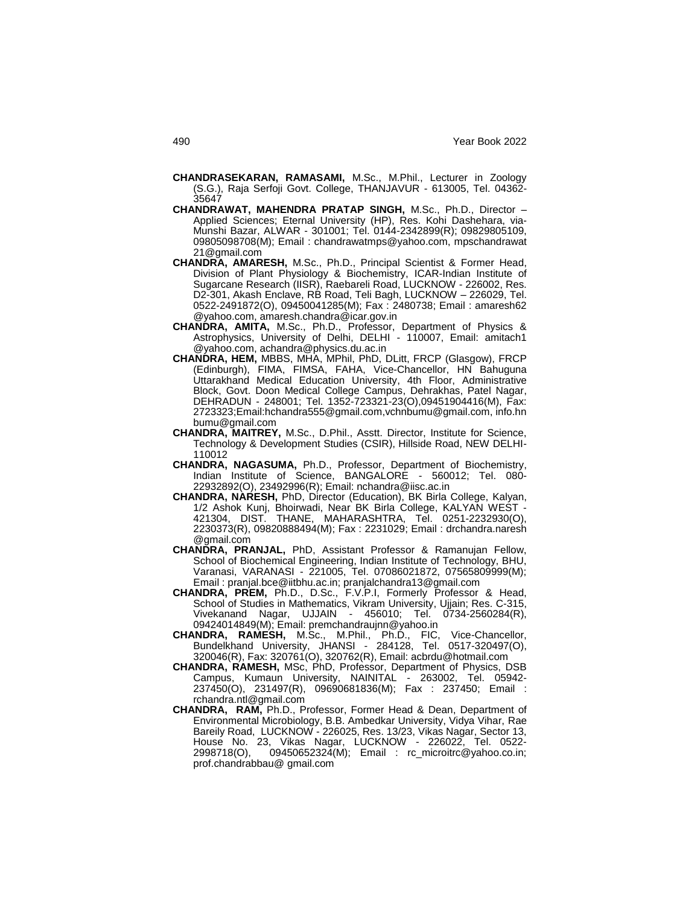- **CHANDRASEKARAN, RAMASAMI,** M.Sc., M.Phil., Lecturer in Zoology (S.G.), Raja Serfoji Govt. College, THANJAVUR - 613005, Tel. 04362- 35647
- **CHANDRAWAT, MAHENDRA PRATAP SINGH,** M.Sc., Ph.D., Director Applied Sciences; Eternal University (HP), Res. Kohi Dashehara, via-Munshi Bazar, ALWAR - 301001; Tel. 0144-2342899(R); 09829805109, 09805098708(M); Email : chandrawatmps@yahoo.com, mpschandrawat 21@gmail.com
- **CHANDRA, AMARESH,** M.Sc., Ph.D., Principal Scientist & Former Head, Division of Plant Physiology & Biochemistry, ICAR-Indian Institute of Sugarcane Research (IISR), Raebareli Road, LUCKNOW - 226002, Res. D2-301, Akash Enclave, RB Road, Teli Bagh, LUCKNOW – 226029, Tel. 0522-2491872(O), 09450041285(M); Fax : 2480738; Email : amaresh62 @yahoo.com, amaresh.chandra@icar.gov.in
- **CHANDRA, AMITA,** M.Sc., Ph.D., Professor, Department of Physics & Astrophysics, University of Delhi, DELHI - 110007, Email: amitach1 @yahoo.com, achandra@physics.du.ac.in
- **CHANDRA, HEM,** MBBS, MHA, MPhil, PhD, DLitt, FRCP (Glasgow), FRCP (Edinburgh), FIMA, FIMSA, FAHA, Vice-Chancellor, HN Bahuguna Uttarakhand Medical Education University, 4th Floor, Administrative Block, Govt. Doon Medical College Campus, Dehrakhas, Patel Nagar, DEHRADUN - 248001; Tel. 1352-723321-23(O),09451904416(M), Fax: 2723323;Emai[l:hchandra555@gmail.com,](mailto:hchandra555@gmail.com)vchnbumu@gmail.com, info.hn bumu@gmail.com
- **CHANDRA, MAITREY,** M.Sc., D.Phil., Asstt. Director, Institute for Science, Technology & Development Studies (CSIR), Hillside Road, NEW DELHI-110012
- **CHANDRA, NAGASUMA,** Ph.D., Professor, Department of Biochemistry, Indian Institute of Science, BANGALORE - 560012; Tel. 080- 22932892(O), 23492996(R); Email: nchandra@iisc.ac.in
- **CHANDRA, NARESH,** PhD, Director (Education), BK Birla College, Kalyan, 1/2 Ashok Kunj, Bhoirwadi, Near BK Birla College, KALYAN WEST - 421304, DIST. THANE, MAHARASHTRA, Tel. 0251-2232930(O), 2230373(R), 09820888494(M); Fax : 2231029; Email : drchandra.naresh @gmail.com
- **CHANDRA, PRANJAL,** PhD, Assistant Professor & Ramanujan Fellow, School of Biochemical Engineering, Indian Institute of Technology, BHU, Varanasi, VARANASI - 221005, Tel. 07086021872, 07565809999(M); Email : pranjal.bce@iitbhu.ac.in; pranjalchandra13@gmail.com
- **CHANDRA, PREM,** Ph.D., D.Sc., F.V.P.I, Formerly Professor & Head, School of Studies in Mathematics, Vikram University, Ujjain; Res. C-315, Vivekanand Nagar, UJJAIN - 456010; Tel. 0734-2560284(R), 09424014849(M); Email: premchandraujnn@yahoo.in
- **CHANDRA, RAMESH,** M.Sc., M.Phil., Ph.D., FIC, Vice-Chancellor, Bundelkhand University, JHANSI - 284128, Tel. 0517-320497(O), 320046(R), Fax: 320761(O), 320762(R), Email: acbrdu@hotmail.com
- **CHANDRA, RAMESH,** MSc, PhD, Professor, Department of Physics, DSB Campus, Kumaun University, NAINITAL - 263002, Tel. 05942- 237450(O), 231497(R), 09690681836(M); Fax : 237450; Email : rchandra.ntl@gmail.com
- **CHANDRA, RAM,** Ph.D., Professor, Former Head & Dean, Department of Environmental Microbiology, B.B. Ambedkar University, Vidya Vihar, Rae Bareily Road, LUCKNOW - 226025, Res. 13/23, Vikas Nagar, Sector 13, House No. 23, Vikas Nagar, LUCKNOW - 226022, Tel. 0522- 2998718(O), 09450652324(M); Email : rc\_microitrc@yahoo.co.in; prof.chandrabbau@ gmail.com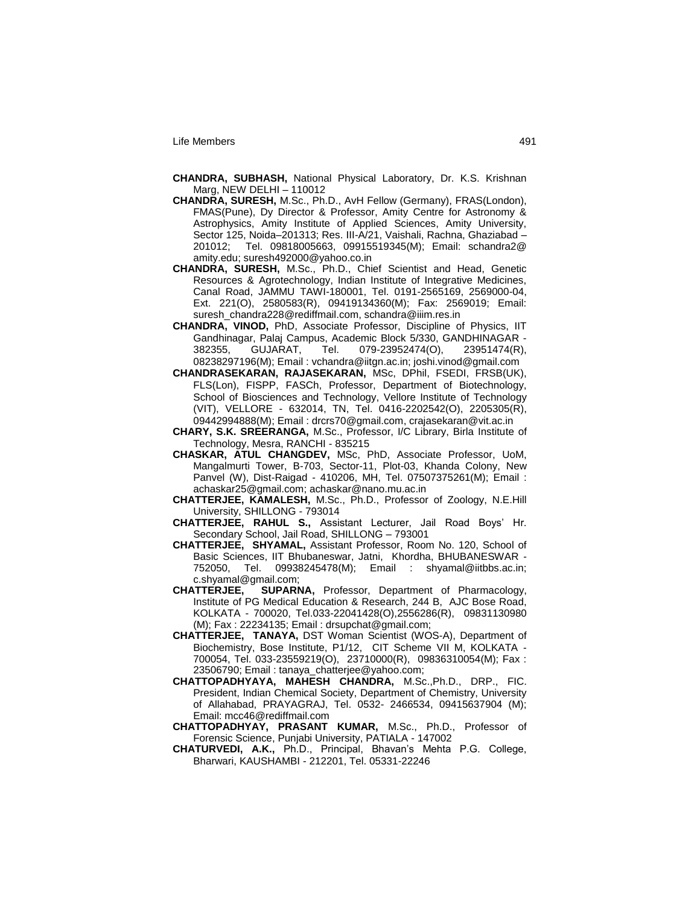- **CHANDRA, SUBHASH,** National Physical Laboratory, Dr. K.S. Krishnan Marg, NEW DELHI – 110012
- **CHANDRA, SURESH,** M.Sc., Ph.D., AvH Fellow (Germany), FRAS(London), FMAS(Pune), Dy Director & Professor, Amity Centre for Astronomy & Astrophysics, Amity Institute of Applied Sciences, Amity University, Sector 125, Noida–201313; Res. III-A/21, Vaishali, Rachna, Ghaziabad – 201012; Tel. 09818005663, 09915519345(M); Email: schandra2@ amity.edu; suresh492000@yahoo.co.in
- **CHANDRA, SURESH,** M.Sc., Ph.D., Chief Scientist and Head, Genetic Resources & Agrotechnology, Indian Institute of Integrative Medicines, Canal Road, JAMMU TAWI-180001, Tel. 0191-2565169, 2569000-04, Ext. 221(O), 2580583(R), 09419134360(M); Fax: 2569019; Email: suresh\_chandra228@rediffmail.com, schandra@iiim.res.in
- **CHANDRA, VINOD,** PhD, Associate Professor, Discipline of Physics, IIT Gandhinagar, Palaj Campus, Academic Block 5/330, GANDHINAGAR - 382355, GUJARAT, Tel. 079-23952474(O), 23951474(R), 08238297196(M); Email : vchandra@iitgn.ac.in; joshi.vinod@gmail.com
- **CHANDRASEKARAN, RAJASEKARAN,** MSc, DPhil, FSEDI, FRSB(UK), FLS(Lon), FISPP, FASCh, Professor, Department of Biotechnology, School of Biosciences and Technology, Vellore Institute of Technology (VIT), VELLORE - 632014, TN, Tel. 0416-2202542(O), 2205305(R), 09442994888(M); Email : drcrs70@gmail.com, crajasekaran@vit.ac.in
- **CHARY, S.K. SREERANGA,** M.Sc., Professor, I/C Library, Birla Institute of Technology, Mesra, RANCHI - 835215
- **CHASKAR, ATUL CHANGDEV,** MSc, PhD, Associate Professor, UoM, Mangalmurti Tower, B-703, Sector-11, Plot-03, Khanda Colony, New Panvel (W), Dist-Raigad - 410206, MH, Tel. 07507375261(M); Email : achaskar25@gmail.com; achaskar@nano.mu.ac.in
- **CHATTERJEE, KAMALESH,** M.Sc., Ph.D., Professor of Zoology, N.E.Hill University, SHILLONG - 793014
- **CHATTERJEE, RAHUL S.,** Assistant Lecturer, Jail Road Boys" Hr. Secondary School, Jail Road, SHILLONG – 793001
- **CHATTERJEE, SHYAMAL,** Assistant Professor, Room No. 120, School of Basic Sciences, IIT Bhubaneswar, Jatni, Khordha, BHUBANESWAR - 752050, Tel. 09938245478(M); Email : shyamal@iitbbs.ac.in; c.shyamal@gmail.com;
- **CHATTERJEE, SUPARNA,** Professor, Department of Pharmacology, Institute of PG Medical Education & Research, 244 B, AJC Bose Road, KOLKATA - 700020, Tel.033-22041428(O),2556286(R), 09831130980 (M); Fax : 22234135; Email : drsupchat@gmail.com;
- **CHATTERJEE, TANAYA,** DST Woman Scientist (WOS-A), Department of Biochemistry, Bose Institute, P1/12, CIT Scheme VII M, KOLKATA - 700054, Tel. 033-23559219(O), 23710000(R), 09836310054(M); Fax : 23506790; Email : tanaya\_chatterjee@yahoo.com;
- **CHATTOPADHYAYA, MAHESH CHANDRA,** M.Sc.,Ph.D., DRP., FIC. President, Indian Chemical Society, Department of Chemistry, University of Allahabad, PRAYAGRAJ, Tel. 0532- 2466534, 09415637904 (M); Email: mcc46@rediffmail.com
- **CHATTOPADHYAY, PRASANT KUMAR,** M.Sc., Ph.D., Professor of Forensic Science, Punjabi University, PATIALA - 147002
- **CHATURVEDI, A.K.,** Ph.D., Principal, Bhavan"s Mehta P.G. College, Bharwari, KAUSHAMBI - 212201, Tel. 05331-22246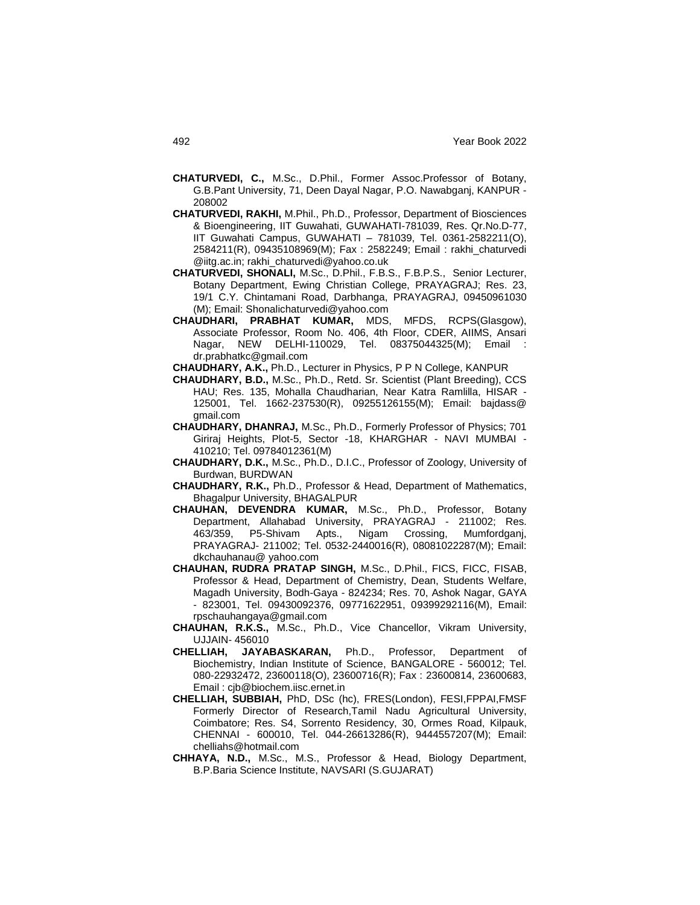- **CHATURVEDI, C.,** M.Sc., D.Phil., Former Assoc.Professor of Botany, G.B.Pant University, 71, Deen Dayal Nagar, P.O. Nawabganj, KANPUR - 208002
- **CHATURVEDI, RAKHI,** M.Phil., Ph.D., Professor, Department of Biosciences & Bioengineering, IIT Guwahati, GUWAHATI-781039, Res. Qr.No.D-77, IIT Guwahati Campus, GUWAHATI – 781039, Tel. 0361-2582211(O), 2584211(R), 09435108969(M); Fax : 2582249; Email : rakhi\_chaturvedi @iitg.ac.in; rakhi\_chaturvedi@yahoo.co.uk
- **CHATURVEDI, SHONALI,** M.Sc., D.Phil., F.B.S., F.B.P.S., Senior Lecturer, Botany Department, Ewing Christian College, PRAYAGRAJ; Res. 23, 19/1 C.Y. Chintamani Road, Darbhanga, PRAYAGRAJ, 09450961030 (M); Email: Shonalichaturvedi@yahoo.com
- **CHAUDHARI, PRABHAT KUMAR,** MDS, MFDS, RCPS(Glasgow), Associate Professor, Room No. 406, 4th Floor, CDER, AIIMS, Ansari Nagar, NEW DELHI-110029, Tel. 08375044325(M); Email : dr.prabhatkc@gmail.com
- **CHAUDHARY, A.K.,** Ph.D., Lecturer in Physics, P P N College, KANPUR
- **CHAUDHARY, B.D.,** M.Sc., Ph.D., Retd. Sr. Scientist (Plant Breeding), CCS HAU; Res. 135, Mohalla Chaudharian, Near Katra Ramlilla, HISAR - 125001, Tel. 1662-237530(R), 09255126155(M); Email: bajdass@ gmail.com
- **CHAUDHARY, DHANRAJ,** M.Sc., Ph.D., Formerly Professor of Physics; 701 Giriraj Heights, Plot-5, Sector -18, KHARGHAR - NAVI MUMBAI - 410210; Tel. 09784012361(M)
- **CHAUDHARY, D.K.,** M.Sc., Ph.D., D.I.C., Professor of Zoology, University of Burdwan, BURDWAN
- **CHAUDHARY, R.K.,** Ph.D., Professor & Head, Department of Mathematics, Bhagalpur University, BHAGALPUR
- **CHAUHAN, DEVENDRA KUMAR,** M.Sc., Ph.D., Professor, Botany Department, Allahabad University, PRAYAGRAJ - 211002; Res. 463/359, P5-Shivam Apts., Nigam Crossing, Mumfordganj, PRAYAGRAJ- 211002; Tel. 0532-2440016(R), 08081022287(M); Email: dkchauhanau@ yahoo.com
- **CHAUHAN, RUDRA PRATAP SINGH,** M.Sc., D.Phil., FICS, FICC, FISAB, Professor & Head, Department of Chemistry, Dean, Students Welfare, Magadh University, Bodh-Gaya - 824234; Res. 70, Ashok Nagar, GAYA - 823001, Tel. 09430092376, 09771622951, 09399292116(M), Email: rpschauhangaya@gmail.com
- **CHAUHAN, R.K.S.,** M.Sc., Ph.D., Vice Chancellor, Vikram University, UJJAIN- 456010
- **CHELLIAH, JAYABASKARAN,** Ph.D., Professor, Department of Biochemistry, Indian Institute of Science, BANGALORE - 560012; Tel. 080-22932472, 23600118(O), 23600716(R); Fax : 23600814, 23600683, Email : cjb@biochem.iisc.ernet.in
- **CHELLIAH, SUBBIAH,** PhD, DSc (hc), FRES(London), FESI,FPPAI,FMSF Formerly Director of Research,Tamil Nadu Agricultural University, Coimbatore; Res. S4, Sorrento Residency, 30, Ormes Road, Kilpauk, CHENNAI - 600010, Tel. 044-26613286(R), 9444557207(M); Email: chelliahs@hotmail.com
- **CHHAYA, N.D.,** M.Sc., M.S., Professor & Head, Biology Department, B.P.Baria Science Institute, NAVSARI (S.GUJARAT)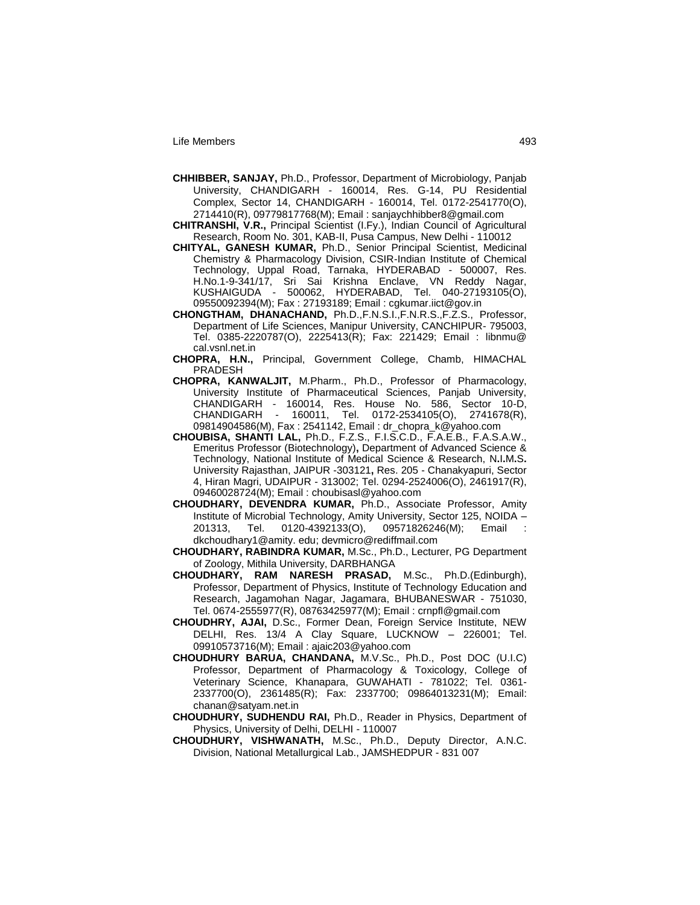- **CHHIBBER, SANJAY,** Ph.D., Professor, Department of Microbiology, Panjab University, CHANDIGARH - 160014, Res. G-14, PU Residential Complex, Sector 14, CHANDIGARH - 160014, Tel. 0172-2541770(O), 2714410(R), 09779817768(M); Email : sanjaychhibber8@gmail.com
- **CHITRANSHI, V.R.,** Principal Scientist (I.Fy.), Indian Council of Agricultural Research, Room No. 301, KAB-II, Pusa Campus, New Delhi - 110012
- **CHITYAL, GANESH KUMAR,** Ph.D., Senior Principal Scientist, Medicinal Chemistry & Pharmacology Division, CSIR-Indian Institute of Chemical Technology, Uppal Road, Tarnaka, HYDERABAD - 500007, Res. H.No.1-9-341/17, Sri Sai Krishna Enclave, VN Reddy Nagar, KUSHAIGUDA - 500062, HYDERABAD, Tel. 040-27193105(O), 09550092394(M); Fax : 27193189; Email : cgkumar.iict@gov.in
- **CHONGTHAM, DHANACHAND,** Ph.D.,F.N.S.I.,F.N.R.S.,F.Z.S., Professor, Department of Life Sciences, Manipur University, CANCHIPUR- 795003, Tel. 0385-2220787(O), 2225413(R); Fax: 221429; Email : libnmu@ cal.vsnl.net.in
- **CHOPRA, H.N.,** Principal, Government College, Chamb, HIMACHAL PRADESH
- **CHOPRA, KANWALJIT,** M.Pharm., Ph.D., Professor of Pharmacology, University Institute of Pharmaceutical Sciences, Panjab University, CHANDIGARH - 160014, Res. House No. 586, Sector 10-D, CHANDIGARH - 160011, Tel. 0172-2534105(O), 2741678(R), 09814904586(M), Fax : 2541142, Email : dr\_chopra\_k@yahoo.com
- **CHOUBISA, SHANTI LAL,** Ph.D., F.Z.S., F.I.S.C.D., F.A.E.B., F.A.S.A.W., Emeritus Professor (Biotechnology)**,** Department of Advanced Science & Technology, National Institute of Medical Science & Research, N**.**I**.**M**.**S**.** University Rajasthan, JAIPUR -303121**,** Res. 205 - Chanakyapuri, Sector 4, Hiran Magri, UDAIPUR - 313002; Tel. 0294-2524006(O), 2461917(R), 09460028724(M); Email : [choubisasl@yahoo.com](mailto:choubisasl@yahoo.com)
- **CHOUDHARY, DEVENDRA KUMAR,** Ph.D., Associate Professor, Amity Institute of Microbial Technology, Amity University, Sector 125, NOIDA – 201313, Tel. 0120-4392133(O), 09571826246(M); Email : dkchoudhary1@amity. edu; devmicro@rediffmail.com
- **CHOUDHARY, RABINDRA KUMAR,** M.Sc., Ph.D., Lecturer, PG Department of Zoology, Mithila University, DARBHANGA
- **CHOUDHARY, RAM NARESH PRASAD,** M.Sc., Ph.D.(Edinburgh), Professor, Department of Physics, Institute of Technology Education and Research, Jagamohan Nagar, Jagamara, BHUBANESWAR - 751030, Tel. 0674-2555977(R), 08763425977(M); Email : crnpfl@gmail.com
- **CHOUDHRY, AJAI,** D.Sc., Former Dean, Foreign Service Institute, NEW DELHI, Res. 13/4 A Clay Square, LUCKNOW – 226001; Tel. 09910573716(M); Email : ajaic203@yahoo.com
- **CHOUDHURY BARUA, CHANDANA,** M.V.Sc., Ph.D., Post DOC (U.I.C) Professor, Department of Pharmacology & Toxicology, College of Veterinary Science, Khanapara, GUWAHATI - 781022; Tel. 0361- 2337700(O), 2361485(R); Fax: 2337700; 09864013231(M); Email: chanan@satyam.net.in
- **CHOUDHURY, SUDHENDU RAI,** Ph.D., Reader in Physics, Department of Physics, University of Delhi, DELHI - 110007
- **CHOUDHURY, VISHWANATH,** M.Sc., Ph.D., Deputy Director, A.N.C. Division, National Metallurgical Lab., JAMSHEDPUR - 831 007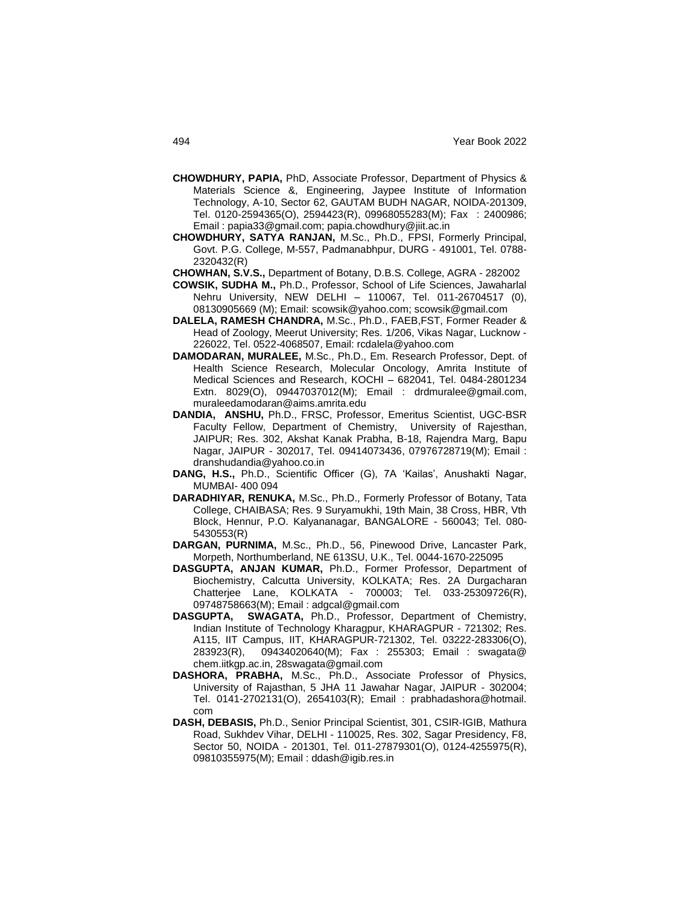- **CHOWDHURY, PAPIA,** PhD, Associate Professor, Department of Physics & Materials Science &, Engineering, Jaypee Institute of Information Technology, A-10, Sector 62, GAUTAM BUDH NAGAR, NOIDA-201309, Tel. 0120-2594365(O), 2594423(R), 09968055283(M); Fax : 2400986; Email : papia33@gmail.com; papia.chowdhury@jiit.ac.in
- **CHOWDHURY, SATYA RANJAN,** M.Sc., Ph.D., FPSI, Formerly Principal, Govt. P.G. College, M-557, Padmanabhpur, DURG - 491001, Tel. 0788- 2320432(R)
- **CHOWHAN, S.V.S.,** Department of Botany, D.B.S. College, AGRA 282002
- **COWSIK, SUDHA M.,** Ph.D., Professor, School of Life Sciences, Jawaharlal Nehru University, NEW DELHI – 110067, Tel. 011-26704517 (0), 08130905669 (M); Email: scowsik@yahoo.com; scowsik@gmail.com
- **DALELA, RAMESH CHANDRA,** M.Sc., Ph.D., FAEB,FST, Former Reader & Head of Zoology, Meerut University; Res. 1/206, Vikas Nagar, Lucknow - 226022, Tel. 0522-4068507, Email: rcdalela@yahoo.com
- **DAMODARAN, MURALEE,** M.Sc., Ph.D., Em. Research Professor, Dept. of Health Science Research, Molecular Oncology, Amrita Institute of Medical Sciences and Research, KOCHI – 682041, Tel. 0484-2801234 Extn. 8029(O), 09447037012(M); Email : drdmuralee@gmail.com, muraleedamodaran@aims.amrita.edu
- **DANDIA, ANSHU,** Ph.D., FRSC, Professor, Emeritus Scientist, UGC-BSR Faculty Fellow, Department of Chemistry, University of Rajesthan, JAIPUR; Res. 302, Akshat Kanak Prabha, B-18, Rajendra Marg, Bapu Nagar, JAIPUR - 302017, Tel. 09414073436, 07976728719(M); Email : dranshudandia@yahoo.co.in
- DANG, H.S., Ph.D., Scientific Officer (G), 7A 'Kailas', Anushakti Nagar, MUMBAI- 400 094
- **DARADHIYAR, RENUKA,** M.Sc., Ph.D., Formerly Professor of Botany, Tata College, CHAIBASA; Res. 9 Suryamukhi, 19th Main, 38 Cross, HBR, Vth Block, Hennur, P.O. Kalyananagar, BANGALORE - 560043; Tel. 080- 5430553(R)
- **DARGAN, PURNIMA,** M.Sc., Ph.D., 56, Pinewood Drive, Lancaster Park, Morpeth, Northumberland, NE 613SU, U.K., Tel. 0044-1670-225095
- **DASGUPTA, ANJAN KUMAR,** Ph.D., Former Professor, Department of Biochemistry, Calcutta University, KOLKATA; Res. 2A Durgacharan Chatterjee Lane, KOLKATA - 700003; Tel. 033-25309726(R), 09748758663(M); Email : adgcal@gmail.com
- **DASGUPTA, SWAGATA,** Ph.D., Professor, Department of Chemistry, Indian Institute of Technology Kharagpur, KHARAGPUR - 721302; Res. A115, IIT Campus, IIT, KHARAGPUR-721302, Tel. 03222-283306(O), 283923(R), 09434020640(M); Fax : 255303; Email : swagata@ chem.iitkgp.ac.in, 28swagata@gmail.com
- **DASHORA, PRABHA,** M.Sc., Ph.D., Associate Professor of Physics, University of Rajasthan, 5 JHA 11 Jawahar Nagar, JAIPUR - 302004; Tel. 0141-2702131(O), 2654103(R); Email : prabhadashora@hotmail. com
- **DASH, DEBASIS,** Ph.D., Senior Principal Scientist, 301, CSIR-IGIB, Mathura Road, Sukhdev Vihar, DELHI - 110025, Res. 302, Sagar Presidency, F8, Sector 50, NOIDA - 201301, Tel. 011-27879301(O), 0124-4255975(R), 09810355975(M); Email : ddash@igib.res.in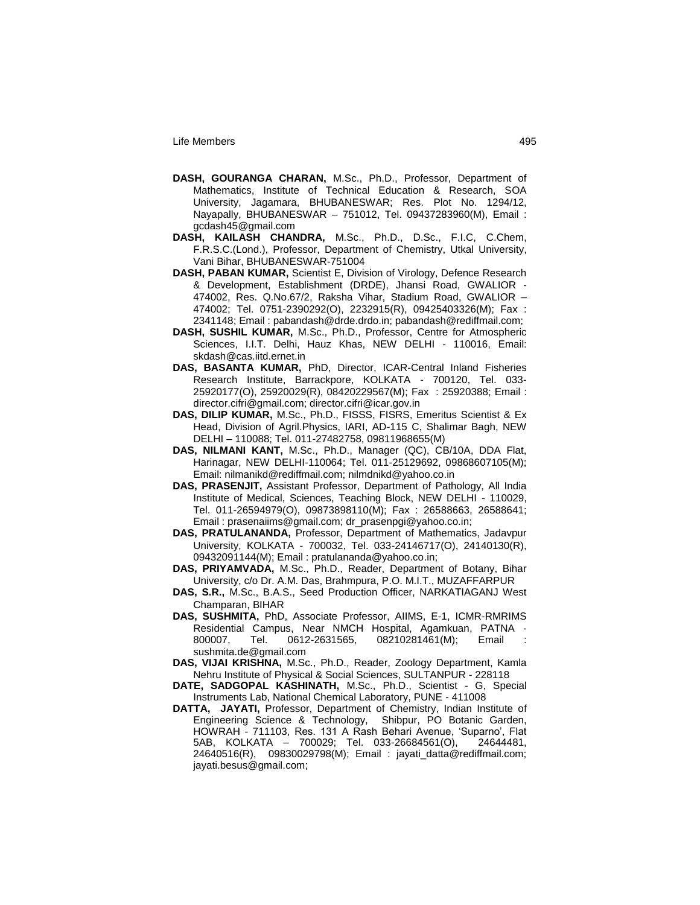- **DASH, GOURANGA CHARAN,** M.Sc., Ph.D., Professor, Department of Mathematics, Institute of Technical Education & Research, SOA University, Jagamara, BHUBANESWAR; Res. Plot No. 1294/12, Nayapally, BHUBANESWAR – 751012, Tel. 09437283960(M), Email : gcdash45@gmail.com
- **DASH, KAILASH CHANDRA,** M.Sc., Ph.D., D.Sc., F.I.C, C.Chem, F.R.S.C.(Lond.), Professor, Department of Chemistry, Utkal University, Vani Bihar, BHUBANESWAR-751004
- **DASH, PABAN KUMAR,** Scientist E, Division of Virology, Defence Research & Development, Establishment (DRDE), Jhansi Road, GWALIOR - 474002, Res. Q.No.67/2, Raksha Vihar, Stadium Road, GWALIOR – 474002; Tel. 0751-2390292(O), 2232915(R), 09425403326(M); Fax : 2341148; Email : pabandash@drde.drdo.in; pabandash@rediffmail.com;
- **DASH, SUSHIL KUMAR,** M.Sc., Ph.D., Professor, Centre for Atmospheric Sciences, I.I.T. Delhi, Hauz Khas, NEW DELHI - 110016, Email: skdash@cas.iitd.ernet.in
- **DAS, BASANTA KUMAR,** PhD, Director, ICAR-Central Inland Fisheries Research Institute, Barrackpore, KOLKATA - 700120, Tel. 033- 25920177(O), 25920029(R), 08420229567(M); Fax : 25920388; Email : director.cifri@gmail.com; director.cifri@icar.gov.in
- **DAS, DILIP KUMAR,** M.Sc., Ph.D., FISSS, FISRS, Emeritus Scientist & Ex Head, Division of Agril.Physics, IARI, AD-115 C, Shalimar Bagh, NEW DELHI – 110088; Tel. 011-27482758, 09811968655(M)
- **DAS, NILMANI KANT,** M.Sc., Ph.D., Manager (QC), CB/10A, DDA Flat, Harinagar, NEW DELHI-110064; Tel. 011-25129692, 09868607105(M); Email: nilmanikd@rediffmail.com; nilmdnikd@yahoo.co.in
- **DAS, PRASENJIT,** Assistant Professor, Department of Pathology, All India Institute of Medical, Sciences, Teaching Block, NEW DELHI - 110029, Tel. 011-26594979(O), 09873898110(M); Fax : 26588663, 26588641; Email : prasenaiims@gmail.com; dr\_prasenpgi@yahoo.co.in;
- **DAS, PRATULANANDA,** Professor, Department of Mathematics, Jadavpur University, KOLKATA - 700032, Tel. 033-24146717(O), 24140130(R), 09432091144(M); Email : pratulananda@yahoo.co.in;
- **DAS, PRIYAMVADA,** M.Sc., Ph.D., Reader, Department of Botany, Bihar University, c/o Dr. A.M. Das, Brahmpura, P.O. M.I.T., MUZAFFARPUR
- **DAS, S.R.,** M.Sc., B.A.S., Seed Production Officer, NARKATIAGANJ West Champaran, BIHAR
- **DAS, SUSHMITA,** PhD, Associate Professor, AIIMS, E-1, ICMR-RMRIMS Residential Campus, Near NMCH Hospital, Agamkuan, PATNA - 800007, Tel. 0612-2631565, 08210281461(M); Email sushmita.de@gmail.com
- **DAS, VIJAI KRISHNA,** M.Sc., Ph.D., Reader, Zoology Department, Kamla Nehru Institute of Physical & Social Sciences, SULTANPUR - 228118
- **DATE, SADGOPAL KASHINATH,** M.Sc., Ph.D., Scientist G, Special Instruments Lab, National Chemical Laboratory, PUNE - 411008
- **DATTA, JAYATI,** Professor, Department of Chemistry, Indian Institute of Engineering Science & Technology, Shibpur, PO Botanic Garden, HOWRAH - 711103, Res. 131 A Rash Behari Avenue, "Suparno", Flat 5AB, KOLKATA – 700029; Tel. 033-26684561(O), 24644481, 24640516(R), 09830029798(M); Email : jayati\_datta@rediffmail.com; jayati.besus@gmail.com;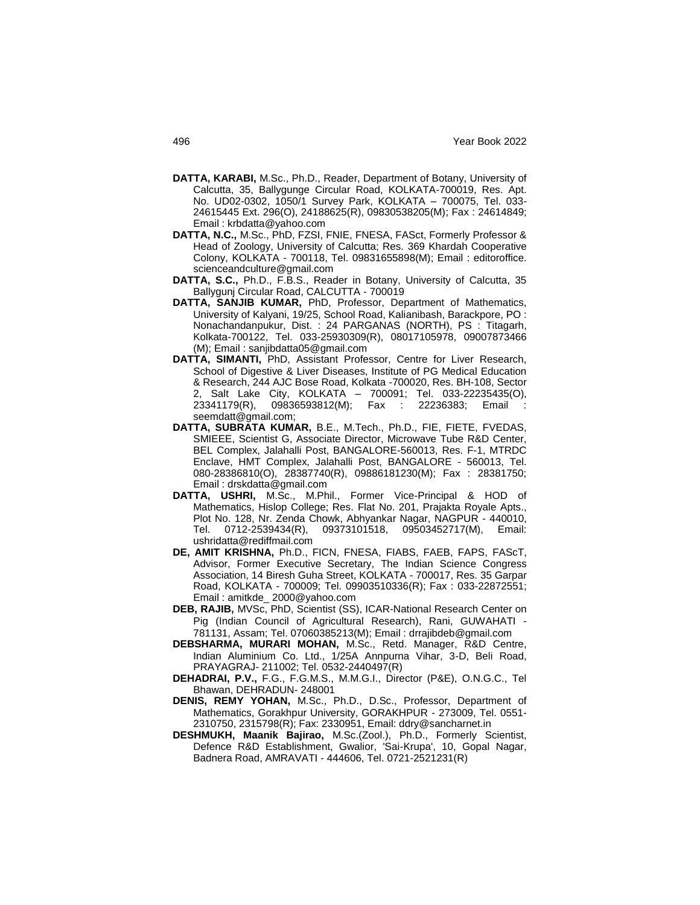- **DATTA, KARABI,** M.Sc., Ph.D., Reader, Department of Botany, University of Calcutta, 35, Ballygunge Circular Road, KOLKATA-700019, Res. Apt. No. UD02-0302, 1050/1 Survey Park, KOLKATA – 700075, Tel. 033- 24615445 Ext. 296(O), 24188625(R), 09830538205(M); Fax : 24614849; Email : krbdatta@yahoo.com
- **DATTA, N.C.,** M.Sc., PhD, FZSI, FNIE, FNESA, FASct, Formerly Professor & Head of Zoology, University of Calcutta; Res. 369 Khardah Cooperative Colony, KOLKATA - 700118, Tel. 09831655898(M); Email : editoroffice. scienceandculture@gmail.com
- **DATTA, S.C.,** Ph.D., F.B.S., Reader in Botany, University of Calcutta, 35 Ballygunj Circular Road, CALCUTTA - 700019
- **DATTA, SANJIB KUMAR,** PhD, Professor, Department of Mathematics, University of Kalyani, 19/25, School Road, Kalianibash, Barackpore, PO : Nonachandanpukur, Dist. : 24 PARGANAS (NORTH), PS : Titagarh, Kolkata-700122, Tel. 033-25930309(R), 08017105978, 09007873466 (M); Email : sanjibdatta05@gmail.com
- **DATTA, SIMANTI,** PhD, Assistant Professor, Centre for Liver Research, School of Digestive & Liver Diseases, Institute of PG Medical Education & Research, 244 AJC Bose Road, Kolkata -700020, Res. BH-108, Sector 2, Salt Lake City, KOLKATA – 700091; Tel. 033-22235435(O), 23341179(R), 09836593812(M); Fax : 22236383; Email : seemdatt@gmail.com;
- **DATTA, SUBRATA KUMAR,** B.E., M.Tech., Ph.D., FIE, FIETE, FVEDAS, SMIEEE, Scientist G, Associate Director, Microwave Tube R&D Center, BEL Complex, Jalahalli Post, BANGALORE-560013, Res. F-1, MTRDC Enclave, HMT Complex, Jalahalli Post, BANGALORE - 560013, Tel. 080-28386810(O), 28387740(R), 09886181230(M); Fax : 28381750; Email : drskdatta@gmail.com
- **DATTA, USHRI,** M.Sc., M.Phil., Former Vice-Principal & HOD of Mathematics, Hislop College; Res. Flat No. 201, Prajakta Royale Apts., Plot No. 128, Nr. Zenda Chowk, Abhyankar Nagar, NAGPUR - 440010, Tel. 0712-2539434(R), 09373101518, 09503452717(M), Email: ushridatta@rediffmail.com
- **DE, AMIT KRISHNA,** Ph.D., FICN, FNESA, FIABS, FAEB, FAPS, FAScT, Advisor, Former Executive Secretary, The Indian Science Congress Association, 14 Biresh Guha Street, KOLKATA - 700017, Res. 35 Garpar Road, KOLKATA - 700009; Tel. 09903510336(R); Fax : 033-22872551; Email : amitkde\_ 2000@yahoo.com
- **DEB, RAJIB,** MVSc, PhD, Scientist (SS), ICAR-National Research Center on Pig (Indian Council of Agricultural Research), Rani, GUWAHATI - 781131, Assam; Tel. 07060385213(M); Email : drrajibdeb@gmail.com
- **DEBSHARMA, MURARI MOHAN,** M.Sc., Retd. Manager, R&D Centre, Indian Aluminium Co. Ltd., 1/25A Annpurna Vihar, 3-D, Beli Road, PRAYAGRAJ- 211002; Tel. 0532-2440497(R)
- **DEHADRAI, P.V.,** F.G., F.G.M.S., M.M.G.I., Director (P&E), O.N.G.C., Tel Bhawan, DEHRADUN- 248001
- **DENIS, REMY YOHAN,** M.Sc., Ph.D., D.Sc., Professor, Department of Mathematics, Gorakhpur University, GORAKHPUR - 273009, Tel. 0551- 2310750, 2315798(R); Fax: 2330951, Email: ddry@sancharnet.in
- **DESHMUKH, Maanik Bajirao,** M.Sc.(Zool.), Ph.D., Formerly Scientist, Defence R&D Establishment, Gwalior, 'Sai-Krupa', 10, Gopal Nagar, Badnera Road, AMRAVATI - 444606, Tel. 0721-2521231(R)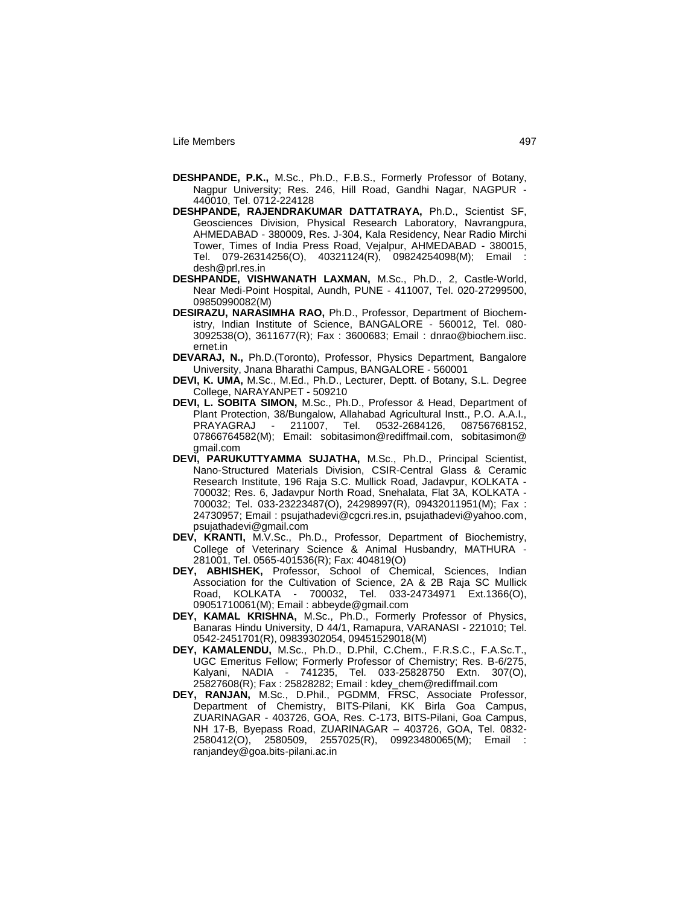- **DESHPANDE, P.K.,** M.Sc., Ph.D., F.B.S., Formerly Professor of Botany, Nagpur University; Res. 246, Hill Road, Gandhi Nagar, NAGPUR - 440010, Tel. 0712-224128
- **DESHPANDE, RAJENDRAKUMAR DATTATRAYA,** Ph.D., Scientist SF, Geosciences Division, Physical Research Laboratory, Navrangpura, AHMEDABAD - 380009, Res. J-304, Kala Residency, Near Radio Mirchi Tower, Times of India Press Road, Vejalpur, AHMEDABAD - 380015, Tel. 079-26314256(O), 40321124(R), 09824254098(M); Email : desh@prl.res.in
- **DESHPANDE, VISHWANATH LAXMAN,** M.Sc., Ph.D., 2, Castle-World, Near Medi-Point Hospital, Aundh, PUNE - 411007, Tel. 020-27299500, 09850990082(M)
- **DESIRAZU, NARASIMHA RAO,** Ph.D., Professor, Department of Biochemistry, Indian Institute of Science, BANGALORE - 560012, Tel. 080- 3092538(O), 3611677(R); Fax : 3600683; Email : dnrao@biochem.iisc. ernet.in
- **DEVARAJ, N.,** Ph.D.(Toronto), Professor, Physics Department, Bangalore University, Jnana Bharathi Campus, BANGALORE - 560001
- **DEVI, K. UMA,** M.Sc., M.Ed., Ph.D., Lecturer, Deptt. of Botany, S.L. Degree College, NARAYANPET - 509210
- **DEVI, L. SOBITA SIMON,** M.Sc., Ph.D., Professor & Head, Department of Plant Protection, 38/Bungalow, Allahabad Agricultural Instt., P.O. A.A.I., PRAYAGRAJ - 211007, Tel. 0532-2684126, 08756768152, 07866764582(M); Email: sobitasimon@rediffmail.com, sobitasimon@ gmail.com
- **DEVI, PARUKUTTYAMMA SUJATHA,** M.Sc., Ph.D., Principal Scientist, Nano-Structured Materials Division, CSIR-Central Glass & Ceramic Research Institute, 196 Raja S.C. Mullick Road, Jadavpur, KOLKATA - 700032; Res. 6, Jadavpur North Road, Snehalata, Flat 3A, KOLKATA - 700032; Tel. 033-23223487(O), 24298997(R), 09432011951(M); Fax : 24730957; Email : psujathadevi@cgcri.res.in, psujathadevi@yahoo.com, psujathadevi@gmail.com
- **DEV, KRANTI,** M.V.Sc., Ph.D., Professor, Department of Biochemistry, College of Veterinary Science & Animal Husbandry, MATHURA - 281001, Tel. 0565-401536(R); Fax: 404819(O)
- **DEY, ABHISHEK,** Professor, School of Chemical, Sciences, Indian Association for the Cultivation of Science, 2A & 2B Raja SC Mullick Road, KOLKATA - 700032, Tel. 033-24734971 Ext.1366(O), 09051710061(M); Email : abbeyde@gmail.com
- **DEY, KAMAL KRISHNA,** M.Sc., Ph.D., Formerly Professor of Physics, Banaras Hindu University, D 44/1, Ramapura, VARANASI - 221010; Tel. 0542-2451701(R), 09839302054, 09451529018(M)
- **DEY, KAMALENDU,** M.Sc., Ph.D., D.Phil, C.Chem., F.R.S.C., F.A.Sc.T., UGC Emeritus Fellow; Formerly Professor of Chemistry; Res. B-6/275, Kalyani, NADIA - 741235, Tel. 033-25828750 Extn. 307(O), 25827608(R); Fax : 25828282; Email : kdey\_chem@rediffmail.com
- **DEY, RANJAN,** M.Sc., D.Phil., PGDMM, FRSC, Associate Professor, Department of Chemistry, BITS-Pilani, KK Birla Goa Campus, ZUARINAGAR - 403726, GOA, Res. C-173, BITS-Pilani, Goa Campus, NH 17-B, Byepass Road, ZUARINAGAR – 403726, GOA, Tel. 0832- 2580412(O), 2580509, 2557025(R), 09923480065(M); Email : ranjandey@goa.bits-pilani.ac.in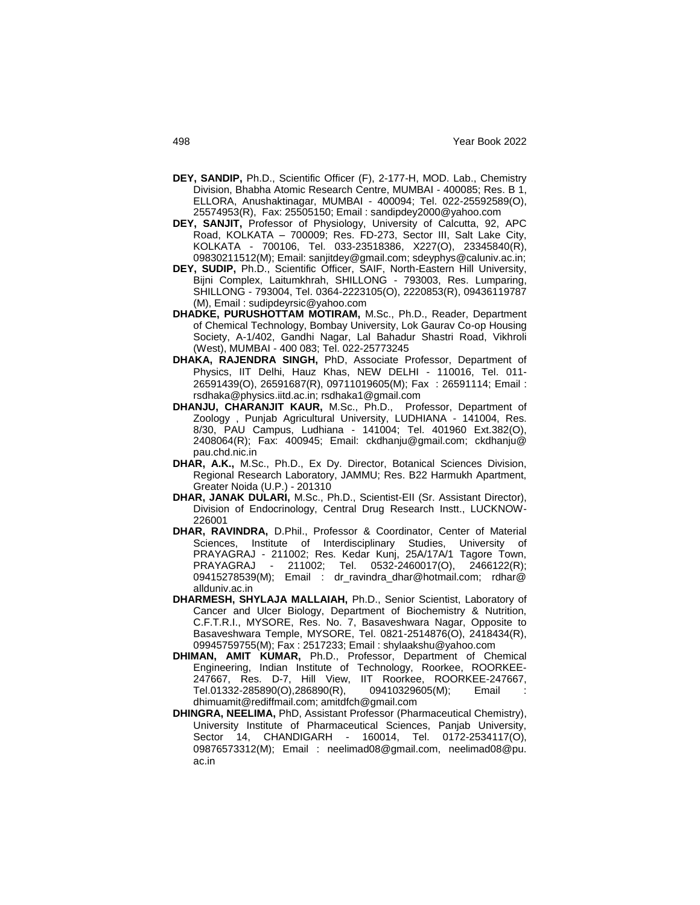- **DEY, SANDIP,** Ph.D., Scientific Officer (F), 2-177-H, MOD. Lab., Chemistry Division, Bhabha Atomic Research Centre, MUMBAI - 400085; Res. B 1, ELLORA, Anushaktinagar, MUMBAI - 400094; Tel. 022-25592589(O), 25574953(R), Fax: 25505150; Email : sandipdey2000@yahoo.com
- **DEY, SANJIT,** Professor of Physiology, University of Calcutta, 92, APC Road, KOLKATA – 700009; Res. FD-273, Sector III, Salt Lake City, KOLKATA - 700106, Tel. 033-23518386, X227(O), 23345840(R), 09830211512(M); Email: sanjitdey@gmail.com; sdeyphys@caluniv.ac.in;
- **DEY, SUDIP,** Ph.D., Scientific Officer, SAIF, North-Eastern Hill University, Bijni Complex, Laitumkhrah, SHILLONG - 793003, Res. Lumparing, SHILLONG - 793004, Tel. 0364-2223105(O), 2220853(R), 09436119787 (M), Email : sudipdeyrsic@yahoo.com
- **DHADKE, PURUSHOTTAM MOTIRAM,** M.Sc., Ph.D., Reader, Department of Chemical Technology, Bombay University, Lok Gaurav Co-op Housing Society, A-1/402, Gandhi Nagar, Lal Bahadur Shastri Road, Vikhroli (West), MUMBAI - 400 083; Tel. 022-25773245
- **DHAKA, RAJENDRA SINGH,** PhD, Associate Professor, Department of Physics, IIT Delhi, Hauz Khas, NEW DELHI - 110016, Tel. 011- 26591439(O), 26591687(R), 09711019605(M); Fax : 26591114; Email : rsdhaka@physics.iitd.ac.in; rsdhaka1@gmail.com
- **DHANJU, CHARANJIT KAUR,** M.Sc., Ph.D., Professor, Department of Zoology , Punjab Agricultural University, LUDHIANA - 141004, Res. 8/30, PAU Campus, Ludhiana - 141004; Tel. 401960 Ext.382(O), 2408064(R); Fax: 400945; Email: ckdhanju@gmail.com; ckdhanju@ pau.chd.nic.in
- **DHAR, A.K.,** M.Sc., Ph.D., Ex Dy. Director, Botanical Sciences Division, Regional Research Laboratory, JAMMU; Res. B22 Harmukh Apartment, Greater Noida (U.P.) - 201310
- **DHAR, JANAK DULARI,** M.Sc., Ph.D., Scientist-EII (Sr. Assistant Director), Division of Endocrinology, Central Drug Research Instt., LUCKNOW-226001
- **DHAR, RAVINDRA,** D.Phil., Professor & Coordinator, Center of Material Sciences, Institute of Interdisciplinary Studies, University of PRAYAGRAJ - 211002; Res. Kedar Kunj, 25A/17A/1 Tagore Town, PRAYAGRAJ - 211002; Tel. 0532-2460017(O), 2466122(R); 09415278539(M); Email : dr\_ravindra\_dhar@hotmail.com; rdhar@ allduniv.ac.in
- **DHARMESH, SHYLAJA MALLAIAH,** Ph.D., Senior Scientist, Laboratory of Cancer and Ulcer Biology, Department of Biochemistry & Nutrition, C.F.T.R.I., MYSORE, Res. No. 7, Basaveshwara Nagar, Opposite to Basaveshwara Temple, MYSORE, Tel. 0821-2514876(O), 2418434(R), 09945759755(M); Fax : 2517233; Email : shylaakshu@yahoo.com
- **DHIMAN, AMIT KUMAR,** Ph.D., Professor, Department of Chemical Engineering, Indian Institute of Technology, Roorkee, ROORKEE-247667, Res. D-7, Hill View, IIT Roorkee, ROORKEE-247667, Tel.01332-285890(O),286890(R), 09410329605(M); Email : dhimuamit@rediffmail.com; amitdfch@gmail.com
- **DHINGRA, NEELIMA,** PhD, Assistant Professor (Pharmaceutical Chemistry), University Institute of Pharmaceutical Sciences, Panjab University, Sector 14, CHANDIGARH - 160014, Tel. 0172-2534117(O), 09876573312(M); Email : neelimad08@gmail.com, neelimad08@pu. ac.in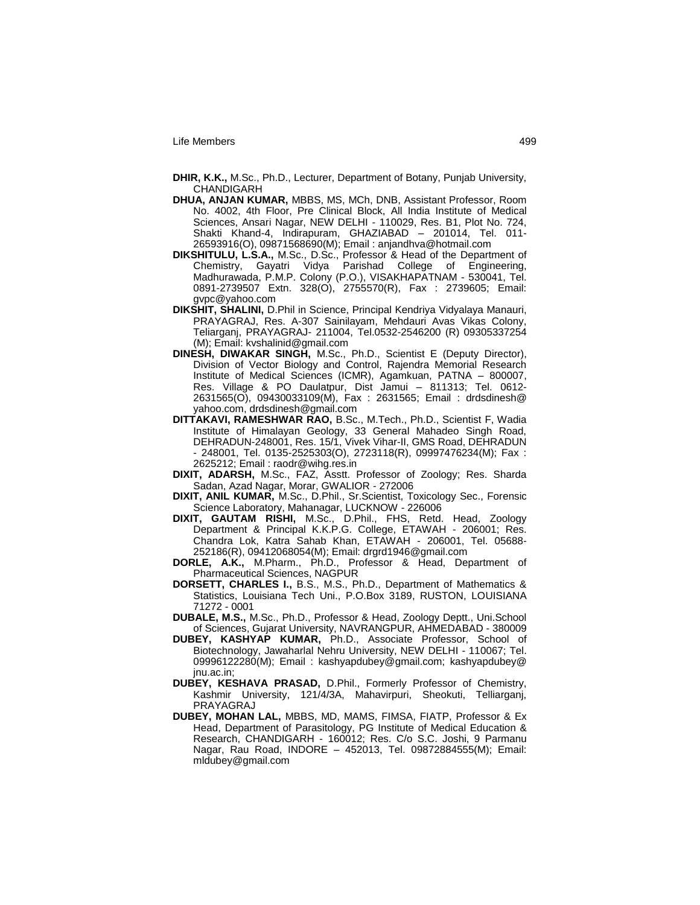- **DHIR, K.K.,** M.Sc., Ph.D., Lecturer, Department of Botany, Punjab University, CHANDIGARH
- **DHUA, ANJAN KUMAR,** MBBS, MS, MCh, DNB, Assistant Professor, Room No. 4002, 4th Floor, Pre Clinical Block, All India Institute of Medical Sciences, Ansari Nagar, NEW DELHI - 110029, Res. B1, Plot No. 724, Shakti Khand-4, Indirapuram, GHAZIABAD – 201014, Tel. 011- 26593916(O), 09871568690(M); Email : anjandhva@hotmail.com
- **DIKSHITULU, L.S.A.,** M.Sc., D.Sc., Professor & Head of the Department of Chemistry, Gayatri Vidya Parishad College of Engineering, Madhurawada, P.M.P. Colony (P.O.), VISAKHAPATNAM - 530041, Tel. 0891-2739507 Extn. 328(O), 2755570(R), Fax : 2739605; Email: gvpc@yahoo.com
- **DIKSHIT, SHALINI,** D.Phil in Science, Principal Kendriya Vidyalaya Manauri, PRAYAGRAJ, Res. A-307 Sainilayam, Mehdauri Avas Vikas Colony, Teliarganj, PRAYAGRAJ- 211004, Tel.0532-2546200 (R) 09305337254 (M); Email: kvshalinid@gmail.com
- **DINESH, DIWAKAR SINGH,** M.Sc., Ph.D., Scientist E (Deputy Director), Division of Vector Biology and Control, Rajendra Memorial Research Institute of Medical Sciences (ICMR), Agamkuan, PATNA – 800007, Res. Village & PO Daulatpur, Dist Jamui – 811313; Tel. 0612- 2631565(O), 09430033109(M), Fax : 2631565; Email : drdsdinesh@ yahoo.com, drdsdinesh@gmail.com
- **DITTAKAVI, RAMESHWAR RAO,** B.Sc., M.Tech., Ph.D., Scientist F, Wadia Institute of Himalayan Geology, 33 General Mahadeo Singh Road, DEHRADUN-248001, Res. 15/1, Vivek Vihar-II, GMS Road, DEHRADUN - 248001, Tel. 0135-2525303(O), 2723118(R), 09997476234(M); Fax : 2625212; Email : raodr@wihg.res.in
- **DIXIT, ADARSH,** M.Sc., FAZ, Asstt. Professor of Zoology; Res. Sharda Sadan, Azad Nagar, Morar, GWALIOR - 272006
- **DIXIT, ANIL KUMAR,** M.Sc., D.Phil., Sr.Scientist, Toxicology Sec., Forensic Science Laboratory, Mahanagar, LUCKNOW - 226006
- **DIXIT, GAUTAM RISHI,** M.Sc., D.Phil., FHS, Retd. Head, Zoology Department & Principal K.K.P.G. College, ETAWAH - 206001; Res. Chandra Lok, Katra Sahab Khan, ETAWAH - 206001, Tel. 05688- 252186(R), 09412068054(M); Email: drgrd1946@gmail.com
- **DORLE, A.K.,** M.Pharm., Ph.D., Professor & Head, Department of Pharmaceutical Sciences, NAGPUR
- **DORSETT, CHARLES I.,** B.S., M.S., Ph.D., Department of Mathematics & Statistics, Louisiana Tech Uni., P.O.Box 3189, RUSTON, LOUISIANA 71272 - 0001
- **DUBALE, M.S.,** M.Sc., Ph.D., Professor & Head, Zoology Deptt., Uni.School of Sciences, Gujarat University, NAVRANGPUR, AHMEDABAD - 380009
- **DUBEY, KASHYAP KUMAR,** Ph.D., Associate Professor, School of Biotechnology, Jawaharlal Nehru University, NEW DELHI - 110067; Tel. 09996122280(M); Email : kashyapdubey@gmail.com; kashyapdubey@ jnu.ac.in;
- **DUBEY, KESHAVA PRASAD,** D.Phil., Formerly Professor of Chemistry, Kashmir University, 121/4/3A, Mahavirpuri, Sheokuti, Telliarganj, PRAYAGRAJ
- **DUBEY, MOHAN LAL,** MBBS, MD, MAMS, FIMSA, FIATP, Professor & Ex Head, Department of Parasitology, PG Institute of Medical Education & Research, CHANDIGARH - 160012; Res. C/o S.C. Joshi, 9 Parmanu Nagar, Rau Road, INDORE – 452013, Tel. 09872884555(M); Email: mldubey@gmail.com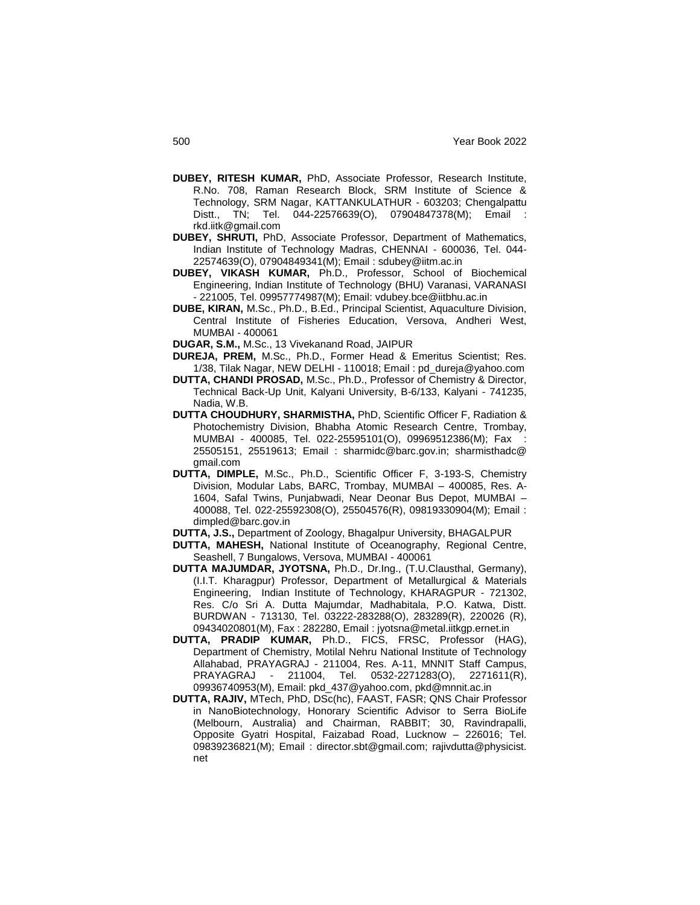- **DUBEY, RITESH KUMAR,** PhD, Associate Professor, Research Institute, R.No. 708, Raman Research Block, SRM Institute of Science & Technology, SRM Nagar, KATTANKULATHUR - 603203; Chengalpattu Distt., TN; Tel. 044-22576639(O), 07904847378(M); Email rkd.iitk@gmail.com
- **DUBEY, SHRUTI,** PhD, Associate Professor, Department of Mathematics, Indian Institute of Technology Madras, CHENNAI - 600036, Tel. 044- 22574639(O), 07904849341(M); Email : sdubey@iitm.ac.in
- **DUBEY, VIKASH KUMAR,** Ph.D., Professor, School of Biochemical Engineering, Indian Institute of Technology (BHU) Varanasi, VARANASI - 221005, Tel. 09957774987(M); Email: vdubey.bce@iitbhu.ac.in
- **DUBE, KIRAN,** M.Sc., Ph.D., B.Ed., Principal Scientist, Aquaculture Division, Central Institute of Fisheries Education, Versova, Andheri West, MUMBAI - 400061
- **DUGAR, S.M.,** M.Sc., 13 Vivekanand Road, JAIPUR
- **DUREJA, PREM,** M.Sc., Ph.D., Former Head & Emeritus Scientist; Res. 1/38, Tilak Nagar, NEW DELHI - 110018; Email : pd\_dureja@yahoo.com
- **DUTTA, CHANDI PROSAD,** M.Sc., Ph.D., Professor of Chemistry & Director, Technical Back-Up Unit, Kalyani University, B-6/133, Kalyani - 741235, Nadia, W.B.
- **DUTTA CHOUDHURY, SHARMISTHA,** PhD, Scientific Officer F, Radiation & Photochemistry Division, Bhabha Atomic Research Centre, Trombay, MUMBAI - 400085, Tel. 022-25595101(O), 09969512386(M); Fax : 25505151, 25519613; Email : sharmidc@barc.gov.in; sharmisthadc@ gmail.com
- **DUTTA, DIMPLE,** M.Sc., Ph.D., Scientific Officer F, 3-193-S, Chemistry Division, Modular Labs, BARC, Trombay, MUMBAI – 400085, Res. A-1604, Safal Twins, Punjabwadi, Near Deonar Bus Depot, MUMBAI – 400088, Tel. 022-25592308(O), 25504576(R), 09819330904(M); Email : dimpled@barc.gov.in
- **DUTTA, J.S.,** Department of Zoology, Bhagalpur University, BHAGALPUR
- **DUTTA, MAHESH,** National Institute of Oceanography, Regional Centre, Seashell, 7 Bungalows, Versova, MUMBAI - 400061
- **DUTTA MAJUMDAR, JYOTSNA,** Ph.D., Dr.Ing., (T.U.Clausthal, Germany), (I.I.T. Kharagpur) Professor, Department of Metallurgical & Materials Engineering, Indian Institute of Technology, KHARAGPUR - 721302, Res. C/o Sri A. Dutta Majumdar, Madhabitala, P.O. Katwa, Distt. BURDWAN - 713130, Tel. 03222-283288(O), 283289(R), 220026 (R), 09434020801(M), Fax : 282280, Email : jyotsna@metal.iitkgp.ernet.in
- **DUTTA, PRADIP KUMAR,** Ph.D., FICS, FRSC, Professor (HAG), Department of Chemistry, Motilal Nehru National Institute of Technology Allahabad, PRAYAGRAJ - 211004, Res. A-11, MNNIT Staff Campus, PRAYAGRAJ - 211004, Tel. 0532-2271283(O), 2271611(R), 09936740953(M), Email: pkd\_437@yahoo.com, pkd@mnnit.ac.in
- **DUTTA, RAJIV,** MTech, PhD, DSc(hc), FAAST, FASR; QNS Chair Professor in NanoBiotechnology, Honorary Scientific Advisor to Serra BioLife (Melbourn, Australia) and Chairman, RABBIT; 30, Ravindrapalli, Opposite Gyatri Hospital, Faizabad Road, Lucknow – 226016; Tel. 09839236821(M); Email : director.sbt@gmail.com; rajivdutta@physicist. net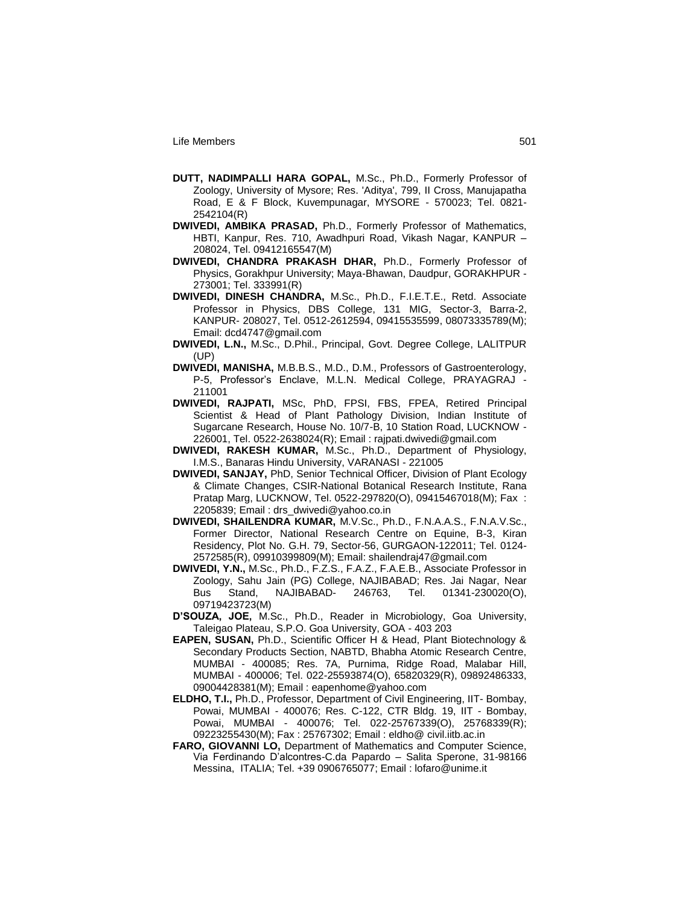- **DUTT, NADIMPALLI HARA GOPAL,** M.Sc., Ph.D., Formerly Professor of Zoology, University of Mysore; Res. 'Aditya', 799, II Cross, Manujapatha Road, E & F Block, Kuvempunagar, MYSORE - 570023; Tel. 0821- 2542104(R)
- **DWIVEDI, AMBIKA PRASAD,** Ph.D., Formerly Professor of Mathematics, HBTI, Kanpur, Res. 710, Awadhpuri Road, Vikash Nagar, KANPUR – 208024, Tel. 09412165547(M)
- **DWIVEDI, CHANDRA PRAKASH DHAR,** Ph.D., Formerly Professor of Physics, Gorakhpur University; Maya-Bhawan, Daudpur, GORAKHPUR - 273001; Tel. 333991(R)
- **DWIVEDI, DINESH CHANDRA,** M.Sc., Ph.D., F.I.E.T.E., Retd. Associate Professor in Physics, DBS College, 131 MIG, Sector-3, Barra-2, KANPUR- 208027, Tel. 0512-2612594, 09415535599, 08073335789(M); Email: dcd4747@gmail.com
- **DWIVEDI, L.N.,** M.Sc., D.Phil., Principal, Govt. Degree College, LALITPUR  $(UP)$
- **DWIVEDI, MANISHA,** M.B.B.S., M.D., D.M., Professors of Gastroenterology, P-5, Professor"s Enclave, M.L.N. Medical College, PRAYAGRAJ - 211001
- **DWIVEDI, RAJPATI,** MSc, PhD, FPSI, FBS, FPEA, Retired Principal Scientist & Head of Plant Pathology Division, Indian Institute of Sugarcane Research, House No. 10/7-B, 10 Station Road, LUCKNOW - 226001, Tel. 0522-2638024(R); Email : rajpati.dwivedi@gmail.com
- **DWIVEDI, RAKESH KUMAR,** M.Sc., Ph.D., Department of Physiology, I.M.S., Banaras Hindu University, VARANASI - 221005
- **DWIVEDI, SANJAY,** PhD, Senior Technical Officer, Division of Plant Ecology & Climate Changes, CSIR-National Botanical Research Institute, Rana Pratap Marg, LUCKNOW, Tel. 0522-297820(O), 09415467018(M); Fax : 2205839; Email : drs\_dwivedi@yahoo.co.in
- **DWIVEDI, SHAILENDRA KUMAR,** M.V.Sc., Ph.D., F.N.A.A.S., F.N.A.V.Sc., Former Director, National Research Centre on Equine, B-3, Kiran Residency, Plot No. G.H. 79, Sector-56, GURGAON-122011; Tel. 0124- 2572585(R), 09910399809(M); Email: shailendraj47@gmail.com
- **DWIVEDI, Y.N.,** M.Sc., Ph.D., F.Z.S., F.A.Z., F.A.E.B., Associate Professor in Zoology, Sahu Jain (PG) College, NAJIBABAD; Res. Jai Nagar, Near Bus Stand, NAJIBABAD- 246763, Tel. 01341-230020(O), 09719423723(M)
- **D'SOUZA, JOE,** M.Sc., Ph.D., Reader in Microbiology, Goa University, Taleigao Plateau, S.P.O. Goa University, GOA - 403 203
- **EAPEN, SUSAN,** Ph.D., Scientific Officer H & Head, Plant Biotechnology & Secondary Products Section, NABTD, Bhabha Atomic Research Centre, MUMBAI - 400085; Res. 7A, Purnima, Ridge Road, Malabar Hill, MUMBAI - 400006; Tel. 022-25593874(O), 65820329(R), 09892486333, 09004428381(M); Email : eapenhome@yahoo.com
- **ELDHO, T.I.,** Ph.D., Professor, Department of Civil Engineering, IIT- Bombay, Powai, MUMBAI - 400076; Res. C-122, CTR Bldg. 19, IIT - Bombay, Powai, MUMBAI - 400076; Tel. 022-25767339(O), 25768339(R); 09223255430(M); Fax : 25767302; Email : eldho@ civil.iitb.ac.in
- **FARO, GIOVANNI LO,** Department of Mathematics and Computer Science, Via Ferdinando D"alcontres-C.da Papardo – Salita Sperone, 31-98166 Messina, ITALIA; Tel. +39 0906765077; Email : lofaro@unime.it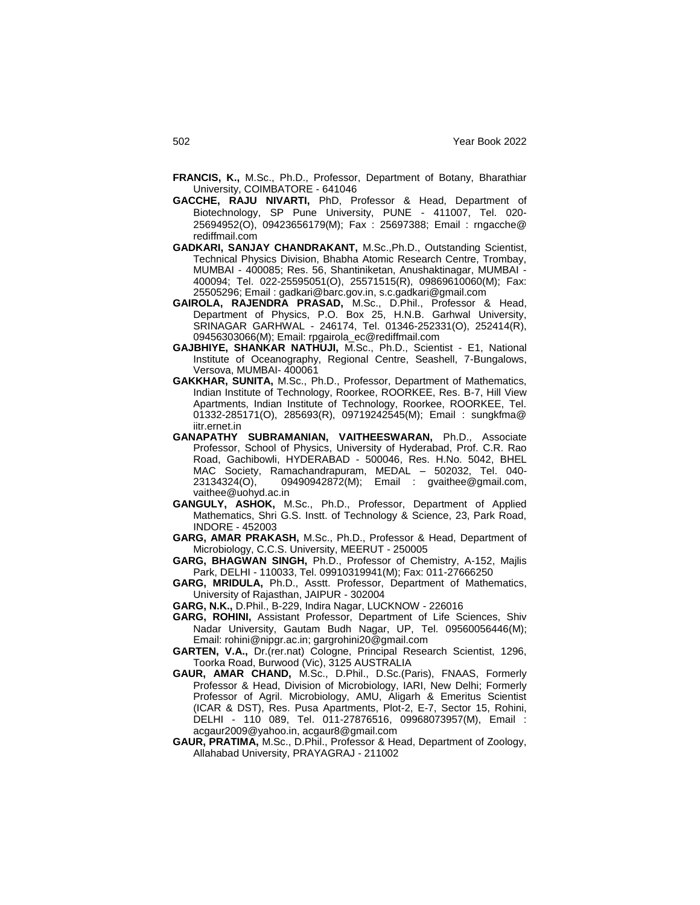- **FRANCIS, K.,** M.Sc., Ph.D., Professor, Department of Botany, Bharathiar University, COIMBATORE - 641046
- **GACCHE, RAJU NIVARTI,** PhD, Professor & Head, Department of Biotechnology, SP Pune University, PUNE - 411007, Tel. 020- 25694952(O), 09423656179(M); Fax : 25697388; Email : rngacche@ rediffmail.com
- **GADKARI, SANJAY CHANDRAKANT,** M.Sc.,Ph.D., Outstanding Scientist, Technical Physics Division, Bhabha Atomic Research Centre, Trombay, MUMBAI - 400085; Res. 56, Shantiniketan, Anushaktinagar, MUMBAI - 400094; Tel. 022-25595051(O), 25571515(R), 09869610060(M); Fax: 25505296; Email : gadkari@barc.gov.in, s.c.gadkari@gmail.com
- **GAIROLA, RAJENDRA PRASAD,** M.Sc., D.Phil., Professor & Head, Department of Physics, P.O. Box 25, H.N.B. Garhwal University, SRINAGAR GARHWAL - 246174, Tel. 01346-252331(O), 252414(R), 09456303066(M); Email: rpgairola\_ec@rediffmail.com
- **GAJBHIYE, SHANKAR NATHUJI,** M.Sc., Ph.D., Scientist E1, National Institute of Oceanography, Regional Centre, Seashell, 7-Bungalows, Versova, MUMBAI- 400061
- **GAKKHAR, SUNITA,** M.Sc., Ph.D., Professor, Department of Mathematics, Indian Institute of Technology, Roorkee, ROORKEE, Res. B-7, Hill View Apartments, Indian Institute of Technology, Roorkee, ROORKEE, Tel. 01332-285171(O), 285693(R), 09719242545(M); Email : sungkfma@ iitr.ernet.in
- **GANAPATHY SUBRAMANIAN, VAITHEESWARAN,** Ph.D., Associate Professor, School of Physics, University of Hyderabad, Prof. C.R. Rao Road, Gachibowli, HYDERABAD - 500046, Res. H.No. 5042, BHEL MAC Society, Ramachandrapuram, MEDAL – 502032, Tel. 040- 23134324(O), 09490942872(M); Email : gvaithee@gmail.com, vaithee@uohyd.ac.in
- **GANGULY, ASHOK,** M.Sc., Ph.D., Professor, Department of Applied Mathematics, Shri G.S. Instt. of Technology & Science, 23, Park Road, INDORE - 452003
- **GARG, AMAR PRAKASH,** M.Sc., Ph.D., Professor & Head, Department of Microbiology, C.C.S. University, MEERUT - 250005
- **GARG, BHAGWAN SINGH,** Ph.D., Professor of Chemistry, A-152, Majlis Park, DELHI - 110033, Tel. 09910319941(M); Fax: 011-27666250
- **GARG, MRIDULA,** Ph.D., Asstt. Professor, Department of Mathematics, University of Rajasthan, JAIPUR - 302004
- **GARG, N.K.,** D.Phil., B-229, Indira Nagar, LUCKNOW 226016
- **GARG, ROHINI,** Assistant Professor, Department of Life Sciences, Shiv Nadar University, Gautam Budh Nagar, UP, Tel. 09560056446(M); Email: rohini@nipgr.ac.in; gargrohini20@gmail.com
- **GARTEN, V.A.,** Dr.(rer.nat) Cologne, Principal Research Scientist, 1296, Toorka Road, Burwood (Vic), 3125 AUSTRALIA
- **GAUR, AMAR CHAND,** M.Sc., D.Phil., D.Sc.(Paris), FNAAS, Formerly Professor & Head, Division of Microbiology, IARI, New Delhi; Formerly Professor of Agril. Microbiology, AMU, Aligarh & Emeritus Scientist (ICAR & DST), Res. Pusa Apartments, Plot-2, E-7, Sector 15, Rohini, DELHI - 110 089, Tel. 011-27876516, 09968073957(M), Email : acgaur2009@yahoo.in, acgaur8@gmail.com
- **GAUR, PRATIMA,** M.Sc., D.Phil., Professor & Head, Department of Zoology, Allahabad University, PRAYAGRAJ - 211002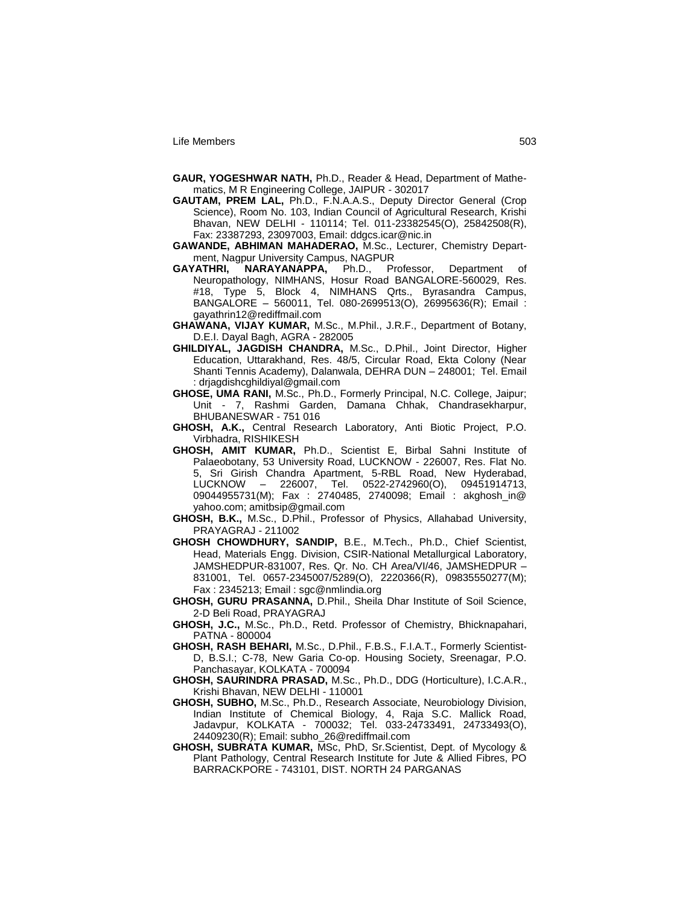- **GAUR, YOGESHWAR NATH,** Ph.D., Reader & Head, Department of Mathematics, M R Engineering College, JAIPUR - 302017
- **GAUTAM, PREM LAL,** Ph.D., F.N.A.A.S., Deputy Director General (Crop Science), Room No. 103, Indian Council of Agricultural Research, Krishi Bhavan, NEW DELHI - 110114; Tel. 011-23382545(O), 25842508(R), Fax: 23387293, 23097003, Email: ddgcs.icar@nic.in
- **GAWANDE, ABHIMAN MAHADERAO,** M.Sc., Lecturer, Chemistry Department, Nagpur University Campus, NAGPUR<br> **GAYATHRI.** NARAYANAPPA. Ph.D.. Professor.
- **GAYATHRI, NARAYANAPPA,** Ph.D., Professor, Department of Neuropathology, NIMHANS, Hosur Road BANGALORE-560029, Res. #18, Type 5, Block 4, NIMHANS Qrts., Byrasandra Campus, BANGALORE – 560011, Tel. 080-2699513(O), 26995636(R); Email : gayathrin12@rediffmail.com
- **GHAWANA, VIJAY KUMAR,** M.Sc., M.Phil., J.R.F., Department of Botany, D.E.I. Dayal Bagh, AGRA - 282005
- **GHILDIYAL, JAGDISH CHANDRA,** M.Sc., D.Phil., Joint Director, Higher Education, Uttarakhand, Res. 48/5, Circular Road, Ekta Colony (Near Shanti Tennis Academy), Dalanwala, DEHRA DUN – 248001; Tel. Email : drjagdishcghildiyal@gmail.com
- **GHOSE, UMA RANI,** M.Sc., Ph.D., Formerly Principal, N.C. College, Jaipur; Unit - 7, Rashmi Garden, Damana Chhak, Chandrasekharpur, BHUBANESWAR - 751 016
- **GHOSH, A.K.,** Central Research Laboratory, Anti Biotic Project, P.O. Virbhadra, RISHIKESH
- **GHOSH, AMIT KUMAR,** Ph.D., Scientist E, Birbal Sahni Institute of Palaeobotany, 53 University Road, LUCKNOW - 226007, Res. Flat No. 5, Sri Girish Chandra Apartment, 5-RBL Road, New Hyderabad, LUCKNOW – 226007, Tel. 0522-2742960(O), 09451914713, 09044955731(M); Fax : 2740485, 2740098; Email : akghosh\_in@ yahoo.com; amitbsip@gmail.com
- **GHOSH, B.K.,** M.Sc., D.Phil., Professor of Physics, Allahabad University, PRAYAGRAJ - 211002
- **GHOSH CHOWDHURY, SANDIP,** B.E., M.Tech., Ph.D., Chief Scientist, Head, Materials Engg. Division, CSIR-National Metallurgical Laboratory, JAMSHEDPUR-831007, Res. Qr. No. CH Area/VI/46, JAMSHEDPUR – 831001, Tel. 0657-2345007/5289(O), 2220366(R), 09835550277(M); Fax : 2345213; Email : sgc@nmlindia.org
- **GHOSH, GURU PRASANNA,** D.Phil., Sheila Dhar Institute of Soil Science, 2-D Beli Road, PRAYAGRAJ
- **GHOSH, J.C.,** M.Sc., Ph.D., Retd. Professor of Chemistry, Bhicknapahari, PATNA - 800004
- **GHOSH, RASH BEHARI,** M.Sc., D.Phil., F.B.S., F.I.A.T., Formerly Scientist-D, B.S.I.; C-78, New Garia Co-op. Housing Society, Sreenagar, P.O. Panchasayar, KOLKATA - 700094
- **GHOSH, SAURINDRA PRASAD,** M.Sc., Ph.D., DDG (Horticulture), I.C.A.R., Krishi Bhavan, NEW DELHI - 110001
- **GHOSH, SUBHO,** M.Sc., Ph.D., Research Associate, Neurobiology Division, Indian Institute of Chemical Biology, 4, Raja S.C. Mallick Road, Jadavpur, KOLKATA - 700032; Tel. 033-24733491, 24733493(O), 24409230(R); Email: subho\_26@rediffmail.com
- **GHOSH, SUBRATA KUMAR,** MSc, PhD, Sr.Scientist, Dept. of Mycology & Plant Pathology, Central Research Institute for Jute & Allied Fibres, PO BARRACKPORE - 743101, DIST. NORTH 24 PARGANAS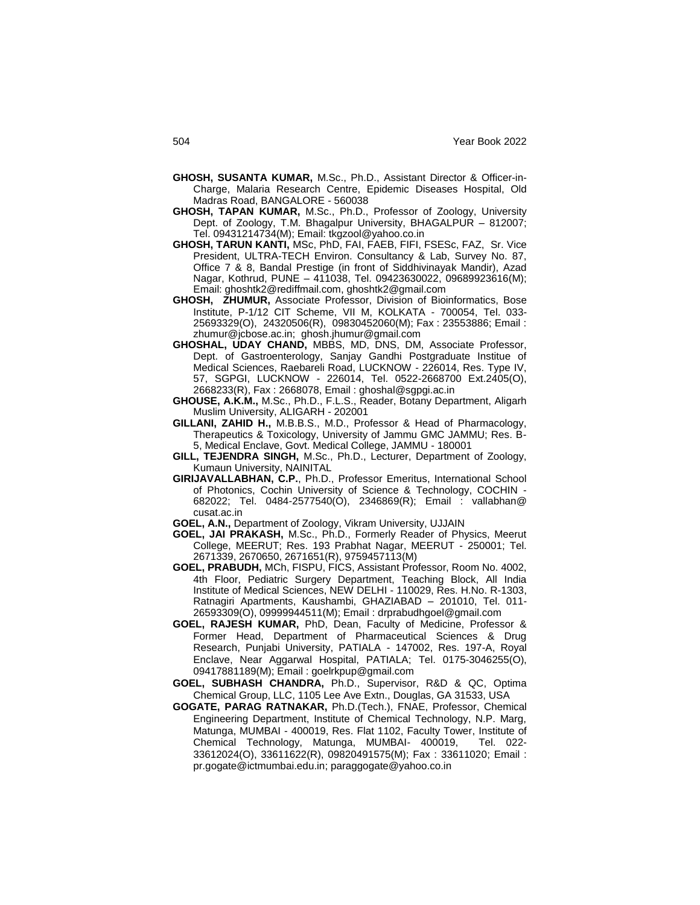- **GHOSH, SUSANTA KUMAR,** M.Sc., Ph.D., Assistant Director & Officer-in-Charge, Malaria Research Centre, Epidemic Diseases Hospital, Old Madras Road, BANGALORE - 560038
- **GHOSH, TAPAN KUMAR,** M.Sc., Ph.D., Professor of Zoology, University Dept. of Zoology, T.M. Bhagalpur University, BHAGALPUR – 812007; Tel. 09431214734(M); Email: tkgzool@yahoo.co.in
- **GHOSH, TARUN KANTI,** MSc, PhD, FAI, FAEB, FIFI, FSESc, FAZ, Sr. Vice President, ULTRA-TECH Environ. Consultancy & Lab, Survey No. 87, Office 7 & 8, Bandal Prestige (in front of Siddhivinayak Mandir), Azad Nagar, Kothrud, PUNE – 411038, Tel. 09423630022, 09689923616(M); Email: ghoshtk2@rediffmail.com, ghoshtk2@gmail.com
- **GHOSH, ZHUMUR,** Associate Professor, Division of Bioinformatics, Bose Institute, P-1/12 CIT Scheme, VII M, KOLKATA - 700054, Tel. 033- 25693329(O), 24320506(R), 09830452060(M); Fax : 23553886; Email : zhumur@jcbose.ac.in; ghosh.jhumur@gmail.com
- **GHOSHAL, UDAY CHAND,** MBBS, MD, DNS, DM, Associate Professor, Dept. of Gastroenterology, Sanjay Gandhi Postgraduate Institue of Medical Sciences, Raebareli Road, LUCKNOW - 226014, Res. Type IV, 57, SGPGI, LUCKNOW - 226014, Tel. 0522-2668700 Ext.2405(O), 2668233(R), Fax : 2668078, Email : ghoshal@sgpgi.ac.in
- **GHOUSE, A.K.M.,** M.Sc., Ph.D., F.L.S., Reader, Botany Department, Aligarh Muslim University, ALIGARH - 202001
- **GILLANI, ZAHID H.,** M.B.B.S., M.D., Professor & Head of Pharmacology, Therapeutics & Toxicology, University of Jammu GMC JAMMU; Res. B-5, Medical Enclave, Govt. Medical College, JAMMU - 180001
- **GILL, TEJENDRA SINGH,** M.Sc., Ph.D., Lecturer, Department of Zoology, Kumaun University, NAINITAL
- **GIRIJAVALLABHAN, C.P.**, Ph.D., Professor Emeritus, International School of Photonics, Cochin University of Science & Technology, COCHIN - 682022; Tel. 0484-2577540(O), 2346869(R); Email : vallabhan@ cusat.ac.in
- **GOEL, A.N.,** Department of Zoology, Vikram University, UJJAIN
- **GOEL, JAI PRAKASH,** M.Sc., Ph.D., Formerly Reader of Physics, Meerut College, MEERUT; Res. 193 Prabhat Nagar, MEERUT - 250001; Tel. 2671339, 2670650, 2671651(R), 9759457113(M)
- **GOEL, PRABUDH,** MCh, FISPU, FICS, Assistant Professor, Room No. 4002, 4th Floor, Pediatric Surgery Department, Teaching Block, All India Institute of Medical Sciences, NEW DELHI - 110029, Res. H.No. R-1303, Ratnagiri Apartments, Kaushambi, GHAZIABAD – 201010, Tel. 011- 26593309(O), 09999944511(M); Email : drprabudhgoel@gmail.com
- **GOEL, RAJESH KUMAR,** PhD, Dean, Faculty of Medicine, Professor & Former Head, Department of Pharmaceutical Sciences & Drug Research, Punjabi University, PATIALA - 147002, Res. 197-A, Royal Enclave, Near Aggarwal Hospital, PATIALA; Tel. 0175-3046255(O), 09417881189(M); Email : goelrkpup@gmail.com
- **GOEL, SUBHASH CHANDRA,** Ph.D., Supervisor, R&D & QC, Optima Chemical Group, LLC, 1105 Lee Ave Extn., Douglas, GA 31533, USA
- **GOGATE, PARAG RATNAKAR,** Ph.D.(Tech.), FNAE, Professor, Chemical Engineering Department, Institute of Chemical Technology, N.P. Marg, Matunga, MUMBAI - 400019, Res. Flat 1102, Faculty Tower, Institute of Chemical Technology, Matunga, MUMBAI- 400019, Tel. 022- 33612024(O), 33611622(R), 09820491575(M); Fax : 33611020; Email : pr.gogate@ictmumbai.edu.in; paraggogate@yahoo.co.in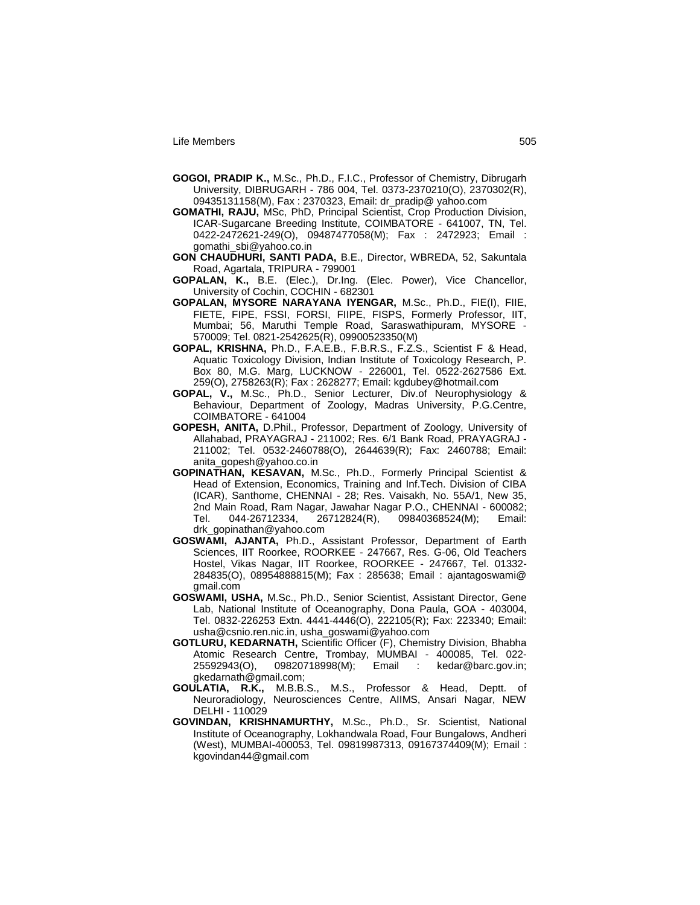- **GOGOI, PRADIP K.,** M.Sc., Ph.D., F.I.C., Professor of Chemistry, Dibrugarh University, DIBRUGARH - 786 004, Tel. 0373-2370210(O), 2370302(R), 09435131158(M), Fax : 2370323, Email: dr\_pradip@ yahoo.com
- **GOMATHI, RAJU,** MSc, PhD, Principal Scientist, Crop Production Division, ICAR-Sugarcane Breeding Institute, COIMBATORE - 641007, TN, Tel. 0422-2472621-249(O), 09487477058(M); Fax : 2472923; Email : gomathi\_sbi@yahoo.co.in
- **GON CHAUDHURI, SANTI PADA,** B.E., Director, WBREDA, 52, Sakuntala Road, Agartala, TRIPURA - 799001
- **GOPALAN, K.,** B.E. (Elec.), Dr.Ing. (Elec. Power), Vice Chancellor, University of Cochin, COCHIN - 682301
- **GOPALAN, MYSORE NARAYANA IYENGAR,** M.Sc., Ph.D., FIE(I), FIIE, FIETE, FIPE, FSSI, FORSI, FIIPE, FISPS, Formerly Professor, IIT, Mumbai; 56, Maruthi Temple Road, Saraswathipuram, MYSORE - 570009; Tel. 0821-2542625(R), 09900523350(M)
- **GOPAL, KRISHNA,** Ph.D., F.A.E.B., F.B.R.S., F.Z.S., Scientist F & Head, Aquatic Toxicology Division, Indian Institute of Toxicology Research, P. Box 80, M.G. Marg, LUCKNOW - 226001, Tel. 0522-2627586 Ext. 259(O), 2758263(R); Fax : 2628277; Email: kgdubey@hotmail.com
- **GOPAL, V.,** M.Sc., Ph.D., Senior Lecturer, Div.of Neurophysiology & Behaviour, Department of Zoology, Madras University, P.G.Centre, COIMBATORE - 641004
- **GOPESH, ANITA,** D.Phil., Professor, Department of Zoology, University of Allahabad, PRAYAGRAJ - 211002; Res. 6/1 Bank Road, PRAYAGRAJ - 211002; Tel. 0532-2460788(O), 2644639(R); Fax: 2460788; Email: anita\_gopesh@yahoo.co.in
- **GOPINATHAN, KESAVAN,** M.Sc., Ph.D., Formerly Principal Scientist & Head of Extension, Economics, Training and Inf.Tech. Division of CIBA (ICAR), Santhome, CHENNAI - 28; Res. Vaisakh, No. 55A/1, New 35, 2nd Main Road, Ram Nagar, Jawahar Nagar P.O., CHENNAI - 600082; Tel. 044-26712334, 26712824(R), 09840368524(M); Email: drk\_gopinathan@yahoo.com
- **GOSWAMI, AJANTA,** Ph.D., Assistant Professor, Department of Earth Sciences, IIT Roorkee, ROORKEE - 247667, Res. G-06, Old Teachers Hostel, Vikas Nagar, IIT Roorkee, ROORKEE - 247667, Tel. 01332- 284835(O), 08954888815(M); Fax : 285638; Email : ajantagoswami@ gmail.com
- **GOSWAMI, USHA,** M.Sc., Ph.D., Senior Scientist, Assistant Director, Gene Lab, National Institute of Oceanography, Dona Paula, GOA - 403004, Tel. 0832-226253 Extn. 4441-4446(O), 222105(R); Fax: 223340; Email: usha@csnio.ren.nic.in, usha\_goswami@yahoo.com
- **GOTLURU, KEDARNATH,** Scientific Officer (F), Chemistry Division, Bhabha Atomic Research Centre, Trombay, MUMBAI - 400085, Tel. 022- 25592943(O), 09820718998(M); Email : kedar@barc.gov.in; gkedarnath@gmail.com;
- **GOULATIA, R.K.,** M.B.B.S., M.S., Professor & Head, Deptt. of Neuroradiology, Neurosciences Centre, AIIMS, Ansari Nagar, NEW DELHI - 110029
- **GOVINDAN, KRISHNAMURTHY,** M.Sc., Ph.D., Sr. Scientist, National Institute of Oceanography, Lokhandwala Road, Four Bungalows, Andheri (West), MUMBAI-400053, Tel. 09819987313, 09167374409(M); Email : kgovindan44@gmail.com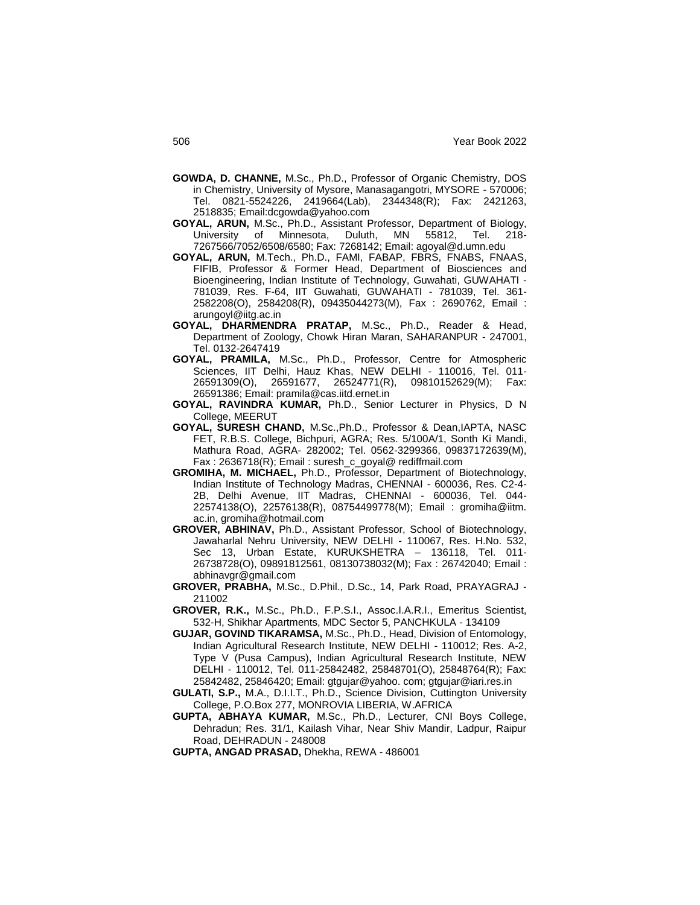- **GOWDA, D. CHANNE,** M.Sc., Ph.D., Professor of Organic Chemistry, DOS in Chemistry, University of Mysore, Manasagangotri, MYSORE - 570006; Tel. 0821-5524226, 2419664(Lab), 2344348(R); Fax: 2421263, 2518835; Email:dcgowda@yahoo.com
- **GOYAL, ARUN,** M.Sc., Ph.D., Assistant Professor, Department of Biology, University of Minnesota, Duluth, MN 55812, Tel. 218- 7267566/7052/6508/6580; Fax: 7268142; Email: agoyal@d.umn.edu
- **GOYAL, ARUN,** M.Tech., Ph.D., FAMI, FABAP, FBRS, FNABS, FNAAS, FIFIB, Professor & Former Head, Department of Biosciences and Bioengineering, Indian Institute of Technology, Guwahati, GUWAHATI - 781039, Res. F-64, IIT Guwahati, GUWAHATI - 781039, Tel. 361- 2582208(O), 2584208(R), 09435044273(M), Fax : 2690762, Email : arungoyl@iitg.ac.in
- **GOYAL, DHARMENDRA PRATAP,** M.Sc., Ph.D., Reader & Head, Department of Zoology, Chowk Hiran Maran, SAHARANPUR - 247001, Tel. 0132-2647419
- **GOYAL, PRAMILA,** M.Sc., Ph.D., Professor, Centre for Atmospheric Sciences, IIT Delhi, Hauz Khas, NEW DELHI - 110016, Tel. 011- 26591309(O), 26591677, 26524771(R), 09810152629(M); Fax: 26591386; Email: pramila@cas.iitd.ernet.in
- **GOYAL, RAVINDRA KUMAR,** Ph.D., Senior Lecturer in Physics, D N College, MEERUT
- **GOYAL, SURESH CHAND,** M.Sc.,Ph.D., Professor & Dean,IAPTA, NASC FET, R.B.S. College, Bichpuri, AGRA; Res. 5/100A/1, Sonth Ki Mandi, Mathura Road, AGRA- 282002; Tel. 0562-3299366, 09837172639(M), Fax : 2636718(R); Email : suresh\_c\_goyal@ rediffmail.com
- **GROMIHA, M. MICHAEL,** Ph.D., Professor, Department of Biotechnology, Indian Institute of Technology Madras, CHENNAI - 600036, Res. C2-4- 2B, Delhi Avenue, IIT Madras, CHENNAI - 600036, Tel. 044- 22574138(O), 22576138(R), 08754499778(M); Email : gromiha@iitm. ac.in, gromiha@hotmail.com
- **GROVER, ABHINAV,** Ph.D., Assistant Professor, School of Biotechnology, Jawaharlal Nehru University, NEW DELHI - 110067, Res. H.No. 532, Sec 13, Urban Estate, KURUKSHETRA – 136118, Tel. 011- 26738728(O), 09891812561, 08130738032(M); Fax : 26742040; Email : abhinavgr@gmail.com
- **GROVER, PRABHA,** M.Sc., D.Phil., D.Sc., 14, Park Road, PRAYAGRAJ 211002
- **GROVER, R.K.,** M.Sc., Ph.D., F.P.S.I., Assoc.I.A.R.I., Emeritus Scientist, 532-H, Shikhar Apartments, MDC Sector 5, PANCHKULA - 134109
- **GUJAR, GOVIND TIKARAMSA,** M.Sc., Ph.D., Head, Division of Entomology, Indian Agricultural Research Institute, NEW DELHI - 110012; Res. A-2, Type V (Pusa Campus), Indian Agricultural Research Institute, NEW DELHI - 110012, Tel. 011-25842482, 25848701(O), 25848764(R); Fax: 25842482, 25846420; Email: gtgujar@yahoo. com; gtgujar@iari.res.in
- **GULATI, S.P.,** M.A., D.I.I.T., Ph.D., Science Division, Cuttington University College, P.O.Box 277, MONROVIA LIBERIA, W.AFRICA
- **GUPTA, ABHAYA KUMAR,** M.Sc., Ph.D., Lecturer, CNI Boys College, Dehradun; Res. 31/1, Kailash Vihar, Near Shiv Mandir, Ladpur, Raipur Road, DEHRADUN - 248008
- **GUPTA, ANGAD PRASAD,** Dhekha, REWA 486001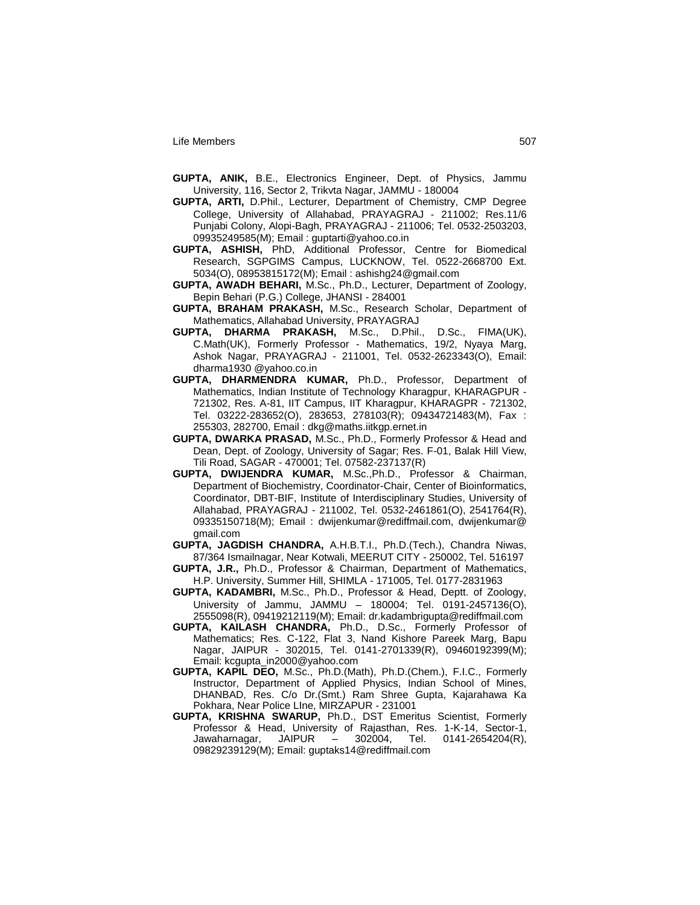- **GUPTA, ANIK,** B.E., Electronics Engineer, Dept. of Physics, Jammu University, 116, Sector 2, Trikvta Nagar, JAMMU - 180004
- **GUPTA, ARTI,** D.Phil., Lecturer, Department of Chemistry, CMP Degree College, University of Allahabad, PRAYAGRAJ - 211002; Res.11/6 Punjabi Colony, Alopi-Bagh, PRAYAGRAJ - 211006; Tel. 0532-2503203, 09935249585(M); Email : guptarti@yahoo.co.in
- **GUPTA, ASHISH,** PhD, Additional Professor, Centre for Biomedical Research, SGPGIMS Campus, LUCKNOW, Tel. 0522-2668700 Ext. 5034(O), 08953815172(M); Email : ashishg24@gmail.com
- **GUPTA, AWADH BEHARI,** M.Sc., Ph.D., Lecturer, Department of Zoology, Bepin Behari (P.G.) College, JHANSI - 284001
- **GUPTA, BRAHAM PRAKASH,** M.Sc., Research Scholar, Department of Mathematics, Allahabad University, PRAYAGRAJ
- **GUPTA, DHARMA PRAKASH,** M.Sc., D.Phil., D.Sc., FIMA(UK), C.Math(UK), Formerly Professor - Mathematics, 19/2, Nyaya Marg, Ashok Nagar, PRAYAGRAJ - 211001, Tel. 0532-2623343(O), Email: dharma1930 @yahoo.co.in
- **GUPTA, DHARMENDRA KUMAR,** Ph.D., Professor, Department of Mathematics, Indian Institute of Technology Kharagpur, KHARAGPUR - 721302, Res. A-81, IIT Campus, IIT Kharagpur, KHARAGPR - 721302, Tel. 03222-283652(O), 283653, 278103(R); 09434721483(M), Fax : 255303, 282700, Email : dkg@maths.iitkgp.ernet.in
- **GUPTA, DWARKA PRASAD,** M.Sc., Ph.D., Formerly Professor & Head and Dean, Dept. of Zoology, University of Sagar; Res. F-01, Balak Hill View, Tili Road, SAGAR - 470001; Tel. 07582-237137(R)
- **GUPTA, DWIJENDRA KUMAR,** M.Sc.,Ph.D., Professor & Chairman, Department of Biochemistry, Coordinator-Chair, Center of Bioinformatics, Coordinator, DBT-BIF, Institute of Interdisciplinary Studies, University of Allahabad, PRAYAGRAJ - 211002, Tel. 0532-2461861(O), 2541764(R), 09335150718(M); Email : dwijenkumar@rediffmail.com, dwijenkumar@ gmail.com
- **GUPTA, JAGDISH CHANDRA,** A.H.B.T.I., Ph.D.(Tech.), Chandra Niwas, 87/364 Ismailnagar, Near Kotwali, MEERUT CITY - 250002, Tel. 516197
- **GUPTA, J.R.,** Ph.D., Professor & Chairman, Department of Mathematics, H.P. University, Summer Hill, SHIMLA - 171005, Tel. 0177-2831963
- **GUPTA, KADAMBRI,** M.Sc., Ph.D., Professor & Head, Deptt. of Zoology, University of Jammu, JAMMU – 180004; Tel. 0191-2457136(O), 2555098(R), 09419212119(M); Email: dr.kadambrigupta@rediffmail.com
- **GUPTA, KAILASH CHANDRA,** Ph.D., D.Sc., Formerly Professor of Mathematics; Res. C-122, Flat 3, Nand Kishore Pareek Marg, Bapu Nagar, JAIPUR - 302015, Tel. 0141-2701339(R), 09460192399(M); Email: kcgupta\_in2000@yahoo.com
- **GUPTA, KAPIL DEO,** M.Sc., Ph.D.(Math), Ph.D.(Chem.), F.I.C., Formerly Instructor, Department of Applied Physics, Indian School of Mines, DHANBAD, Res. C/o Dr.(Smt.) Ram Shree Gupta, Kajarahawa Ka Pokhara, Near Police LIne, MIRZAPUR - 231001
- **GUPTA, KRISHNA SWARUP,** Ph.D., DST Emeritus Scientist, Formerly Professor & Head, University of Rajasthan, Res. 1-K-14, Sector-1, Jawaharnagar, JAIPUR – 302004, Tel. 0141-2654204(R), 09829239129(M); Email: guptaks14@rediffmail.com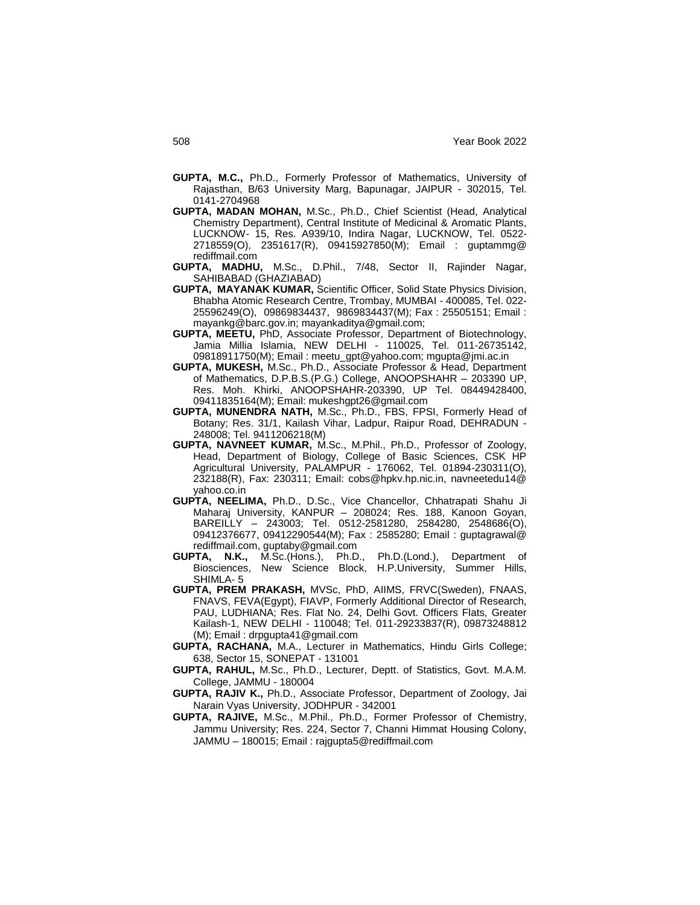- **GUPTA, M.C.,** Ph.D., Formerly Professor of Mathematics, University of Rajasthan, B/63 University Marg, Bapunagar, JAIPUR - 302015, Tel. 0141-2704968
- **GUPTA, MADAN MOHAN,** M.Sc., Ph.D., Chief Scientist (Head, Analytical Chemistry Department), Central Institute of Medicinal & Aromatic Plants, LUCKNOW- 15, Res. A939/10, Indira Nagar, LUCKNOW, Tel. 0522- 2718559(O), 2351617(R), 09415927850(M); Email : guptammg@ rediffmail.com
- **GUPTA, MADHU,** M.Sc., D.Phil., 7/48, Sector II, Rajinder Nagar, SAHIBABAD (GHAZIABAD)
- **GUPTA, MAYANAK KUMAR,** Scientific Officer, Solid State Physics Division, Bhabha Atomic Research Centre, Trombay, MUMBAI - 400085, Tel. 022- 25596249(O), 09869834437, 9869834437(M); Fax : 25505151; Email : mayankg@barc.gov.in; mayankaditya@gmail.com;
- **GUPTA, MEETU,** PhD, Associate Professor, Department of Biotechnology, Jamia Millia Islamia, NEW DELHI - 110025, Tel. 011-26735142, 09818911750(M); Email : meetu\_gpt@yahoo.com; mgupta@jmi.ac.in
- **GUPTA, MUKESH,** M.Sc., Ph.D., Associate Professor & Head, Department of Mathematics, D.P.B.S.(P.G.) College, ANOOPSHAHR – 203390 UP, Res. Moh. Khirki, ANOOPSHAHR-203390, UP Tel. 08449428400, 09411835164(M); Email: mukeshgpt26@gmail.com
- **GUPTA, MUNENDRA NATH,** M.Sc., Ph.D., FBS, FPSI, Formerly Head of Botany; Res. 31/1, Kailash Vihar, Ladpur, Raipur Road, DEHRADUN - 248008; Tel. 9411206218(M)
- **GUPTA, NAVNEET KUMAR,** M.Sc., M.Phil., Ph.D., Professor of Zoology, Head, Department of Biology, College of Basic Sciences, CSK HP Agricultural University, PALAMPUR - 176062, Tel. 01894-230311(O), 232188(R), Fax: 230311; Email: cobs@hpkv.hp.nic.in, navneetedu14@ yahoo.co.in
- **GUPTA, NEELIMA,** Ph.D., D.Sc., Vice Chancellor, Chhatrapati Shahu Ji Maharaj University, KANPUR – 208024; Res. 188, Kanoon Goyan, BAREILLY – 243003; Tel. 0512-2581280, 2584280, 2548686(O), 09412376677, 09412290544(M); Fax : 2585280; Email : guptagrawal@ rediffmail.com, guptaby@gmail.com
- **GUPTA, N.K.,** M.Sc.(Hons.), Ph.D., Ph.D.(Lond.), Department of Biosciences, New Science Block, H.P.University, Summer Hills, SHIMLA- 5
- **GUPTA, PREM PRAKASH,** MVSc, PhD, AIIMS, FRVC(Sweden), FNAAS, FNAVS, FEVA(Egypt), FIAVP, Formerly Additional Director of Research, PAU, LUDHIANA; Res. Flat No. 24, Delhi Govt. Officers Flats, Greater Kailash-1, NEW DELHI - 110048; Tel. 011-29233837(R), 09873248812 (M); Email : drpgupta41@gmail.com
- **GUPTA, RACHANA,** M.A., Lecturer in Mathematics, Hindu Girls College; 638, Sector 15, SONEPAT - 131001
- **GUPTA, RAHUL,** M.Sc., Ph.D., Lecturer, Deptt. of Statistics, Govt. M.A.M. College, JAMMU - 180004
- **GUPTA, RAJIV K.,** Ph.D., Associate Professor, Department of Zoology, Jai Narain Vyas University, JODHPUR - 342001
- **GUPTA, RAJIVE,** M.Sc., M.Phil., Ph.D., Former Professor of Chemistry, Jammu University; Res. 224, Sector 7, Channi Himmat Housing Colony, JAMMU – 180015; Email : rajgupta5@rediffmail.com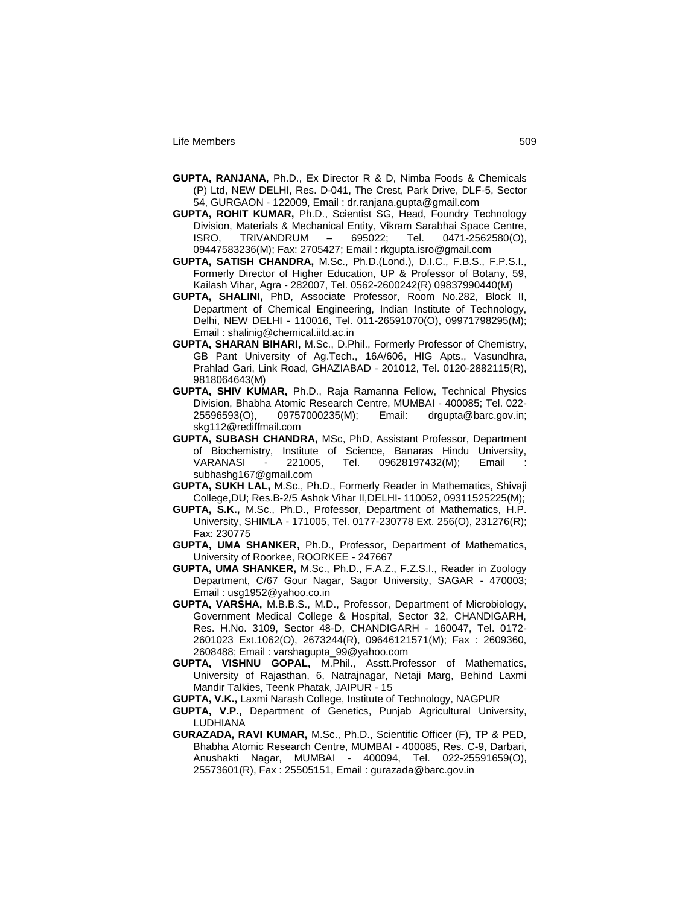- **GUPTA, RANJANA,** Ph.D., Ex Director R & D, Nimba Foods & Chemicals (P) Ltd, NEW DELHI, Res. D-041, The Crest, Park Drive, DLF-5, Sector 54, GURGAON - 122009, Email : dr.ranjana.gupta@gmail.com
- **GUPTA, ROHIT KUMAR,** Ph.D., Scientist SG, Head, Foundry Technology Division, Materials & Mechanical Entity, Vikram Sarabhai Space Centre, ISRO, TRIVANDRUM – 695022; Tel. 0471-2562580(O), 09447583236(M); Fax: 2705427; Email : rkgupta.isro@gmail.com
- **GUPTA, SATISH CHANDRA,** M.Sc., Ph.D.(Lond.), D.I.C., F.B.S., F.P.S.I., Formerly Director of Higher Education, UP & Professor of Botany, 59, Kailash Vihar, Agra - 282007, Tel. 0562-2600242(R) 09837990440(M)
- **GUPTA, SHALINI,** PhD, Associate Professor, Room No.282, Block II, Department of Chemical Engineering, Indian Institute of Technology, Delhi, NEW DELHI - 110016, Tel. 011-26591070(O), 09971798295(M); Email : shalinig@chemical.iitd.ac.in
- **GUPTA, SHARAN BIHARI,** M.Sc., D.Phil., Formerly Professor of Chemistry, GB Pant University of Ag.Tech., 16A/606, HIG Apts., Vasundhra, Prahlad Gari, Link Road, GHAZIABAD - 201012, Tel. 0120-2882115(R), 9818064643(M)
- **GUPTA, SHIV KUMAR,** Ph.D., Raja Ramanna Fellow, Technical Physics Division, Bhabha Atomic Research Centre, MUMBAI - 400085; Tel. 022- 25596593(O), 09757000235(M); Email: drgupta@barc.gov.in; skg112@rediffmail.com
- **GUPTA, SUBASH CHANDRA,** MSc, PhD, Assistant Professor, Department of Biochemistry, Institute of Science, Banaras Hindu University, VARANASI - 221005, Tel. 09628197432(M); Email subhashg167@gmail.com
- **GUPTA, SUKH LAL,** M.Sc., Ph.D., Formerly Reader in Mathematics, Shivaji College,DU; Res.B-2/5 Ashok Vihar II,DELHI- 110052, 09311525225(M);
- **GUPTA, S.K.,** M.Sc., Ph.D., Professor, Department of Mathematics, H.P. University, SHIMLA - 171005, Tel. 0177-230778 Ext. 256(O), 231276(R); Fax: 230775
- **GUPTA, UMA SHANKER,** Ph.D., Professor, Department of Mathematics, University of Roorkee, ROORKEE - 247667
- **GUPTA, UMA SHANKER,** M.Sc., Ph.D., F.A.Z., F.Z.S.I., Reader in Zoology Department, C/67 Gour Nagar, Sagor University, SAGAR - 470003; Email : usg1952@yahoo.co.in
- **GUPTA, VARSHA,** M.B.B.S., M.D., Professor, Department of Microbiology, Government Medical College & Hospital, Sector 32, CHANDIGARH, Res. H.No. 3109, Sector 48-D, CHANDIGARH - 160047, Tel. 0172- 2601023 Ext.1062(O), 2673244(R), 09646121571(M); Fax : 2609360, 2608488; Email : varshagupta\_99@yahoo.com
- **GUPTA, VISHNU GOPAL,** M.Phil., Asstt.Professor of Mathematics, University of Rajasthan, 6, Natrajnagar, Netaji Marg, Behind Laxmi Mandir Talkies, Teenk Phatak, JAIPUR - 15
- **GUPTA, V.K.,** Laxmi Narash College, Institute of Technology, NAGPUR
- **GUPTA, V.P.,** Department of Genetics, Punjab Agricultural University, LUDHIANA
- **GURAZADA, RAVI KUMAR,** M.Sc., Ph.D., Scientific Officer (F), TP & PED, Bhabha Atomic Research Centre, MUMBAI - 400085, Res. C-9, Darbari, Anushakti Nagar, MUMBAI - 400094, Tel. 022-25591659(O), 25573601(R), Fax : 25505151, Email : gurazada@barc.gov.in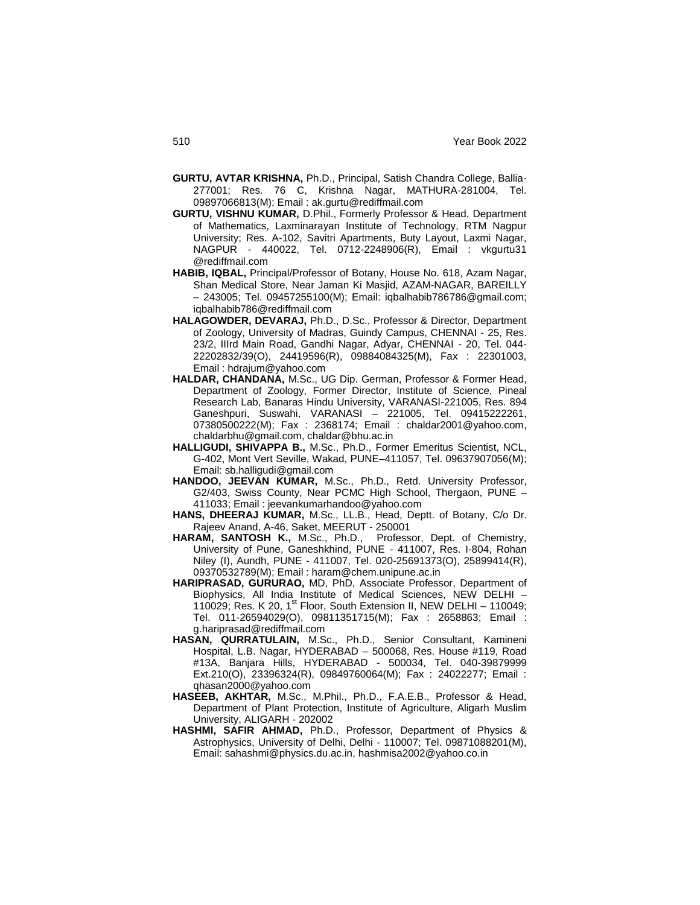- **GURTU, AVTAR KRISHNA,** Ph.D., Principal, Satish Chandra College, Ballia-277001; Res. 76 C, Krishna Nagar, MATHURA-281004, Tel. 09897066813(M); Email : ak.gurtu@rediffmail.com
- **GURTU, VISHNU KUMAR,** D.Phil., Formerly Professor & Head, Department of Mathematics, Laxminarayan Institute of Technology, RTM Nagpur University; Res. A-102, Savitri Apartments, Buty Layout, Laxmi Nagar, NAGPUR - 440022, Tel. 0712-2248906(R), Email : vkgurtu31 @rediffmail.com
- **HABIB, IQBAL,** Principal/Professor of Botany, House No. 618, Azam Nagar, Shan Medical Store, Near Jaman Ki Masjid, AZAM-NAGAR, BAREILLY – 243005; Tel. 09457255100(M); Email: iqbalhabib786786@gmail.com; iqbalhabib786@rediffmail.com
- **HALAGOWDER, DEVARAJ,** Ph.D., D.Sc., Professor & Director, Department of Zoology, University of Madras, Guindy Campus, CHENNAI - 25, Res. 23/2, IIIrd Main Road, Gandhi Nagar, Adyar, CHENNAI - 20, Tel. 044- 22202832/39(O), 24419596(R), 09884084325(M), Fax : 22301003, Email : hdrajum@yahoo.com
- **HALDAR, CHANDANA,** M.Sc., UG Dip. German, Professor & Former Head, Department of Zoology, Former Director, Institute of Science, Pineal Research Lab, Banaras Hindu University, VARANASI-221005, Res. 894 Ganeshpuri, Suswahi, VARANASI – 221005, Tel. 09415222261, 07380500222(M); Fax : 2368174; Email : chaldar2001@yahoo.com, chaldarbhu@gmail.com, chaldar@bhu.ac.in
- **HALLIGUDI, SHIVAPPA B.,** M.Sc., Ph.D., Former Emeritus Scientist, NCL, G-402, Mont Vert Seville, Wakad, PUNE–411057, Tel. 09637907056(M); Email: sb.halligudi@gmail.com
- **HANDOO, JEEVAN KUMAR,** M.Sc., Ph.D., Retd. University Professor, G2/403, Swiss County, Near PCMC High School, Thergaon, PUNE – 411033; Email : jeevankumarhandoo@yahoo.com
- **HANS, DHEERAJ KUMAR,** M.Sc., LL.B., Head, Deptt. of Botany, C/o Dr. Rajeev Anand, A-46, Saket, MEERUT - 250001
- **HARAM, SANTOSH K.,** M.Sc., Ph.D., Professor, Dept. of Chemistry, University of Pune, Ganeshkhind, PUNE - 411007, Res. I-804, Rohan Niley (I), Aundh, PUNE - 411007, Tel. 020-25691373(O), 25899414(R), 09370532789(M); Email : haram@chem.unipune.ac.in
- **HARIPRASAD, GURURAO,** MD, PhD, Associate Professor, Department of Biophysics, All India Institute of Medical Sciences, NEW DELHI – 110029; Res. K 20, 1<sup>st</sup> Floor, South Extension II, NEW DELHI - 110049; Tel. 011-26594029(O), 09811351715(M); Fax : 2658863; Email : g.hariprasad@rediffmail.com
- **HASAN, QURRATULAIN,** M.Sc., Ph.D., Senior Consultant, Kamineni Hospital, L.B. Nagar, HYDERABAD – 500068, Res. House #119, Road #13A, Banjara Hills, HYDERABAD - 500034, Tel. 040-39879999 Ext.210(O), 23396324(R), 09849760064(M); Fax : 24022277; Email : qhasan2000@yahoo.com
- **HASEEB, AKHTAR,** M.Sc., M.Phil., Ph.D., F.A.E.B., Professor & Head, Department of Plant Protection, Institute of Agriculture, Aligarh Muslim University, ALIGARH - 202002
- **HASHMI, SAFIR AHMAD,** Ph.D., Professor, Department of Physics & Astrophysics, University of Delhi, Delhi - 110007; Tel. 09871088201(M), Email: sahashmi@physics.du.ac.in, hashmisa2002@yahoo.co.in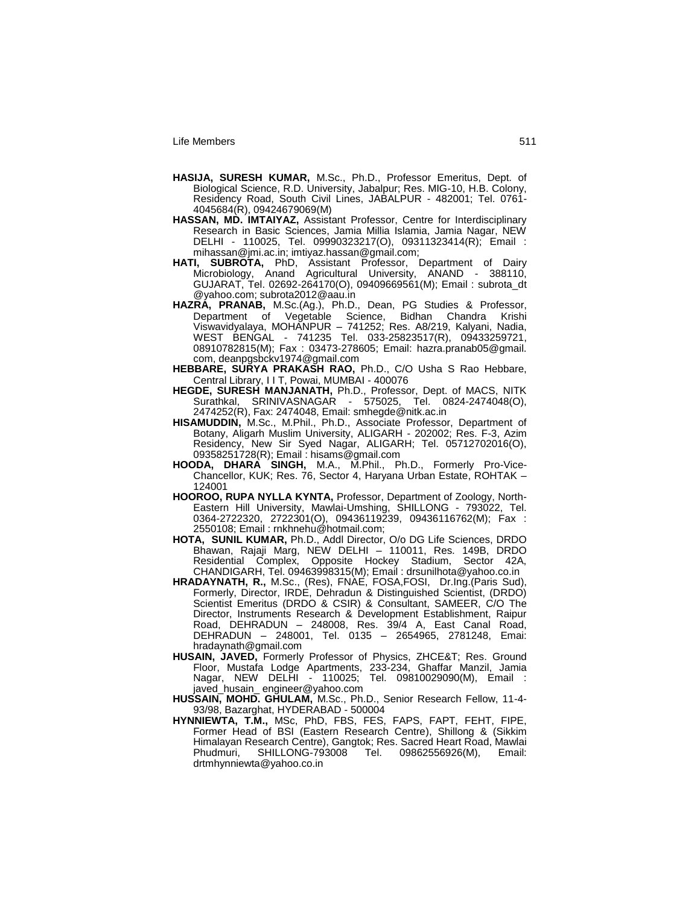- **HASIJA, SURESH KUMAR,** M.Sc., Ph.D., Professor Emeritus, Dept. of Biological Science, R.D. University, Jabalpur; Res. MIG-10, H.B. Colony, Residency Road, South Civil Lines, JABALPUR - 482001; Tel. 0761- 4045684(R), 09424679069(M)
- **HASSAN, MD. IMTAIYAZ,** Assistant Professor, Centre for Interdisciplinary Research in Basic Sciences, Jamia Millia Islamia, Jamia Nagar, NEW DELHI - 110025, Tel. 09990323217(O), 09311323414(R); Email : mihassan@jmi.ac.in; imtiyaz.hassan@gmail.com;
- **HATI, SUBROTA,** PhD, Assistant Professor, Department of Dairy Microbiology, Anand Agricultural University, ANAND - 388110, GUJARAT, Tel. 02692-264170(O), 09409669561(M); Email : subrota\_dt @yahoo.com; subrota2012@aau.in
- **HAZRA, PRANAB,** M.Sc.(Ag.), Ph.D., Dean, PG Studies & Professor, Department of Vegetable Science, Bidhan Chandra Krishi Viswavidyalaya, MOHANPUR – 741252; Res. A8/219, Kalyani, Nadia, WEST BENGAL - 741235 Tel. 033-25823517(R), 09433259721, 08910782815(M); Fax : 03473-278605; Email: hazra.pranab05@gmail. com, deanpgsbckv1974@gmail.com
- **HEBBARE, SURYA PRAKASH RAO,** Ph.D., C/O Usha S Rao Hebbare, Central Library, I I T, Powai, MUMBAI - 400076
- **HEGDE, SURESH MANJANATH,** Ph.D., Professor, Dept. of MACS, NITK Surathkal, SRINIVASNAGAR - 575025, Tel. 0824-2474048(O), 2474252(R), Fax: 2474048, Email: smhegde@nitk.ac.in
- HISAMUDDIN, M.Sc., M.Phil., Ph.D., Associate Professor, Department of Botany, Aligarh Muslim University, ALIGARH - 202002; Res. F-3, Azim Residency, New Sir Syed Nagar, ALIGARH; Tel. 05712702016(O), 09358251728(R); Email : hisams@gmail.com
- **HOODA, DHARA SINGH,** M.A., M.Phil., Ph.D., Formerly Pro-Vice-Chancellor, KUK; Res. 76, Sector 4, Haryana Urban Estate, ROHTAK – 124001
- **HOOROO, RUPA NYLLA KYNTA,** Professor, Department of Zoology, North-Eastern Hill University, Mawlai-Umshing, SHILLONG - 793022, Tel. 0364-2722320, 2722301(O), 09436119239, 09436116762(M); Fax : 2550108; Email : rnkhnehu@hotmail.com;
- **HOTA, SUNIL KUMAR,** Ph.D., Addl Director, O/o DG Life Sciences, DRDO Bhawan, Rajaji Marg, NEW DELHI – 110011, Res. 149B, DRDO Residential Complex, Opposite Hockey Stadium, Sector 42A, CHANDIGARH, Tel. 09463998315(M); Email : drsunilhota@yahoo.co.in
- **HRADAYNATH, R.,** M.Sc., (Res), FNAE, FOSA,FOSI, Dr.Ing.(Paris Sud), Formerly, Director, IRDE, Dehradun & Distinguished Scientist, (DRDO) Scientist Emeritus (DRDO & CSIR) & Consultant, SAMEER, C/O The Director, Instruments Research & Development Establishment, Raipur Road, DEHRADUN – 248008, Res. 39/4 A, East Canal Road, DEHRADUN – 248001, Tel. 0135 – 2654965, 2781248, Emai: hradaynath@gmail.com
- **HUSAIN, JAVED,** Formerly Professor of Physics, ZHCE&T; Res. Ground Floor, Mustafa Lodge Apartments, 233-234, Ghaffar Manzil, Jamia Nagar, NEW DELHI - 110025; Tel. 09810029090(M), Email : javed\_husain\_ engineer@yahoo.com
- **HUSSAIN, MOHD. GHULAM,** M.Sc., Ph.D., Senior Research Fellow, 11-4- 93/98, Bazarghat, HYDERABAD - 500004
- **HYNNIEWTA, T.M.,** MSc, PhD, FBS, FES, FAPS, FAPT, FEHT, FIPE, Former Head of BSI (Eastern Research Centre), Shillong & (Sikkim Himalayan Research Centre), Gangtok; Res. Sacred Heart Road, Mawlai Phudmuri, SHILLONG-793008 Tel. 09862556926(M), Email: drtmhynniewta@yahoo.co.in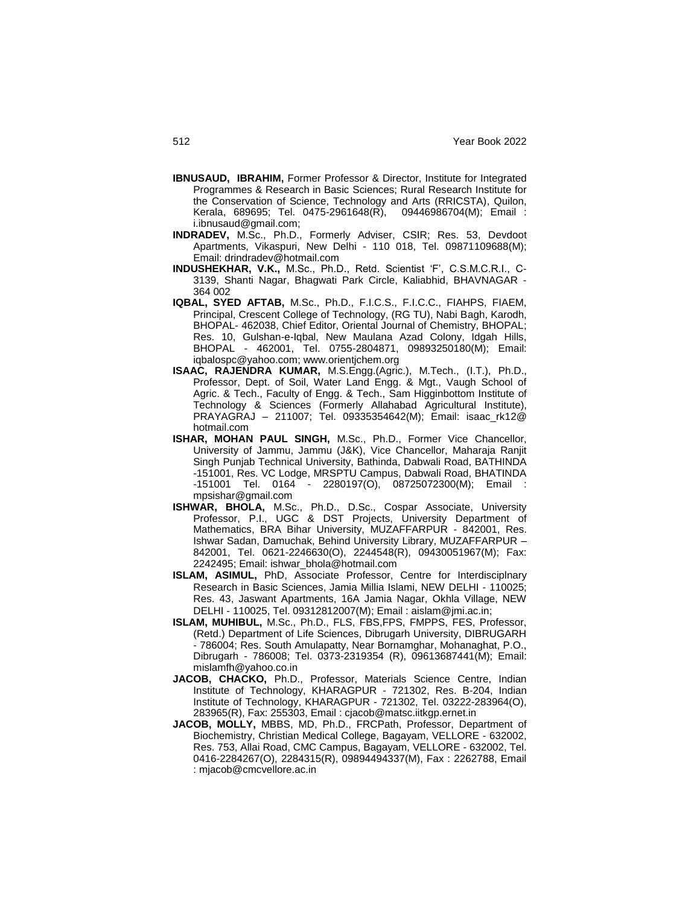- **IBNUSAUD, IBRAHIM,** Former Professor & Director, Institute for Integrated Programmes & Research in Basic Sciences; Rural Research Institute for the Conservation of Science, Technology and Arts (RRICSTA), Quilon,<br>Kerala, 689695; Tel. 0475-2961648(R), 09446986704(M); Email : Kerala, 689695; Tel. 0475-2961648(R), i.ibnusaud@gmail.com;
- **INDRADEV,** M.Sc., Ph.D., Formerly Adviser, CSIR; Res. 53, Devdoot Apartments, Vikaspuri, New Delhi - 110 018, Tel. 09871109688(M); Email: drindradev@hotmail.com
- **INDUSHEKHAR, V.K.,** M.Sc., Ph.D., Retd. Scientist "F", C.S.M.C.R.I., C-3139, Shanti Nagar, Bhagwati Park Circle, Kaliabhid, BHAVNAGAR - 364 002
- **IQBAL, SYED AFTAB,** M.Sc., Ph.D., F.I.C.S., F.I.C.C., FIAHPS, FIAEM, Principal, Crescent College of Technology, (RG TU), Nabi Bagh, Karodh, BHOPAL- 462038, Chief Editor, Oriental Journal of Chemistry, BHOPAL; Res. 10, Gulshan-e-Iqbal, New Maulana Azad Colony, Idgah Hills, BHOPAL - 462001, Tel. 0755-2804871, 09893250180(M); Email: iqbalospc@yahoo.com; www.orientjchem.org
- **ISAAC, RAJENDRA KUMAR,** M.S.Engg.(Agric.), M.Tech., (I.T.), Ph.D., Professor, Dept. of Soil, Water Land Engg. & Mgt., Vaugh School of Agric. & Tech., Faculty of Engg. & Tech., Sam Higginbottom Institute of Technology & Sciences (Formerly Allahabad Agricultural Institute), PRAYAGRAJ – 211007; Tel. 09335354642(M); Email: isaac\_rk12@ hotmail.com
- **ISHAR, MOHAN PAUL SINGH,** M.Sc., Ph.D., Former Vice Chancellor, University of Jammu, Jammu (J&K), Vice Chancellor, Maharaja Ranjit Singh Punjab Technical University, Bathinda, Dabwali Road, BATHINDA -151001, Res. VC Lodge, MRSPTU Campus, Dabwali Road, BHATINDA -151001 Tel. 0164 - 2280197(O), 08725072300(M); Email : mpsishar@gmail.com
- **ISHWAR, BHOLA,** M.Sc., Ph.D., D.Sc., Cospar Associate, University Professor, P.I., UGC & DST Projects, University Department of Mathematics, BRA Bihar University, MUZAFFARPUR - 842001, Res. Ishwar Sadan, Damuchak, Behind University Library, MUZAFFARPUR – 842001, Tel. 0621-2246630(O), 2244548(R), 09430051967(M); Fax: 2242495; Email: ishwar\_bhola@hotmail.com
- **ISLAM, ASIMUL,** PhD, Associate Professor, Centre for Interdisciplnary Research in Basic Sciences, Jamia Millia Islami, NEW DELHI - 110025; Res. 43, Jaswant Apartments, 16A Jamia Nagar, Okhla Village, NEW DELHI - 110025, Tel. 09312812007(M); Email : aislam@jmi.ac.in;
- **ISLAM, MUHIBUL,** M.Sc., Ph.D., FLS, FBS,FPS, FMPPS, FES, Professor, (Retd.) Department of Life Sciences, Dibrugarh University, DIBRUGARH - 786004; Res. South Amulapatty, Near Bornamghar, Mohanaghat, P.O., Dibrugarh - 786008; Tel. 0373-2319354 (R), 09613687441(M); Email: mislamfh@yahoo.co.in
- **JACOB, CHACKO,** Ph.D., Professor, Materials Science Centre, Indian Institute of Technology, KHARAGPUR - 721302, Res. B-204, Indian Institute of Technology, KHARAGPUR - 721302, Tel. 03222-283964(O), 283965(R), Fax: 255303, Email : cjacob@matsc.iitkgp.ernet.in
- **JACOB, MOLLY,** MBBS, MD, Ph.D., FRCPath, Professor, Department of Biochemistry, Christian Medical College, Bagayam, VELLORE - 632002, Res. 753, Allai Road, CMC Campus, Bagayam, VELLORE - 632002, Tel. 0416-2284267(O), 2284315(R), 09894494337(M), Fax : 2262788, Email : mjacob@cmcvellore.ac.in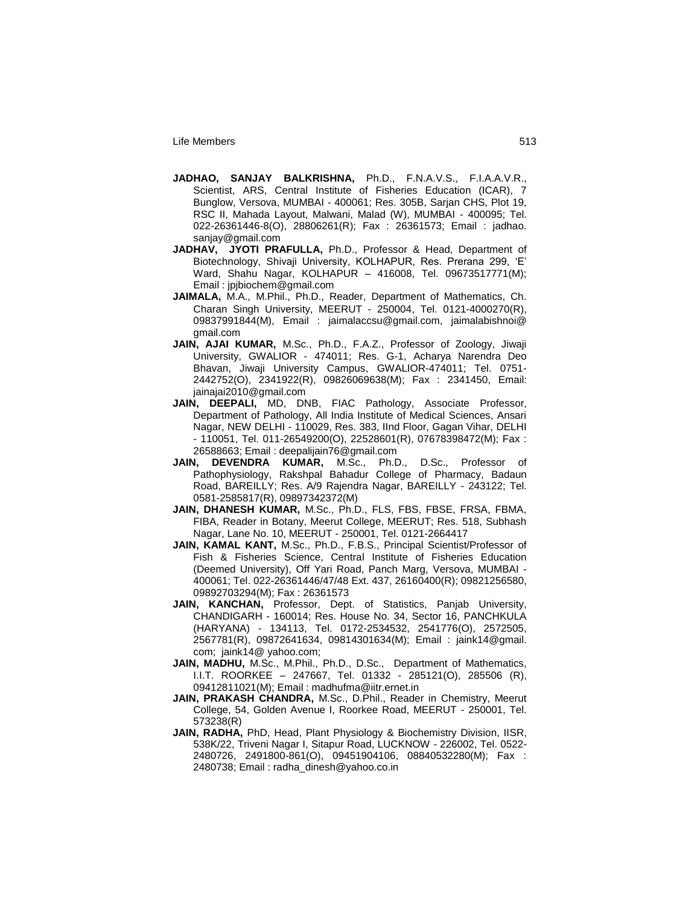- **JADHAO, SANJAY BALKRISHNA,** Ph.D., F.N.A.V.S., F.I.A.A.V.R., Scientist, ARS, Central Institute of Fisheries Education (ICAR), 7 Bunglow, Versova, MUMBAI - 400061; Res. 305B, Sarjan CHS, Plot 19, RSC II, Mahada Layout, Malwani, Malad (W), MUMBAI - 400095; Tel. 022-26361446-8(O), 28806261(R); Fax : 26361573; Email : jadhao. sanjay@gmail.com
- **JADHAV, JYOTI PRAFULLA,** Ph.D., Professor & Head, Department of Biotechnology, Shivaji University, KOLHAPUR, Res. Prerana 299, "E" Ward, Shahu Nagar, KOLHAPUR – 416008, Tel. 09673517771(M); Email : jpjbiochem@gmail.com
- **JAIMALA,** M.A., M.Phil., Ph.D., Reader, Department of Mathematics, Ch. Charan Singh University, MEERUT - 250004, Tel. 0121-4000270(R), 09837991844(M), Email : jaimalaccsu@gmail.com, jaimalabishnoi@ gmail.com
- **JAIN, AJAI KUMAR,** M.Sc., Ph.D., F.A.Z., Professor of Zoology, Jiwaji University, GWALIOR - 474011; Res. G-1, Acharya Narendra Deo Bhavan, Jiwaji University Campus, GWALIOR-474011; Tel. 0751- 2442752(O), 2341922(R), 09826069638(M); Fax : 2341450, Email: jainajai2010@gmail.com
- **JAIN, DEEPALI,** MD, DNB, FIAC Pathology, Associate Professor, Department of Pathology, All India Institute of Medical Sciences, Ansari Nagar, NEW DELHI - 110029, Res. 383, IInd Floor, Gagan Vihar, DELHI - 110051, Tel. 011-26549200(O), 22528601(R), 07678398472(M); Fax : 26588663; Email : deepalijain76@gmail.com
- **JAIN, DEVENDRA KUMAR,** M.Sc., Ph.D., D.Sc., Professor of Pathophysiology, Rakshpal Bahadur College of Pharmacy, Badaun Road, BAREILLY; Res. A/9 Rajendra Nagar, BAREILLY - 243122; Tel. 0581-2585817(R), 09897342372(M)
- **JAIN, DHANESH KUMAR,** M.Sc., Ph.D., FLS, FBS, FBSE, FRSA, FBMA, FIBA, Reader in Botany, Meerut College, MEERUT; Res. 518, Subhash Nagar, Lane No. 10, MEERUT - 250001, Tel. 0121-2664417
- **JAIN, KAMAL KANT,** M.Sc., Ph.D., F.B.S., Principal Scientist/Professor of Fish & Fisheries Science, Central Institute of Fisheries Education (Deemed University), Off Yari Road, Panch Marg, Versova, MUMBAI - 400061; Tel. 022-26361446/47/48 Ext. 437, 26160400(R); 09821256580, 09892703294(M); Fax : 26361573
- **JAIN, KANCHAN,** Professor, Dept. of Statistics, Panjab University, CHANDIGARH - 160014; Res. House No. 34, Sector 16, PANCHKULA (HARYANA) - 134113, Tel. 0172-2534532, 2541776(O), 2572505, 2567781(R), 09872641634, 09814301634(M); Email : jaink14@gmail. com; jaink14@ yahoo.com;
- **JAIN, MADHU,** M.Sc., M.Phil., Ph.D., D.Sc., Department of Mathematics, I.I.T. ROORKEE – 247667, Tel. 01332 - 285121(O), 285506 (R), 09412811021(M); Email : madhufma@iitr.ernet.in
- **JAIN, PRAKASH CHANDRA,** M.Sc., D.Phil., Reader in Chemistry, Meerut College, 54, Golden Avenue I, Roorkee Road, MEERUT - 250001, Tel. 573238(R)
- **JAIN, RADHA,** PhD, Head, Plant Physiology & Biochemistry Division, IISR, 538K/22, Triveni Nagar I, Sitapur Road, LUCKNOW - 226002, Tel. 0522- 2480726, 2491800-861(O), 09451904106, 08840532280(M); Fax : 2480738; Email : radha\_dinesh@yahoo.co.in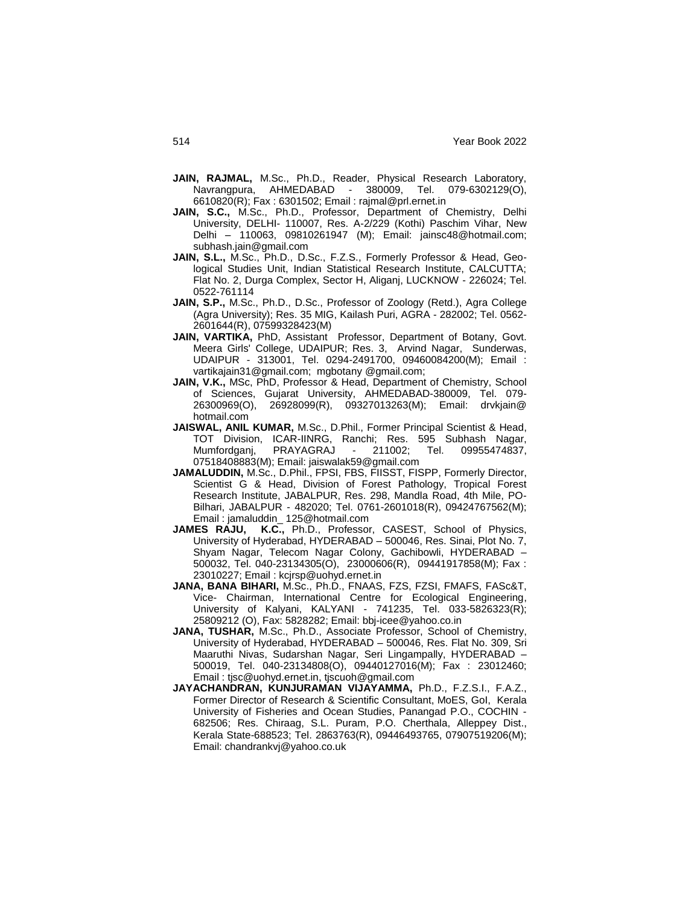- **JAIN, RAJMAL,** M.Sc., Ph.D., Reader, Physical Research Laboratory, Navrangpura, AHMEDABAD - 380009, Tel. 079-6302129(O), 6610820(R); Fax : 6301502; Email : rajmal@prl.ernet.in
- **JAIN, S.C.,** M.Sc., Ph.D., Professor, Department of Chemistry, Delhi University, DELHI- 110007, Res. A-2/229 (Kothi) Paschim Vihar, New Delhi – 110063, 09810261947 (M); Email: jainsc48@hotmail.com; subhash.jain@gmail.com
- **JAIN, S.L.,** M.Sc., Ph.D., D.Sc., F.Z.S., Formerly Professor & Head, Geological Studies Unit, Indian Statistical Research Institute, CALCUTTA; Flat No. 2, Durga Complex, Sector H, Aliganj, LUCKNOW - 226024; Tel. 0522-761114
- **JAIN, S.P.,** M.Sc., Ph.D., D.Sc., Professor of Zoology (Retd.), Agra College (Agra University); Res. 35 MIG, Kailash Puri, AGRA - 282002; Tel. 0562- 2601644(R), 07599328423(M)
- **JAIN, VARTIKA,** PhD, Assistant Professor, Department of Botany, Govt. Meera Girls' College, UDAIPUR; Res. 3, Arvind Nagar, Sunderwas, UDAIPUR - 313001, Tel. 0294-2491700, 09460084200(M); Email : vartikajain31@gmail.com; mgbotany @gmail.com;
- **JAIN, V.K.,** MSc, PhD, Professor & Head, Department of Chemistry, School of Sciences, Gujarat University, AHMEDABAD-380009, Tel. 079- 26300969(O), 26928099(R), 09327013263(M); Email: drvkjain@ hotmail.com
- **JAISWAL, ANIL KUMAR,** M.Sc., D.Phil., Former Principal Scientist & Head, TOT Division, ICAR-IINRG, Ranchi; Res. 595 Subhash Nagar, Mumfordganj, PRAYAGRAJ - 211002; Tel. 09955474837, 07518408883(M); Email: jaiswalak59@gmail.com
- **JAMALUDDIN,** M.Sc., D.Phil., FPSI, FBS, FIISST, FISPP, Formerly Director, Scientist G & Head, Division of Forest Pathology, Tropical Forest Research Institute, JABALPUR, Res. 298, Mandla Road, 4th Mile, PO-Bilhari, JABALPUR - 482020; Tel. 0761-2601018(R), 09424767562(M); Email : jamaluddin\_ 125@hotmail.com
- **JAMES RAJU, K.C.,** Ph.D., Professor, CASEST, School of Physics, University of Hyderabad, HYDERABAD – 500046, Res. Sinai, Plot No. 7, Shyam Nagar, Telecom Nagar Colony, Gachibowli, HYDERABAD – 500032, Tel. 040-23134305(O), 23000606(R), 09441917858(M); Fax : 23010227; Email : kcjrsp@uohyd.ernet.in
- **JANA, BANA BIHARI,** M.Sc., Ph.D., FNAAS, FZS, FZSI, FMAFS, FASc&T, Vice- Chairman, International Centre for Ecological Engineering, University of Kalyani, KALYANI - 741235, Tel. 033-5826323(R); 25809212 (O), Fax: 5828282; Email: bbj-icee@yahoo.co.in
- **JANA, TUSHAR,** M.Sc., Ph.D., Associate Professor, School of Chemistry, University of Hyderabad, HYDERABAD – 500046, Res. Flat No. 309, Sri Maaruthi Nivas, Sudarshan Nagar, Seri Lingampally, HYDERABAD – 500019, Tel. 040-23134808(O), 09440127016(M); Fax : 23012460; Email : tjsc@uohyd.ernet.in, tjscuoh@gmail.com
- **JAYACHANDRAN, KUNJURAMAN VIJAYAMMA,** Ph.D., F.Z.S.I., F.A.Z., Former Director of Research & Scientific Consultant, MoES, GoI, Kerala University of Fisheries and Ocean Studies, Panangad P.O., COCHIN - 682506; Res. Chiraag, S.L. Puram, P.O. Cherthala, Alleppey Dist., Kerala State-688523; Tel. 2863763(R), 09446493765, 07907519206(M); Email: chandrankvj@yahoo.co.uk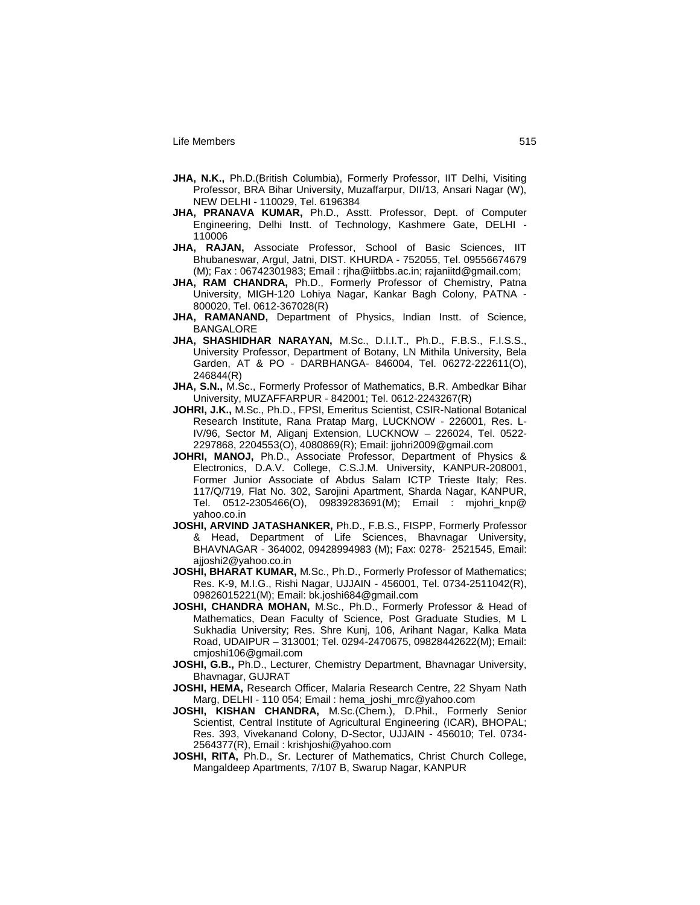- **JHA, N.K.,** Ph.D.(British Columbia), Formerly Professor, IIT Delhi, Visiting Professor, BRA Bihar University, Muzaffarpur, DII/13, Ansari Nagar (W), NEW DELHI - 110029, Tel. 6196384
- **JHA, PRANAVA KUMAR,** Ph.D., Asstt. Professor, Dept. of Computer Engineering, Delhi Instt. of Technology, Kashmere Gate, DELHI - 110006
- **JHA, RAJAN,** Associate Professor, School of Basic Sciences, IIT Bhubaneswar, Argul, Jatni, DIST. KHURDA - 752055, Tel. 09556674679 (M); Fax : 06742301983; Email : rjha@iitbbs.ac.in; rajaniitd@gmail.com;
- **JHA, RAM CHANDRA,** Ph.D., Formerly Professor of Chemistry, Patna University, MIGH-120 Lohiya Nagar, Kankar Bagh Colony, PATNA - 800020, Tel. 0612-367028(R)
- **JHA, RAMANAND,** Department of Physics, Indian Instt. of Science, BANGALORE
- **JHA, SHASHIDHAR NARAYAN,** M.Sc., D.I.I.T., Ph.D., F.B.S., F.I.S.S., University Professor, Department of Botany, LN Mithila University, Bela Garden, AT & PO - DARBHANGA- 846004, Tel. 06272-222611(O), 246844(R)
- **JHA, S.N.,** M.Sc., Formerly Professor of Mathematics, B.R. Ambedkar Bihar University, MUZAFFARPUR - 842001; Tel. 0612-2243267(R)
- **JOHRI, J.K.,** M.Sc., Ph.D., FPSI, Emeritus Scientist, CSIR-National Botanical Research Institute, Rana Pratap Marg, LUCKNOW - 226001, Res. L-IV/96, Sector M, Aliganj Extension, LUCKNOW – 226024, Tel. 0522- 2297868, 2204553(O), 4080869(R); Email: jjohri2009@gmail.com
- **JOHRI, MANOJ,** Ph.D., Associate Professor, Department of Physics & Electronics, D.A.V. College, C.S.J.M. University, KANPUR-208001, Former Junior Associate of Abdus Salam ICTP Trieste Italy; Res. 117/Q/719, Flat No. 302, Sarojini Apartment, Sharda Nagar, KANPUR, Tel. 0512-2305466(O), 09839283691(M); Email : mjohri\_knp@ yahoo.co.in
- **JOSHI, ARVIND JATASHANKER,** Ph.D., F.B.S., FISPP, Formerly Professor & Head, Department of Life Sciences, Bhavnagar University, BHAVNAGAR - 364002, 09428994983 (M); Fax: 0278- 2521545, Email: ajjoshi2@yahoo.co.in
- **JOSHI, BHARAT KUMAR,** M.Sc., Ph.D., Formerly Professor of Mathematics; Res. K-9, M.I.G., Rishi Nagar, UJJAIN - 456001, Tel. 0734-2511042(R), 09826015221(M); Email: bk.joshi684@gmail.com
- **JOSHI, CHANDRA MOHAN,** M.Sc., Ph.D., Formerly Professor & Head of Mathematics, Dean Faculty of Science, Post Graduate Studies, M L Sukhadia University; Res. Shre Kunj, 106, Arihant Nagar, Kalka Mata Road, UDAIPUR – 313001; Tel. 0294-2470675, 09828442622(M); Email: cmjoshi106@gmail.com
- **JOSHI, G.B.,** Ph.D., Lecturer, Chemistry Department, Bhavnagar University, Bhavnagar, GUJRAT
- **JOSHI, HEMA,** Research Officer, Malaria Research Centre, 22 Shyam Nath Marg, DELHI - 110 054; Email : hema\_joshi\_mrc@yahoo.com
- **JOSHI, KISHAN CHANDRA,** M.Sc.(Chem.), D.Phil., Formerly Senior Scientist, Central Institute of Agricultural Engineering (ICAR), BHOPAL; Res. 393, Vivekanand Colony, D-Sector, UJJAIN - 456010; Tel. 0734- 2564377(R), Email : krishjoshi@yahoo.com
- **JOSHI, RITA,** Ph.D., Sr. Lecturer of Mathematics, Christ Church College, Mangaldeep Apartments, 7/107 B, Swarup Nagar, KANPUR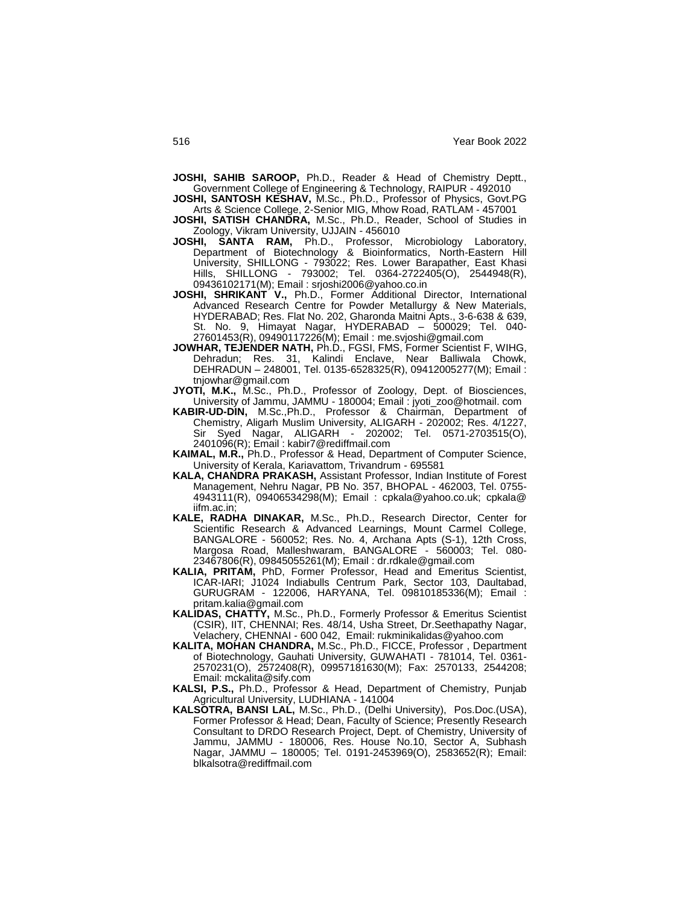**JOSHI, SAHIB SAROOP,** Ph.D., Reader & Head of Chemistry Deptt., Government College of Engineering & Technology, RAIPUR - 492010

**JOSHI, SANTOSH KESHAV,** M.Sc., Ph.D., Professor of Physics, Govt.PG Arts & Science College, 2-Senior MIG, Mhow Road, RATLAM - 457001

**JOSHI, SATISH CHANDRA,** M.Sc., Ph.D., Reader, School of Studies in Zoology, Vikram University, UJJAIN - 456010

**JOSHI, SANTA RAM,** Ph.D., Professor, Microbiology Laboratory, Department of Biotechnology & Bioinformatics, North-Eastern Hill University, SHILLONG - 793022; Res. Lower Barapather, East Khasi Hills, SHILLONG - 793002; Tel. 0364-2722405(O), 2544948(R), 09436102171(M); Email : srjoshi2006@yahoo.co.in

- **JOSHI, SHRIKANT V.,** Ph.D., Former Additional Director, International Advanced Research Centre for Powder Metallurgy & New Materials, HYDERABAD; Res. Flat No. 202, Gharonda Maitni Apts., 3-6-638 & 639, St. No. 9, Himayat Nagar, HYDERABAD – 500029; Tel. 040- 27601453(R), 09490117226(M); Email : me.svjoshi@gmail.com
- **JOWHAR, TEJENDER NATH,** Ph.D., FGSI, FMS, Former Scientist F, WIHG, Dehradun; Res. 31, Kalindi Enclave, Near Balliwala Chowk, DEHRADUN – 248001, Tel. 0135-6528325(R), 09412005277(M); Email : tnjowhar@gmail.com
- **JYOTI, M.K.,** M.Sc., Ph.D., Professor of Zoology, Dept. of Biosciences, University of Jammu, JAMMU - 180004; Email : jyoti\_zoo@hotmail. com
- **KABIR-UD-DIN,** M.Sc.,Ph.D., Professor & Chairman, Department of Chemistry, Aligarh Muslim University, ALIGARH - 202002; Res. 4/1227, Sir Syed Nagar, ALIGARH - 202002; Tel. 0571-2703515(O), 2401096(R); Email : kabir7@rediffmail.com
- **KAIMAL, M.R.,** Ph.D., Professor & Head, Department of Computer Science, University of Kerala, Kariavattom, Trivandrum - 695581
- **KALA, CHANDRA PRAKASH,** Assistant Professor, Indian Institute of Forest Management, Nehru Nagar, PB No. 357, BHOPAL - 462003, Tel. 0755- 4943111(R), 09406534298(M); Email : cpkala@yahoo.co.uk; cpkala@ iifm.ac.in;
- **KALE, RADHA DINAKAR,** M.Sc., Ph.D., Research Director, Center for Scientific Research & Advanced Learnings, Mount Carmel College, BANGALORE - 560052; Res. No. 4, Archana Apts (S-1), 12th Cross, Margosa Road, Malleshwaram, BANGALORE - 560003; Tel. 080- 23467806(R), 09845055261(M); Email : dr.rdkale@gmail.com
- **KALIA, PRITAM,** PhD, Former Professor, Head and Emeritus Scientist, ICAR-IARI; J1024 Indiabulls Centrum Park, Sector 103, Daultabad, GURUGRAM - 122006, HARYANA, Tel. 09810185336(M); Email : pritam.kalia@gmail.com
- **KALIDAS, CHATTY,** M.Sc., Ph.D., Formerly Professor & Emeritus Scientist (CSIR), IIT, CHENNAI; Res. 48/14, Usha Street, Dr.Seethapathy Nagar, Velachery, CHENNAI - 600 042, Email: rukminikalidas@yahoo.com
- **KALITA, MOHAN CHANDRA,** M.Sc., Ph.D., FICCE, Professor , Department of Biotechnology, Gauhati University, GUWAHATI - 781014, Tel. 0361- 2570231(O), 2572408(R), 09957181630(M); Fax: 2570133, 2544208; Email: mckalita@sify.com
- **KALSI, P.S.,** Ph.D., Professor & Head, Department of Chemistry, Punjab Agricultural University, LUDHIANA - 141004
- **KALSOTRA, BANSI LAL,** M.Sc., Ph.D., (Delhi University), Pos.Doc.(USA), Former Professor & Head; Dean, Faculty of Science; Presently Research Consultant to DRDO Research Project, Dept. of Chemistry, University of Jammu, JAMMU - 180006, Res. House No.10, Sector A, Subhash Nagar, JAMMU – 180005; Tel. 0191-2453969(O), 2583652(R); Email: blkalsotra@rediffmail.com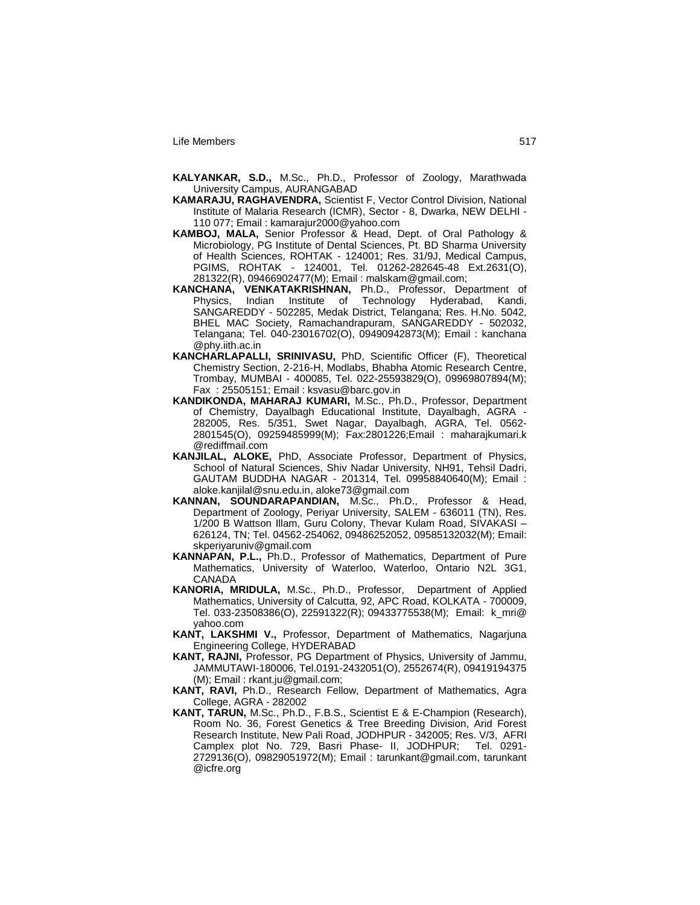- **KALYANKAR, S.D.,** M.Sc., Ph.D., Professor of Zoology, Marathwada University Campus, AURANGABAD
- **KAMARAJU, RAGHAVENDRA,** Scientist F, Vector Control Division, National Institute of Malaria Research (ICMR), Sector - 8, Dwarka, NEW DELHI - 110 077; Email : kamarajur2000@yahoo.com
- **KAMBOJ, MALA,** Senior Professor & Head, Dept. of Oral Pathology & Microbiology, PG Institute of Dental Sciences, Pt. BD Sharma University of Health Sciences, ROHTAK - 124001; Res. 31/9J, Medical Campus, PGIMS, ROHTAK - 124001, Tel. 01262-282645-48 Ext.2631(O), 281322(R), 09466902477(M); Email : malskam@gmail.com;
- **KANCHANA, VENKATAKRISHNAN,** Ph.D., Professor, Department of Physics, Indian Institute of Technology Hyderabad, Kandi, SANGAREDDY - 502285, Medak District, Telangana; Res. H.No. 5042, BHEL MAC Society, Ramachandrapuram, SANGAREDDY - 502032, Telangana; Tel. 040-23016702(O), 09490942873(M); Email : kanchana @phy.iith.ac.in
- **KANCHARLAPALLI, SRINIVASU,** PhD, Scientific Officer (F), Theoretical Chemistry Section, 2-216-H, Modlabs, Bhabha Atomic Research Centre, Trombay, MUMBAI - 400085, Tel. 022-25593829(O), 09969807894(M); Fax : 25505151; Email : ksvasu@barc.gov.in
- **KANDIKONDA, MAHARAJ KUMARI,** M.Sc., Ph.D., Professor, Department of Chemistry, Dayalbagh Educational Institute, Dayalbagh, AGRA - 282005, Res. 5/351, Swet Nagar, Dayalbagh, AGRA, Tel. 0562- 2801545(O), 09259485999(M); Fax:2801226;Email : maharajkumari.k @rediffmail.com
- **KANJILAL, ALOKE,** PhD, Associate Professor, Department of Physics, School of Natural Sciences, Shiv Nadar University, NH91, Tehsil Dadri, GAUTAM BUDDHA NAGAR - 201314, Tel. 09958840640(M); Email : aloke.kanjilal@snu.edu.in, aloke73@gmail.com
- **KANNAN, SOUNDARAPANDIAN,** M.Sc., Ph.D., Professor & Head, Department of Zoology, Periyar University, SALEM - 636011 (TN), Res. 1/200 B Wattson Illam, Guru Colony, Thevar Kulam Road, SIVAKASI – 626124, TN; Tel. 04562-254062, 09486252052, 09585132032(M); Email: skperiyaruniv@gmail.com
- **KANNAPAN, P.L.,** Ph.D., Professor of Mathematics, Department of Pure Mathematics, University of Waterloo, Waterloo, Ontario N2L 3G1, CANADA
- **KANORIA, MRIDULA,** M.Sc., Ph.D., Professor, Department of Applied Mathematics, University of Calcutta, 92, APC Road, KOLKATA - 700009, Tel. 033-23508386(O), 22591322(R); 09433775538(M); Email: k\_mri@ yahoo.com
- **KANT, LAKSHMI V.,** Professor, Department of Mathematics, Nagarjuna Engineering College, HYDERABAD
- **KANT, RAJNI,** Professor, PG Department of Physics, University of Jammu, JAMMUTAWI-180006, Tel.0191-2432051(O), 2552674(R), 09419194375 (M); Email : rkant.ju@gmail.com;
- **KANT, RAVI,** Ph.D., Research Fellow, Department of Mathematics, Agra College, AGRA - 282002
- **KANT, TARUN,** M.Sc., Ph.D., F.B.S., Scientist E & E-Champion (Research), Room No. 36, Forest Genetics & Tree Breeding Division, Arid Forest Research Institute, New Pali Road, JODHPUR - 342005; Res. V/3, AFRI Camplex plot No. 729, Basri Phase- II, JODHPUR; Tel. 0291- 2729136(O), 09829051972(M); Email : tarunkant@gmail.com, tarunkant @icfre.org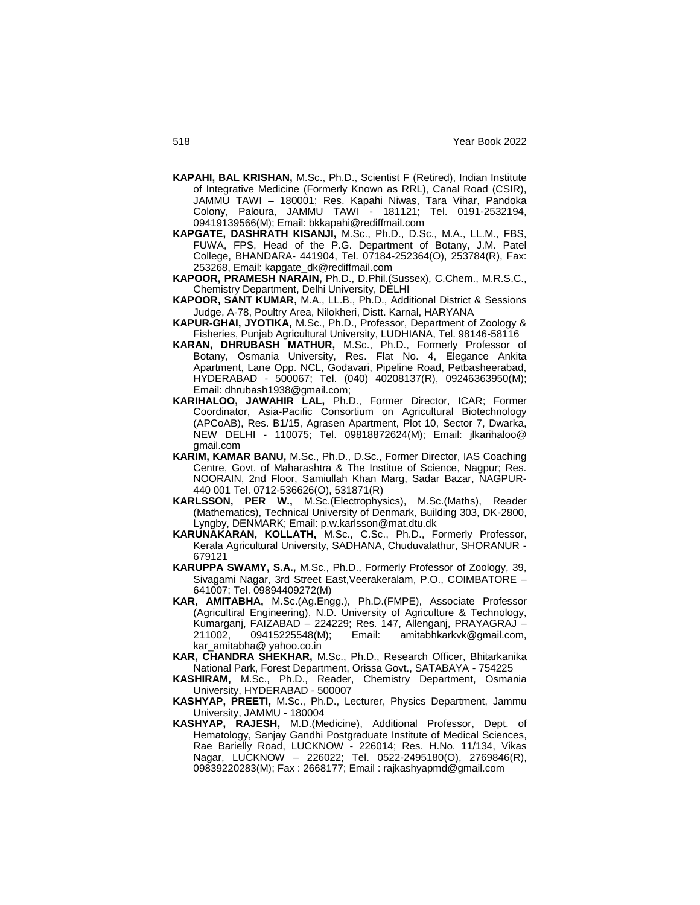- **KAPAHI, BAL KRISHAN,** M.Sc., Ph.D., Scientist F (Retired), Indian Institute of Integrative Medicine (Formerly Known as RRL), Canal Road (CSIR), JAMMU TAWI – 180001; Res. Kapahi Niwas, Tara Vihar, Pandoka Colony, Paloura, JAMMU TAWI - 181121; Tel. 0191-2532194, 09419139566(M); Email: bkkapahi@rediffmail.com
- **KAPGATE, DASHRATH KISANJI,** M.Sc., Ph.D., D.Sc., M.A., LL.M., FBS, FUWA, FPS, Head of the P.G. Department of Botany, J.M. Patel College, BHANDARA- 441904, Tel. 07184-252364(O), 253784(R), Fax: 253268, Email: kapgate\_dk@rediffmail.com
- **KAPOOR, PRAMESH NARAIN,** Ph.D., D.Phil.(Sussex), C.Chem., M.R.S.C., Chemistry Department, Delhi University, DELHI
- **KAPOOR, SANT KUMAR,** M.A., LL.B., Ph.D., Additional District & Sessions Judge, A-78, Poultry Area, Nilokheri, Distt. Karnal, HARYANA
- **KAPUR-GHAI, JYOTIKA,** M.Sc., Ph.D., Professor, Department of Zoology & Fisheries, Punjab Agricultural University, LUDHIANA, Tel. 98146-58116
- **KARAN, DHRUBASH MATHUR,** M.Sc., Ph.D., Formerly Professor of Botany, Osmania University, Res. Flat No. 4, Elegance Ankita Apartment, Lane Opp. NCL, Godavari, Pipeline Road, Petbasheerabad, HYDERABAD - 500067; Tel. (040) 40208137(R), 09246363950(M); Email: dhrubash1938@gmail.com;
- **KARIHALOO, JAWAHIR LAL,** Ph.D., Former Director, ICAR; Former Coordinator, Asia-Pacific Consortium on Agricultural Biotechnology (APCoAB), Res. B1/15, Agrasen Apartment, Plot 10, Sector 7, Dwarka, NEW DELHI - 110075; Tel. 09818872624(M); Email: jlkarihaloo@ gmail.com
- **KARIM, KAMAR BANU,** M.Sc., Ph.D., D.Sc., Former Director, IAS Coaching Centre, Govt. of Maharashtra & The Institue of Science, Nagpur; Res. NOORAIN, 2nd Floor, Samiullah Khan Marg, Sadar Bazar, NAGPUR-440 001 Tel. 0712-536626(O), 531871(R)
- **KARLSSON, PER W.,** M.Sc.(Electrophysics), M.Sc.(Maths), Reader (Mathematics), Technical University of Denmark, Building 303, DK-2800, Lyngby, DENMARK; Email: p.w.karlsson@mat.dtu.dk
- **KARUNAKARAN, KOLLATH,** M.Sc., C.Sc., Ph.D., Formerly Professor, Kerala Agricultural University, SADHANA, Chuduvalathur, SHORANUR - 679121
- **KARUPPA SWAMY, S.A.,** M.Sc., Ph.D., Formerly Professor of Zoology, 39, Sivagami Nagar, 3rd Street East,Veerakeralam, P.O., COIMBATORE – 641007; Tel. 09894409272(M)
- **KAR, AMITABHA,** M.Sc.(Ag.Engg.), Ph.D.(FMPE), Associate Professor (Agricultiral Engineering), N.D. University of Agriculture & Technology, Kumarganj, FAIZABAD – 224229; Res. 147, Allenganj, PRAYAGRAJ – 211002, 09415225548(M); Email: amitabhkarkvk@gmail.com, kar\_amitabha@ yahoo.co.in
- **KAR, CHANDRA SHEKHAR,** M.Sc., Ph.D., Research Officer, Bhitarkanika National Park, Forest Department, Orissa Govt., SATABAYA - 754225
- **KASHIRAM,** M.Sc., Ph.D., Reader, Chemistry Department, Osmania University, HYDERABAD - 500007
- **KASHYAP, PREETI,** M.Sc., Ph.D., Lecturer, Physics Department, Jammu University, JAMMU - 180004
- **KASHYAP, RAJESH,** M.D.(Medicine), Additional Professor, Dept. of Hematology, Sanjay Gandhi Postgraduate Institute of Medical Sciences, Rae Barielly Road, LUCKNOW - 226014; Res. H.No. 11/134, Vikas Nagar, LUCKNOW – 226022; Tel. 0522-2495180(O), 2769846(R), 09839220283(M); Fax : 2668177; Email : rajkashyapmd@gmail.com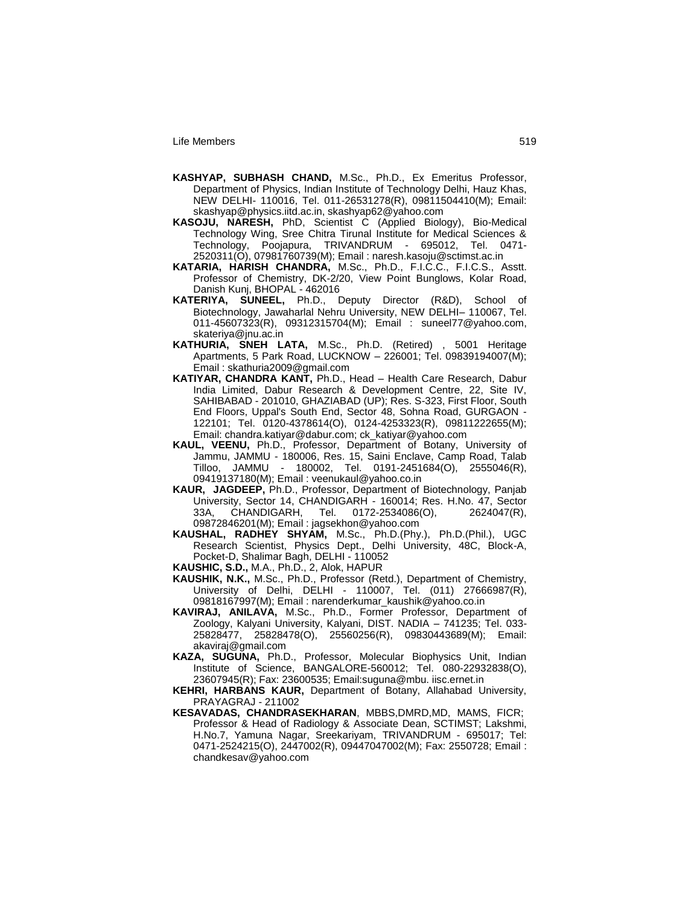- **KASHYAP, SUBHASH CHAND,** M.Sc., Ph.D., Ex Emeritus Professor, Department of Physics, Indian Institute of Technology Delhi, Hauz Khas, NEW DELHI- 110016, Tel. 011-26531278(R), 09811504410(M); Email: skashyap@physics.iitd.ac.in, skashyap62@yahoo.com
- **KASOJU, NARESH,** PhD, Scientist C (Applied Biology), Bio-Medical Technology Wing, Sree Chitra Tirunal Institute for Medical Sciences & Technology, Poojapura, TRIVANDRUM - 695012, Tel. 0471- 2520311(O), 07981760739(M); Email : naresh.kasoju@sctimst.ac.in
- **KATARIA, HARISH CHANDRA,** M.Sc., Ph.D., F.I.C.C., F.I.C.S., Asstt. Professor of Chemistry, DK-2/20, View Point Bunglows, Kolar Road, Danish Kunj, BHOPAL - 462016
- **KATERIYA, SUNEEL,** Ph.D., Deputy Director (R&D), School of Biotechnology, Jawaharlal Nehru University, NEW DELHI– 110067, Tel. 011-45607323(R), 09312315704(M); Email : suneel77@yahoo.com, skateriya@jnu.ac.in
- **KATHURIA, SNEH LATA,** M.Sc., Ph.D. (Retired) , 5001 Heritage Apartments, 5 Park Road, LUCKNOW – 226001; Tel. 09839194007(M); Email : skathuria2009@gmail.com
- **KATIYAR, CHANDRA KANT,** Ph.D., Head Health Care Research, Dabur India Limited, Dabur Research & Development Centre, 22, Site IV, SAHIBABAD - 201010, GHAZIABAD (UP); Res. S-323, First Floor, South End Floors, Uppal's South End, Sector 48, Sohna Road, GURGAON - 122101; Tel. 0120-4378614(O), 0124-4253323(R), 09811222655(M); Email: chandra.katiyar@dabur.com; ck\_katiyar@yahoo.com
- **KAUL, VEENU,** Ph.D., Professor, Department of Botany, University of Jammu, JAMMU - 180006, Res. 15, Saini Enclave, Camp Road, Talab Tilloo, JAMMU - 180002, Tel. 0191-2451684(O), 2555046(R), 09419137180(M); Email : veenukaul@yahoo.co.in
- **KAUR, JAGDEEP,** Ph.D., Professor, Department of Biotechnology, Panjab University, Sector 14, CHANDIGARH - 160014; Res. H.No. 47, Sector 33A, CHANDIGARH, Tel. 0172-2534086(O), 2624047(R), 09872846201(M); Email : jagsekhon@yahoo.com
- **KAUSHAL, RADHEY SHYAM,** M.Sc., Ph.D.(Phy.), Ph.D.(Phil.), UGC Research Scientist, Physics Dept., Delhi University, 48C, Block-A, Pocket-D, Shalimar Bagh, DELHI - 110052
- **KAUSHIC, S.D.,** M.A., Ph.D., 2, Alok, HAPUR
- **KAUSHIK, N.K.,** M.Sc., Ph.D., Professor (Retd.), Department of Chemistry, University of Delhi, DELHI - 110007, Tel. (011) 27666987(R), 09818167997(M); Email : narenderkumar\_kaushik@yahoo.co.in
- **KAVIRAJ, ANILAVA,** M.Sc., Ph.D., Former Professor, Department of Zoology, Kalyani University, Kalyani, DIST. NADIA – 741235; Tel. 033- 25828477, 25828478(O), 25560256(R), 09830443689(M); Email: akaviraj@gmail.com
- **KAZA, SUGUNA,** Ph.D., Professor, Molecular Biophysics Unit, Indian Institute of Science, BANGALORE-560012; Tel. 080-22932838(O), 23607945(R); Fax: 23600535; Email:suguna@mbu. iisc.ernet.in
- **KEHRI, HARBANS KAUR,** Department of Botany, Allahabad University, PRAYAGRAJ - 211002
- **KESAVADAS, CHANDRASEKHARAN**, MBBS,DMRD,MD, MAMS, FICR; Professor & Head of Radiology & Associate Dean, SCTIMST; Lakshmi, H.No.7, Yamuna Nagar, Sreekariyam, TRIVANDRUM - 695017; Tel: 0471-2524215(O), 2447002(R), 09447047002(M); Fax: 2550728; Email : chandkesav@yahoo.com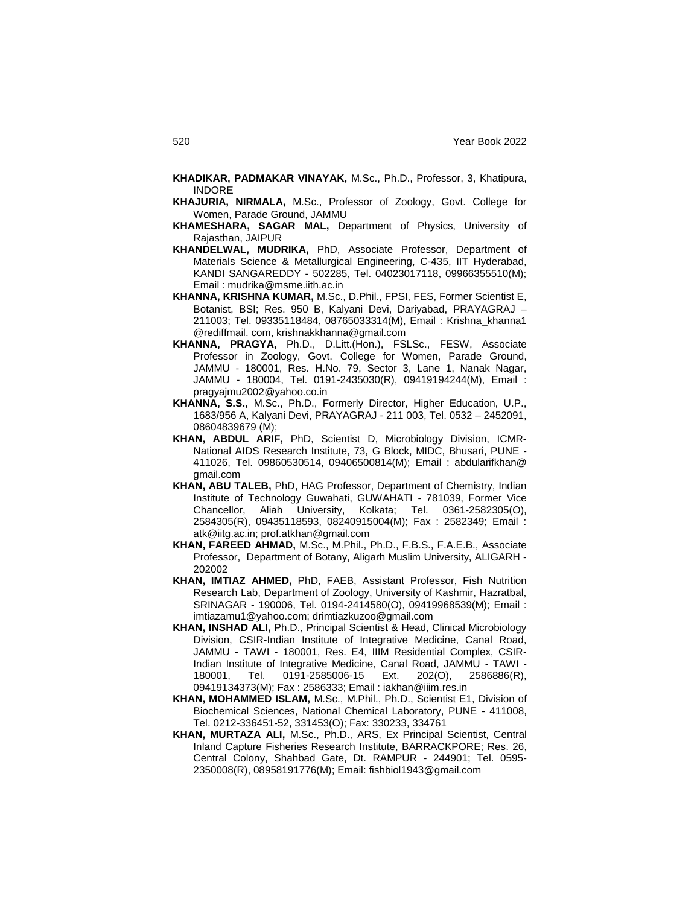- **KHADIKAR, PADMAKAR VINAYAK,** M.Sc., Ph.D., Professor, 3, Khatipura, INDORE
- **KHAJURIA, NIRMALA,** M.Sc., Professor of Zoology, Govt. College for Women, Parade Ground, JAMMU
- **KHAMESHARA, SAGAR MAL,** Department of Physics, University of Rajasthan, JAIPUR
- **KHANDELWAL, MUDRIKA,** PhD, Associate Professor, Department of Materials Science & Metallurgical Engineering, C-435, IIT Hyderabad, KANDI SANGAREDDY - 502285, Tel. 04023017118, 09966355510(M); Email : mudrika@msme.iith.ac.in
- **KHANNA, KRISHNA KUMAR,** M.Sc., D.Phil., FPSI, FES, Former Scientist E, Botanist, BSI; Res. 950 B, Kalyani Devi, Dariyabad, PRAYAGRAJ – 211003; Tel. 09335118484, 08765033314(M), Email : Krishna\_khanna1 @rediffmail. com, krishnakkhanna@gmail.com
- **KHANNA, PRAGYA,** Ph.D., D.Litt.(Hon.), FSLSc., FESW, Associate Professor in Zoology, Govt. College for Women, Parade Ground, JAMMU - 180001, Res. H.No. 79, Sector 3, Lane 1, Nanak Nagar, JAMMU - 180004, Tel. 0191-2435030(R), 09419194244(M), Email : pragyajmu2002@yahoo.co.in
- **KHANNA, S.S.,** M.Sc., Ph.D., Formerly Director, Higher Education, U.P., 1683/956 A, Kalyani Devi, PRAYAGRAJ - 211 003, Tel. 0532 – 2452091, 08604839679 (M);
- **KHAN, ABDUL ARIF,** PhD, Scientist D, Microbiology Division, ICMR-National AIDS Research Institute, 73, G Block, MIDC, Bhusari, PUNE - 411026, Tel. 09860530514, 09406500814(M); Email : abdularifkhan@ gmail.com
- **KHAN, ABU TALEB,** PhD, HAG Professor, Department of Chemistry, Indian Institute of Technology Guwahati, GUWAHATI - 781039, Former Vice Chancellor, Aliah University, Kolkata; Tel. 0361-2582305(O), 2584305(R), 09435118593, 08240915004(M); Fax : 2582349; Email : atk@iitg.ac.in; prof.atkhan@gmail.com
- **KHAN, FAREED AHMAD,** M.Sc., M.Phil., Ph.D., F.B.S., F.A.E.B., Associate Professor, Department of Botany, Aligarh Muslim University, ALIGARH - 202002
- **KHAN, IMTIAZ AHMED,** PhD, FAEB, Assistant Professor, Fish Nutrition Research Lab, Department of Zoology, University of Kashmir, Hazratbal, SRINAGAR - 190006, Tel. 0194-2414580(O), 09419968539(M); Email : imtiazamu1@yahoo.com; drimtiazkuzoo@gmail.com
- **KHAN, INSHAD ALI,** Ph.D., Principal Scientist & Head, Clinical Microbiology Division, CSIR-Indian Institute of Integrative Medicine, Canal Road, JAMMU - TAWI - 180001, Res. E4, IIIM Residential Complex, CSIR-Indian Institute of Integrative Medicine, Canal Road, JAMMU - TAWI - 180001, Tel. 0191-2585006-15 Ext. 202(O), 2586886(R), 09419134373(M); Fax : 2586333; Email : iakhan@iiim.res.in
- **KHAN, MOHAMMED ISLAM,** M.Sc., M.Phil., Ph.D., Scientist E1, Division of Biochemical Sciences, National Chemical Laboratory, PUNE - 411008, Tel. 0212-336451-52, 331453(O); Fax: 330233, 334761
- **KHAN, MURTAZA ALI,** M.Sc., Ph.D., ARS, Ex Principal Scientist, Central Inland Capture Fisheries Research Institute, BARRACKPORE; Res. 26, Central Colony, Shahbad Gate, Dt. RAMPUR - 244901; Tel. 0595- 2350008(R), 08958191776(M); Email: fishbiol1943@gmail.com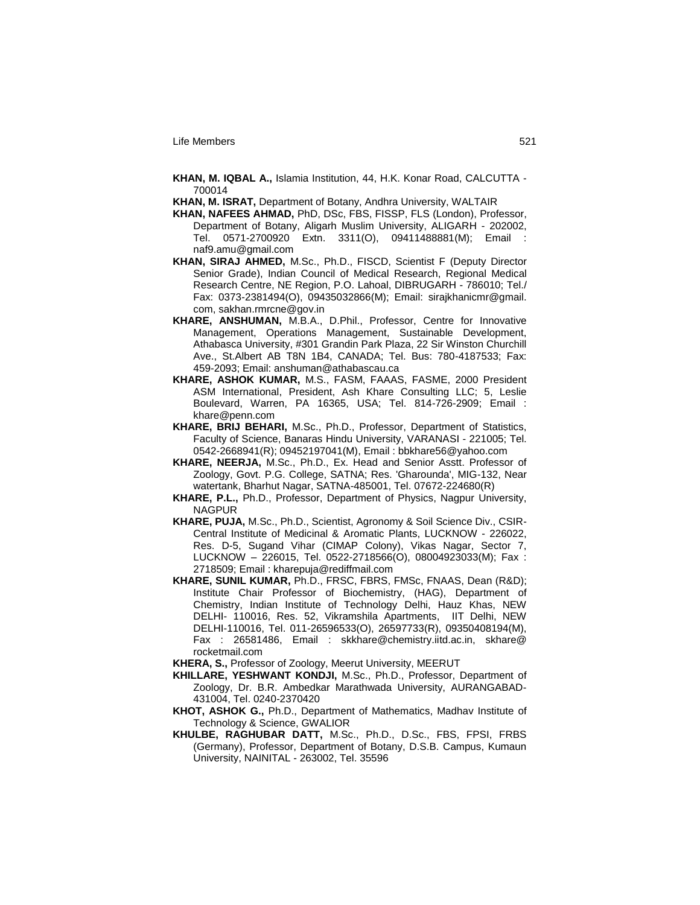**KHAN, M. IQBAL A.,** Islamia Institution, 44, H.K. Konar Road, CALCUTTA - 700014

**KHAN, M. ISRAT,** Department of Botany, Andhra University, WALTAIR

- **KHAN, NAFEES AHMAD,** PhD, DSc, FBS, FISSP, FLS (London), Professor, Department of Botany, Aligarh Muslim University, ALIGARH - 202002, Tel. 0571-2700920 Extn. 3311(O), 09411488881(M); Email : naf9.amu@gmail.com
- **KHAN, SIRAJ AHMED,** M.Sc., Ph.D., FISCD, Scientist F (Deputy Director Senior Grade), Indian Council of Medical Research, Regional Medical Research Centre, NE Region, P.O. Lahoal, DIBRUGARH - 786010; Tel./ Fax: 0373-2381494(O), 09435032866(M); Email: sirajkhanicmr@gmail. com, sakhan.rmrcne@gov.in
- **KHARE, ANSHUMAN,** M.B.A., D.Phil., Professor, Centre for Innovative Management, Operations Management, Sustainable Development, Athabasca University, #301 Grandin Park Plaza, 22 Sir Winston Churchill Ave., St.Albert AB T8N 1B4, CANADA; Tel. Bus: 780-4187533; Fax: 459-2093; Email: anshuman@athabascau.ca
- **KHARE, ASHOK KUMAR,** M.S., FASM, FAAAS, FASME, 2000 President ASM International, President, Ash Khare Consulting LLC; 5, Leslie Boulevard, Warren, PA 16365, USA; Tel. 814-726-2909; Email : khare@penn.com
- **KHARE, BRIJ BEHARI,** M.Sc., Ph.D., Professor, Department of Statistics, Faculty of Science, Banaras Hindu University, VARANASI - 221005; Tel. 0542-2668941(R); 09452197041(M), Email : bbkhare56@yahoo.com
- **KHARE, NEERJA,** M.Sc., Ph.D., Ex. Head and Senior Asstt. Professor of Zoology, Govt. P.G. College, SATNA; Res. 'Gharounda', MIG-132, Near watertank, Bharhut Nagar, SATNA-485001, Tel. 07672-224680(R)
- **KHARE, P.L.,** Ph.D., Professor, Department of Physics, Nagpur University, NAGPUR
- **KHARE, PUJA,** M.Sc., Ph.D., Scientist, Agronomy & Soil Science Div., CSIR-Central Institute of Medicinal & Aromatic Plants, LUCKNOW - 226022, Res. D-5, Sugand Vihar (CIMAP Colony), Vikas Nagar, Sector 7, LUCKNOW – 226015, Tel. 0522-2718566(O), 08004923033(M); Fax : 2718509; Email : kharepuja@rediffmail.com
- **KHARE, SUNIL KUMAR,** Ph.D., FRSC, FBRS, FMSc, FNAAS, Dean (R&D); Institute Chair Professor of Biochemistry, (HAG), Department of Chemistry, Indian Institute of Technology Delhi, Hauz Khas, NEW DELHI- 110016, Res. 52, Vikramshila Apartments, IIT Delhi, NEW DELHI-110016, Tel. 011-26596533(O), 26597733(R), 09350408194(M), Fax : 26581486, Email : skkhare@chemistry.iitd.ac.in, skhare@ rocketmail.com

**KHERA, S.,** Professor of Zoology, Meerut University, MEERUT

- **KHILLARE, YESHWANT KONDJI,** M.Sc., Ph.D., Professor, Department of Zoology, Dr. B.R. Ambedkar Marathwada University, AURANGABAD-431004, Tel. 0240-2370420
- **KHOT, ASHOK G.,** Ph.D., Department of Mathematics, Madhav Institute of Technology & Science, GWALIOR
- **KHULBE, RAGHUBAR DATT,** M.Sc., Ph.D., D.Sc., FBS, FPSI, FRBS (Germany), Professor, Department of Botany, D.S.B. Campus, Kumaun University, NAINITAL - 263002, Tel. 35596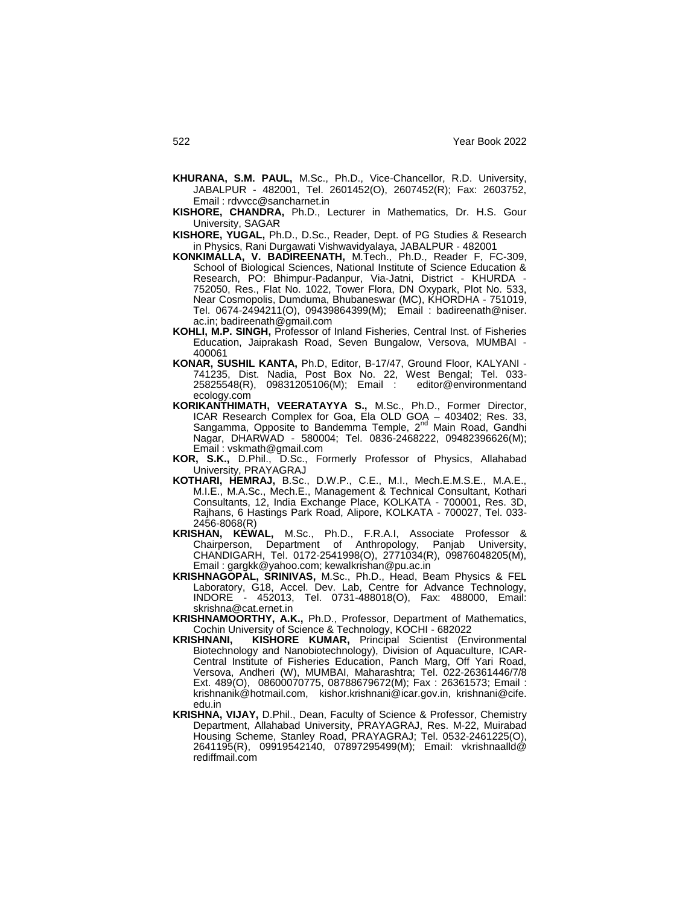- **KHURANA, S.M. PAUL,** M.Sc., Ph.D., Vice-Chancellor, R.D. University, JABALPUR - 482001, Tel. 2601452(O), 2607452(R); Fax: 2603752, Email : rdvvcc@sancharnet.in
- **KISHORE, CHANDRA,** Ph.D., Lecturer in Mathematics, Dr. H.S. Gour University, SAGAR
- **KISHORE, YUGAL,** Ph.D., D.Sc., Reader, Dept. of PG Studies & Research in Physics, Rani Durgawati Vishwavidyalaya, JABALPUR - 482001
- **KONKIMALLA, V. BADIREENATH,** M.Tech., Ph.D., Reader F, FC-309, School of Biological Sciences, National Institute of Science Education & Research, PO: Bhimpur-Padanpur, Via-Jatni, District - KHURDA - 752050, Res., Flat No. 1022, Tower Flora, DN Oxypark, Plot No. 533, Near Cosmopolis, Dumduma, Bhubaneswar (MC), KHORDHA - 751019, Tel. 0674-2494211(O), 09439864399(M); Email : badireenath@niser. ac.in; badireenath@gmail.com
- **KOHLI, M.P. SINGH,** Professor of Inland Fisheries, Central Inst. of Fisheries Education, Jaiprakash Road, Seven Bungalow, Versova, MUMBAI - 400061
- **KONAR, SUSHIL KANTA,** Ph.D, Editor, B-17/47, Ground Floor, KALYANI 741235, Dist. Nadia, Post Box No. 22, West Bengal; Tel. 033- 25825548(R), 09831205106(M); Email : editor@environmentand ecology.com
- **KORIKANTHIMATH, VEERATAYYA S.,** M.Sc., Ph.D., Former Director, ICAR Research Complex for Goa, Ela OLD GOA – 403402; Res. 33,<br>Sangamma, Opposite to Bandemma Temple, 2<sup>nd</sup> Main Road, Gandhi Nagar, DHARWAD - 580004; Tel. 0836-2468222, 09482396626(M); Email : vskmath@gmail.com
- **KOR, S.K.,** D.Phil., D.Sc., Formerly Professor of Physics, Allahabad University, PRAYAGRAJ
- **KOTHARI, HEMRAJ,** B.Sc., D.W.P., C.E., M.I., Mech.E.M.S.E., M.A.E., M.I.E., M.A.Sc., Mech.E., Management & Technical Consultant, Kothari Consultants, 12, India Exchange Place, KOLKATA - 700001, Res. 3D, Rajhans, 6 Hastings Park Road, Alipore, KOLKATA - 700027, Tel. 033- 2456-8068(R)
- **KRISHAN, KEWAL,** M.Sc., Ph.D., F.R.A.I, Associate Professor & Chairperson, Department of Anthropology, Panjab University, CHANDIGARH, Tel. 0172-2541998(O), 2771034(R), 09876048205(M), Email : gargkk@yahoo.com; kewalkrishan@pu.ac.in
- **KRISHNAGOPAL, SRINIVAS,** M.Sc., Ph.D., Head, Beam Physics & FEL Laboratory, G18, Accel. Dev. Lab, Centre for Advance Technology, INDORE - 452013, Tel. 0731-488018(O), Fax: 488000, Email: skrishna@cat.ernet.in
- **KRISHNAMOORTHY, A.K.,** Ph.D., Professor, Department of Mathematics, Cochin University of Science & Technology, KOCHI - 682022<br>KRISHNANI, KISHORE KUMAR, Principal Scientist (En
- KISHORE KUMAR, Principal Scientist (Environmental Biotechnology and Nanobiotechnology), Division of Aquaculture, ICAR-Central Institute of Fisheries Education, Panch Marg, Off Yari Road, Versova, Andheri (W), MUMBAI, Maharashtra; Tel. 022-26361446/7/8 Ext. 489(O), 08600070775, 08788679672(M); Fax : 26361573; Email : krishnanik@hotmail.com, kishor.krishnani@icar.gov.in, krishnani@cife. edu.in
- **KRISHNA, VIJAY,** D.Phil., Dean, Faculty of Science & Professor, Chemistry Department, Allahabad University, PRAYAGRAJ, Res. M-22, Muirabad Housing Scheme, Stanley Road, PRAYAGRAJ; Tel. 0532-2461225(O), 2641195(R), 09919542140, 07897295499(M); Email: vkrishnaalld@ rediffmail.com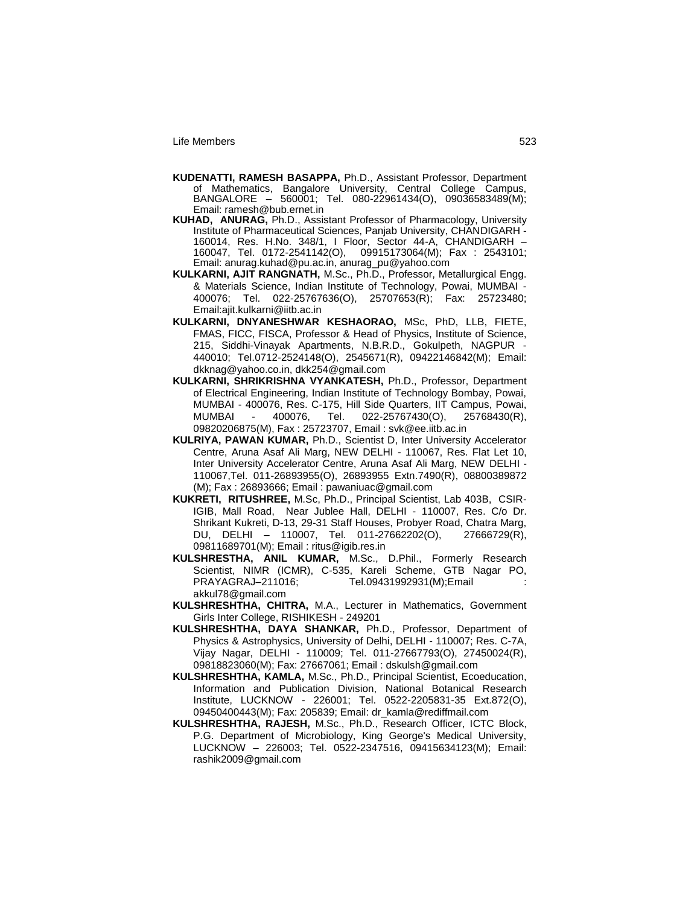- **KUDENATTI, RAMESH BASAPPA,** Ph.D., Assistant Professor, Department of Mathematics, Bangalore University, Central College Campus, BANGALORE – 560001; Tel. 080-22961434(O), 09036583489(M); Email: ramesh@bub.ernet.in
- **KUHAD, ANURAG,** Ph.D., Assistant Professor of Pharmacology, University Institute of Pharmaceutical Sciences, Panjab University, CHANDIGARH - 160014, Res. H.No. 348/1, I Floor, Sector 44-A, CHANDIGARH – 160047, Tel. 0172-2541142(O), 09915173064(M); Fax : 2543101; Email: anurag.kuhad@pu.ac.in, anurag\_pu@yahoo.com
- **KULKARNI, AJIT RANGNATH,** M.Sc., Ph.D., Professor, Metallurgical Engg. & Materials Science, Indian Institute of Technology, Powai, MUMBAI - 400076; Tel. 022-25767636(O), 25707653(R); Fax: 25723480; Email:ajit.kulkarni@iitb.ac.in
- **KULKARNI, DNYANESHWAR KESHAORAO,** MSc, PhD, LLB, FIETE, FMAS, FICC, FISCA, Professor & Head of Physics, Institute of Science, 215, Siddhi-Vinayak Apartments, N.B.R.D., Gokulpeth, NAGPUR - 440010; Tel.0712-2524148(O), 2545671(R), 09422146842(M); Email: dkknag@yahoo.co.in, dkk254@gmail.com
- **KULKARNI, SHRIKRISHNA VYANKATESH,** Ph.D., Professor, Department of Electrical Engineering, Indian Institute of Technology Bombay, Powai, MUMBAI - 400076, Res. C-175, Hill Side Quarters, IIT Campus, Powai, MUMBAI - 400076, Tel. 022-25767430(O), 25768430(R), 09820206875(M), Fax : 25723707, Email : svk@ee.iitb.ac.in
- **KULRIYA, PAWAN KUMAR,** Ph.D., Scientist D, Inter University Accelerator Centre, Aruna Asaf Ali Marg, NEW DELHI - 110067, Res. Flat Let 10, Inter University Accelerator Centre, Aruna Asaf Ali Marg, NEW DELHI - 110067,Tel. 011-26893955(O), 26893955 Extn.7490(R), 08800389872 (M); Fax : 26893666; Email : pawaniuac@gmail.com
- **KUKRETI, RITUSHREE,** M.Sc, Ph.D., Principal Scientist, Lab 403B, CSIR-IGIB, Mall Road, Near Jublee Hall, DELHI - 110007, Res. C/o Dr. Shrikant Kukreti, D-13, 29-31 Staff Houses, Probyer Road, Chatra Marg, DU, DELHI – 110007, Tel. 011-27662202(O), 27666729(R), 09811689701(M); Email : ritus@igib.res.in
- **KULSHRESTHA, ANIL KUMAR,** M.Sc., D.Phil., Formerly Research Scientist, NIMR (ICMR), C-535, Kareli Scheme, GTB Nagar PO, PRAYAGRAJ–211016; Tel.09431992931(M);Email : akkul78@gmail.com
- **KULSHRESHTHA, CHITRA,** M.A., Lecturer in Mathematics, Government Girls Inter College, RISHIKESH - 249201
- **KULSHRESHTHA, DAYA SHANKAR,** Ph.D., Professor, Department of Physics & Astrophysics, University of Delhi, DELHI - 110007; Res. C-7A, Vijay Nagar, DELHI - 110009; Tel. 011-27667793(O), 27450024(R), 09818823060(M); Fax: 27667061; Email : dskulsh@gmail.com
- **KULSHRESHTHA, KAMLA,** M.Sc., Ph.D., Principal Scientist, Ecoeducation, Information and Publication Division, National Botanical Research Institute, LUCKNOW - 226001; Tel. 0522-2205831-35 Ext.872(O), 09450400443(M); Fax: 205839; Email: dr\_kamla@rediffmail.com
- **KULSHRESHTHA, RAJESH,** M.Sc., Ph.D., Research Officer, ICTC Block, P.G. Department of Microbiology, King George's Medical University, LUCKNOW – 226003; Tel. 0522-2347516, 09415634123(M); Email: rashik2009@gmail.com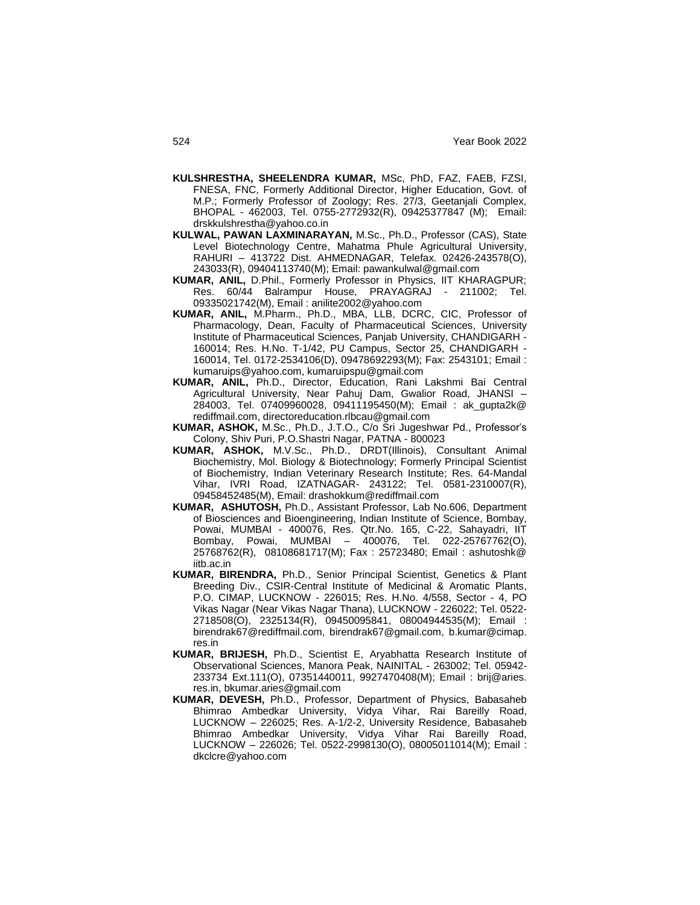- **KULSHRESTHA, SHEELENDRA KUMAR,** MSc, PhD, FAZ, FAEB, FZSI, FNESA, FNC, Formerly Additional Director, Higher Education, Govt. of M.P.; Formerly Professor of Zoology; Res. 27/3, Geetanjali Complex, BHOPAL - 462003, Tel. 0755-2772932(R), 09425377847 (M); Email: drskkulshrestha@yahoo.co.in
- **KULWAL, PAWAN LAXMINARAYAN,** M.Sc., Ph.D., Professor (CAS), State Level Biotechnology Centre, Mahatma Phule Agricultural University, RAHURI – 413722 Dist. AHMEDNAGAR, Telefax. 02426-243578(O), 243033(R), 09404113740(M); Email: pawankulwal@gmail.com
- **KUMAR, ANIL,** D.Phil., Formerly Professor in Physics, IIT KHARAGPUR; Res. 60/44 Balrampur House, PRAYAGRAJ - 211002; Tel. 09335021742(M), Email : anilite2002@yahoo.com
- **KUMAR, ANIL,** M.Pharm., Ph.D., MBA, LLB, DCRC, CIC, Professor of Pharmacology, Dean, Faculty of Pharmaceutical Sciences, University Institute of Pharmaceutical Sciences, Panjab University, CHANDIGARH - 160014; Res. H.No. T-1/42, PU Campus, Sector 25, CHANDIGARH - 160014, Tel. 0172-2534106(D), 09478692293(M); Fax: 2543101; Email : kumaruips@yahoo.com, kumaruipspu@gmail.com
- **KUMAR, ANIL,** Ph.D., Director, Education, Rani Lakshmi Bai Central Agricultural University, Near Pahuj Dam, Gwalior Road, JHANSI – 284003, Tel. 07409960028, 09411195450(M); Email : ak\_gupta2k@ rediffmail.com, directoreducation.rlbcau@gmail.com
- **KUMAR, ASHOK,** M.Sc., Ph.D., J.T.O., C/o Sri Jugeshwar Pd., Professor"s Colony, Shiv Puri, P.O.Shastri Nagar, PATNA - 800023
- **KUMAR, ASHOK,** M.V.Sc., Ph.D., DRDT(Illinois), Consultant Animal Biochemistry, Mol. Biology & Biotechnology; Formerly Principal Scientist of Biochemistry, Indian Veterinary Research Institute; Res. 64-Mandal Vihar, IVRI Road, IZATNAGAR- 243122; Tel. 0581-2310007(R), 09458452485(M), Email: drashokkum@rediffmail.com
- **KUMAR, ASHUTOSH,** Ph.D., Assistant Professor, Lab No.606, Department of Biosciences and Bioengineering, Indian Institute of Science, Bombay, Powai, MUMBAI - 400076, Res. Qtr.No. 165, C-22, Sahayadri, IIT Bombay, Powai, MUMBAI – 400076, Tel. 022-25767762(O), 25768762(R), 08108681717(M); Fax : 25723480; Email : ashutoshk@ iitb.ac.in
- **KUMAR, BIRENDRA,** Ph.D., Senior Principal Scientist, Genetics & Plant Breeding Div., CSIR-Central Institute of Medicinal & Aromatic Plants, P.O. CIMAP, LUCKNOW - 226015; Res. H.No. 4/558, Sector - 4, PO Vikas Nagar (Near Vikas Nagar Thana), LUCKNOW - 226022; Tel. 0522- 2718508(O), 2325134(R), 09450095841, 08004944535(M); Email : birendrak67@rediffmail.com, birendrak67@gmail.com, b.kumar@cimap. res.in
- **KUMAR, BRIJESH,** Ph.D., Scientist E, Aryabhatta Research Institute of Observational Sciences, Manora Peak, NAINITAL - 263002; Tel. 05942- 233734 Ext.111(O), 07351440011, 9927470408(M); Email : brij@aries. res.in, bkumar.aries@gmail.com
- **KUMAR, DEVESH,** Ph.D., Professor, Department of Physics, Babasaheb Bhimrao Ambedkar University, Vidya Vihar, Rai Bareilly Road, LUCKNOW – 226025; Res. A-1/2-2, University Residence, Babasaheb Bhimrao Ambedkar University, Vidya Vihar Rai Bareilly Road, LUCKNOW – 226026; Tel. 0522-2998130(O), 08005011014(M); Email : dkclcre@yahoo.com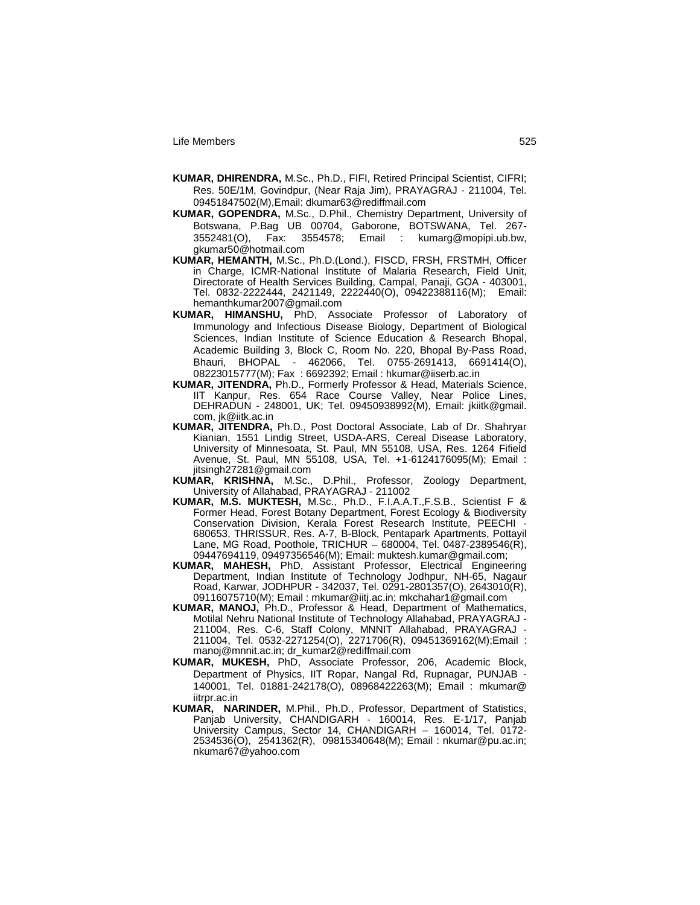- **KUMAR, DHIRENDRA,** M.Sc., Ph.D., FIFI, Retired Principal Scientist, CIFRI; Res. 50E/1M, Govindpur, (Near Raja Jim), PRAYAGRAJ - 211004, Tel. 09451847502(M),Email: dkumar63@rediffmail.com
- **KUMAR, GOPENDRA,** M.Sc., D.Phil., Chemistry Department, University of Botswana, P.Bag UB 00704, Gaborone, BOTSWANA, Tel. 267- 3552481(O), Fax: 3554578; Email : kumarg@mopipi.ub.bw, gkumar50@hotmail.com
- **KUMAR, HEMANTH,** M.Sc., Ph.D.(Lond.), FISCD, FRSH, FRSTMH, Officer in Charge, ICMR-National Institute of Malaria Research, Field Unit, Directorate of Health Services Building, Campal, Panaji, GOA - 403001, Tel. 0832-2222444, 2421149, 2222440(O), 09422388116(M); Email: hemanthkumar2007@gmail.com
- KUMAR, HIMANSHU, PhD, Associate Professor of Laboratory of Immunology and Infectious Disease Biology, Department of Biological Sciences, Indian Institute of Science Education & Research Bhopal, Academic Building 3, Block C, Room No. 220, Bhopal By-Pass Road, Bhauri, BHOPAL - 462066, Tel. 0755-2691413, 6691414(O), 08223015777(M); Fax : 6692392; Email : hkumar@iiserb.ac.in
- **KUMAR, JITENDRA,** Ph.D., Formerly Professor & Head, Materials Science, IIT Kanpur, Res. 654 Race Course Valley, Near Police Lines, DEHRADUN - 248001, UK; Tel. 09450938992(M), Email: jkiitk@gmail. com, jk@iitk.ac.in
- **KUMAR, JITENDRA,** Ph.D., Post Doctoral Associate, Lab of Dr. Shahryar Kianian, 1551 Lindig Street, USDA-ARS, Cereal Disease Laboratory, University of Minnesoata, St. Paul, MN 55108, USA, Res. 1264 Fifield Avenue, St. Paul, MN 55108, USA, Tel. +1-6124176095(M); Email : jitsingh27281@gmail.com<br>KUMAR, KRISHNA, M.Sc.,
- D.Phil., Professor, Zoology Department, University of Allahabad, PRAYAGRAJ - 211002
- **KUMAR, M.S. MUKTESH,** M.Sc., Ph.D., F.I.A.A.T.,F.S.B., Scientist F & Former Head, Forest Botany Department, Forest Ecology & Biodiversity Conservation Division, Kerala Forest Research Institute, PEECHI - 680653, THRISSUR, Res. A-7, B-Block, Pentapark Apartments, Pottayil Lane, MG Road, Poothole, TRICHUR – 680004, Tel. 0487-2389546(R), 09447694119, 09497356546(M); Email: muktesh.kumar@gmail.com;
- **KUMAR, MAHESH,** PhD, Assistant Professor, Electrical Engineering Department, Indian Institute of Technology Jodhpur, NH-65, Nagaur Road, Karwar, JODHPUR - 342037, Tel. 0291-2801357(O), 2643010(R), 09116075710(M); Email : mkumar@iitj.ac.in; mkchahar1@gmail.com
- **KUMAR, MANOJ,** Ph.D., Professor & Head, Department of Mathematics, Motilal Nehru National Institute of Technology Allahabad, PRAYAGRAJ - 211004, Res. C-6, Staff Colony, MNNIT Allahabad, PRAYAGRAJ - 211004, Tel. 0532-2271254(O), 2271706(R), 09451369162(M);Email : manoj@mnnit.ac.in; dr\_kumar2@rediffmail.com
- **KUMAR, MUKESH,** PhD, Associate Professor, 206, Academic Block, Department of Physics, IIT Ropar, Nangal Rd, Rupnagar, PUNJAB - 140001, Tel. 01881-242178(O), 08968422263(M); Email : mkumar@ iitrpr.ac.in
- **KUMAR, NARINDER,** M.Phil., Ph.D., Professor, Department of Statistics, Panjab University, CHANDIGARH - 160014, Res. E-1/17, Panjab University Campus, Sector 14, CHANDIGARH – 160014, Tel. 0172- 2534536(O), 2541362(R), 09815340648(M); Email : nkumar@pu.ac.in; nkumar67@yahoo.com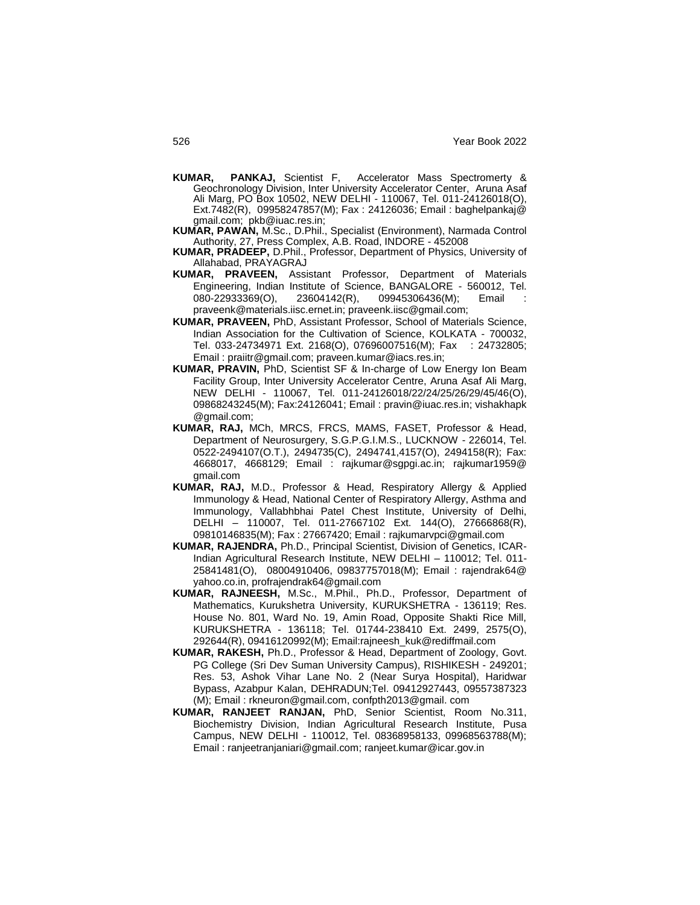- **KUMAR, PANKAJ,** Scientist F, Accelerator Mass Spectromerty & Geochronology Division, Inter University Accelerator Center, Aruna Asaf Ali Marg, PO Box 10502, NEW DELHI - 110067, Tel. 011-24126018(O), Ext.7482(R), 09958247857(M); Fax : 24126036; Email : baghelpankaj@ gmail.com; pkb@iuac.res.in;
- **KUMAR, PAWAN,** M.Sc., D.Phil., Specialist (Environment), Narmada Control Authority, 27, Press Complex, A.B. Road, INDORE - 452008
- **KUMAR, PRADEEP,** D.Phil., Professor, Department of Physics, University of Allahabad, PRAYAGRAJ
- **KUMAR, PRAVEEN,** Assistant Professor, Department of Materials Engineering, Indian Institute of Science, BANGALORE - 560012, Tel. 080-22933369(O), 23604142(R), 09945306436(M); Email praveenk@materials.iisc.ernet.in; praveenk.iisc@gmail.com;
- **KUMAR, PRAVEEN,** PhD, Assistant Professor, School of Materials Science, Indian Association for the Cultivation of Science, KOLKATA - 700032, Tel. 033-24734971 Ext. 2168(O), 07696007516(M); Fax : 24732805; Email : praiitr@gmail.com; praveen.kumar@iacs.res.in;
- **KUMAR, PRAVIN,** PhD, Scientist SF & In-charge of Low Energy Ion Beam Facility Group, Inter University Accelerator Centre, Aruna Asaf Ali Marg, NEW DELHI - 110067, Tel. 011-24126018/22/24/25/26/29/45/46(O), 09868243245(M); Fax:24126041; Email : pravin@iuac.res.in; vishakhapk @gmail.com;
- **KUMAR, RAJ,** MCh, MRCS, FRCS, MAMS, FASET, Professor & Head, Department of Neurosurgery, S.G.P.G.I.M.S., LUCKNOW - 226014, Tel. 0522-2494107(O.T.), 2494735(C), 2494741,4157(O), 2494158(R); Fax: 4668017, 4668129; Email : rajkumar@sgpgi.ac.in; rajkumar1959@ gmail.com
- **KUMAR, RAJ,** M.D., Professor & Head, Respiratory Allergy & Applied Immunology & Head, National Center of Respiratory Allergy, Asthma and Immunology, Vallabhbhai Patel Chest Institute, University of Delhi, DELHI – 110007, Tel. 011-27667102 Ext. 144(O), 27666868(R), 09810146835(M); Fax : 27667420; Email : rajkumarvpci@gmail.com
- **KUMAR, RAJENDRA,** Ph.D., Principal Scientist, Division of Genetics, ICAR-Indian Agricultural Research Institute, NEW DELHI – 110012; Tel. 011- 25841481(O), 08004910406, 09837757018(M); Email : rajendrak64@ yahoo.co.in, profrajendrak64@gmail.com
- **KUMAR, RAJNEESH,** M.Sc., M.Phil., Ph.D., Professor, Department of Mathematics, Kurukshetra University, KURUKSHETRA - 136119; Res. House No. 801, Ward No. 19, Amin Road, Opposite Shakti Rice Mill, KURUKSHETRA - 136118; Tel. 01744-238410 Ext. 2499, 2575(O), 292644(R), 09416120992(M); Email:rajneesh\_kuk@rediffmail.com
- **KUMAR, RAKESH,** Ph.D., Professor & Head, Department of Zoology, Govt. PG College (Sri Dev Suman University Campus), RISHIKESH - 249201; Res. 53, Ashok Vihar Lane No. 2 (Near Surya Hospital), Haridwar Bypass, Azabpur Kalan, DEHRADUN;Tel. 09412927443, 09557387323 (M); Email : rkneuron@gmail.com, confpth2013@gmail. com
- **KUMAR, RANJEET RANJAN,** PhD, Senior Scientist, Room No.311, Biochemistry Division, Indian Agricultural Research Institute, Pusa Campus, NEW DELHI - 110012, Tel. 08368958133, 09968563788(M); Email : ranjeetranjaniari@gmail.com; ranjeet.kumar@icar.gov.in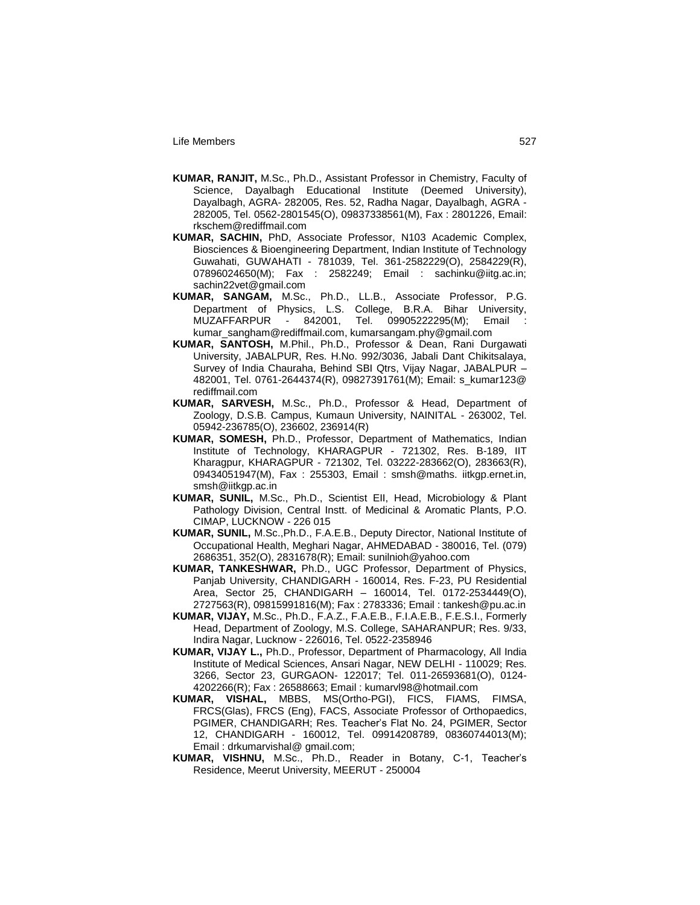- **KUMAR, RANJIT,** M.Sc., Ph.D., Assistant Professor in Chemistry, Faculty of Science, Dayalbagh Educational Institute (Deemed University), Dayalbagh, AGRA- 282005, Res. 52, Radha Nagar, Dayalbagh, AGRA - 282005, Tel. 0562-2801545(O), 09837338561(M), Fax : 2801226, Email: rkschem@rediffmail.com
- **KUMAR, SACHIN,** PhD, Associate Professor, N103 Academic Complex, Biosciences & Bioengineering Department, Indian Institute of Technology Guwahati, GUWAHATI - 781039, Tel. 361-2582229(O), 2584229(R), 07896024650(M); Fax : 2582249; Email : sachinku@iitg.ac.in; sachin22vet@gmail.com
- **KUMAR, SANGAM,** M.Sc., Ph.D., LL.B., Associate Professor, P.G. Department of Physics, L.S. College, B.R.A. Bihar University, MUZAFFARPUR - 842001, Tel. 09905222295(M); Email : kumar\_sangham@rediffmail.com, kumarsangam.phy@gmail.com
- **KUMAR, SANTOSH,** M.Phil., Ph.D., Professor & Dean, Rani Durgawati University, JABALPUR, Res. H.No. 992/3036, Jabali Dant Chikitsalaya, Survey of India Chauraha, Behind SBI Qtrs, Vijay Nagar, JABALPUR – 482001, Tel. 0761-2644374(R), 09827391761(M); Email: s\_kumar123@ rediffmail.com
- **KUMAR, SARVESH,** M.Sc., Ph.D., Professor & Head, Department of Zoology, D.S.B. Campus, Kumaun University, NAINITAL - 263002, Tel. 05942-236785(O), 236602, 236914(R)
- **KUMAR, SOMESH,** Ph.D., Professor, Department of Mathematics, Indian Institute of Technology, KHARAGPUR - 721302, Res. B-189, IIT Kharagpur, KHARAGPUR - 721302, Tel. 03222-283662(O), 283663(R), 09434051947(M), Fax : 255303, Email : smsh@maths. iitkgp.ernet.in, smsh@iitkgp.ac.in
- **KUMAR, SUNIL,** M.Sc., Ph.D., Scientist EII, Head, Microbiology & Plant Pathology Division, Central Instt. of Medicinal & Aromatic Plants, P.O. CIMAP, LUCKNOW - 226 015
- **KUMAR, SUNIL,** M.Sc.,Ph.D., F.A.E.B., Deputy Director, National Institute of Occupational Health, Meghari Nagar, AHMEDABAD - 380016, Tel. (079) 2686351, 352(O), 2831678(R); Email: sunilnioh@yahoo.com
- **KUMAR, TANKESHWAR,** Ph.D., UGC Professor, Department of Physics, Panjab University, CHANDIGARH - 160014, Res. F-23, PU Residential Area, Sector 25, CHANDIGARH – 160014, Tel. 0172-2534449(O), 2727563(R), 09815991816(M); Fax : 2783336; Email : tankesh@pu.ac.in
- **KUMAR, VIJAY,** M.Sc., Ph.D., F.A.Z., F.A.E.B., F.I.A.E.B., F.E.S.I., Formerly Head, Department of Zoology, M.S. College, SAHARANPUR; Res. 9/33, Indira Nagar, Lucknow - 226016, Tel. 0522-2358946
- **KUMAR, VIJAY L.,** Ph.D., Professor, Department of Pharmacology, All India Institute of Medical Sciences, Ansari Nagar, NEW DELHI - 110029; Res. 3266, Sector 23, GURGAON- 122017; Tel. 011-26593681(O), 0124- 4202266(R); Fax : 26588663; Email : kumarvl98@hotmail.com
- **KUMAR, VISHAL,** MBBS, MS(Ortho-PGI), FICS, FIAMS, FIMSA, FRCS(Glas), FRCS (Eng), FACS, Associate Professor of Orthopaedics, PGIMER, CHANDIGARH; Res. Teacher"s Flat No. 24, PGIMER, Sector 12, CHANDIGARH - 160012, Tel. 09914208789, 08360744013(M); Email : drkumarvishal@ gmail.com;
- **KUMAR, VISHNU,** M.Sc., Ph.D., Reader in Botany, C-1, Teacher"s Residence, Meerut University, MEERUT - 250004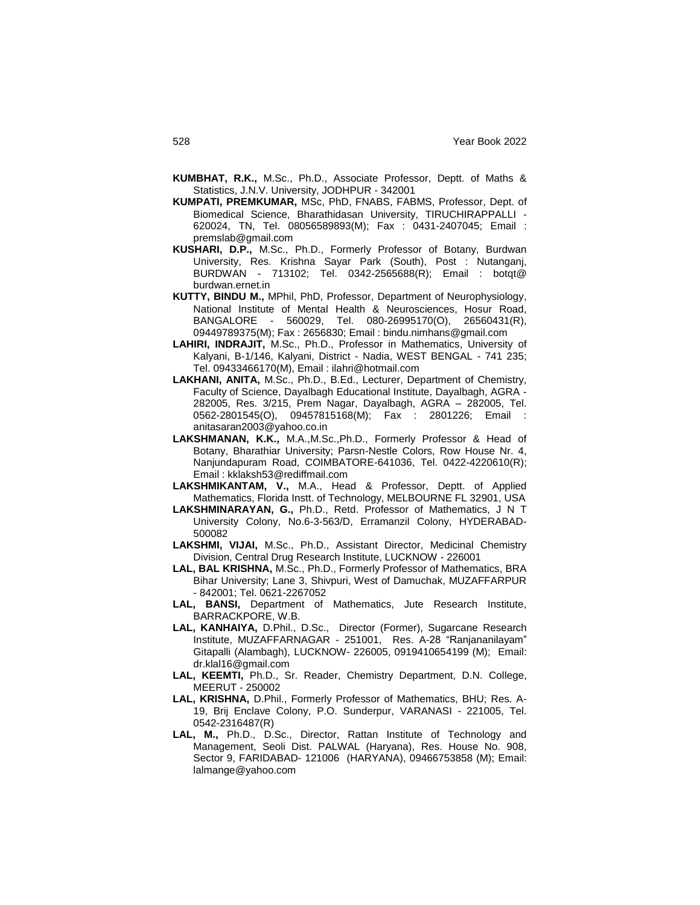- **KUMBHAT, R.K.,** M.Sc., Ph.D., Associate Professor, Deptt. of Maths & Statistics, J.N.V. University, JODHPUR - 342001
- **KUMPATI, PREMKUMAR,** MSc, PhD, FNABS, FABMS, Professor, Dept. of Biomedical Science, Bharathidasan University, TIRUCHIRAPPALLI - 620024, TN, Tel. 08056589893(M); Fax : 0431-2407045; Email : premslab@gmail.com
- **KUSHARI, D.P.,** M.Sc., Ph.D., Formerly Professor of Botany, Burdwan University, Res. Krishna Sayar Park (South), Post : Nutanganj, BURDWAN - 713102; Tel. 0342-2565688(R); Email : botqt@ burdwan.ernet.in
- **KUTTY, BINDU M.,** MPhil, PhD, Professor, Department of Neurophysiology, National Institute of Mental Health & Neurosciences, Hosur Road, BANGALORE - 560029, Tel. 080-26995170(O), 26560431(R), 09449789375(M); Fax : 2656830; Email : bindu.nimhans@gmail.com
- **LAHIRI, INDRAJIT,** M.Sc., Ph.D., Professor in Mathematics, University of Kalyani, B-1/146, Kalyani, District - Nadia, WEST BENGAL - 741 235; Tel. 09433466170(M), Email : ilahri@hotmail.com
- **LAKHANI, ANITA,** M.Sc., Ph.D., B.Ed., Lecturer, Department of Chemistry, Faculty of Science, Dayalbagh Educational Institute, Dayalbagh, AGRA - 282005, Res. 3/215, Prem Nagar, Dayalbagh, AGRA – 282005, Tel. 0562-2801545(O), 09457815168(M); Fax : 2801226; Email : anitasaran2003@yahoo.co.in
- **LAKSHMANAN, K.K.,** M.A.,M.Sc.,Ph.D., Formerly Professor & Head of Botany, Bharathiar University; Parsn-Nestle Colors, Row House Nr. 4, Nanjundapuram Road, COIMBATORE-641036, Tel. 0422-4220610(R); Email : kklaksh53@rediffmail.com
- **LAKSHMIKANTAM, V.,** M.A., Head & Professor, Deptt. of Applied Mathematics, Florida Instt. of Technology, MELBOURNE FL 32901, USA
- **LAKSHMINARAYAN, G.,** Ph.D., Retd. Professor of Mathematics, J N T University Colony, No.6-3-563/D, Erramanzil Colony, HYDERABAD-500082
- **LAKSHMI, VIJAI,** M.Sc., Ph.D., Assistant Director, Medicinal Chemistry Division, Central Drug Research Institute, LUCKNOW - 226001
- **LAL, BAL KRISHNA,** M.Sc., Ph.D., Formerly Professor of Mathematics, BRA Bihar University; Lane 3, Shivpuri, West of Damuchak, MUZAFFARPUR - 842001; Tel. 0621-2267052
- **LAL, BANSI,** Department of Mathematics, Jute Research Institute, BARRACKPORE, W.B.
- **LAL, KANHAIYA,** D.Phil., D.Sc., Director (Former), Sugarcane Research Institute, MUZAFFARNAGAR - 251001, Res. A-28 "Ranjananilayam" Gitapalli (Alambagh), LUCKNOW- 226005, 0919410654199 (M); Email: dr.klal16@gmail.com
- **LAL, KEEMTI,** Ph.D., Sr. Reader, Chemistry Department, D.N. College, MEERUT - 250002
- **LAL, KRISHNA,** D.Phil., Formerly Professor of Mathematics, BHU; Res. A-19, Brij Enclave Colony, P.O. Sunderpur, VARANASI - 221005, Tel. 0542-2316487(R)
- LAL, M., Ph.D., D.Sc., Director, Rattan Institute of Technology and Management, Seoli Dist. PALWAL (Haryana), Res. House No. 908, Sector 9, FARIDABAD- 121006 (HARYANA), 09466753858 (M); Email: lalmange@yahoo.com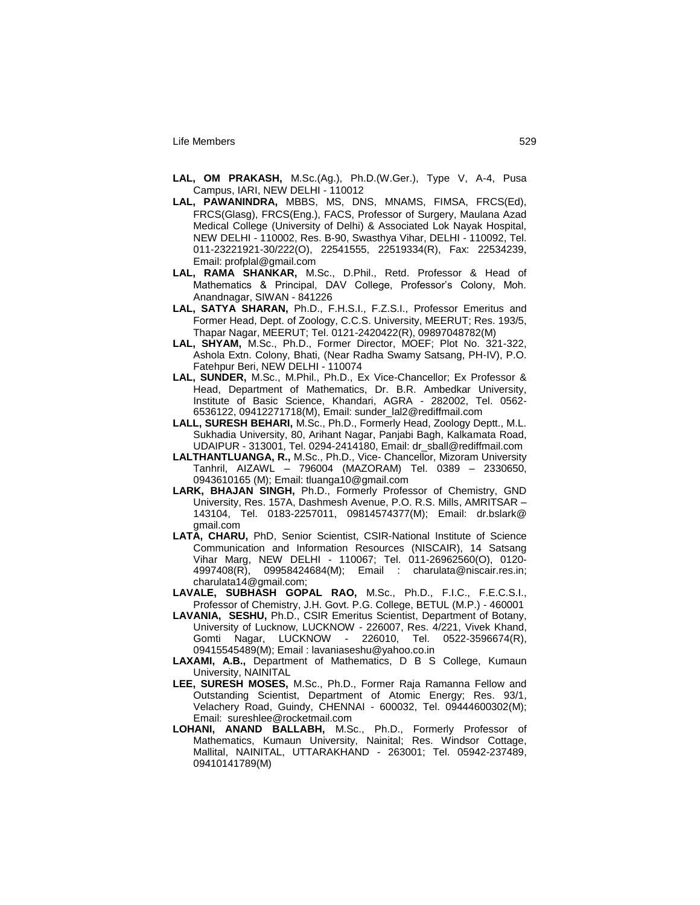- **LAL, OM PRAKASH,** M.Sc.(Ag.), Ph.D.(W.Ger.), Type V, A-4, Pusa Campus, IARI, NEW DELHI - 110012
- **LAL, PAWANINDRA,** MBBS, MS, DNS, MNAMS, FIMSA, FRCS(Ed), FRCS(Glasg), FRCS(Eng.), FACS, Professor of Surgery, Maulana Azad Medical College (University of Delhi) & Associated Lok Nayak Hospital, NEW DELHI - 110002, Res. B-90, Swasthya Vihar, DELHI - 110092, Tel. 011-23221921-30/222(O), 22541555, 22519334(R), Fax: 22534239, Email: profplal@gmail.com
- **LAL, RAMA SHANKAR,** M.Sc., D.Phil., Retd. Professor & Head of Mathematics & Principal, DAV College, Professor's Colony, Moh. Anandnagar, SIWAN - 841226
- **LAL, SATYA SHARAN,** Ph.D., F.H.S.I., F.Z.S.I., Professor Emeritus and Former Head, Dept. of Zoology, C.C.S. University, MEERUT; Res. 193/5, Thapar Nagar, MEERUT; Tel. 0121-2420422(R), 09897048782(M)
- **LAL, SHYAM,** M.Sc., Ph.D., Former Director, MOEF; Plot No. 321-322, Ashola Extn. Colony, Bhati, (Near Radha Swamy Satsang, PH-IV), P.O. Fatehpur Beri, NEW DELHI - 110074
- **LAL, SUNDER,** M.Sc., M.Phil., Ph.D., Ex Vice-Chancellor; Ex Professor & Head, Department of Mathematics, Dr. B.R. Ambedkar University, Institute of Basic Science, Khandari, AGRA - 282002, Tel. 0562- 6536122, 09412271718(M), Email: sunder\_lal2@rediffmail.com
- **LALL, SURESH BEHARI,** M.Sc., Ph.D., Formerly Head, Zoology Deptt., M.L. Sukhadia University, 80, Arihant Nagar, Panjabi Bagh, Kalkamata Road, UDAIPUR - 313001, Tel. 0294-2414180, Email: dr\_sball@rediffmail.com
- **LALTHANTLUANGA, R.,** M.Sc., Ph.D., Vice- Chancellor, Mizoram University Tanhril, AIZAWL – 796004 (MAZORAM) Tel. 0389 – 2330650, 0943610165 (M); Email: tluanga10@gmail.com
- **LARK, BHAJAN SINGH,** Ph.D., Formerly Professor of Chemistry, GND University, Res. 157A, Dashmesh Avenue, P.O. R.S. Mills, AMRITSAR – 143104, Tel. 0183-2257011, 09814574377(M); Email: dr.bslark@ gmail.com
- **LATA, CHARU,** PhD, Senior Scientist, CSIR-National Institute of Science Communication and Information Resources (NISCAIR), 14 Satsang Vihar Marg, NEW DELHI - 110067; Tel. 011-26962560(O), 0120- 4997408(R), 09958424684(M); Email : charulata@niscair.res.in; charulata14@gmail.com;
- **LAVALE, SUBHASH GOPAL RAO,** M.Sc., Ph.D., F.I.C., F.E.C.S.I., Professor of Chemistry, J.H. Govt. P.G. College, BETUL (M.P.) - 460001
- **LAVANIA, SESHU,** Ph.D., CSIR Emeritus Scientist, Department of Botany, University of Lucknow, LUCKNOW - 226007, Res. 4/221, Vivek Khand, Gomti Nagar, LUCKNOW - 226010, Tel. 0522-3596674(R), 09415545489(M); Email : lavaniaseshu@yahoo.co.in
- **LAXAMI, A.B.,** Department of Mathematics, D B S College, Kumaun University, NAINITAL
- **LEE, SURESH MOSES,** M.Sc., Ph.D., Former Raja Ramanna Fellow and Outstanding Scientist, Department of Atomic Energy; Res. 93/1, Velachery Road, Guindy, CHENNAI - 600032, Tel. 09444600302(M); Email: sureshlee@rocketmail.com
- **LOHANI, ANAND BALLABH,** M.Sc., Ph.D., Formerly Professor of Mathematics, Kumaun University, Nainital; Res. Windsor Cottage, Mallital, NAINITAL, UTTARAKHAND - 263001; Tel. 05942-237489, 09410141789(M)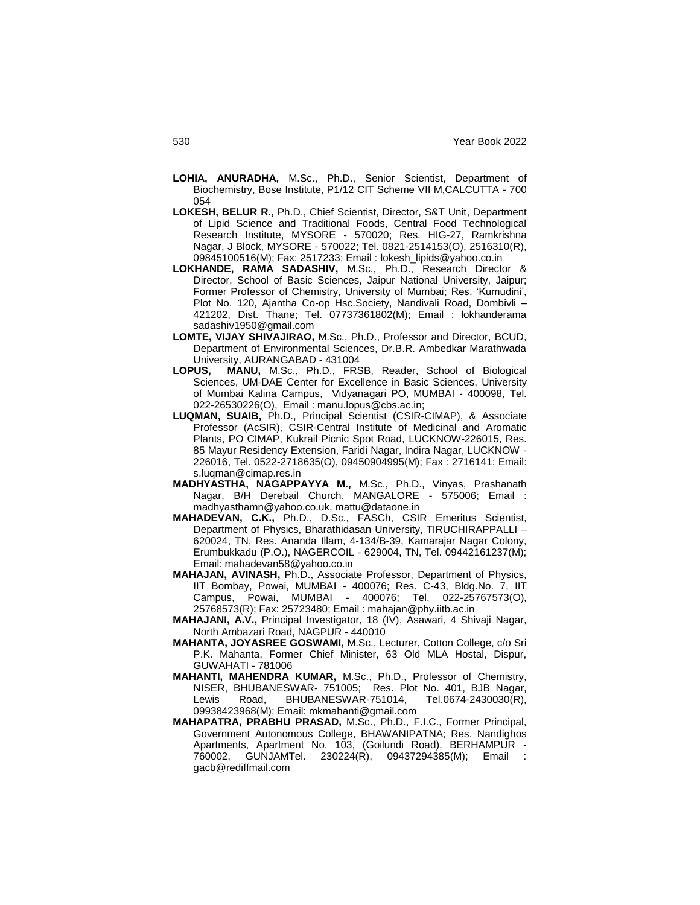- **LOHIA, ANURADHA,** M.Sc., Ph.D., Senior Scientist, Department of Biochemistry, Bose Institute, P1/12 CIT Scheme VII M,CALCUTTA - 700 054
- **LOKESH, BELUR R.,** Ph.D., Chief Scientist, Director, S&T Unit, Department of Lipid Science and Traditional Foods, Central Food Technological Research Institute, MYSORE - 570020; Res. HIG-27, Ramkrishna Nagar, J Block, MYSORE - 570022; Tel. 0821-2514153(O), 2516310(R), 09845100516(M); Fax: 2517233; Email : lokesh\_lipids@yahoo.co.in
- **LOKHANDE, RAMA SADASHIV,** M.Sc., Ph.D., Research Director & Director, School of Basic Sciences, Jaipur National University, Jaipur; Former Professor of Chemistry, University of Mumbai; Res. "Kumudini", Plot No. 120, Ajantha Co-op Hsc.Society, Nandivali Road, Dombivli – 421202, Dist. Thane; Tel. 07737361802(M); Email : lokhanderama sadashiv1950@gmail.com
- **LOMTE, VIJAY SHIVAJIRAO,** M.Sc., Ph.D., Professor and Director, BCUD, Department of Environmental Sciences, Dr.B.R. Ambedkar Marathwada University, AURANGABAD - 431004
- **LOPUS, MANU,** M.Sc., Ph.D., FRSB, Reader, School of Biological Sciences, UM-DAE Center for Excellence in Basic Sciences, University of Mumbai Kalina Campus, Vidyanagari PO, MUMBAI - 400098, Tel. 022-26530226(O), Email : manu.lopus@cbs.ac.in;
- **LUQMAN, SUAIB,** Ph.D., Principal Scientist (CSIR-CIMAP), & Associate Professor (AcSIR), CSIR-Central Institute of Medicinal and Aromatic Plants, PO CIMAP, Kukrail Picnic Spot Road, LUCKNOW-226015, Res. 85 Mayur Residency Extension, Faridi Nagar, Indira Nagar, LUCKNOW - 226016, Tel. 0522-2718635(O), 09450904995(M); Fax : 2716141; Email: s.luqman@cimap.res.in
- **MADHYASTHA, NAGAPPAYYA M.,** M.Sc., Ph.D., Vinyas, Prashanath Nagar, B/H Derebail Church, MANGALORE - 575006; Email : madhyasthamn@yahoo.co.uk, mattu@dataone.in
- **MAHADEVAN, C.K.,** Ph.D., D.Sc., FASCh, CSIR Emeritus Scientist, Department of Physics, Bharathidasan University, TIRUCHIRAPPALLI – 620024, TN, Res. Ananda Illam, 4-134/B-39, Kamarajar Nagar Colony, Erumbukkadu (P.O.), NAGERCOIL - 629004, TN, Tel. 09442161237(M); Email: mahadevan58@yahoo.co.in
- **MAHAJAN, AVINASH,** Ph.D., Associate Professor, Department of Physics, IIT Bombay, Powai, MUMBAI - 400076; Res. C-43, Bldg.No. 7, IIT Campus, Powai, MUMBAI - 400076; Tel. 022-25767573(O), 25768573(R); Fax: 25723480; Email : mahajan@phy.iitb.ac.in
- **MAHAJANI, A.V.,** Principal Investigator, 18 (IV), Asawari, 4 Shivaji Nagar, North Ambazari Road, NAGPUR - 440010
- **MAHANTA, JOYASREE GOSWAMI,** M.Sc., Lecturer, Cotton College, c/o Sri P.K. Mahanta, Former Chief Minister, 63 Old MLA Hostal, Dispur, GUWAHATI - 781006
- **MAHANTI, MAHENDRA KUMAR,** M.Sc., Ph.D., Professor of Chemistry, NISER, BHUBANESWAR- 751005; Res. Plot No. 401, BJB Nagar, Lewis Road, BHUBANESWAR-751014, Tel.0674-2430030(R), 09938423968(M); Email: mkmahanti@gmail.com
- **MAHAPATRA, PRABHU PRASAD,** M.Sc., Ph.D., F.I.C., Former Principal, Government Autonomous College, BHAWANIPATNA; Res. Nandighos Apartments, Apartment No. 103, (Goilundi Road), BERHAMPUR - 760002, GUNJAMTel. 230224(R), 09437294385(M); Email : gacb@rediffmail.com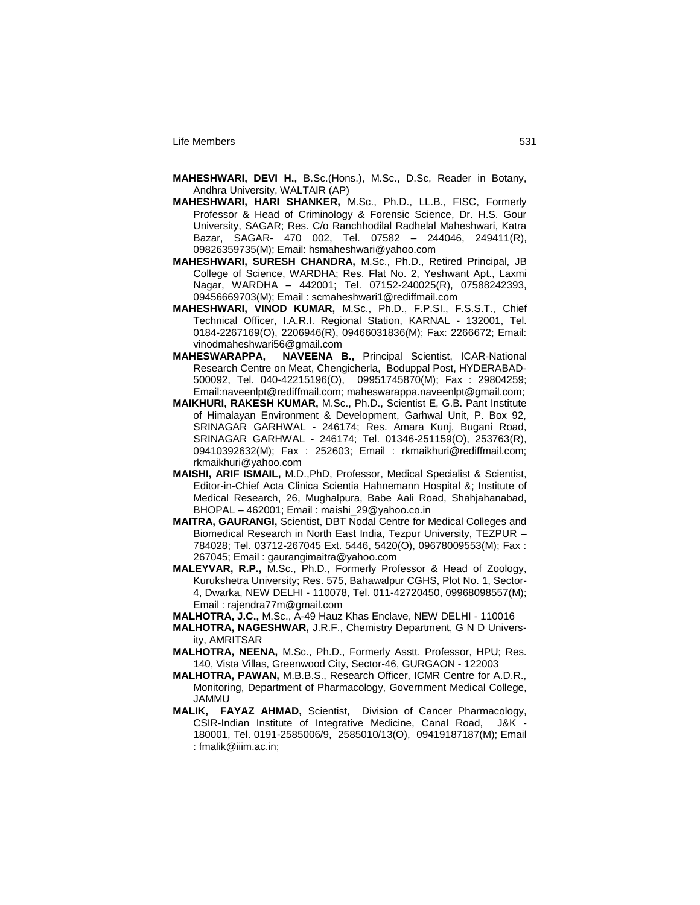- **MAHESHWARI, DEVI H.,** B.Sc.(Hons.), M.Sc., D.Sc, Reader in Botany, Andhra University, WALTAIR (AP)
- **MAHESHWARI, HARI SHANKER,** M.Sc., Ph.D., LL.B., FISC, Formerly Professor & Head of Criminology & Forensic Science, Dr. H.S. Gour University, SAGAR; Res. C/o Ranchhodilal Radhelal Maheshwari, Katra Bazar, SAGAR- 470 002, Tel. 07582 – 244046, 249411(R), 09826359735(M); Email: hsmaheshwari@yahoo.com
- **MAHESHWARI, SURESH CHANDRA,** M.Sc., Ph.D., Retired Principal, JB College of Science, WARDHA; Res. Flat No. 2, Yeshwant Apt., Laxmi Nagar, WARDHA – 442001; Tel. 07152-240025(R), 07588242393, 09456669703(M); Email : scmaheshwari1@rediffmail.com
- **MAHESHWARI, VINOD KUMAR,** M.Sc., Ph.D., F.P.SI., F.S.S.T., Chief Technical Officer, I.A.R.I. Regional Station, KARNAL - 132001, Tel. 0184-2267169(O), 2206946(R), 09466031836(M); Fax: 2266672; Email: vinodmaheshwari56@gmail.com
- **MAHESWARAPPA, NAVEENA B.,** Principal Scientist, ICAR-National Research Centre on Meat, Chengicherla, Boduppal Post, HYDERABAD-500092, Tel. 040-42215196(O), 09951745870(M); Fax : 29804259; Email:naveenlpt@rediffmail.com; maheswarappa.naveenlpt@gmail.com;
- **MAIKHURI, RAKESH KUMAR,** M.Sc., Ph.D., Scientist E, G.B. Pant Institute of Himalayan Environment & Development, Garhwal Unit, P. Box 92, SRINAGAR GARHWAL - 246174; Res. Amara Kunj, Bugani Road, SRINAGAR GARHWAL - 246174; Tel. 01346-251159(O), 253763(R), 09410392632(M); Fax : 252603; Email : rkmaikhuri@rediffmail.com; rkmaikhuri@yahoo.com
- **MAISHI, ARIF ISMAIL,** M.D.,PhD, Professor, Medical Specialist & Scientist, Editor-in-Chief Acta Clinica Scientia Hahnemann Hospital &; Institute of Medical Research, 26, Mughalpura, Babe Aali Road, Shahjahanabad, BHOPAL – 462001; Email : maishi\_29@yahoo.co.in
- **MAITRA, GAURANGI,** Scientist, DBT Nodal Centre for Medical Colleges and Biomedical Research in North East India, Tezpur University, TEZPUR – 784028; Tel. 03712-267045 Ext. 5446, 5420(O), 09678009553(M); Fax : 267045; Email : gaurangimaitra@yahoo.com
- **MALEYVAR, R.P.,** M.Sc., Ph.D., Formerly Professor & Head of Zoology, Kurukshetra University; Res. 575, Bahawalpur CGHS, Plot No. 1, Sector-4, Dwarka, NEW DELHI - 110078, Tel. 011-42720450, 09968098557(M); Email : rajendra77m@gmail.com
- **MALHOTRA, J.C.,** M.Sc., A-49 Hauz Khas Enclave, NEW DELHI 110016
- **MALHOTRA, NAGESHWAR,** J.R.F., Chemistry Department, G N D University, AMRITSAR
- **MALHOTRA, NEENA,** M.Sc., Ph.D., Formerly Asstt. Professor, HPU; Res. 140, Vista Villas, Greenwood City, Sector-46, GURGAON - 122003
- **MALHOTRA, PAWAN,** M.B.B.S., Research Officer, ICMR Centre for A.D.R., Monitoring, Department of Pharmacology, Government Medical College, JAMMU
- **MALIK, FAYAZ AHMAD,** Scientist, Division of Cancer Pharmacology, CSIR-Indian Institute of Integrative Medicine, Canal Road, J&K - 180001, Tel. 0191-2585006/9, 2585010/13(O), 09419187187(M); Email : fmalik@iiim.ac.in;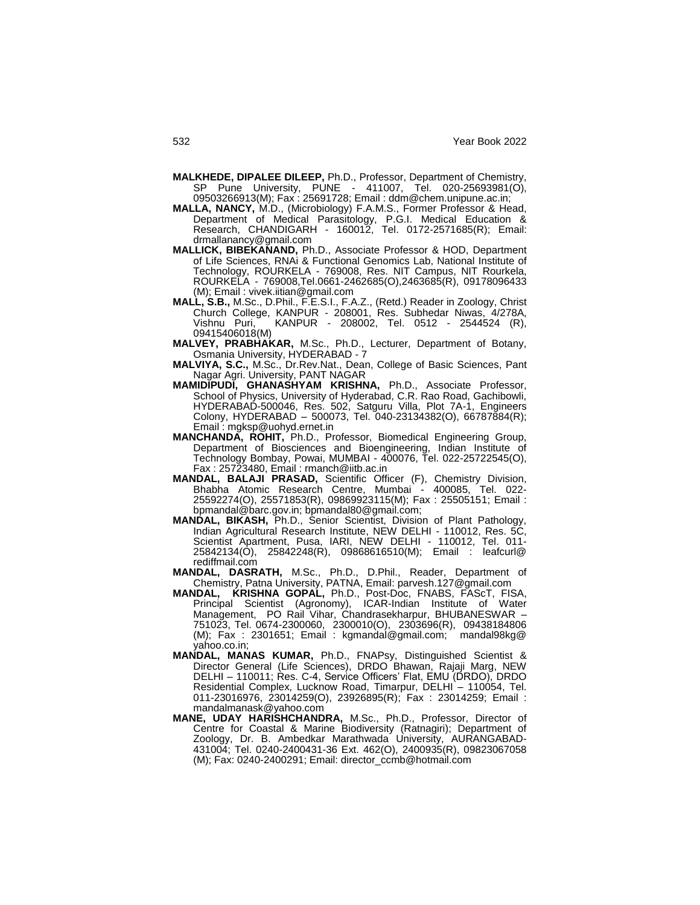- **MALKHEDE, DIPALEE DILEEP,** Ph.D., Professor, Department of Chemistry, SP Pune University, PUNE - 411007, Tel. 020-25693981(O), 09503266913(M); Fax : 25691728; Email : ddm@chem.unipune.ac.in;
- **MALLA, NANCY,** M.D., (Microbiology) F.A.M.S., Former Professor & Head, Department of Medical Parasitology, P.G.I. Medical Education & Research, CHANDIGARH - 160012, Tel. 0172-2571685(R); Email: drmallanancy@gmail.com
- **MALLICK, BIBEKANAND,** Ph.D., Associate Professor & HOD, Department of Life Sciences, RNAi & Functional Genomics Lab, National Institute of Technology, ROURKELA - 769008, Res. NIT Campus, NIT Rourkela, ROURKELA - 769008,Tel.0661-2462685(O),2463685(R), 09178096433 (M); Email : vivek.iitian@gmail.com
- **MALL, S.B.,** M.Sc., D.Phil., F.E.S.I., F.A.Z., (Retd.) Reader in Zoology, Christ Church College, KANPUR - 208001, Res. Subhedar Niwas, 4/278A, Vishnu Puri, KANPUR - 208002, Tel. 0512 - 2544524 (R), 09415406018(M)
- **MALVEY, PRABHAKAR,** M.Sc., Ph.D., Lecturer, Department of Botany, Osmania University, HYDERABAD - 7
- **MALVIYA, S.C.,** M.Sc., Dr.Rev.Nat., Dean, College of Basic Sciences, Pant Nagar Agri. University, PANT NAGAR
- **MAMIDIPUDI, GHANASHYAM KRISHNA,** Ph.D., Associate Professor, School of Physics, University of Hyderabad, C.R. Rao Road, Gachibowli, HYDERABAD-500046, Res. 502, Satguru Villa, Plot 7A-1, Engineers Colony, HYDERABAD – 500073, Tel. 040-23134382(O), 66787884(R); Email : mgksp@uohyd.ernet.in
- **MANCHANDA, ROHIT,** Ph.D., Professor, Biomedical Engineering Group, Department of Biosciences and Bioengineering, Indian Institute of Technology Bombay, Powai, MUMBAI - 400076, Tel. 022-25722545(O), Fax : 25723480, Email : rmanch@iitb.ac.in
- **MANDAL, BALAJI PRASAD,** Scientific Officer (F), Chemistry Division, Bhabha Atomic Research Centre, Mumbai - 400085, Tel. 022- 25592274(O), 25571853(R), 09869923115(M); Fax : 25505151; Email : bpmandal@barc.gov.in; bpmandal80@gmail.com;
- **MANDAL, BIKASH,** Ph.D., Senior Scientist, Division of Plant Pathology, Indian Agricultural Research Institute, NEW DELHI - 110012, Res. 5C, Scientist Apartment, Pusa, IARI, NEW DELHI - 110012, Tel. 011- 25842134(O), 25842248(R), 09868616510(M); Email : leafcurl@ rediffmail.com
- **MANDAL, DASRATH,** M.Sc., Ph.D., D.Phil., Reader, Department of Chemistry, Patna University, PATNA, Email: parvesh.127@gmail.com
- **MANDAL, KRISHNA GOPAL,** Ph.D., Post-Doc, FNABS, FAScT, FISA, Principal Scientist (Agronomy), ICAR-Indian Institute of Water Management, PO Rail Vihar, Chandrasekharpur, BHUBANESWAR – 751023, Tel. 0674-2300060, 2300010(O), 2303696(R), 09438184806 (M); Fax : 2301651; Email : kgmandal@gmail.com; mandal98kg@ yahoo.co.in;
- **MANDAL, MANAS KUMAR,** Ph.D., FNAPsy, Distinguished Scientist & Director General (Life Sciences), DRDO Bhawan, Rajaji Marg, NEW DELHI – 110011; Res. C-4, Service Officers" Flat, EMU (DRDO), DRDO Residential Complex, Lucknow Road, Timarpur, DELHI – 110054, Tel. 011-23016976, 23014259(O), 23926895(R); Fax : 23014259; Email : mandalmanask@yahoo.com
- **MANE, UDAY HARISHCHANDRA,** M.Sc., Ph.D., Professor, Director of Centre for Coastal & Marine Biodiversity (Ratnagiri); Department of Zoology, Dr. B. Ambedkar Marathwada University, AURANGABAD-431004; Tel. 0240-2400431-36 Ext. 462(O), 2400935(R), 09823067058 (M); Fax: 0240-2400291; Email: director\_ccmb@hotmail.com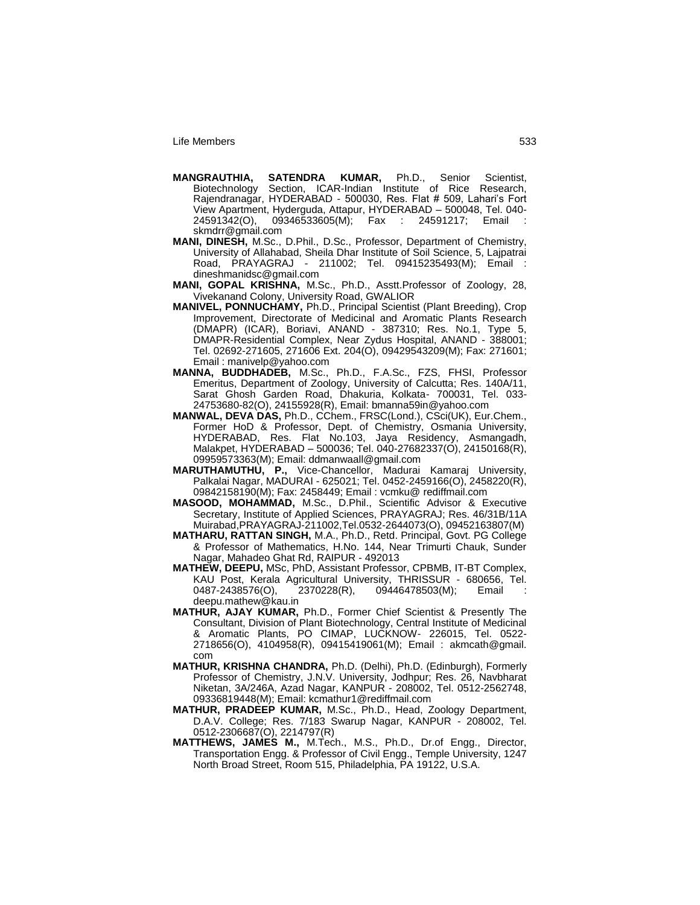- **MANGRAUTHIA, SATENDRA KUMAR,** Ph.D., Senior Scientist, Biotechnology Section, ICAR-Indian Institute of Rice Research, Rajendranagar, HYDERABAD - 500030, Res. Flat # 509, Lahari"s Fort View Apartment, Hyderguda, Attapur, HYDERABAD – 500048, Tel. 040-<br>24591342(O), 09346533605(M); Fax : 24591217; Email :  $09346533605(M);$  Fax : 24591217; skmdrr@gmail.com
- **MANI, DINESH,** M.Sc., D.Phil., D.Sc., Professor, Department of Chemistry, University of Allahabad, Sheila Dhar Institute of Soil Science, 5, Lajpatrai Road, PRAYAGRAJ - 211002; Tel. 09415235493(M); Email : dineshmanidsc@gmail.com
- **MANI, GOPAL KRISHNA,** M.Sc., Ph.D., Asstt.Professor of Zoology, 28, Vivekanand Colony, University Road, GWALIOR
- **MANIVEL, PONNUCHAMY,** Ph.D., Principal Scientist (Plant Breeding), Crop Improvement, Directorate of Medicinal and Aromatic Plants Research (DMAPR) (ICAR), Boriavi, ANAND - 387310; Res. No.1, Type 5, DMAPR-Residential Complex, Near Zydus Hospital, ANAND - 388001; Tel. 02692-271605, 271606 Ext. 204(O), 09429543209(M); Fax: 271601; Email : manivelp@yahoo.com
- **MANNA, BUDDHADEB,** M.Sc., Ph.D., F.A.Sc., FZS, FHSI, Professor Emeritus, Department of Zoology, University of Calcutta; Res. 140A/11, Sarat Ghosh Garden Road, Dhakuria, Kolkata- 700031, Tel. 033- 24753680-82(O), 24155928(R), Email: bmanna59in@yahoo.com
- **MANWAL, DEVA DAS,** Ph.D., CChem., FRSC(Lond.), CSci(UK), Eur.Chem., Former HoD & Professor, Dept. of Chemistry, Osmania University, HYDERABAD, Res. Flat No.103, Jaya Residency, Asmangadh, Malakpet, HYDERABAD – 500036; Tel. 040-27682337(O), 24150168(R), 09959573363(M); Email: ddmanwaall@gmail.com
- **MARUTHAMUTHU, P.,** Vice-Chancellor, Madurai Kamaraj University, Palkalai Nagar, MADURAI - 625021; Tel. 0452-2459166(O), 2458220(R), 09842158190(M); Fax: 2458449; Email : vcmku@ rediffmail.com
- **MASOOD, MOHAMMAD,** M.Sc., D.Phil., Scientific Advisor & Executive Secretary, Institute of Applied Sciences, PRAYAGRAJ; Res. 46/31B/11A Muirabad,PRAYAGRAJ-211002,Tel.0532-2644073(O), 09452163807(M)
- **MATHARU, RATTAN SINGH,** M.A., Ph.D., Retd. Principal, Govt. PG College & Professor of Mathematics, H.No. 144, Near Trimurti Chauk, Sunder Nagar, Mahadeo Ghat Rd, RAIPUR - 492013
- **MATHEW, DEEPU,** MSc, PhD, Assistant Professor, CPBMB, IT-BT Complex, KAU Post, Kerala Agricultural University, THRISSUR - 680656, Tel. 0487-2438576(O), 2370228(R), 09446478503(M); Email deepu.mathew@kau.in
- **MATHUR, AJAY KUMAR,** Ph.D., Former Chief Scientist & Presently The Consultant, Division of Plant Biotechnology, Central Institute of Medicinal & Aromatic Plants, PO CIMAP, LUCKNOW- 226015, Tel. 0522- 2718656(O), 4104958(R), 09415419061(M); Email : akmcath@gmail. com
- **MATHUR, KRISHNA CHANDRA,** Ph.D. (Delhi), Ph.D. (Edinburgh), Formerly Professor of Chemistry, J.N.V. University, Jodhpur; Res. 26, Navbharat Niketan, 3A/246A, Azad Nagar, KANPUR - 208002, Tel. 0512-2562748, 09336819448(M); Email: kcmathur1@rediffmail.com
- **MATHUR, PRADEEP KUMAR,** M.Sc., Ph.D., Head, Zoology Department, D.A.V. College; Res. 7/183 Swarup Nagar, KANPUR - 208002, Tel. 0512-2306687(O), 2214797(R)
- **MATTHEWS, JAMES M.,** M.Tech., M.S., Ph.D., Dr.of Engg., Director, Transportation Engg. & Professor of Civil Engg., Temple University, 1247 North Broad Street, Room 515, Philadelphia, PA 19122, U.S.A.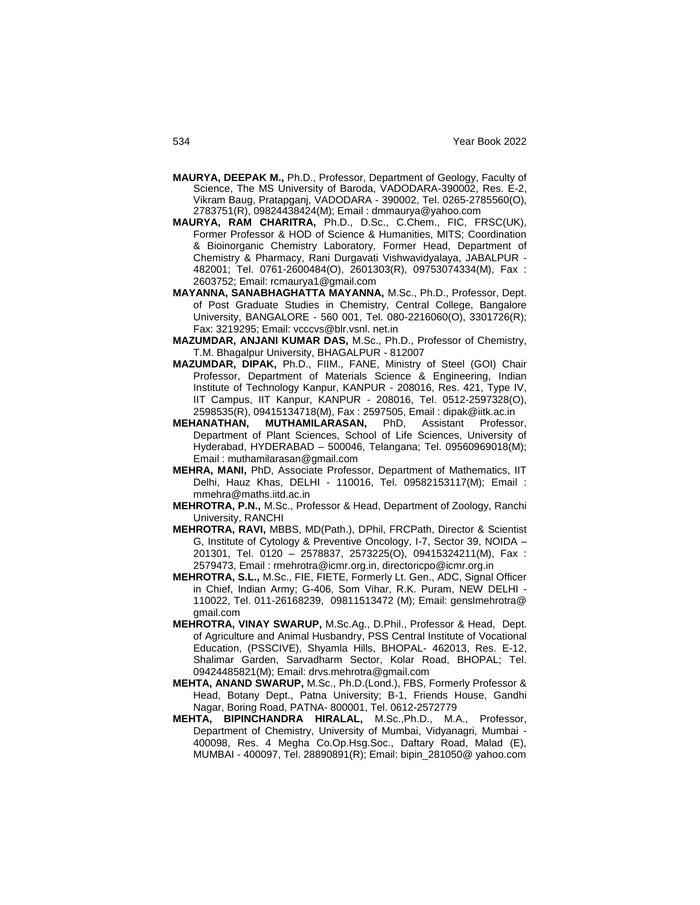- **MAURYA, DEEPAK M.,** Ph.D., Professor, Department of Geology, Faculty of Science, The MS University of Baroda, VADODARA-390002, Res. E-2, Vikram Baug, Pratapganj, VADODARA - 390002, Tel. 0265-2785560(O), 2783751(R), 09824438424(M); Email : dmmaurya@yahoo.com
- **MAURYA, RAM CHARITRA,** Ph.D., D.Sc., C.Chem., FIC, FRSC(UK), Former Professor & HOD of Science & Humanities, MITS; Coordination & Bioinorganic Chemistry Laboratory, Former Head, Department of Chemistry & Pharmacy, Rani Durgavati Vishwavidyalaya, JABALPUR - 482001; Tel. 0761-2600484(O), 2601303(R), 09753074334(M), Fax : 2603752; Email: rcmaurya1@gmail.com
- **MAYANNA, SANABHAGHATTA MAYANNA,** M.Sc., Ph.D., Professor, Dept. of Post Graduate Studies in Chemistry, Central College, Bangalore University, BANGALORE - 560 001, Tel. 080-2216060(O), 3301726(R); Fax: 3219295; Email: vcccvs@blr.vsnl. net.in
- **MAZUMDAR, ANJANI KUMAR DAS,** M.Sc., Ph.D., Professor of Chemistry, T.M. Bhagalpur University, BHAGALPUR - 812007
- **MAZUMDAR, DIPAK,** Ph.D., FIIM., FANE, Ministry of Steel (GOI) Chair Professor, Department of Materials Science & Engineering, Indian Institute of Technology Kanpur, KANPUR - 208016, Res. 421, Type IV, IIT Campus, IIT Kanpur, KANPUR - 208016, Tel. 0512-2597328(O), 2598535(R), 09415134718(M), Fax : 2597505, Email : dipak@iitk.ac.in
- **MEHANATHAN, MUTHAMILARASAN,** PhD, Assistant Professor, Department of Plant Sciences, School of Life Sciences, University of Hyderabad, HYDERABAD – 500046, Telangana; Tel. 09560969018(M); Email : muthamilarasan@gmail.com
- **MEHRA, MANI,** PhD, Associate Professor, Department of Mathematics, IIT Delhi, Hauz Khas, DELHI - 110016, Tel. 09582153117(M); Email : mmehra@maths.iitd.ac.in
- **MEHROTRA, P.N.,** M.Sc., Professor & Head, Department of Zoology, Ranchi University, RANCHI
- **MEHROTRA, RAVI,** MBBS, MD(Path.), DPhil, FRCPath, Director & Scientist G, Institute of Cytology & Preventive Oncology, I-7, Sector 39, NOIDA – 201301, Tel. 0120 – 2578837, 2573225(O), 09415324211(M), Fax : 2579473, Email : rmehrotra@icmr.org.in, directoricpo@icmr.org.in
- **MEHROTRA, S.L.,** M.Sc., FIE, FIETE, Formerly Lt. Gen., ADC, Signal Officer in Chief, Indian Army; G-406, Som Vihar, R.K. Puram, NEW DELHI - 110022, Tel. 011-26168239, 09811513472 (M); Email: genslmehrotra@ gmail.com
- **MEHROTRA, VINAY SWARUP,** M.Sc.Ag., D.Phil., Professor & Head, Dept. of Agriculture and Animal Husbandry, PSS Central Institute of Vocational Education, (PSSCIVE), Shyamla Hills, BHOPAL- 462013, Res. E-12, Shalimar Garden, Sarvadharm Sector, Kolar Road, BHOPAL; Tel. 09424485821(M); Email: drvs.mehrotra@gmail.com
- **MEHTA, ANAND SWARUP,** M.Sc., Ph.D.(Lond.), FBS, Formerly Professor & Head, Botany Dept., Patna University; B-1, Friends House, Gandhi Nagar, Boring Road, PATNA- 800001, Tel. 0612-2572779
- **MEHTA, BIPINCHANDRA HIRALAL,** M.Sc.,Ph.D., M.A., Professor, Department of Chemistry, University of Mumbai, Vidyanagri, Mumbai - 400098, Res. 4 Megha Co.Op.Hsg.Soc., Daftary Road, Malad (E), MUMBAI - 400097, Tel. 28890891(R); Email: bipin\_281050@ yahoo.com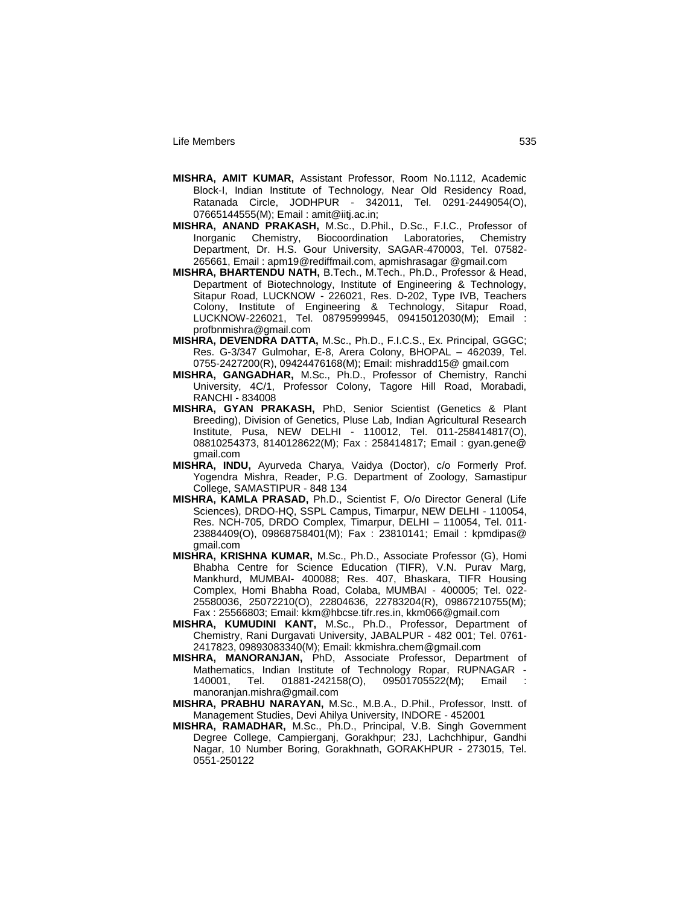- **MISHRA, AMIT KUMAR,** Assistant Professor, Room No.1112, Academic Block-I, Indian Institute of Technology, Near Old Residency Road, Ratanada Circle, JODHPUR - 342011, Tel. 0291-2449054(O), 07665144555(M); Email : amit@iitj.ac.in;
- **MISHRA, ANAND PRAKASH,** M.Sc., D.Phil., D.Sc., F.I.C., Professor of Inorganic Chemistry, Biocoordination Laboratories, Chemistry Department, Dr. H.S. Gour University, SAGAR-470003, Tel. 07582- 265661, Email : apm19@rediffmail.com, apmishrasagar @gmail.com
- **MISHRA, BHARTENDU NATH,** B.Tech., M.Tech., Ph.D., Professor & Head, Department of Biotechnology, Institute of Engineering & Technology, Sitapur Road, LUCKNOW - 226021, Res. D-202, Type IVB, Teachers Colony, Institute of Engineering & Technology, Sitapur Road, LUCKNOW-226021, Tel. 08795999945, 09415012030(M); Email : profbnmishra@gmail.com
- **MISHRA, DEVENDRA DATTA,** M.Sc., Ph.D., F.I.C.S., Ex. Principal, GGGC; Res. G-3/347 Gulmohar, E-8, Arera Colony, BHOPAL – 462039, Tel. 0755-2427200(R), 09424476168(M); Email: mishradd15@ gmail.com
- **MISHRA, GANGADHAR,** M.Sc., Ph.D., Professor of Chemistry, Ranchi University, 4C/1, Professor Colony, Tagore Hill Road, Morabadi, RANCHI - 834008
- **MISHRA, GYAN PRAKASH,** PhD, Senior Scientist (Genetics & Plant Breeding), Division of Genetics, Pluse Lab, Indian Agricultural Research Institute, Pusa, NEW DELHI - 110012, Tel. 011-258414817(O), 08810254373, 8140128622(M); Fax : 258414817; Email : gyan.gene@ gmail.com
- **MISHRA, INDU,** Ayurveda Charya, Vaidya (Doctor), c/o Formerly Prof. Yogendra Mishra, Reader, P.G. Department of Zoology, Samastipur College, SAMASTIPUR - 848 134
- **MISHRA, KAMLA PRASAD,** Ph.D., Scientist F, O/o Director General (Life Sciences), DRDO-HQ, SSPL Campus, Timarpur, NEW DELHI - 110054, Res. NCH-705, DRDO Complex, Timarpur, DELHI – 110054, Tel. 011- 23884409(O), 09868758401(M); Fax : 23810141; Email : kpmdipas@ gmail.com
- **MISHRA, KRISHNA KUMAR,** M.Sc., Ph.D., Associate Professor (G), Homi Bhabha Centre for Science Education (TIFR), V.N. Purav Marg, Mankhurd, MUMBAI- 400088; Res. 407, Bhaskara, TIFR Housing Complex, Homi Bhabha Road, Colaba, MUMBAI - 400005; Tel. 022- 25580036, 25072210(O), 22804636, 22783204(R), 09867210755(M); Fax : 25566803; Email: kkm@hbcse.tifr.res.in, kkm066@gmail.com
- **MISHRA, KUMUDINI KANT,** M.Sc., Ph.D., Professor, Department of Chemistry, Rani Durgavati University, JABALPUR - 482 001; Tel. 0761- 2417823, 09893083340(M); Email: kkmishra.chem@gmail.com
- **MISHRA, MANORANJAN,** PhD, Associate Professor, Department of Mathematics, Indian Institute of Technology Ropar, RUPNAGAR - 140001, Tel. 01881-242158(O), 09501705522(M); Email : manoranjan.mishra@gmail.com
- **MISHRA, PRABHU NARAYAN,** M.Sc., M.B.A., D.Phil., Professor, Instt. of Management Studies, Devi Ahilya University, INDORE - 452001
- **MISHRA, RAMADHAR,** M.Sc., Ph.D., Principal, V.B. Singh Government Degree College, Campierganj, Gorakhpur; 23J, Lachchhipur, Gandhi Nagar, 10 Number Boring, Gorakhnath, GORAKHPUR - 273015, Tel. 0551-250122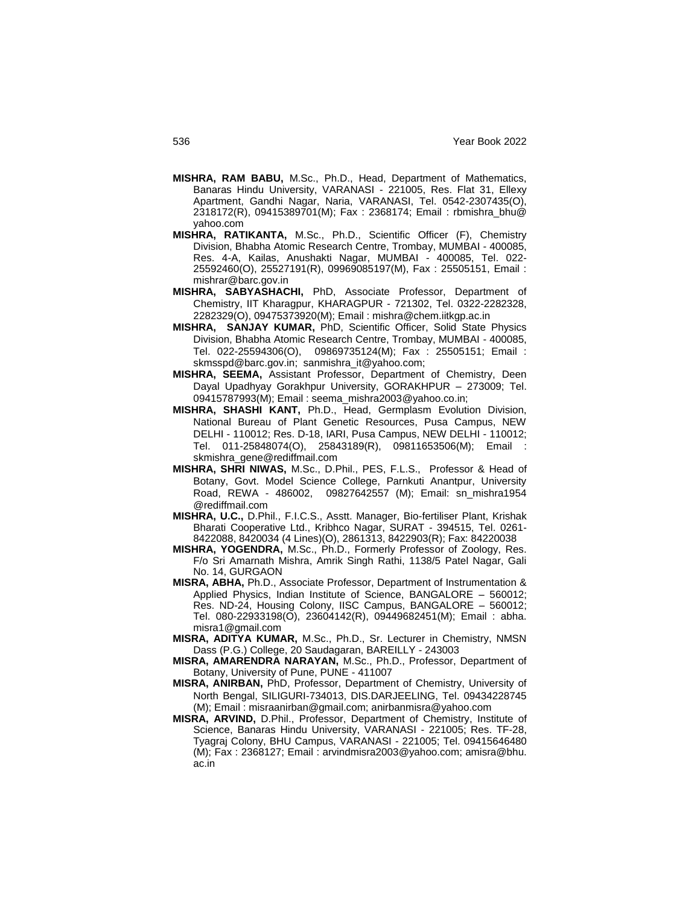- **MISHRA, RAM BABU,** M.Sc., Ph.D., Head, Department of Mathematics, Banaras Hindu University, VARANASI - 221005, Res. Flat 31, Ellexy Apartment, Gandhi Nagar, Naria, VARANASI, Tel. 0542-2307435(O), 2318172(R), 09415389701(M); Fax : 2368174; Email : rbmishra\_bhu@ yahoo.com
- **MISHRA, RATIKANTA,** M.Sc., Ph.D., Scientific Officer (F), Chemistry Division, Bhabha Atomic Research Centre, Trombay, MUMBAI - 400085, Res. 4-A, Kailas, Anushakti Nagar, MUMBAI - 400085, Tel. 022- 25592460(O), 25527191(R), 09969085197(M), Fax : 25505151, Email : mishrar@barc.gov.in
- **MISHRA, SABYASHACHI,** PhD, Associate Professor, Department of Chemistry, IIT Kharagpur, KHARAGPUR - 721302, Tel. 0322-2282328, 2282329(O), 09475373920(M); Email : mishra@chem.iitkgp.ac.in
- **MISHRA, SANJAY KUMAR,** PhD, Scientific Officer, Solid State Physics Division, Bhabha Atomic Research Centre, Trombay, MUMBAI - 400085, Tel. 022-25594306(O), 09869735124(M); Fax : 25505151; Email : skmsspd@barc.gov.in; sanmishra\_it@yahoo.com;
- **MISHRA, SEEMA,** Assistant Professor, Department of Chemistry, Deen Dayal Upadhyay Gorakhpur University, GORAKHPUR – 273009; Tel. 09415787993(M); Email : seema\_mishra2003@yahoo.co.in;
- **MISHRA, SHASHI KANT,** Ph.D., Head, Germplasm Evolution Division, National Bureau of Plant Genetic Resources, Pusa Campus, NEW DELHI - 110012; Res. D-18, IARI, Pusa Campus, NEW DELHI - 110012; Tel. 011-25848074(O), 25843189(R), 09811653506(M); Email : skmishra\_gene@rediffmail.com
- **MISHRA, SHRI NIWAS,** M.Sc., D.Phil., PES, F.L.S., Professor & Head of Botany, Govt. Model Science College, Parnkuti Anantpur, University Road, REWA - 486002, 09827642557 (M); Email: sn\_mishra1954 @rediffmail.com
- **MISHRA, U.C.,** D.Phil., F.I.C.S., Asstt. Manager, Bio-fertiliser Plant, Krishak Bharati Cooperative Ltd., Kribhco Nagar, SURAT - 394515, Tel. 0261- 8422088, 8420034 (4 Lines)(O), 2861313, 8422903(R); Fax: 84220038
- **MISHRA, YOGENDRA,** M.Sc., Ph.D., Formerly Professor of Zoology, Res. F/o Sri Amarnath Mishra, Amrik Singh Rathi, 1138/5 Patel Nagar, Gali No. 14, GURGAON
- **MISRA, ABHA,** Ph.D., Associate Professor, Department of Instrumentation & Applied Physics, Indian Institute of Science, BANGALORE – 560012; Res. ND-24, Housing Colony, IISC Campus, BANGALORE – 560012; Tel. 080-22933198(O), 23604142(R), 09449682451(M); Email : abha. misra1@gmail.com
- **MISRA, ADITYA KUMAR,** M.Sc., Ph.D., Sr. Lecturer in Chemistry, NMSN Dass (P.G.) College, 20 Saudagaran, BAREILLY - 243003
- **MISRA, AMARENDRA NARAYAN,** M.Sc., Ph.D., Professor, Department of Botany, University of Pune, PUNE - 411007
- **MISRA, ANIRBAN,** PhD, Professor, Department of Chemistry, University of North Bengal, SILIGURI-734013, DIS.DARJEELING, Tel. 09434228745 (M); Email : misraanirban@gmail.com; anirbanmisra@yahoo.com
- **MISRA, ARVIND,** D.Phil., Professor, Department of Chemistry, Institute of Science, Banaras Hindu University, VARANASI - 221005; Res. TF-28, Tyagraj Colony, BHU Campus, VARANASI - 221005; Tel. 09415646480 (M); Fax : 2368127; Email : arvindmisra2003@yahoo.com; amisra@bhu. ac.in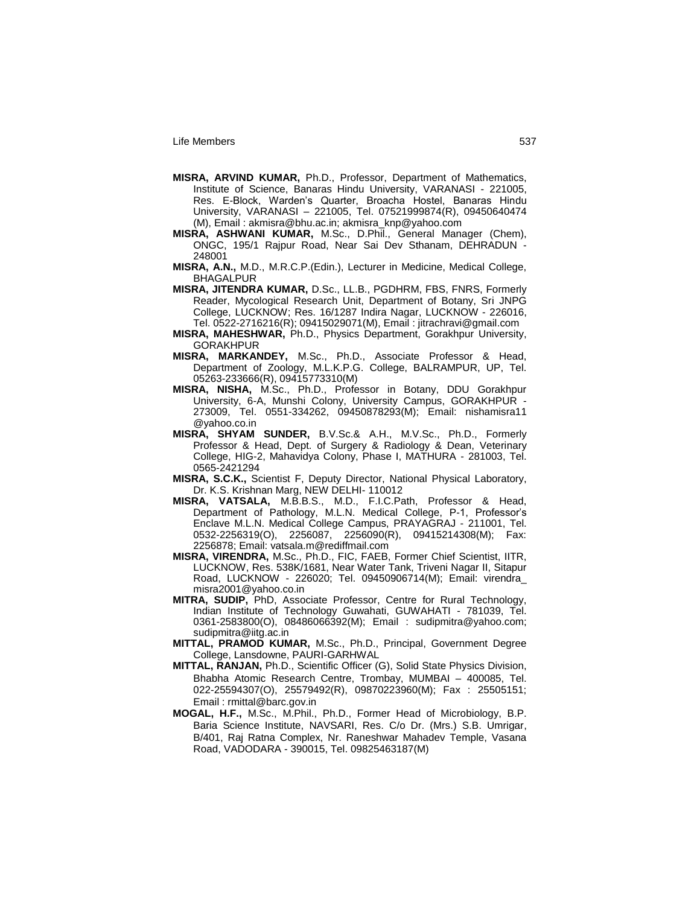- **MISRA, ARVIND KUMAR,** Ph.D., Professor, Department of Mathematics, Institute of Science, Banaras Hindu University, VARANASI - 221005, Res. E-Block, Warden's Quarter, Broacha Hostel, Banaras Hindu University, VARANASI – 221005, Tel. 07521999874(R), 09450640474 (M), Email : akmisra@bhu.ac.in; akmisra\_knp@yahoo.com
- **MISRA, ASHWANI KUMAR,** M.Sc., D.Phil., General Manager (Chem), ONGC, 195/1 Rajpur Road, Near Sai Dev Sthanam, DEHRADUN - 248001
- **MISRA, A.N.,** M.D., M.R.C.P.(Edin.), Lecturer in Medicine, Medical College, BHAGALPUR
- **MISRA, JITENDRA KUMAR,** D.Sc., LL.B., PGDHRM, FBS, FNRS, Formerly Reader, Mycological Research Unit, Department of Botany, Sri JNPG College, LUCKNOW; Res. 16/1287 Indira Nagar, LUCKNOW - 226016, Tel. 0522-2716216(R); 09415029071(M), Email : jitrachravi@gmail.com
- **MISRA, MAHESHWAR,** Ph.D., Physics Department, Gorakhpur University, GORAKHPUR
- **MISRA, MARKANDEY,** M.Sc., Ph.D., Associate Professor & Head, Department of Zoology, M.L.K.P.G. College, BALRAMPUR, UP, Tel. 05263-233666(R), 09415773310(M)
- **MISRA, NISHA,** M.Sc., Ph.D., Professor in Botany, DDU Gorakhpur University, 6-A, Munshi Colony, University Campus, GORAKHPUR - 273009, Tel. 0551-334262, 09450878293(M); Email: nishamisra11 @yahoo.co.in
- **MISRA, SHYAM SUNDER,** B.V.Sc.& A.H., M.V.Sc., Ph.D., Formerly Professor & Head, Dept. of Surgery & Radiology & Dean, Veterinary College, HIG-2, Mahavidya Colony, Phase I, MATHURA - 281003, Tel. 0565-2421294
- **MISRA, S.C.K.,** Scientist F, Deputy Director, National Physical Laboratory, Dr. K.S. Krishnan Marg, NEW DELHI- 110012
- **MISRA, VATSALA,** M.B.B.S., M.D., F.I.C.Path, Professor & Head, Department of Pathology, M.L.N. Medical College, P-1, Professor's Enclave M.L.N. Medical College Campus, PRAYAGRAJ - 211001, Tel. 0532-2256319(O), 2256087, 2256090(R), 09415214308(M); Fax: 2256878; Email: vatsala.m@rediffmail.com
- **MISRA, VIRENDRA,** M.Sc., Ph.D., FIC, FAEB, Former Chief Scientist, IITR, LUCKNOW, Res. 538K/1681, Near Water Tank, Triveni Nagar II, Sitapur Road, LUCKNOW - 226020; Tel. 09450906714(M); Email: virendra\_ misra2001@yahoo.co.in
- **MITRA, SUDIP,** PhD, Associate Professor, Centre for Rural Technology, Indian Institute of Technology Guwahati, GUWAHATI - 781039, Tel. 0361-2583800(O), 08486066392(M); Email: sudipmitra@yahoo.com; sudipmitra@iitg.ac.in
- **MITTAL, PRAMOD KUMAR,** M.Sc., Ph.D., Principal, Government Degree College, Lansdowne, PAURI-GARHWAL
- **MITTAL, RANJAN,** Ph.D., Scientific Officer (G), Solid State Physics Division, Bhabha Atomic Research Centre, Trombay, MUMBAI – 400085, Tel. 022-25594307(O), 25579492(R), 09870223960(M); Fax : 25505151; Email : rmittal@barc.gov.in
- **MOGAL, H.F.,** M.Sc., M.Phil., Ph.D., Former Head of Microbiology, B.P. Baria Science Institute, NAVSARI, Res. C/o Dr. (Mrs.) S.B. Umrigar, B/401, Raj Ratna Complex, Nr. Raneshwar Mahadev Temple, Vasana Road, VADODARA - 390015, Tel. 09825463187(M)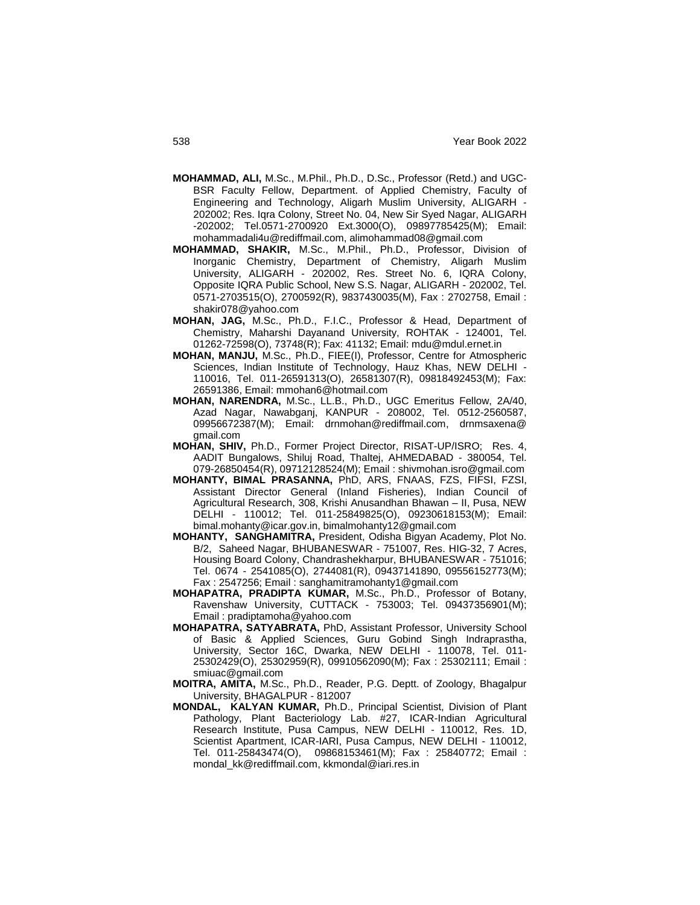- **MOHAMMAD, ALI,** M.Sc., M.Phil., Ph.D., D.Sc., Professor (Retd.) and UGC-BSR Faculty Fellow, Department. of Applied Chemistry, Faculty of Engineering and Technology, Aligarh Muslim University, ALIGARH - 202002; Res. Iqra Colony, Street No. 04, New Sir Syed Nagar, ALIGARH -202002; Tel.0571-2700920 Ext.3000(O), 09897785425(M); Email: mohammadali4u@rediffmail.com, alimohammad08@gmail.com
- **MOHAMMAD, SHAKIR,** M.Sc., M.Phil., Ph.D., Professor, Division of Inorganic Chemistry, Department of Chemistry, Aligarh Muslim University, ALIGARH - 202002, Res. Street No. 6, IQRA Colony, Opposite IQRA Public School, New S.S. Nagar, ALIGARH - 202002, Tel. 0571-2703515(O), 2700592(R), 9837430035(M), Fax : 2702758, Email : shakir078@yahoo.com
- **MOHAN, JAG,** M.Sc., Ph.D., F.I.C., Professor & Head, Department of Chemistry, Maharshi Dayanand University, ROHTAK - 124001, Tel. 01262-72598(O), 73748(R); Fax: 41132; Email: mdu@mdul.ernet.in
- **MOHAN, MANJU,** M.Sc., Ph.D., FIEE(I), Professor, Centre for Atmospheric Sciences, Indian Institute of Technology, Hauz Khas, NEW DELHI - 110016, Tel. 011-26591313(O), 26581307(R), 09818492453(M); Fax: 26591386, Email: mmohan6@hotmail.com
- **MOHAN, NARENDRA,** M.Sc., LL.B., Ph.D., UGC Emeritus Fellow, 2A/40, Azad Nagar, Nawabganj, KANPUR - 208002, Tel. 0512-2560587, 09956672387(M); Email: drnmohan@rediffmail.com, drnmsaxena@ gmail.com
- **MOHAN, SHIV,** Ph.D., Former Project Director, RISAT-UP/ISRO; Res. 4, AADIT Bungalows, Shiluj Road, Thaltej, AHMEDABAD - 380054, Tel. 079-26850454(R), 09712128524(M); Email : shivmohan.isro@gmail.com
- **MOHANTY, BIMAL PRASANNA,** PhD, ARS, FNAAS, FZS, FIFSI, FZSI, Assistant Director General (Inland Fisheries), Indian Council of Agricultural Research, 308, Krishi Anusandhan Bhawan – II, Pusa, NEW DELHI - 110012; Tel. 011-25849825(O), 09230618153(M); Email: bimal.mohanty@icar.gov.in, bimalmohanty12@gmail.com
- **MOHANTY, SANGHAMITRA,** President, Odisha Bigyan Academy, Plot No. B/2, Saheed Nagar, BHUBANESWAR - 751007, Res. HIG-32, 7 Acres, Housing Board Colony, Chandrashekharpur, BHUBANESWAR - 751016; Tel. 0674 - 2541085(O), 2744081(R), 09437141890, 09556152773(M); Fax : 2547256; Email : sanghamitramohanty1@gmail.com
- **MOHAPATRA, PRADIPTA KUMAR,** M.Sc., Ph.D., Professor of Botany, Ravenshaw University, CUTTACK - 753003; Tel. 09437356901(M); Email : pradiptamoha@yahoo.com
- **MOHAPATRA, SATYABRATA,** PhD, Assistant Professor, University School of Basic & Applied Sciences, Guru Gobind Singh Indraprastha, University, Sector 16C, Dwarka, NEW DELHI - 110078, Tel. 011- 25302429(O), 25302959(R), 09910562090(M); Fax : 25302111; Email : smiuac@gmail.com
- **MOITRA, AMITA,** M.Sc., Ph.D., Reader, P.G. Deptt. of Zoology, Bhagalpur University, BHAGALPUR - 812007
- **MONDAL, KALYAN KUMAR,** Ph.D., Principal Scientist, Division of Plant Pathology, Plant Bacteriology Lab. #27, ICAR-Indian Agricultural Research Institute, Pusa Campus, NEW DELHI - 110012, Res. 1D, Scientist Apartment, ICAR-IARI, Pusa Campus, NEW DELHI - 110012, Tel. 011-25843474(O), 09868153461(M); Fax : 25840772; Email : mondal\_kk@rediffmail.com, kkmondal@iari.res.in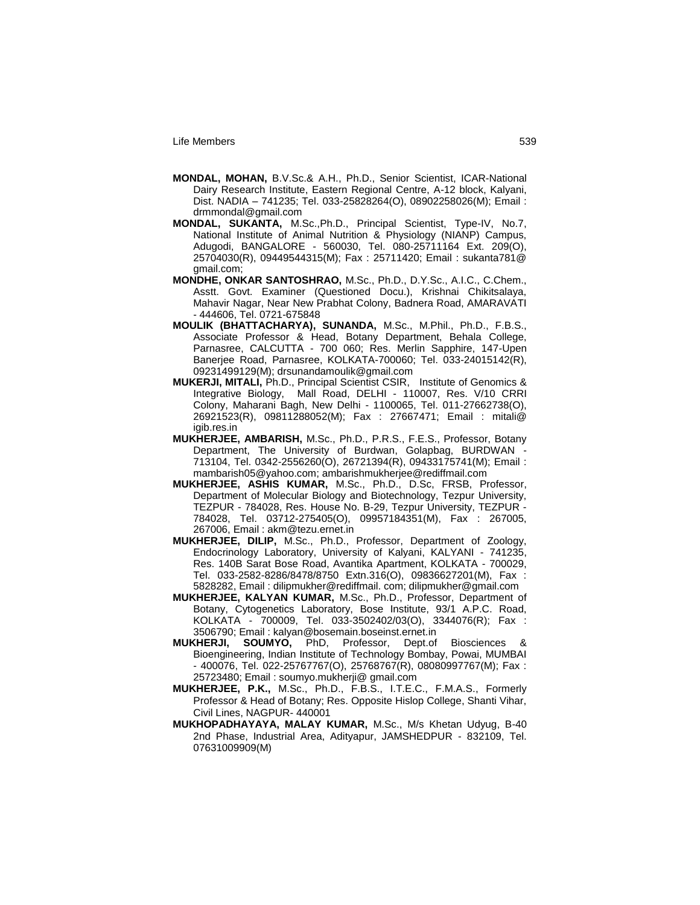- **MONDAL, MOHAN,** B.V.Sc.& A.H., Ph.D., Senior Scientist, ICAR-National Dairy Research Institute, Eastern Regional Centre, A-12 block, Kalyani, Dist. NADIA – 741235; Tel. 033-25828264(O), 08902258026(M); Email : drmmondal@gmail.com
- **MONDAL, SUKANTA,** M.Sc.,Ph.D., Principal Scientist, Type-IV, No.7, National Institute of Animal Nutrition & Physiology (NIANP) Campus, Adugodi, BANGALORE - 560030, Tel. 080-25711164 Ext. 209(O), 25704030(R), 09449544315(M); Fax : 25711420; Email : sukanta781@ gmail.com;
- **MONDHE, ONKAR SANTOSHRAO,** M.Sc., Ph.D., D.Y.Sc., A.I.C., C.Chem., Asstt. Govt. Examiner (Questioned Docu.), Krishnai Chikitsalaya, Mahavir Nagar, Near New Prabhat Colony, Badnera Road, AMARAVATI - 444606, Tel. 0721-675848
- **MOULIK (BHATTACHARYA), SUNANDA,** M.Sc., M.Phil., Ph.D., F.B.S., Associate Professor & Head, Botany Department, Behala College, Parnasree, CALCUTTA - 700 060; Res. Merlin Sapphire, 147-Upen Banerjee Road, Parnasree, KOLKATA-700060; Tel. 033-24015142(R), 09231499129(M); drsunandamoulik@gmail.com
- **MUKERJI, MITALI,** Ph.D., Principal Scientist CSIR, Institute of Genomics & Integrative Biology, Mall Road, DELHI - 110007, Res. V/10 CRRI Colony, Maharani Bagh, New Delhi - 1100065, Tel. 011-27662738(O), 26921523(R), 09811288052(M); Fax : 27667471; Email : mitali@ igib.res.in
- **MUKHERJEE, AMBARISH,** M.Sc., Ph.D., P.R.S., F.E.S., Professor, Botany Department, The University of Burdwan, Golapbag, BURDWAN - 713104, Tel. 0342-2556260(O), 26721394(R), 09433175741(M); Email : mambarish05@yahoo.com; ambarishmukherjee@rediffmail.com
- **MUKHERJEE, ASHIS KUMAR,** M.Sc., Ph.D., D.Sc, FRSB, Professor, Department of Molecular Biology and Biotechnology, Tezpur University, TEZPUR - 784028, Res. House No. B-29, Tezpur University, TEZPUR - 784028, Tel. 03712-275405(O), 09957184351(M), Fax : 267005, 267006, Email : akm@tezu.ernet.in
- **MUKHERJEE, DILIP,** M.Sc., Ph.D., Professor, Department of Zoology, Endocrinology Laboratory, University of Kalyani, KALYANI - 741235, Res. 140B Sarat Bose Road, Avantika Apartment, KOLKATA - 700029, Tel. 033-2582-8286/8478/8750 Extn.316(O), 09836627201(M), Fax : 5828282, Email : dilipmukher@rediffmail. com; dilipmukher@gmail.com
- **MUKHERJEE, KALYAN KUMAR,** M.Sc., Ph.D., Professor, Department of Botany, Cytogenetics Laboratory, Bose Institute, 93/1 A.P.C. Road, KOLKATA - 700009, Tel. 033-3502402/03(O), 3344076(R); Fax : 3506790; Email : kalyan@bosemain.boseinst.ernet.in
- **MUKHERJI, SOUMYO,** PhD, Professor, Dept.of Biosciences & Bioengineering, Indian Institute of Technology Bombay, Powai, MUMBAI - 400076, Tel. 022-25767767(O), 25768767(R), 08080997767(M); Fax : 25723480; Email : soumyo.mukherji@ gmail.com
- **MUKHERJEE, P.K.,** M.Sc., Ph.D., F.B.S., I.T.E.C., F.M.A.S., Formerly Professor & Head of Botany; Res. Opposite Hislop College, Shanti Vihar, Civil Lines, NAGPUR- 440001
- **MUKHOPADHAYAYA, MALAY KUMAR,** M.Sc., M/s Khetan Udyug, B-40 2nd Phase, Industrial Area, Adityapur, JAMSHEDPUR - 832109, Tel. 07631009909(M)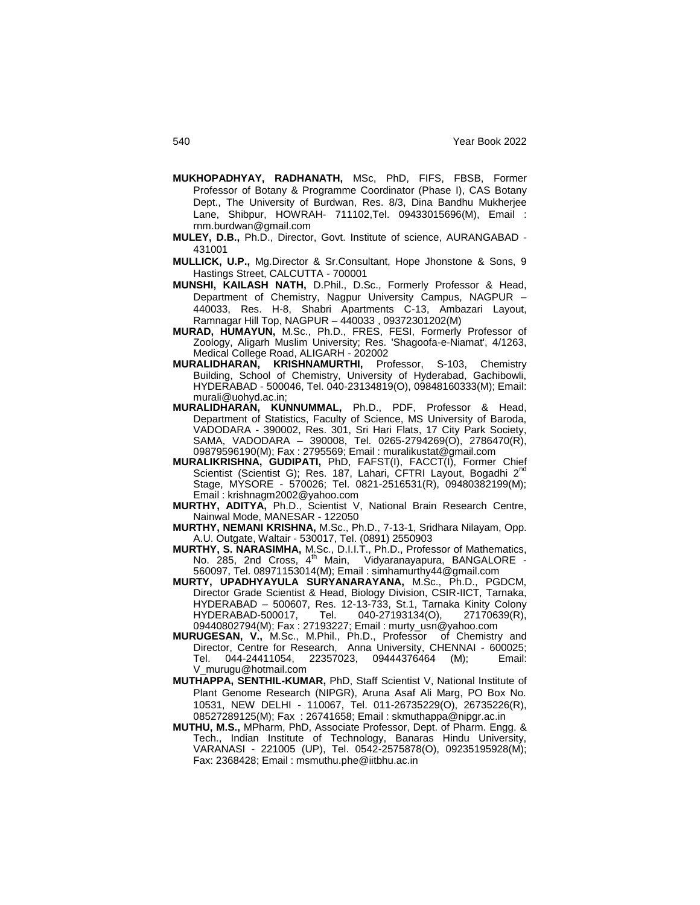- **MUKHOPADHYAY, RADHANATH,** MSc, PhD, FIFS, FBSB, Former Professor of Botany & Programme Coordinator (Phase I), CAS Botany Dept., The University of Burdwan, Res. 8/3, Dina Bandhu Mukherjee Lane, Shibpur, HOWRAH- 711102,Tel. 09433015696(M), Email : rnm.burdwan@gmail.com
- **MULEY, D.B.,** Ph.D., Director, Govt. Institute of science, AURANGABAD 431001
- **MULLICK, U.P.,** Mg.Director & Sr.Consultant, Hope Jhonstone & Sons, 9 Hastings Street, CALCUTTA - 700001
- **MUNSHI, KAILASH NATH,** D.Phil., D.Sc., Formerly Professor & Head, Department of Chemistry, Nagpur University Campus, NAGPUR – 440033, Res. H-8, Shabri Apartments C-13, Ambazari Layout, Ramnagar Hill Top, NAGPUR – 440033 , 09372301202(M)
- **MURAD, HUMAYUN,** M.Sc., Ph.D., FRES, FESI, Formerly Professor of Zoology, Aligarh Muslim University; Res. 'Shagoofa-e-Niamat', 4/1263, Medical College Road, ALIGARH - 202002
- **MURALIDHARAN, KRISHNAMURTHI,** Professor, S-103, Chemistry Building, School of Chemistry, University of Hyderabad, Gachibowli, HYDERABAD - 500046, Tel. 040-23134819(O), 09848160333(M); Email: murali@uohyd.ac.in;
- **MURALIDHARAN, KUNNUMMAL,** Ph.D., PDF, Professor & Head, Department of Statistics, Faculty of Science, MS University of Baroda, VADODARA - 390002, Res. 301, Sri Hari Flats, 17 City Park Society, SAMA, VADODARA – 390008, Tel. 0265-2794269(O), 2786470(R), 09879596190(M); Fax : 2795569; Email : muralikustat@gmail.com
- **MURALIKRISHNA, GUDIPATI,** PhD, FAFST(I), FACCT(I), Former Chief Scientist (Scientist G); Res. 187, Lahari, CFTRI Layout, Bogadhi 2<sup>nd</sup> Stage, MYSORE - 570026; Tel. 0821-2516531(R), 09480382199(M); Email : krishnagm2002@yahoo.com
- **MURTHY, ADITYA,** Ph.D., Scientist V, National Brain Research Centre, Nainwal Mode, MANESAR - 122050
- **MURTHY, NEMANI KRISHNA,** M.Sc., Ph.D., 7-13-1, Sridhara Nilayam, Opp. A.U. Outgate, Waltair - 530017, Tel. (0891) 2550903
- **MURTHY, S. NARASIMHA,** M.Sc., D.I.I.T., Ph.D., Professor of Mathematics, No. 285, 2nd Cross, 4<sup>th</sup> Main, Vidyaranayapura, BANGALORE -560097, Tel. 08971153014(M); Email : simhamurthy44@gmail.com
- **MURTY, UPADHYAYULA SURYANARAYANA,** M.Sc., Ph.D., PGDCM, Director Grade Scientist & Head, Biology Division, CSIR-IICT, Tarnaka, HYDERABAD – 500607, Res. 12-13-733, St.1, Tarnaka Kinity Colony HYDERABAD-500017, Tel. 040-27193134(O), 27170639(R), 09440802794(M); Fax : 27193227; Email : murty\_usn@yahoo.com
- **MURUGESAN, V.,** M.Sc., M.Phil., Ph.D., Professor of Chemistry and Director, Centre for Research, Anna University, CHENNAI - 600025;<br>Tel. 044-24411054, 22357023, 09444376464 (M); Email: Tel. 044-24411054, 22357023, 09444376464 (M); Email: V\_murugu@hotmail.com
- **MUTHAPPA, SENTHIL-KUMAR,** PhD, Staff Scientist V, National Institute of Plant Genome Research (NIPGR), Aruna Asaf Ali Marg, PO Box No. 10531, NEW DELHI - 110067, Tel. 011-26735229(O), 26735226(R), 08527289125(M); Fax : 26741658; Email : skmuthappa@nipgr.ac.in
- **MUTHU, M.S.,** MPharm, PhD, Associate Professor, Dept. of Pharm. Engg. & Tech., Indian Institute of Technology, Banaras Hindu University, VARANASI - 221005 (UP), Tel. 0542-2575878(O), 09235195928(M); Fax: 2368428; Email : msmuthu.phe@iitbhu.ac.in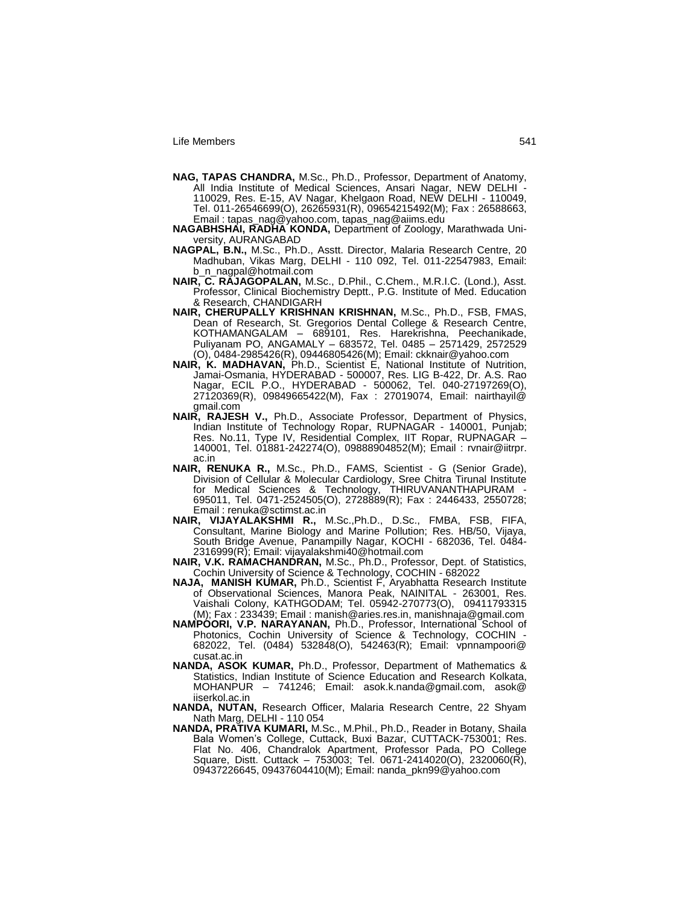- **NAG, TAPAS CHANDRA,** M.Sc., Ph.D., Professor, Department of Anatomy, All India Institute of Medical Sciences, Ansari Nagar, NEW DELHI - 110029, Res. E-15, AV Nagar, Khelgaon Road, NEW DELHI - 110049, Tel. 011-26546699(O), 26265931(R), 09654215492(M); Fax : 26588663, Email : tapas\_nag@yahoo.com, tapas\_nag@aiims.edu
- **NAGABHSHAI, RADHA KONDA,** Department of Zoology, Marathwada University, AURANGABAD
- **NAGPAL, B.N.,** M.Sc., Ph.D., Asstt. Director, Malaria Research Centre, 20 Madhuban, Vikas Marg, DELHI - 110 092, Tel. 011-22547983, Email: b\_n\_nagpal@hotmail.com
- **NAIR, C. RAJAGOPALAN,** M.Sc., D.Phil., C.Chem., M.R.I.C. (Lond.), Asst. Professor, Clinical Biochemistry Deptt., P.G. Institute of Med. Education & Research, CHANDIGARH
- **NAIR, CHERUPALLY KRISHNAN KRISHNAN,** M.Sc., Ph.D., FSB, FMAS, Dean of Research, St. Gregorios Dental College & Research Centre, KOTHAMANGALAM – 689101, Res. Harekrishna, Peechanikade, Puliyanam PO, ANGAMALY – 683572, Tel. 0485 – 2571429, 2572529 (O), 0484-2985426(R), 09446805426(M); Email: ckknair@yahoo.com
- **NAIR, K. MADHAVAN,** Ph.D., Scientist E, National Institute of Nutrition, Jamai-Osmania, HYDERABAD - 500007, Res. LIG B-422, Dr. A.S. Rao Nagar, ECIL P.O., HYDERABAD - 500062, Tel. 040-27197269(O), 27120369(R), 09849665422(M), Fax : 27019074, Email: nairthayil@ gmail.com
- **NAIR, RAJESH V.,** Ph.D., Associate Professor, Department of Physics, Indian Institute of Technology Ropar, RUPNAGAR - 140001, Punjab; Res. No.11, Type IV, Residential Complex, IIT Ropar, RUPNAGAR – 140001, Tel. 01881-242274(O), 09888904852(M); Email : rvnair@iitrpr. ac.in
- **NAIR, RENUKA R.,** M.Sc., Ph.D., FAMS, Scientist G (Senior Grade), Division of Cellular & Molecular Cardiology, Sree Chitra Tirunal Institute for Medical Sciences & Technology, THIRUVANANTHAPURAM - 695011, Tel. 0471-2524505(O), 2728889(R); Fax : 2446433, 2550728; Email : renuka@sctimst.ac.in
- **NAIR, VIJAYALAKSHMI R.,** M.Sc.,Ph.D., D.Sc., FMBA, FSB, FIFA, Consultant, Marine Biology and Marine Pollution; Res. HB/50, Vijaya, South Bridge Avenue, Panampilly Nagar, KOCHI - 682036, Tel. 0484- 2316999(R); Email: vijayalakshmi40@hotmail.com
- **NAIR, V.K. RAMACHANDRAN,** M.Sc., Ph.D., Professor, Dept. of Statistics, Cochin University of Science & Technology, COCHIN - 682022
- **NAJA, MANISH KUMAR,** Ph.D., Scientist F, Aryabhatta Research Institute of Observational Sciences, Manora Peak, NAINITAL - 263001, Res. Vaishali Colony, KATHGODAM; Tel. 05942-270773(O), 09411793315 (M); Fax : 233439; Email : manish@aries.res.in, manishnaja@gmail.com
- NAMPOORI, V.P. NARAYANAN, Ph.D., Professor, International School of Photonics, Cochin University of Science & Technology, COCHIN - 682022, Tel. (0484) 532848(O), 542463(R); Email: vpnnampoori@ cusat.ac.in
- **NANDA, ASOK KUMAR,** Ph.D., Professor, Department of Mathematics & Statistics, Indian Institute of Science Education and Research Kolkata, MOHANPUR – 741246; Email: asok.k.nanda@gmail.com, asok@ iiserkol.ac.in
- **NANDA, NUTAN,** Research Officer, Malaria Research Centre, 22 Shyam Nath Marg, DELHI - 110 054
- **NANDA, PRATIVA KUMARI,** M.Sc., M.Phil., Ph.D., Reader in Botany, Shaila Bala Women"s College, Cuttack, Buxi Bazar, CUTTACK-753001; Res. Flat No. 406, Chandralok Apartment, Professor Pada, PO College Square, Distt. Cuttack – 753003; Tel. 0671-2414020(O), 2320060(R), 09437226645, 09437604410(M); Email: nanda\_pkn99@yahoo.com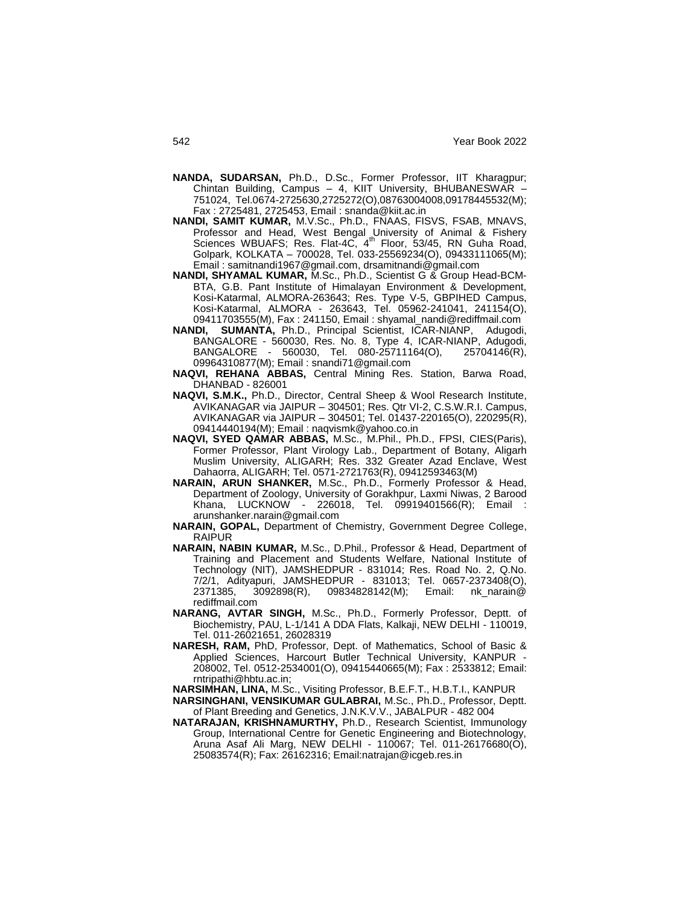- **NANDA, SUDARSAN,** Ph.D., D.Sc., Former Professor, IIT Kharagpur; Chintan Building, Campus – 4, KIIT University, BHUBANESWAR – 751024, Tel.0674-2725630,2725272(O),08763004008,09178445532(M); Fax : 2725481, 2725453, Email : snanda@kiit.ac.in
- **NANDI, SAMIT KUMAR,** M.V.Sc., Ph.D., FNAAS, FISVS, FSAB, MNAVS, Professor and Head, West Bengal University of Animal & Fishery Sciences WBUAFS; Res. Flat-4C, 4<sup>th</sup> Floor, 53/45, RN Guha Road, Golpark, KOLKATA – 700028, Tel. 033-25569234(O), 09433111065(M); Email : samitnandi1967@gmail.com, drsamitnandi@gmail.com
- **NANDI, SHYAMAL KUMAR,** M.Sc., Ph.D., Scientist G & Group Head-BCM-BTA, G.B. Pant Institute of Himalayan Environment & Development, Kosi-Katarmal, ALMORA-263643; Res. Type V-5, GBPIHED Campus, Kosi-Katarmal, ALMORA - 263643, Tel. 05962-241041, 241154(O), 09411703555(M), Fax : 241150, Email : shyamal\_nandi@rediffmail.com
- **NANDI, SUMANTA,** Ph.D., Principal Scientist, ICAR-NIANP, Adugodi, BANGALORE - 560030, Res. No. 8, Type 4, ICAR-NIANP, Adugodi, BANGALORE - 560030, Tel. 080-25711164(O), 25704146(R), 09964310877(M); Email : snandi71@gmail.com
- **NAQVI, REHANA ABBAS,** Central Mining Res. Station, Barwa Road, DHANBAD - 826001
- **NAQVI, S.M.K.,** Ph.D., Director, Central Sheep & Wool Research Institute, AVIKANAGAR via JAIPUR – 304501; Res. Qtr VI-2, C.S.W.R.I. Campus, AVIKANAGAR via JAIPUR – 304501; Tel. 01437-220165(O), 220295(R), 09414440194(M); Email : naqvismk@yahoo.co.in
- **NAQVI, SYED QAMAR ABBAS,** M.Sc., M.Phil., Ph.D., FPSI, CIES(Paris), Former Professor, Plant Virology Lab., Department of Botany, Aligarh Muslim University, ALIGARH; Res. 332 Greater Azad Enclave, West Dahaorra, ALIGARH; Tel. 0571-2721763(R), 09412593463(M)
- **NARAIN, ARUN SHANKER,** M.Sc., Ph.D., Formerly Professor & Head, Department of Zoology, University of Gorakhpur, Laxmi Niwas, 2 Barood Khana, LUCKNOW - 226018, Tel. 09919401566(R); Email : arunshanker.narain@gmail.com
- **NARAIN, GOPAL,** Department of Chemistry, Government Degree College, RAIPUR
- **NARAIN, NABIN KUMAR,** M.Sc., D.Phil., Professor & Head, Department of Training and Placement and Students Welfare, National Institute of Technology (NIT), JAMSHEDPUR - 831014; Res. Road No. 2, Q.No. 7/2/1, Adityapuri, JAMSHEDPUR - 831013; Tel. 0657-2373408(O), 2371385, 3092898(R), 09834828142(M); Email: nk\_narain@ rediffmail.com
- **NARANG, AVTAR SINGH,** M.Sc., Ph.D., Formerly Professor, Deptt. of Biochemistry, PAU, L-1/141 A DDA Flats, Kalkaji, NEW DELHI - 110019, Tel. 011-26021651, 26028319
- **NARESH, RAM,** PhD, Professor, Dept. of Mathematics, School of Basic & Applied Sciences, Harcourt Butler Technical University, KANPUR - 208002, Tel. 0512-2534001(O), 09415440665(M); Fax : 2533812; Email: rntripathi@hbtu.ac.in;

**NARSIMHAN, LINA,** M.Sc., Visiting Professor, B.E.F.T., H.B.T.I., KANPUR

- **NARSINGHANI, VENSIKUMAR GULABRAI,** M.Sc., Ph.D., Professor, Deptt. of Plant Breeding and Genetics, J.N.K.V.V., JABALPUR - 482 004
- **NATARAJAN, KRISHNAMURTHY,** Ph.D., Research Scientist, Immunology Group, International Centre for Genetic Engineering and Biotechnology, Aruna Asaf Ali Marg, NEW DELHI - 110067; Tel. 011-26176680(O), 25083574(R); Fax: 26162316; Email:natrajan@icgeb.res.in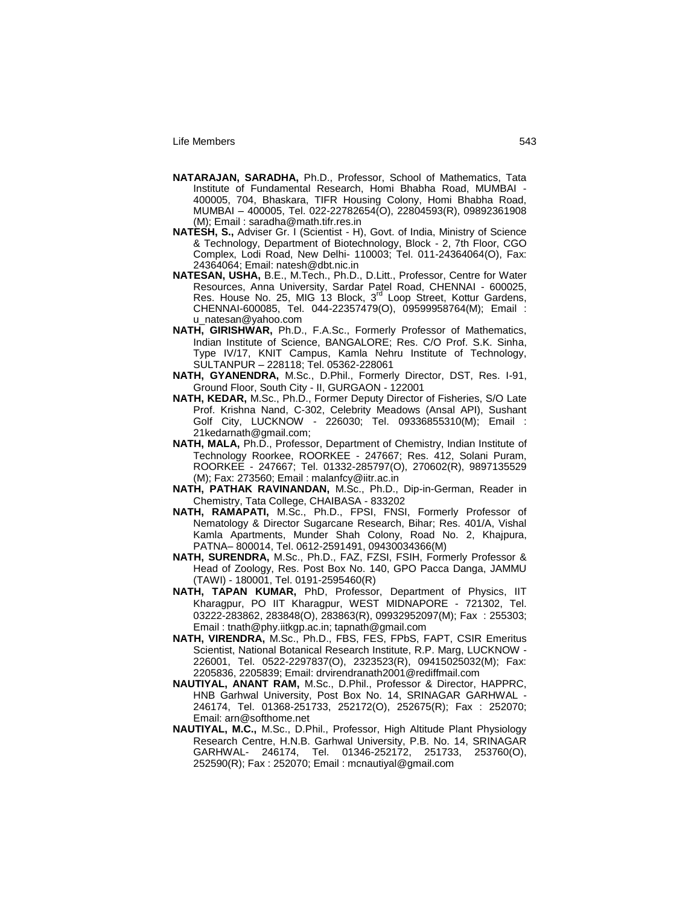- **NATARAJAN, SARADHA,** Ph.D., Professor, School of Mathematics, Tata Institute of Fundamental Research, Homi Bhabha Road, MUMBAI - 400005, 704, Bhaskara, TIFR Housing Colony, Homi Bhabha Road, MUMBAI – 400005, Tel. 022-22782654(O), 22804593(R), 09892361908 (M); Email : saradha@math.tifr.res.in
- **NATESH, S.,** Adviser Gr. I (Scientist H), Govt. of India, Ministry of Science & Technology, Department of Biotechnology, Block - 2, 7th Floor, CGO Complex, Lodi Road, New Delhi- 110003; Tel. 011-24364064(O), Fax: 24364064; Email: natesh@dbt.nic.in
- **NATESAN, USHA,** B.E., M.Tech., Ph.D., D.Litt., Professor, Centre for Water Resources, Anna University, Sardar Patel Road, CHENNAI - 600025, Res. House No. 25, MIG 13 Block, 3<sup>rd</sup> Loop Street, Kottur Gardens, CHENNAI-600085, Tel. 044-22357479(O), 09599958764(M); Email : u\_natesan@yahoo.com
- **NATH, GIRISHWAR,** Ph.D., F.A.Sc., Formerly Professor of Mathematics, Indian Institute of Science, BANGALORE; Res. C/O Prof. S.K. Sinha, Type IV/17, KNIT Campus, Kamla Nehru Institute of Technology, SULTANPUR – 228118; Tel. 05362-228061
- **NATH, GYANENDRA,** M.Sc., D.Phil., Formerly Director, DST, Res. I-91, Ground Floor, South City - II, GURGAON - 122001
- **NATH, KEDAR,** M.Sc., Ph.D., Former Deputy Director of Fisheries, S/O Late Prof. Krishna Nand, C-302, Celebrity Meadows (Ansal API), Sushant Golf City, LUCKNOW - 226030; Tel. 09336855310(M); Email : 21kedarnath@gmail.com;
- **NATH, MALA,** Ph.D., Professor, Department of Chemistry, Indian Institute of Technology Roorkee, ROORKEE - 247667; Res. 412, Solani Puram, ROORKEE - 247667; Tel. 01332-285797(O), 270602(R), 9897135529 (M); Fax: 273560; Email : malanfcy@iitr.ac.in
- **NATH, PATHAK RAVINANDAN,** M.Sc., Ph.D., Dip-in-German, Reader in Chemistry, Tata College, CHAIBASA - 833202
- **NATH, RAMAPATI,** M.Sc., Ph.D., FPSI, FNSI, Formerly Professor of Nematology & Director Sugarcane Research, Bihar; Res. 401/A, Vishal Kamla Apartments, Munder Shah Colony, Road No. 2, Khajpura, PATNA– 800014, Tel. 0612-2591491, 09430034366(M)
- **NATH, SURENDRA,** M.Sc., Ph.D., FAZ, FZSI, FSIH, Formerly Professor & Head of Zoology, Res. Post Box No. 140, GPO Pacca Danga, JAMMU (TAWI) - 180001, Tel. 0191-2595460(R)
- **NATH, TAPAN KUMAR,** PhD, Professor, Department of Physics, IIT Kharagpur, PO IIT Kharagpur, WEST MIDNAPORE - 721302, Tel. 03222-283862, 283848(O), 283863(R), 09932952097(M); Fax : 255303; Email : tnath@phy.iitkgp.ac.in; tapnath@gmail.com
- **NATH, VIRENDRA,** M.Sc., Ph.D., FBS, FES, FPbS, FAPT, CSIR Emeritus Scientist, National Botanical Research Institute, R.P. Marg, LUCKNOW - 226001, Tel. 0522-2297837(O), 2323523(R), 09415025032(M); Fax: 2205836, 2205839; Email: drvirendranath2001@rediffmail.com
- **NAUTIYAL, ANANT RAM,** M.Sc., D.Phil., Professor & Director, HAPPRC, HNB Garhwal University, Post Box No. 14, SRINAGAR GARHWAL - 246174, Tel. 01368-251733, 252172(O), 252675(R); Fax : 252070; Email: arn@softhome.net
- **NAUTIYAL, M.C.,** M.Sc., D.Phil., Professor, High Altitude Plant Physiology Research Centre, H.N.B. Garhwal University, P.B. No. 14, SRINAGAR GARHWAL- 246174, Tel. 01346-252172, 251733, 253760(O), 252590(R); Fax : 252070; Email : mcnautiyal@gmail.com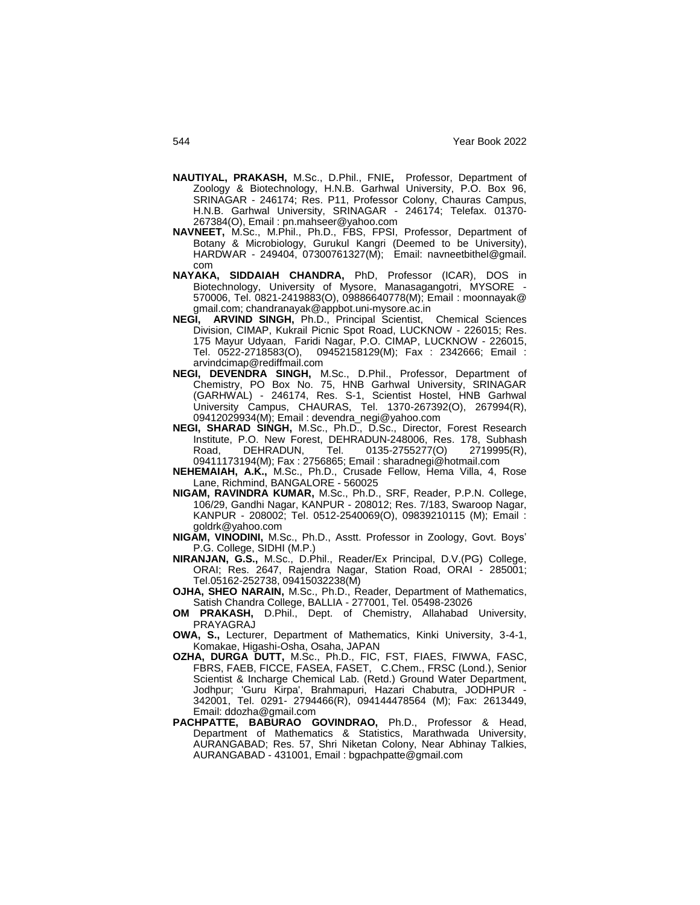- **NAUTIYAL, PRAKASH,** M.Sc., D.Phil., FNIE**,** Professor, Department of Zoology & Biotechnology, H.N.B. Garhwal University, P.O. Box 96, SRINAGAR - 246174; Res. P11, Professor Colony, Chauras Campus, H.N.B. Garhwal University, SRINAGAR - 246174; Telefax. 01370- 267384(O), Email : pn.mahseer@yahoo.com
- **NAVNEET,** M.Sc., M.Phil., Ph.D., FBS, FPSI, Professor, Department of Botany & Microbiology, Gurukul Kangri (Deemed to be University), HARDWAR - 249404, 07300761327(M); Email: navneetbithel@gmail.
- com<br>NAYAKA, SIDDAIAH CHANDRA, PhD, Professor (ICAR), DOS in Biotechnology, University of Mysore, Manasagangotri, MYSORE - 570006, Tel. 0821-2419883(O), 09886640778(M); Email : moonnayak@ gmail.com; chandranayak@appbot.uni-mysore.ac.in
- **NEGI, ARVIND SINGH,** Ph.D., Principal Scientist, Chemical Sciences Division, CIMAP, Kukrail Picnic Spot Road, LUCKNOW - 226015; Res. 175 Mayur Udyaan, Faridi Nagar, P.O. CIMAP, LUCKNOW - 226015, 09452158129(M); Fax : 2342666; Email : arvindcimap@rediffmail.com
- **NEGI, DEVENDRA SINGH,** M.Sc., D.Phil., Professor, Department of Chemistry, PO Box No. 75, HNB Garhwal University, SRINAGAR (GARHWAL) - 246174, Res. S-1, Scientist Hostel, HNB Garhwal University Campus, CHAURAS, Tel. 1370-267392(O), 267994(R), 09412029934(M); Email : devendra\_negi@yahoo.com
- **NEGI, SHARAD SINGH,** M.Sc., Ph.D., D.Sc., Director, Forest Research Institute, P.O. New Forest, DEHRADUN-248006, Res. 178, Subhash<br>Road, DEHRADUN, Tel. 0135-2755277(O) 2719995(R), Road, DEHRADUN, Tel. 0135-2755277(O) 09411173194(M); Fax : 2756865; Email : sharadnegi@hotmail.com
- **NEHEMAIAH, A.K.,** M.Sc., Ph.D., Crusade Fellow, Hema Villa, 4, Rose Lane, Richmind, BANGALORE - 560025
- **NIGAM, RAVINDRA KUMAR,** M.Sc., Ph.D., SRF, Reader, P.P.N. College, 106/29, Gandhi Nagar, KANPUR - 208012; Res. 7/183, Swaroop Nagar, KANPUR - 208002; Tel. 0512-2540069(O), 09839210115 (M); Email : goldrk@yahoo.com
- **NIGAM, VINODINI,** M.Sc., Ph.D., Asstt. Professor in Zoology, Govt. Boys" P.G. College, SIDHI (M.P.)
- **NIRANJAN, G.S.,** M.Sc., D.Phil., Reader/Ex Principal, D.V.(PG) College, ORAI; Res. 2647, Rajendra Nagar, Station Road, ORAI - 285001; Tel.05162-252738, 09415032238(M)
- **OJHA, SHEO NARAIN,** M.Sc., Ph.D., Reader, Department of Mathematics, Satish Chandra College, BALLIA - 277001, Tel. 05498-23026
- **OM PRAKASH,** D.Phil., Dept. of Chemistry, Allahabad University, PRAYAGRAJ
- **OWA, S.,** Lecturer, Department of Mathematics, Kinki University, 3-4-1, Komakae, Higashi-Osha, Osaha, JAPAN
- **OZHA, DURGA DUTT,** M.Sc., Ph.D., FIC, FST, FIAES, FIWWA, FASC, FBRS, FAEB, FICCE, FASEA, FASET, C.Chem., FRSC (Lond.), Senior Scientist & Incharge Chemical Lab. (Retd.) Ground Water Department, Jodhpur; 'Guru Kirpa', Brahmapuri, Hazari Chabutra, JODHPUR - 342001, Tel. 0291- 2794466(R), 094144478564 (M); Fax: 2613449, Email: ddozha@gmail.com
- **PACHPATTE, BABURAO GOVINDRAO,** Ph.D., Professor & Head, Department of Mathematics & Statistics, Marathwada University, AURANGABAD; Res. 57, Shri Niketan Colony, Near Abhinay Talkies, AURANGABAD - 431001, Email : bgpachpatte@gmail.com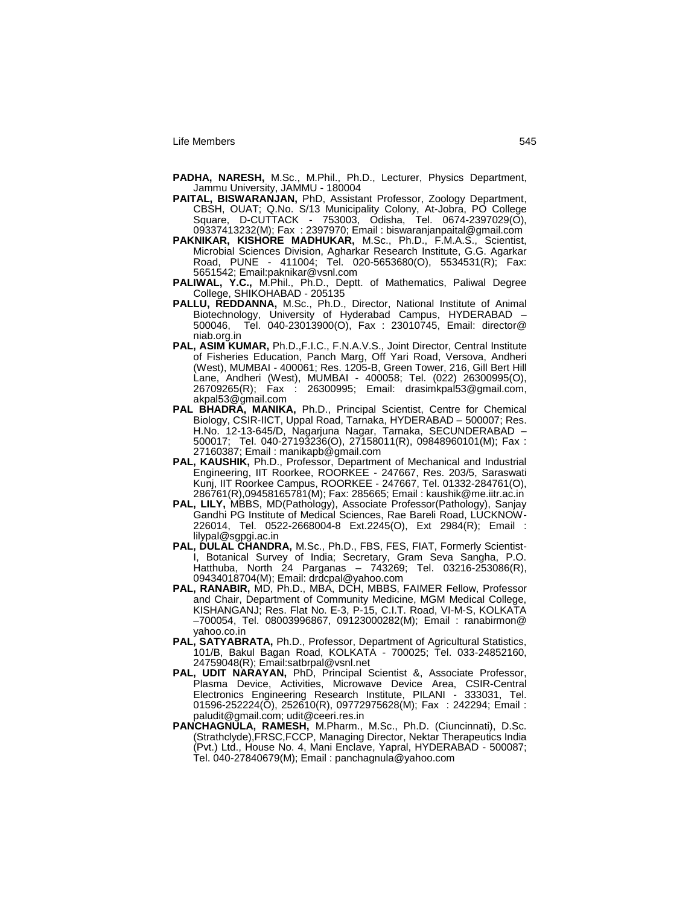- **PADHA, NARESH,** M.Sc., M.Phil., Ph.D., Lecturer, Physics Department, Jammu University, JAMMU - 180004
- **PAITAL, BISWARANJAN,** PhD, Assistant Professor, Zoology Department, CBSH, OUAT; Q.No. S/13 Municipality Colony, At-Jobra, PO College Square, D-CUTTACK - 753003, Odisha, Tel. 0674-2397029(O), 09337413232(M); Fax : 2397970; Email : biswaranjanpaital@gmail.com
- **PAKNIKAR, KISHORE MADHUKAR,** M.Sc., Ph.D., F.M.A.S., Scientist, Microbial Sciences Division, Agharkar Research Institute, G.G. Agarkar Road, PUNE - 411004; Tel. 020-5653680(O), 5534531(R); Fax: 5651542; Email:paknikar@vsnl.com
- **PALIWAL, Y.C.,** M.Phil., Ph.D., Deptt. of Mathematics, Paliwal Degree College, SHIKOHABAD - 205135
- **PALLU, REDDANNA,** M.Sc., Ph.D., Director, National Institute of Animal Biotechnology, University of Hyderabad Campus, HYDERABAD – 500046, Tel. 040-23013900(O), Fax : 23010745, Email: director@ niab.org.in
- **PAL, ASIM KUMAR,** Ph.D.,F.I.C., F.N.A.V.S., Joint Director, Central Institute of Fisheries Education, Panch Marg, Off Yari Road, Versova, Andheri (West), MUMBAI - 400061; Res. 1205-B, Green Tower, 216, Gill Bert Hill Lane, Andheri (West), MUMBAI - 400058; Tel. (022) 26300995(O), 26709265(R); Fax : 26300995; Email: drasimkpal53@gmail.com, akpal53@gmail.com
- **PAL BHADRA, MANIKA,** Ph.D., Principal Scientist, Centre for Chemical Biology, CSIR-IICT, Uppal Road, Tarnaka, HYDERABAD – 500007; Res. H.No. 12-13-645/D, Nagarjuna Nagar, Tarnaka, SECUNDERABAD – 500017; Tel. 040-27193236(O), 27158011(R), 09848960101(M); Fax : 27160387; Email : manikapb@gmail.com
- **PAL, KAUSHIK,** Ph.D., Professor, Department of Mechanical and Industrial Engineering, IIT Roorkee, ROORKEE - 247667, Res. 203/5, Saraswati Kunj, IIT Roorkee Campus, ROORKEE - 247667, Tel. 01332-284761(O), 286761(R),09458165781(M); Fax: 285665; Email : kaushik@me.iitr.ac.in
- **PAL, LILY,** MBBS, MD(Pathology), Associate Professor(Pathology), Sanjay Gandhi PG Institute of Medical Sciences, Rae Bareli Road, LUCKNOW-226014, Tel. 0522-2668004-8 Ext.2245(O), Ext 2984(R); Email : lilypal@sgpgi.ac.in
- PAL, DULAL CHANDRA, M.Sc., Ph.D., FBS, FES, FIAT, Formerly Scientist-I, Botanical Survey of India; Secretary, Gram Seva Sangha, P.O. Hatthuba, North 24 Parganas – 743269; Tel. 03216-253086(R), 09434018704(M); Email: drdcpal@yahoo.com
- PAL, RANABIR, MD, Ph.D., MBA, DCH, MBBS, FAIMER Fellow, Professor and Chair, Department of Community Medicine, MGM Medical College, KISHANGANJ; Res. Flat No. E-3, P-15, C.I.T. Road, VI-M-S, KOLKATA –700054, Tel. 08003996867, 09123000282(M); Email : ranabirmon@ yahoo.co.in
- PAL, SATYABRATA, Ph.D., Professor, Department of Agricultural Statistics, 101/B, Bakul Bagan Road, KOLKATA - 700025; Tel. 033-24852160, 24759048(R); Email:satbrpal@vsnl.net
- **PAL, UDIT NARAYAN,** PhD, Principal Scientist &, Associate Professor, Plasma Device, Activities, Microwave Device Area, CSIR-Central Electronics Engineering Research Institute, PILANI - 333031, Tel. 01596-252224(O), 252610(R), 09772975628(M); Fax : 242294; Email : paludit@gmail.com; udit@ceeri.res.in
- **PANCHAGNULA, RAMESH,** M.Pharm., M.Sc., Ph.D. (Ciuncinnati), D.Sc. (Strathclyde),FRSC,FCCP, Managing Director, Nektar Therapeutics India (Pvt.) Ltd., House No. 4, Mani Enclave, Yapral, HYDERABAD - 500087; Tel. 040-27840679(M); Email : panchagnula@yahoo.com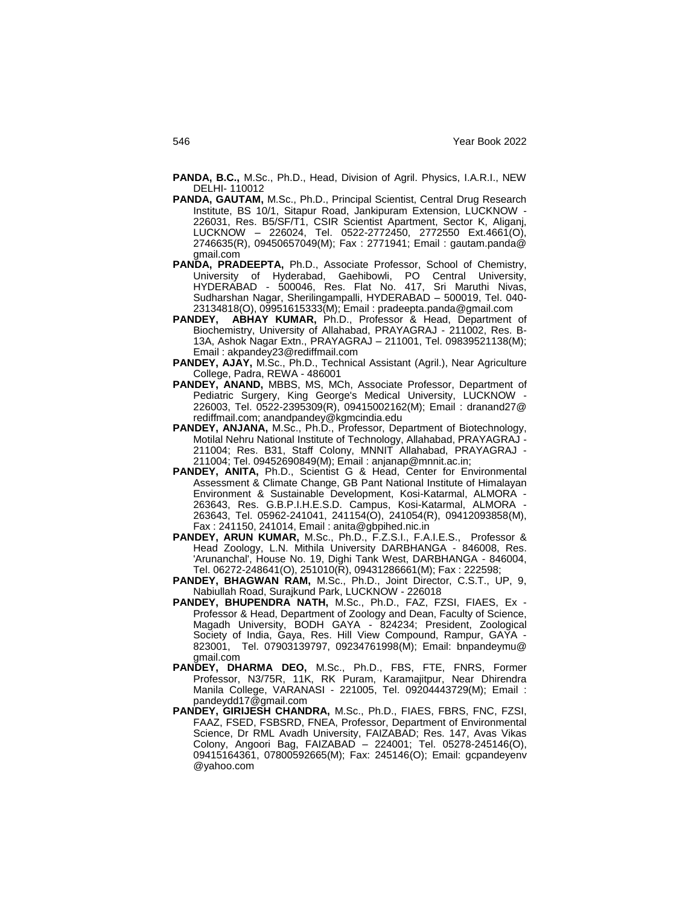**PANDA, B.C.,** M.Sc., Ph.D., Head, Division of Agril. Physics, I.A.R.I., NEW DELHI- 110012

- **PANDA, GAUTAM,** M.Sc., Ph.D., Principal Scientist, Central Drug Research Institute, BS 10/1, Sitapur Road, Jankipuram Extension, LUCKNOW - 226031, Res. B5/SF/T1, CSIR Scientist Apartment, Sector K, Aliganj, LUCKNOW – 226024, Tel. 0522-2772450, 2772550 Ext.4661(O), 2746635(R), 09450657049(M); Fax : 2771941; Email : gautam.panda@ gmail.com
- **PANDA, PRADEEPTA,** Ph.D., Associate Professor, School of Chemistry, University of Hyderabad, Gaehibowli, PO Central University, HYDERABAD - 500046, Res. Flat No. 417, Sri Maruthi Nivas, Sudharshan Nagar, Sherilingampalli, HYDERABAD – 500019, Tel. 040- 23134818(O), 09951615333(M); Email : pradeepta.panda@gmail.com
- PANDEY, ABHAY KUMAR, Ph.D., Professor & Head, Department of Biochemistry, University of Allahabad, PRAYAGRAJ - 211002, Res. B-13A, Ashok Nagar Extn., PRAYAGRAJ – 211001, Tel. 09839521138(M); Email : akpandey23@rediffmail.com
- **PANDEY, AJAY,** M.Sc., Ph.D., Technical Assistant (Agril.), Near Agriculture College, Padra, REWA - 486001
- **PANDEY, ANAND,** MBBS, MS, MCh, Associate Professor, Department of Pediatric Surgery, King George's Medical University, LUCKNOW - 226003, Tel. 0522-2395309(R), 09415002162(M); Email : dranand27@ rediffmail.com; anandpandey@kgmcindia.edu
- **PANDEY, ANJANA,** M.Sc., Ph.D., Professor, Department of Biotechnology, Motilal Nehru National Institute of Technology, Allahabad, PRAYAGRAJ - 211004; Res. B31, Staff Colony, MNNIT Allahabad, PRAYAGRAJ - 211004; Tel. 09452690849(M); Email : anjanap@mnnit.ac.in;
- **PANDEY, ANITA,** Ph.D., Scientist G & Head, Center for Environmental Assessment & Climate Change, GB Pant National Institute of Himalayan Environment & Sustainable Development, Kosi-Katarmal, ALMORA - 263643, Res. G.B.P.I.H.E.S.D. Campus, Kosi-Katarmal, ALMORA - 263643, Tel. 05962-241041, 241154(O), 241054(R), 09412093858(M), Fax : 241150, 241014, Email : anita@gbpihed.nic.in
- **PANDEY, ARUN KUMAR,** M.Sc., Ph.D., F.Z.S.I., F.A.I.E.S., Professor & Head Zoology, L.N. Mithila University DARBHANGA - 846008, Res. 'Arunanchal', House No. 19, Dighi Tank West, DARBHANGA - 846004, Tel. 06272-248641(O), 251010(R), 09431286661(M); Fax : 222598;
- **PANDEY, BHAGWAN RAM,** M.Sc., Ph.D., Joint Director, C.S.T., UP, 9, Nabiullah Road, Surajkund Park, LUCKNOW - 226018
- **PANDEY, BHUPENDRA NATH,** M.Sc., Ph.D., FAZ, FZSI, FIAES, Ex Professor & Head, Department of Zoology and Dean, Faculty of Science, Magadh University, BODH GAYA - 824234; President, Zoological Society of India, Gaya, Res. Hill View Compound, Rampur, GAYA - 823001, Tel. 07903139797, 09234761998(M); Email: bnpandeymu@ gmail.com
- **PANDEY, DHARMA DEO,** M.Sc., Ph.D., FBS, FTE, FNRS, Former Professor, N3/75R, 11K, RK Puram, Karamajitpur, Near Dhirendra Manila College, VARANASI - 221005, Tel. 09204443729(M); Email : pandeydd17@gmail.com
- **PANDEY, GIRIJESH CHANDRA,** M.Sc., Ph.D., FIAES, FBRS, FNC, FZSI, FAAZ, FSED, FSBSRD, FNEA, Professor, Department of Environmental Science, Dr RML Avadh University, FAIZABAD; Res. 147, Avas Vikas Colony, Angoori Bag, FAIZABAD – 224001; Tel. 05278-245146(O), 09415164361, 07800592665(M); Fax: 245146(O); Email: gcpandeyenv @yahoo.com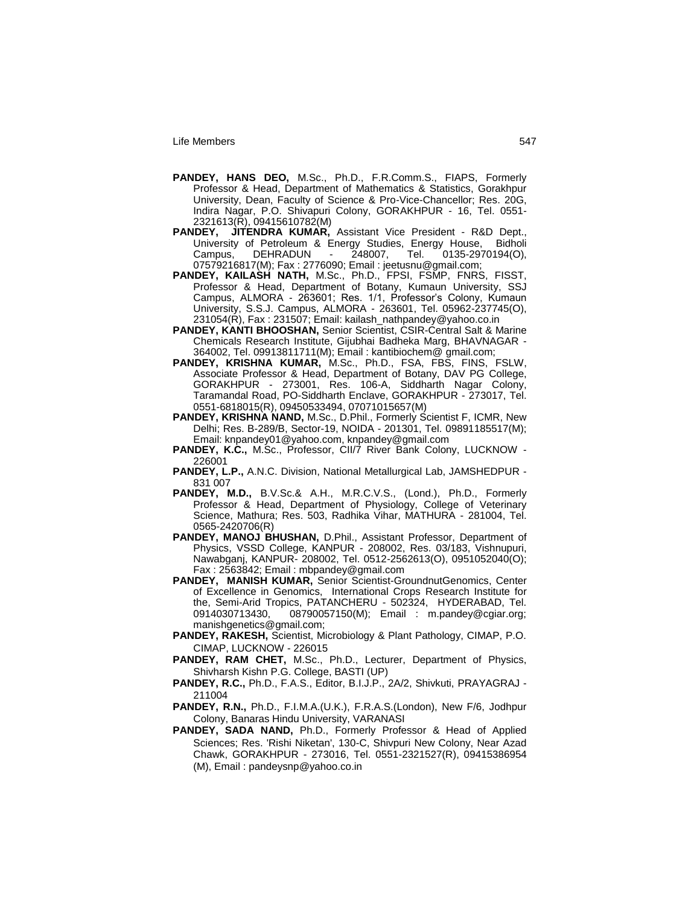- **PANDEY, HANS DEO,** M.Sc., Ph.D., F.R.Comm.S., FIAPS, Formerly Professor & Head, Department of Mathematics & Statistics, Gorakhpur University, Dean, Faculty of Science & Pro-Vice-Chancellor; Res. 20G, Indira Nagar, P.O. Shivapuri Colony, GORAKHPUR - 16, Tel. 0551- 2321613(R), 09415610782(M)
- **PANDEY, JITENDRA KUMAR,** Assistant Vice President R&D Dept., University of Petroleum & Energy Studies, Energy House, Bidholi<br>Campus, DEHRADUN - 248007, Tel. 0135-2970194(O), Campus, DEHRADUN - 248007, Tel. 0135-2970194(O), 07579216817(M); Fax : 2776090; Email : jeetusnu@gmail.com;
- **PANDEY, KAILASH NATH,** M.Sc., Ph.D., FPSI, FSMP, FNRS, FISST, Professor & Head, Department of Botany, Kumaun University, SSJ Campus, ALMORA - 263601; Res. 1/1, Professor"s Colony, Kumaun University, S.S.J. Campus, ALMORA - 263601, Tel. 05962-237745(O), 231054(R), Fax : 231507; Email: kailash\_nathpandey@yahoo.co.in
- **PANDEY, KANTI BHOOSHAN,** Senior Scientist, CSIR-Central Salt & Marine Chemicals Research Institute, Gijubhai Badheka Marg, BHAVNAGAR - 364002, Tel. 09913811711(M); Email : kantibiochem@ gmail.com;
- **PANDEY, KRISHNA KUMAR,** M.Sc., Ph.D., FSA, FBS, FINS, FSLW, Associate Professor & Head, Department of Botany, DAV PG College, GORAKHPUR - 273001, Res. 106-A, Siddharth Nagar Colony, Taramandal Road, PO-Siddharth Enclave, GORAKHPUR - 273017, Tel. 0551-6818015(R), 09450533494, 07071015657(M)
- **PANDEY, KRISHNA NAND, M.Sc., D.Phil., Formerly Scientist F, ICMR, New** Delhi; Res. B-289/B, Sector-19, NOIDA - 201301, Tel. 09891185517(M); Email: knpandey01@yahoo.com, knpandey@gmail.com
- PANDEY, K.C., M.Sc., Professor, CII/7 River Bank Colony, LUCKNOW -226001
- **PANDEY, L.P.,** A.N.C. Division, National Metallurgical Lab, JAMSHEDPUR 831 007
- **PANDEY, M.D.,** B.V.Sc.& A.H., M.R.C.V.S., (Lond.), Ph.D., Formerly Professor & Head, Department of Physiology, College of Veterinary Science, Mathura; Res. 503, Radhika Vihar, MATHURA - 281004, Tel. 0565-2420706(R)
- **PANDEY, MANOJ BHUSHAN,** D.Phil., Assistant Professor, Department of Physics, VSSD College, KANPUR - 208002, Res. 03/183, Vishnupuri, Nawabganj, KANPUR- 208002, Tel. 0512-2562613(O), 0951052040(O); Fax : 2563842; Email : mbpandey@gmail.com
- **PANDEY, MANISH KUMAR,** Senior Scientist-GroundnutGenomics, Center of Excellence in Genomics, International Crops Research Institute for the, Semi-Arid Tropics, PATANCHERU - 502324, HYDERABAD, Tel. 0914030713430, 08790057150(M); Email : m.pandey@cgiar.org; manishgenetics@gmail.com;
- **PANDEY, RAKESH,** Scientist, Microbiology & Plant Pathology, CIMAP, P.O. CIMAP, LUCKNOW - 226015
- **PANDEY, RAM CHET,** M.Sc., Ph.D., Lecturer, Department of Physics, Shivharsh Kishn P.G. College, BASTI (UP)
- **PANDEY, R.C.,** Ph.D., F.A.S., Editor, B.I.J.P., 2A/2, Shivkuti, PRAYAGRAJ 211004
- **PANDEY, R.N.,** Ph.D., F.I.M.A.(U.K.), F.R.A.S.(London), New F/6, Jodhpur Colony, Banaras Hindu University, VARANASI
- **PANDEY, SADA NAND,** Ph.D., Formerly Professor & Head of Applied Sciences; Res. 'Rishi Niketan', 130-C, Shivpuri New Colony, Near Azad Chawk, GORAKHPUR - 273016, Tel. 0551-2321527(R), 09415386954 (M), Email : pandeysnp@yahoo.co.in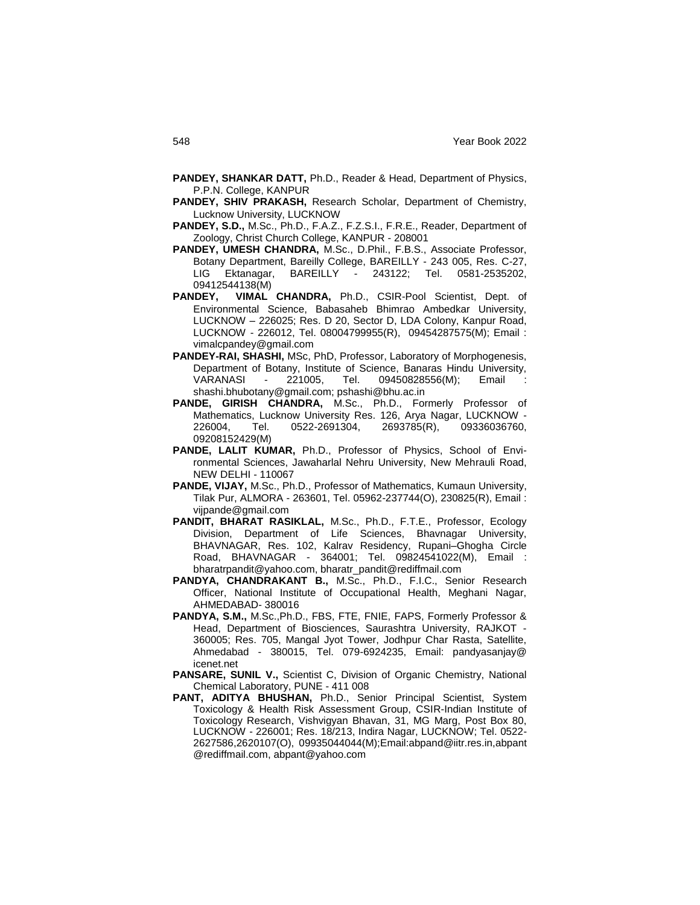- **PANDEY, SHANKAR DATT,** Ph.D., Reader & Head, Department of Physics, P.P.N. College, KANPUR
- **PANDEY, SHIV PRAKASH,** Research Scholar, Department of Chemistry, Lucknow University, LUCKNOW
- **PANDEY, S.D.,** M.Sc., Ph.D., F.A.Z., F.Z.S.I., F.R.E., Reader, Department of Zoology, Christ Church College, KANPUR - 208001
- **PANDEY, UMESH CHANDRA,** M.Sc., D.Phil., F.B.S., Associate Professor, Botany Department, Bareilly College, BAREILLY - 243 005, Res. C-27, LIG Ektanagar, BAREILLY - 243122; Tel. 0581-2535202, 09412544138(M)<br>**PANDEY, VIMAL**
- VIMAL CHANDRA, Ph.D., CSIR-Pool Scientist, Dept. of Environmental Science, Babasaheb Bhimrao Ambedkar University, LUCKNOW – 226025; Res. D 20, Sector D, LDA Colony, Kanpur Road, LUCKNOW - 226012, Tel. 08004799955(R), 09454287575(M); Email : vimalcpandey@gmail.com
- **PANDEY-RAI, SHASHI,** MSc, PhD, Professor, Laboratory of Morphogenesis, Department of Botany, Institute of Science, Banaras Hindu University, VARANASI - 221005, Tel. 09450828556(M); Email : shashi.bhubotany@gmail.com; pshashi@bhu.ac.in
- **PANDE, GIRISH CHANDRA,** M.Sc., Ph.D., Formerly Professor of Mathematics, Lucknow University Res. 126, Arya Nagar, LUCKNOW - 226004, Tel. 0522-2691304, 2693785(R), 09336036760, 09208152429(M)
- **PANDE, LALIT KUMAR,** Ph.D., Professor of Physics, School of Environmental Sciences, Jawaharlal Nehru University, New Mehrauli Road, NEW DELHI - 110067
- **PANDE, VIJAY,** M.Sc., Ph.D., Professor of Mathematics, Kumaun University, Tilak Pur, ALMORA - 263601, Tel. 05962-237744(O), 230825(R), Email : vijpande@gmail.com
- **PANDIT, BHARAT RASIKLAL,** M.Sc., Ph.D., F.T.E., Professor, Ecology Division, Department of Life Sciences, Bhavnagar University, BHAVNAGAR, Res. 102, Kalrav Residency, Rupani–Ghogha Circle Road, BHAVNAGAR - 364001; Tel. 09824541022(M), Email : bharatrpandit@yahoo.com, bharatr\_pandit@rediffmail.com
- **PANDYA, CHANDRAKANT B.,** M.Sc., Ph.D., F.I.C., Senior Research Officer, National Institute of Occupational Health, Meghani Nagar, AHMEDABAD- 380016
- **PANDYA, S.M.,** M.Sc.,Ph.D., FBS, FTE, FNIE, FAPS, Formerly Professor & Head, Department of Biosciences, Saurashtra University, RAJKOT - 360005; Res. 705, Mangal Jyot Tower, Jodhpur Char Rasta, Satellite, Ahmedabad - 380015, Tel. 079-6924235, Email: pandyasanjay@ icenet.net
- PANSARE, SUNIL V., Scientist C, Division of Organic Chemistry, National Chemical Laboratory, PUNE - 411 008
- **PANT, ADITYA BHUSHAN,** Ph.D., Senior Principal Scientist, System Toxicology & Health Risk Assessment Group, CSIR-Indian Institute of Toxicology Research, Vishvigyan Bhavan, 31, MG Marg, Post Box 80, LUCKNOW - 226001; Res. 18/213, Indira Nagar, LUCKNOW; Tel. 0522- 2627586,2620107(O), 09935044044(M);Email:abpand@iitr.res.in,abpant @rediffmail.com, abpant@yahoo.com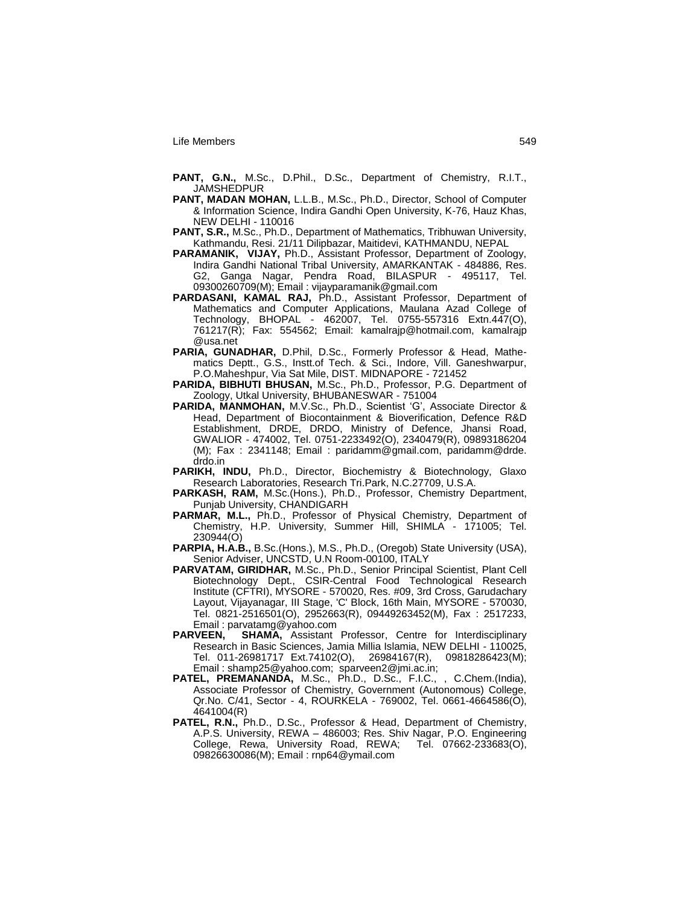- **PANT, G.N.,** M.Sc., D.Phil., D.Sc., Department of Chemistry, R.I.T., JAMSHEDPUR
- **PANT, MADAN MOHAN,** L.L.B., M.Sc., Ph.D., Director, School of Computer & Information Science, Indira Gandhi Open University, K-76, Hauz Khas, NEW DELHI - 110016
- **PANT, S.R.,** M.Sc., Ph.D., Department of Mathematics, Tribhuwan University, Kathmandu, Resi. 21/11 Dilipbazar, Maitidevi, KATHMANDU, NEPAL
- **PARAMANIK, VIJAY,** Ph.D., Assistant Professor, Department of Zoology, Indira Gandhi National Tribal University, AMARKANTAK - 484886, Res. G2, Ganga Nagar, Pendra Road, BILASPUR - 495117, Tel. 09300260709(M); Email : vijayparamanik@gmail.com
- **PARDASANI, KAMAL RAJ,** Ph.D., Assistant Professor, Department of Mathematics and Computer Applications, Maulana Azad College of Technology, BHOPAL - 462007, Tel. 0755-557316 Extn.447(O), 761217(R); Fax: 554562; Email: kamalrajp@hotmail.com, kamalrajp @usa.net
- **PARIA, GUNADHAR,** D.Phil, D.Sc., Formerly Professor & Head, Mathematics Deptt., G.S., Instt.of Tech. & Sci., Indore, Vill. Ganeshwarpur, P.O.Maheshpur, Via Sat Mile, DIST. MIDNAPORE - 721452
- **PARIDA, BIBHUTI BHUSAN,** M.Sc., Ph.D., Professor, P.G. Department of Zoology, Utkal University, BHUBANESWAR - 751004
- **PARIDA, MANMOHAN,** M.V.Sc., Ph.D., Scientist "G", Associate Director & Head, Department of Biocontainment & Bioverification, Defence R&D Establishment, DRDE, DRDO, Ministry of Defence, Jhansi Road, GWALIOR - 474002, Tel. 0751-2233492(O), 2340479(R), 09893186204 (M); Fax : 2341148; Email : paridamm@gmail.com, paridamm@drde. drdo.in
- **PARIKH, INDU,** Ph.D., Director, Biochemistry & Biotechnology, Glaxo Research Laboratories, Research Tri.Park, N.C.27709, U.S.A.
- **PARKASH, RAM,** M.Sc.(Hons.), Ph.D., Professor, Chemistry Department, Punjab University, CHANDIGARH
- **PARMAR, M.L.,** Ph.D., Professor of Physical Chemistry, Department of Chemistry, H.P. University, Summer Hill, SHIMLA - 171005; Tel. 230944(O)
- **PARPIA, H.A.B.,** B.Sc.(Hons.), M.S., Ph.D., (Oregob) State University (USA), Senior Adviser, UNCSTD, U.N Room-00100, ITALY
- **PARVATAM, GIRIDHAR,** M.Sc., Ph.D., Senior Principal Scientist, Plant Cell Biotechnology Dept., CSIR-Central Food Technological Research Institute (CFTRI), MYSORE - 570020, Res. #09, 3rd Cross, Garudachary Layout, Vijayanagar, III Stage, 'C' Block, 16th Main, MYSORE - 570030, Tel. 0821-2516501(O), 2952663(R), 09449263452(M), Fax : 2517233, Email : parvatamg@yahoo.com<br>**PARVEEN, SHAMA,** Assistant
- SHAMA, Assistant Professor, Centre for Interdisciplinary Research in Basic Sciences, Jamia Millia Islamia, NEW DELHI - 110025, Tel. 011-26981717 Ext.74102(O), 26984167(R), 09818286423(M); Email : shamp25@yahoo.com; sparveen2@jmi.ac.in;
- PATEL, PREMANANDA, M.Sc., Ph.D., D.Sc., F.I.C., , C.Chem.(India), Associate Professor of Chemistry, Government (Autonomous) College, Qr.No. C/41, Sector - 4, ROURKELA - 769002, Tel. 0661-4664586(O), 4641004(R)
- **PATEL, R.N.,** Ph.D., D.Sc., Professor & Head, Department of Chemistry, A.P.S. University, REWA – 486003; Res. Shiv Nagar, P.O. Engineering College, Rewa, University Road, REWA; Tel. 07662-233683(O), 09826630086(M); Email : rnp64@ymail.com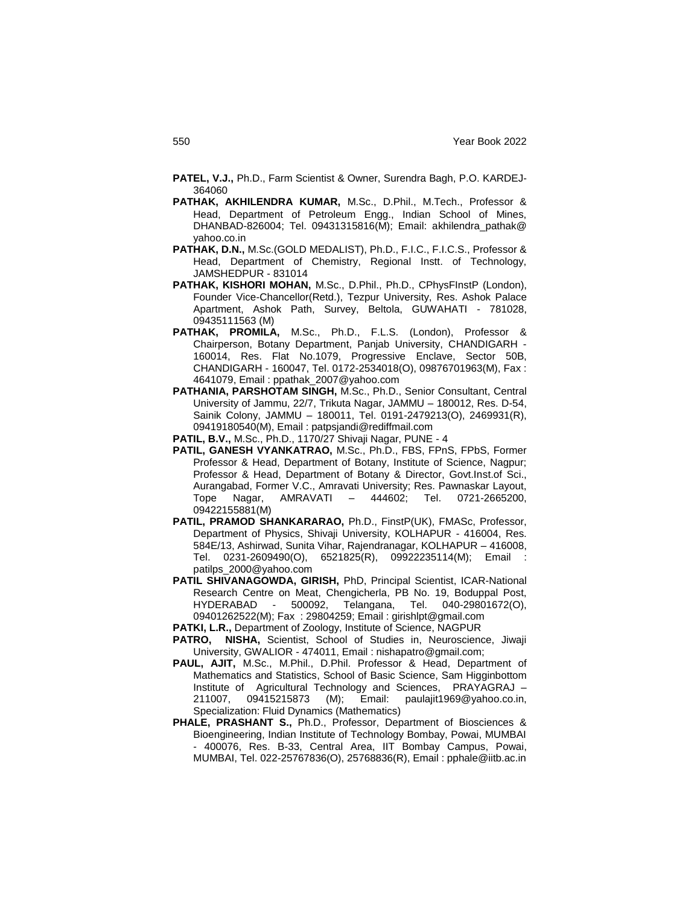- **PATEL, V.J.,** Ph.D., Farm Scientist & Owner, Surendra Bagh, P.O. KARDEJ-364060
- **PATHAK, AKHILENDRA KUMAR,** M.Sc., D.Phil., M.Tech., Professor & Head, Department of Petroleum Engg., Indian School of Mines, DHANBAD-826004; Tel. 09431315816(M); Email: akhilendra\_pathak@ yahoo.co.in
- PATHAK, D.N., M.Sc.(GOLD MEDALIST), Ph.D., F.I.C., F.I.C.S., Professor & Head, Department of Chemistry, Regional Instt. of Technology, JAMSHEDPUR - 831014
- PATHAK, KISHORI MOHAN, M.Sc., D.Phil., Ph.D., CPhysFInstP (London), Founder Vice-Chancellor(Retd.), Tezpur University, Res. Ashok Palace Apartment, Ashok Path, Survey, Beltola, GUWAHATI - 781028, 09435111563 (M)
- **PATHAK, PROMILA,** M.Sc., Ph.D., F.L.S. (London), Professor & Chairperson, Botany Department, Panjab University, CHANDIGARH - 160014, Res. Flat No.1079, Progressive Enclave, Sector 50B, CHANDIGARH - 160047, Tel. 0172-2534018(O), 09876701963(M), Fax : 4641079, Email : ppathak\_2007@yahoo.com
- **PATHANIA, PARSHOTAM SINGH,** M.Sc., Ph.D., Senior Consultant, Central University of Jammu, 22/7, Trikuta Nagar, JAMMU – 180012, Res. D-54, Sainik Colony, JAMMU – 180011, Tel. 0191-2479213(O), 2469931(R), 09419180540(M), Email : patpsjandi@rediffmail.com
- **PATIL, B.V.,** M.Sc., Ph.D., 1170/27 Shivaji Nagar, PUNE 4
- **PATIL, GANESH VYANKATRAO,** M.Sc., Ph.D., FBS, FPnS, FPbS, Former Professor & Head, Department of Botany, Institute of Science, Nagpur; Professor & Head, Department of Botany & Director, Govt.Inst.of Sci., Aurangabad, Former V.C., Amravati University; Res. Pawnaskar Layout, Tope Nagar, AMRAVATI – 444602; Tel. 0721-2665200, 09422155881(M)
- **PATIL, PRAMOD SHANKARARAO,** Ph.D., FinstP(UK), FMASc, Professor, Department of Physics, Shivaji University, KOLHAPUR - 416004, Res. 584E/13, Ashirwad, Sunita Vihar, Rajendranagar, KOLHAPUR – 416008, Tel. 0231-2609490(O), 6521825(R), 09922235114(M); Email : patilps\_2000@yahoo.com
- **PATIL SHIVANAGOWDA, GIRISH,** PhD, Principal Scientist, ICAR-National Research Centre on Meat, Chengicherla, PB No. 19, Boduppal Post, HYDERABAD - 500092, Telangana, Tel. 040-29801672(O), 09401262522(M); Fax : 29804259; Email : girishlpt@gmail.com
- **PATKI, L.R.,** Department of Zoology, Institute of Science, NAGPUR
- PATRO, NISHA, Scientist, School of Studies in, Neuroscience, Jiwaji University, GWALIOR - 474011, Email : nishapatro@gmail.com;
- **PAUL, AJIT,** M.Sc., M.Phil., D.Phil. Professor & Head, Department of Mathematics and Statistics, School of Basic Science, Sam Higginbottom Institute of Agricultural Technology and Sciences, PRAYAGRAJ – 211007, 09415215873 (M); Email: paulajit1969@yahoo.co.in, Specialization: Fluid Dynamics (Mathematics)
- **PHALE, PRASHANT S.,** Ph.D., Professor, Department of Biosciences & Bioengineering, Indian Institute of Technology Bombay, Powai, MUMBAI - 400076, Res. B-33, Central Area, IIT Bombay Campus, Powai, MUMBAI, Tel. 022-25767836(O), 25768836(R), Email : pphale@iitb.ac.in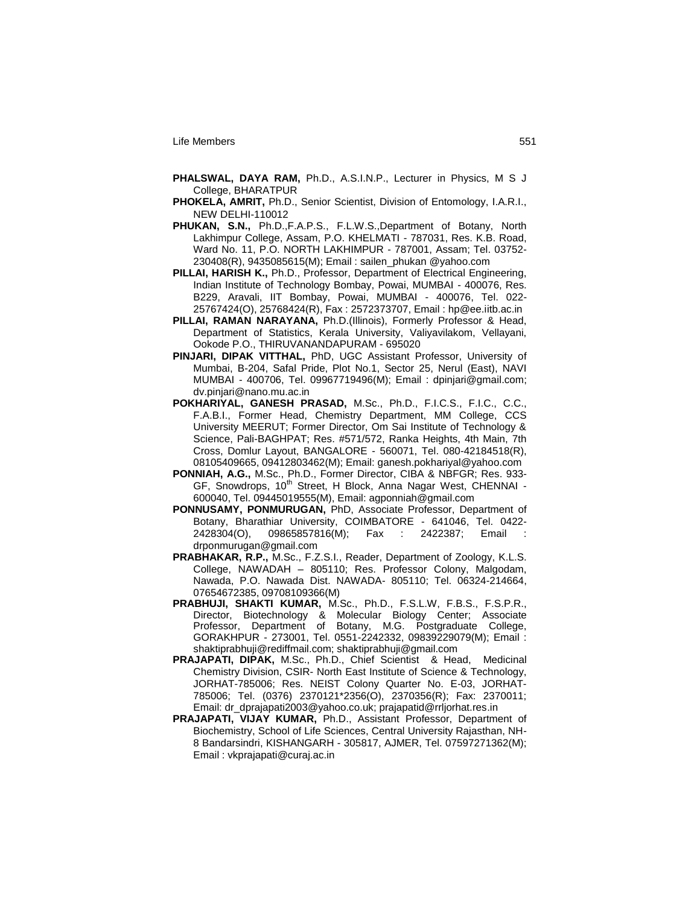- **PHALSWAL, DAYA RAM,** Ph.D., A.S.I.N.P., Lecturer in Physics, M S J College, BHARATPUR
- **PHOKELA, AMRIT,** Ph.D., Senior Scientist, Division of Entomology, I.A.R.I., NEW DELHI-110012
- **PHUKAN, S.N.,** Ph.D.,F.A.P.S., F.L.W.S.,Department of Botany, North Lakhimpur College, Assam, P.O. KHELMATI - 787031, Res. K.B. Road, Ward No. 11, P.O. NORTH LAKHIMPUR - 787001, Assam; Tel. 03752- 230408(R), 9435085615(M); Email : sailen\_phukan @yahoo.com
- **PILLAI, HARISH K.,** Ph.D., Professor, Department of Electrical Engineering, Indian Institute of Technology Bombay, Powai, MUMBAI - 400076, Res. B229, Aravali, IIT Bombay, Powai, MUMBAI - 400076, Tel. 022- 25767424(O), 25768424(R), Fax : 2572373707, Email : hp@ee.iitb.ac.in
- **PILLAI, RAMAN NARAYANA,** Ph.D.(Illinois), Formerly Professor & Head, Department of Statistics, Kerala University, Valiyavilakom, Vellayani, Ookode P.O., THIRUVANANDAPURAM - 695020
- **PINJARI, DIPAK VITTHAL,** PhD, UGC Assistant Professor, University of Mumbai, B-204, Safal Pride, Plot No.1, Sector 25, Nerul (East), NAVI MUMBAI - 400706, Tel. 09967719496(M); Email : dpinjari@gmail.com; dv.pinjari@nano.mu.ac.in
- **POKHARIYAL, GANESH PRASAD,** M.Sc., Ph.D., F.I.C.S., F.I.C., C.C., F.A.B.I., Former Head, Chemistry Department, MM College, CCS University MEERUT; Former Director, Om Sai Institute of Technology & Science, Pali-BAGHPAT; Res. #571/572, Ranka Heights, 4th Main, 7th Cross, Domlur Layout, BANGALORE - 560071, Tel. 080-42184518(R), 08105409665, 09412803462(M); Email: ganesh.pokhariyal@yahoo.com
- **PONNIAH, A.G.,** M.Sc., Ph.D., Former Director, CIBA & NBFGR; Res. 933- GF, Snowdrops, 10<sup>th</sup> Street, H Block, Anna Nagar West, CHENNAI -600040, Tel. 09445019555(M), Email: agponniah@gmail.com
- **PONNUSAMY, PONMURUGAN,** PhD, Associate Professor, Department of Botany, Bharathiar University, COIMBATORE - 641046, Tel. 0422- 2428304(O), 09865857816(M); Fax : 2422387; Email drponmurugan@gmail.com
- **PRABHAKAR, R.P.,** M.Sc., F.Z.S.I., Reader, Department of Zoology, K.L.S. College, NAWADAH – 805110; Res. Professor Colony, Malgodam, Nawada, P.O. Nawada Dist. NAWADA- 805110; Tel. 06324-214664, 07654672385, 09708109366(M)
- **PRABHUJI, SHAKTI KUMAR,** M.Sc., Ph.D., F.S.L.W, F.B.S., F.S.P.R., Director, Biotechnology & Molecular Biology Center; Associate Professor, Department of Botany, M.G. Postgraduate College, GORAKHPUR - 273001, Tel. 0551-2242332, 09839229079(M); Email : shaktiprabhuji@rediffmail.com; shaktiprabhuji@gmail.com
- **PRAJAPATI, DIPAK,** M.Sc., Ph.D., Chief Scientist & Head, Medicinal Chemistry Division, CSIR- North East Institute of Science & Technology, JORHAT-785006; Res. NEIST Colony Quarter No. E-03, JORHAT-785006; Tel. (0376) 2370121\*2356(O), 2370356(R); Fax: 2370011; Email: dr\_dprajapati2003@yahoo.co.uk; prajapatid@rrljorhat.res.in
- **PRAJAPATI, VIJAY KUMAR,** Ph.D., Assistant Professor, Department of Biochemistry, School of Life Sciences, Central University Rajasthan, NH-8 Bandarsindri, KISHANGARH - 305817, AJMER, Tel. 07597271362(M); Email : vkprajapati@curaj.ac.in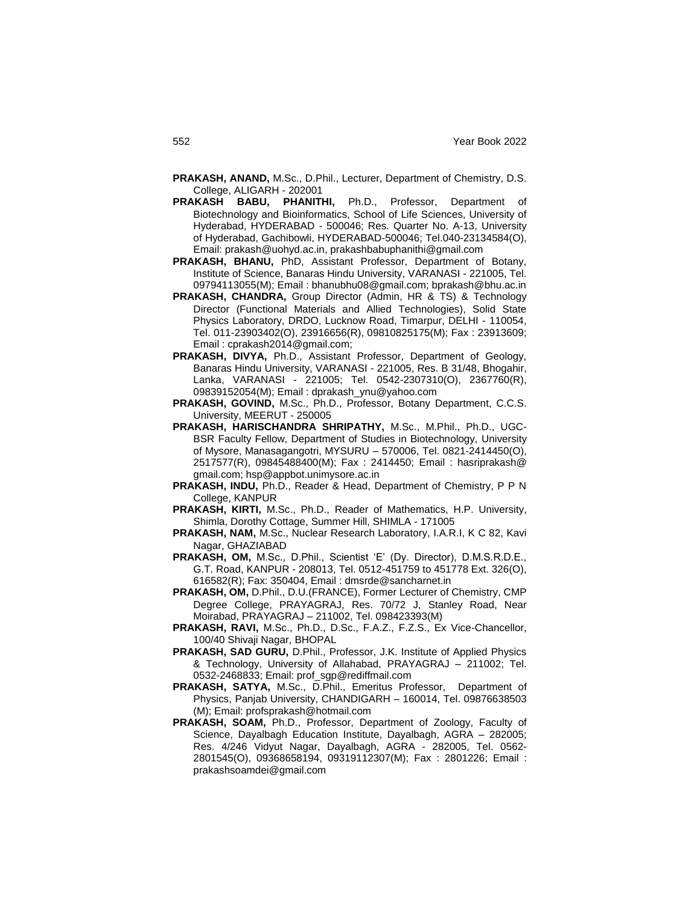- **PRAKASH, ANAND,** M.Sc., D.Phil., Lecturer, Department of Chemistry, D.S. College, ALIGARH - 202001
- **PRAKASH BABU, PHANITHI,** Ph.D., Professor, Department of Biotechnology and Bioinformatics, School of Life Sciences, University of Hyderabad, HYDERABAD - 500046; Res. Quarter No. A-13, University of Hyderabad, Gachibowli, HYDERABAD-500046; Tel.040-23134584(O), Email: prakash@uohyd.ac.in, prakashbabuphanithi@gmail.com
- **PRAKASH, BHANU,** PhD, Assistant Professor, Department of Botany, Institute of Science, Banaras Hindu University, VARANASI - 221005, Tel. 09794113055(M); Email : bhanubhu08@gmail.com; bprakash@bhu.ac.in
- **PRAKASH, CHANDRA,** Group Director (Admin, HR & TS) & Technology Director (Functional Materials and Allied Technologies), Solid State Physics Laboratory, DRDO, Lucknow Road, Timarpur, DELHI - 110054, Tel. 011-23903402(O), 23916656(R), 09810825175(M); Fax : 23913609; Email : cprakash2014@gmail.com;
- **PRAKASH, DIVYA,** Ph.D., Assistant Professor, Department of Geology, Banaras Hindu University, VARANASI - 221005, Res. B 31/48, Bhogahir, Lanka, VARANASI - 221005; Tel. 0542-2307310(O), 2367760(R), 09839152054(M); Email : dprakash\_ynu@yahoo.com
- **PRAKASH, GOVIND,** M.Sc., Ph.D., Professor, Botany Department, C.C.S. University, MEERUT - 250005
- **PRAKASH, HARISCHANDRA SHRIPATHY,** M.Sc., M.Phil., Ph.D., UGC-BSR Faculty Fellow, Department of Studies in Biotechnology, University of Mysore, Manasagangotri, MYSURU – 570006, Tel. 0821-2414450(O), 2517577(R), 09845488400(M); Fax : 2414450; Email : hasriprakash@ gmail.com; hsp@appbot.unimysore.ac.in
- **PRAKASH, INDU,** Ph.D., Reader & Head, Department of Chemistry, P P N College, KANPUR
- **PRAKASH, KIRTI,** M.Sc., Ph.D., Reader of Mathematics, H.P. University, Shimla, Dorothy Cottage, Summer Hill, SHIMLA - 171005
- **PRAKASH, NAM,** M.Sc., Nuclear Research Laboratory, I.A.R.I, K C 82, Kavi Nagar, GHAZIABAD
- **PRAKASH, OM,** M.Sc., D.Phil., Scientist "E" (Dy. Director), D.M.S.R.D.E., G.T. Road, KANPUR - 208013, Tel. 0512-451759 to 451778 Ext. 326(O), 616582(R); Fax: 350404, Email : dmsrde@sancharnet.in
- **PRAKASH, OM,** D.Phil., D.U.(FRANCE), Former Lecturer of Chemistry, CMP Degree College, PRAYAGRAJ, Res. 70/72 J, Stanley Road, Near Moirabad, PRAYAGRAJ – 211002, Tel. 098423393(M)
- **PRAKASH, RAVI,** M.Sc., Ph.D., D.Sc., F.A.Z., F.Z.S., Ex Vice-Chancellor, 100/40 Shivaji Nagar, BHOPAL
- **PRAKASH, SAD GURU,** D.Phil., Professor, J.K. Institute of Applied Physics & Technology, University of Allahabad, PRAYAGRAJ – 211002; Tel. 0532-2468833; Email: prof\_sgp@rediffmail.com
- **PRAKASH, SATYA,** M.Sc., D.Phil., Emeritus Professor, Department of Physics, Panjab University, CHANDIGARH – 160014, Tel. 09876638503 (M); Email: profsprakash@hotmail.com
- **PRAKASH, SOAM,** Ph.D., Professor, Department of Zoology, Faculty of Science, Dayalbagh Education Institute, Dayalbagh, AGRA – 282005; Res. 4/246 Vidyut Nagar, Dayalbagh, AGRA - 282005, Tel. 0562- 2801545(O), 09368658194, 09319112307(M); Fax : 2801226; Email : prakashsoamdei@gmail.com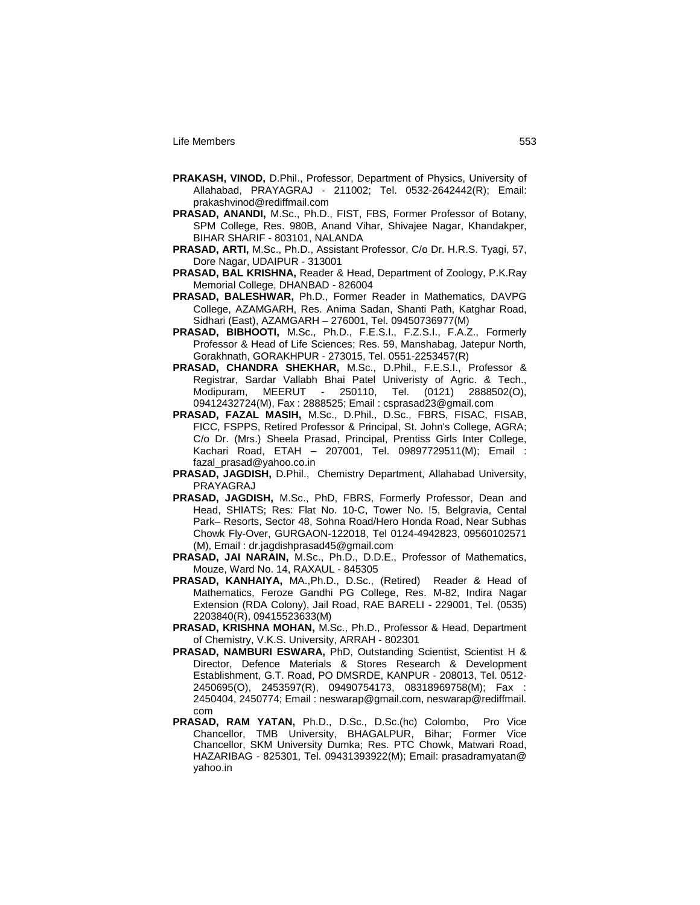- **PRAKASH, VINOD,** D.Phil., Professor, Department of Physics, University of Allahabad, PRAYAGRAJ - 211002; Tel. 0532-2642442(R); Email: prakashvinod@rediffmail.com
- **PRASAD, ANANDI,** M.Sc., Ph.D., FIST, FBS, Former Professor of Botany, SPM College, Res. 980B, Anand Vihar, Shivajee Nagar, Khandakper, BIHAR SHARIF - 803101, NALANDA
- **PRASAD, ARTI,** M.Sc., Ph.D., Assistant Professor, C/o Dr. H.R.S. Tyagi, 57, Dore Nagar, UDAIPUR - 313001
- **PRASAD, BAL KRISHNA,** Reader & Head, Department of Zoology, P.K.Ray Memorial College, DHANBAD - 826004
- **PRASAD, BALESHWAR,** Ph.D., Former Reader in Mathematics, DAVPG College, AZAMGARH, Res. Anima Sadan, Shanti Path, Katghar Road, Sidhari (East), AZAMGARH – 276001, Tel. 09450736977(M)
- **PRASAD, BIBHOOTI,** M.Sc., Ph.D., F.E.S.I., F.Z.S.I., F.A.Z., Formerly Professor & Head of Life Sciences; Res. 59, Manshabag, Jatepur North, Gorakhnath, GORAKHPUR - 273015, Tel. 0551-2253457(R)
- **PRASAD, CHANDRA SHEKHAR,** M.Sc., D.Phil., F.E.S.I., Professor & Registrar, Sardar Vallabh Bhai Patel Univeristy of Agric. & Tech., Modipuram, MEERUT - 250110, Tel. (0121) 2888502(O), 09412432724(M), Fax : 2888525; Email : csprasad23@gmail.com
- **PRASAD, FAZAL MASIH,** M.Sc., D.Phil., D.Sc., FBRS, FISAC, FISAB, FICC, FSPPS, Retired Professor & Principal, St. John's College, AGRA; C/o Dr. (Mrs.) Sheela Prasad, Principal, Prentiss Girls Inter College, Kachari Road, ETAH – 207001, Tel. 09897729511(M); Email : fazal\_prasad@yahoo.co.in
- **PRASAD, JAGDISH,** D.Phil., Chemistry Department, Allahabad University, PRAYAGRAJ
- **PRASAD, JAGDISH,** M.Sc., PhD, FBRS, Formerly Professor, Dean and Head, SHIATS; Res: Flat No. 10-C, Tower No. !5, Belgravia, Cental Park– Resorts, Sector 48, Sohna Road/Hero Honda Road, Near Subhas Chowk Fly-Over, GURGAON-122018, Tel 0124-4942823, 09560102571 (M), Email : dr.jagdishprasad45@gmail.com
- **PRASAD, JAI NARAIN,** M.Sc., Ph.D., D.D.E., Professor of Mathematics, Mouze, Ward No. 14, RAXAUL - 845305
- **PRASAD, KANHAIYA,** MA.,Ph.D., D.Sc., (Retired) Reader & Head of Mathematics, Feroze Gandhi PG College, Res. M-82, Indira Nagar Extension (RDA Colony), Jail Road, RAE BARELI - 229001, Tel. (0535) 2203840(R), 09415523633(M)
- **PRASAD, KRISHNA MOHAN,** M.Sc., Ph.D., Professor & Head, Department of Chemistry, V.K.S. University, ARRAH - 802301
- **PRASAD, NAMBURI ESWARA,** PhD, Outstanding Scientist, Scientist H & Director, Defence Materials & Stores Research & Development Establishment, G.T. Road, PO DMSRDE, KANPUR - 208013, Tel. 0512- 2450695(O), 2453597(R), 09490754173, 08318969758(M); Fax : 2450404, 2450774; Email : neswarap@gmail.com, neswarap@rediffmail. com
- **PRASAD, RAM YATAN,** Ph.D., D.Sc., D.Sc.(hc) Colombo, Pro Vice Chancellor, TMB University, BHAGALPUR, Bihar; Former Vice Chancellor, SKM University Dumka; Res. PTC Chowk, Matwari Road, HAZARIBAG - 825301, Tel. 09431393922(M); Email: prasadramyatan@ yahoo.in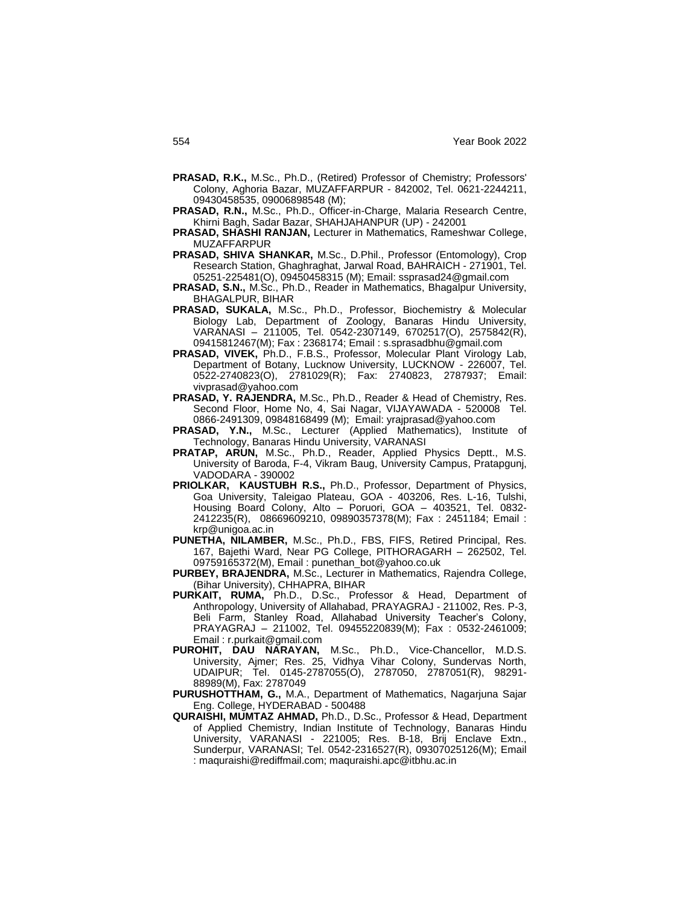- **PRASAD, R.K.,** M.Sc., Ph.D., (Retired) Professor of Chemistry; Professors' Colony, Aghoria Bazar, MUZAFFARPUR - 842002, Tel. 0621-2244211, 09430458535, 09006898548 (M);
- **PRASAD, R.N.,** M.Sc., Ph.D., Officer-in-Charge, Malaria Research Centre, Khirni Bagh, Sadar Bazar, SHAHJAHANPUR (UP) - 242001
- **PRASAD, SHASHI RANJAN,** Lecturer in Mathematics, Rameshwar College, MUZAFFARPUR
- **PRASAD, SHIVA SHANKAR,** M.Sc., D.Phil., Professor (Entomology), Crop Research Station, Ghaghraghat, Jarwal Road, BAHRAICH - 271901, Tel. 05251-225481(O), 09450458315 (M); Email: ssprasad24@gmail.com
- **PRASAD, S.N.,** M.Sc., Ph.D., Reader in Mathematics, Bhagalpur University, BHAGALPUR, BIHAR
- **PRASAD, SUKALA,** M.Sc., Ph.D., Professor, Biochemistry & Molecular Biology Lab, Department of Zoology, Banaras Hindu University, VARANASI – 211005, Tel. 0542-2307149, 6702517(O), 2575842(R), 09415812467(M); Fax : 2368174; Email : s.sprasadbhu@gmail.com
- **PRASAD, VIVEK,** Ph.D., F.B.S., Professor, Molecular Plant Virology Lab, Department of Botany, Lucknow University, LUCKNOW - 226007, Tel. 0522-2740823(O), 2781029(R); Fax: 2740823, 2787937; Email: vivprasad@yahoo.com
- **PRASAD, Y. RAJENDRA,** M.Sc., Ph.D., Reader & Head of Chemistry, Res. Second Floor, Home No, 4, Sai Nagar, VIJAYAWADA - 520008 Tel. 0866-2491309, 09848168499 (M); Email: yrajprasad@yahoo.com
- **PRASAD, Y.N.,** M.Sc., Lecturer (Applied Mathematics), Institute of Technology, Banaras Hindu University, VARANASI
- **PRATAP, ARUN,** M.Sc., Ph.D., Reader, Applied Physics Deptt., M.S. University of Baroda, F-4, Vikram Baug, University Campus, Pratapgunj, VADODARA - 390002
- **PRIOLKAR, KAUSTUBH R.S.,** Ph.D., Professor, Department of Physics, Goa University, Taleigao Plateau, GOA - 403206, Res. L-16, Tulshi, Housing Board Colony, Alto – Poruori, GOA – 403521, Tel. 0832- 2412235(R), 08669609210, 09890357378(M); Fax : 2451184; Email : krp@unigoa.ac.in
- **PUNETHA, NILAMBER,** M.Sc., Ph.D., FBS, FIFS, Retired Principal, Res. 167, Bajethi Ward, Near PG College, PITHORAGARH – 262502, Tel. 09759165372(M), Email : punethan\_bot@yahoo.co.uk
- **PURBEY, BRAJENDRA,** M.Sc., Lecturer in Mathematics, Rajendra College, (Bihar University), CHHAPRA, BIHAR
- PURKAIT, RUMA, Ph.D., D.Sc., Professor & Head, Department of Anthropology, University of Allahabad, PRAYAGRAJ - 211002, Res. P-3, Beli Farm, Stanley Road, Allahabad University Teacher"s Colony, PRAYAGRAJ – 211002, Tel. 09455220839(M); Fax : 0532-2461009; Email : r.purkait@gmail.com
- **PUROHIT, DAU NARAYAN,** M.Sc., Ph.D., Vice-Chancellor, M.D.S. University, Ajmer; Res. 25, Vidhya Vihar Colony, Sundervas North, UDAIPUR; Tel. 0145-2787055(O), 2787050, 2787051(R), 98291- 88989(M), Fax: 2787049
- **PURUSHOTTHAM, G.,** M.A., Department of Mathematics, Nagarjuna Sajar Eng. College, HYDERABAD - 500488
- **QURAISHI, MUMTAZ AHMAD,** Ph.D., D.Sc., Professor & Head, Department of Applied Chemistry, Indian Institute of Technology, Banaras Hindu University, VARANASI - 221005; Res. B-18, Brij Enclave Extn., Sunderpur, VARANASI; Tel. 0542-2316527(R), 09307025126(M); Email : maquraishi@rediffmail.com; maquraishi.apc@itbhu.ac.in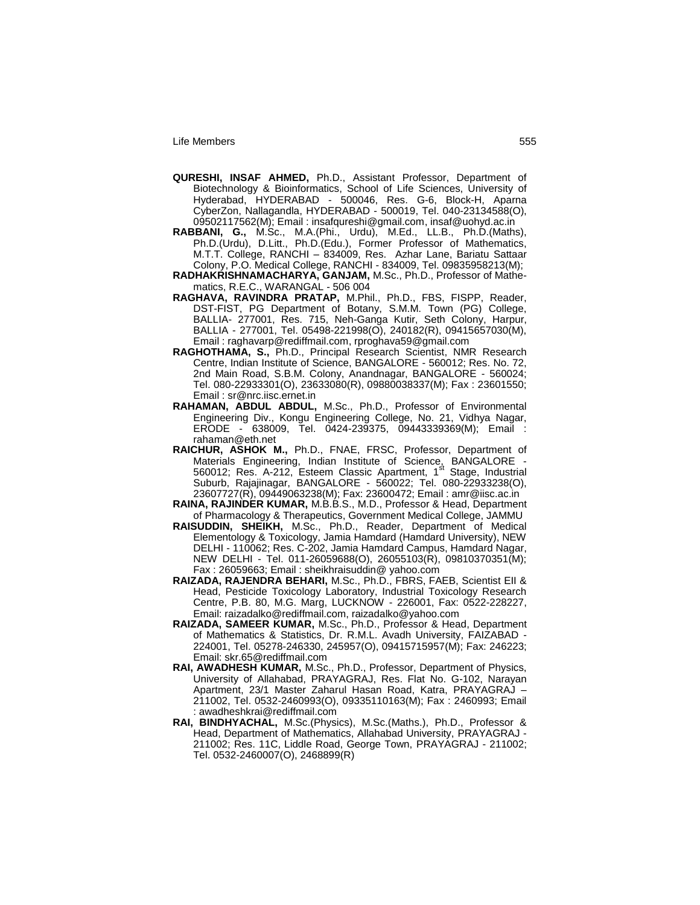- **QURESHI, INSAF AHMED,** Ph.D., Assistant Professor, Department of Biotechnology & Bioinformatics, School of Life Sciences, University of Hyderabad, HYDERABAD - 500046, Res. G-6, Block-H, Aparna CyberZon, Nallagandla, HYDERABAD - 500019, Tel. 040-23134588(O), 09502117562(M); Email : insafqureshi@gmail.com, insaf@uohyd.ac.in
- **RABBANI, G.,** M.Sc., M.A.(Phi., Urdu), M.Ed., LL.B., Ph.D.(Maths), Ph.D.(Urdu), D.Litt., Ph.D.(Edu.), Former Professor of Mathematics, M.T.T. College, RANCHI – 834009, Res. Azhar Lane, Bariatu Sattaar Colony, P.O. Medical College, RANCHI - 834009, Tel. 09835958213(M);
- **RADHAKRISHNAMACHARYA, GANJAM,** M.Sc., Ph.D., Professor of Mathematics, R.E.C., WARANGAL - 506 004
- **RAGHAVA, RAVINDRA PRATAP,** M.Phil., Ph.D., FBS, FISPP, Reader, DST-FIST, PG Department of Botany, S.M.M. Town (PG) College, BALLIA- 277001, Res. 715, Neh-Ganga Kutir, Seth Colony, Harpur, BALLIA - 277001, Tel. 05498-221998(O), 240182(R), 09415657030(M), Email : raghavarp@rediffmail.com, rproghava59@gmail.com
- **RAGHOTHAMA, S.,** Ph.D., Principal Research Scientist, NMR Research Centre, Indian Institute of Science, BANGALORE - 560012; Res. No. 72, 2nd Main Road, S.B.M. Colony, Anandnagar, BANGALORE - 560024; Tel. 080-22933301(O), 23633080(R), 09880038337(M); Fax : 23601550; Email : sr@nrc.iisc.ernet.in
- **RAHAMAN, ABDUL ABDUL,** M.Sc., Ph.D., Professor of Environmental Engineering Div., Kongu Engineering College, No. 21, Vidhya Nagar, ERODE - 638009, Tel. 0424-239375, 09443339369(M); Email : rahaman@eth.net
- **RAICHUR, ASHOK M.,** Ph.D., FNAE, FRSC, Professor, Department of Materials Engineering, Indian Institute of Science, BANGALORE -<br>560012; Res. A-212, Esteem Classic Apartment, 1<sup>st</sup> Stage, Industrial Suburb, Rajajinagar, BANGALORE - 560022; Tel. 080-22933238(O), 23607727(R), 09449063238(M); Fax: 23600472; Email : amr@iisc.ac.in
- **RAINA, RAJINDER KUMAR,** M.B.B.S., M.D., Professor & Head, Department of Pharmacology & Therapeutics, Government Medical College, JAMMU
- **RAISUDDIN, SHEIKH,** M.Sc., Ph.D., Reader, Department of Medical Elementology & Toxicology, Jamia Hamdard (Hamdard University), NEW DELHI - 110062; Res. C-202, Jamia Hamdard Campus, Hamdard Nagar, NEW DELHI - Tel. 011-26059688(O), 26055103(R), 09810370351(M); Fax : 26059663; Email : sheikhraisuddin@ yahoo.com
- **RAIZADA, RAJENDRA BEHARI,** M.Sc., Ph.D., FBRS, FAEB, Scientist EII & Head, Pesticide Toxicology Laboratory, Industrial Toxicology Research Centre, P.B. 80, M.G. Marg, LUCKNOW - 226001, Fax: 0522-228227, Email: raizadalko@rediffmail.com, raizadalko@yahoo.com
- **RAIZADA, SAMEER KUMAR,** M.Sc., Ph.D., Professor & Head, Department of Mathematics & Statistics, Dr. R.M.L. Avadh University, FAIZABAD - 224001, Tel. 05278-246330, 245957(O), 09415715957(M); Fax: 246223; Email: skr.65@rediffmail.com
- **RAI, AWADHESH KUMAR,** M.Sc., Ph.D., Professor, Department of Physics, University of Allahabad, PRAYAGRAJ, Res. Flat No. G-102, Narayan Apartment, 23/1 Master Zaharul Hasan Road, Katra, PRAYAGRAJ – 211002, Tel. 0532-2460993(O), 09335110163(M); Fax : 2460993; Email : awadheshkrai@rediffmail.com
- **RAI, BINDHYACHAL,** M.Sc.(Physics), M.Sc.(Maths.), Ph.D., Professor & Head, Department of Mathematics, Allahabad University, PRAYAGRAJ - 211002; Res. 11C, Liddle Road, George Town, PRAYAGRAJ - 211002; Tel. 0532-2460007(O), 2468899(R)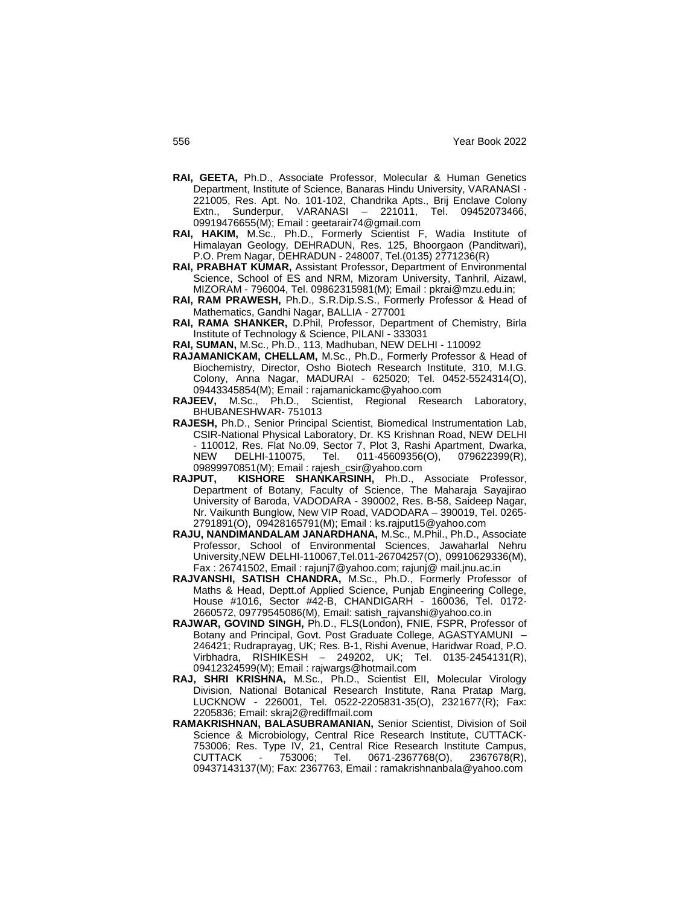- **RAI, GEETA,** Ph.D., Associate Professor, Molecular & Human Genetics Department, Institute of Science, Banaras Hindu University, VARANASI - 221005, Res. Apt. No. 101-102, Chandrika Apts., Brij Enclave Colony Extn., Sunderpur, VARANASI – 221011, Tel. 09452073466, 09919476655(M); Email : geetarair74@gmail.com
- **RAI, HAKIM,** M.Sc., Ph.D., Formerly Scientist F, Wadia Institute of Himalayan Geology, DEHRADUN, Res. 125, Bhoorgaon (Panditwari), P.O. Prem Nagar, DEHRADUN - 248007, Tel.(0135) 2771236(R)
- **RAI, PRABHAT KUMAR,** Assistant Professor, Department of Environmental Science, School of ES and NRM, Mizoram University, Tanhril, Aizawl, MIZORAM - 796004, Tel. 09862315981(M); Email : pkrai@mzu.edu.in;
- **RAI, RAM PRAWESH,** Ph.D., S.R.Dip.S.S., Formerly Professor & Head of Mathematics, Gandhi Nagar, BALLIA - 277001
- **RAI, RAMA SHANKER,** D.Phil, Professor, Department of Chemistry, Birla Institute of Technology & Science, PILANI - 333031
- **RAI, SUMAN,** M.Sc., Ph.D., 113, Madhuban, NEW DELHI 110092
- **RAJAMANICKAM, CHELLAM,** M.Sc., Ph.D., Formerly Professor & Head of Biochemistry, Director, Osho Biotech Research Institute, 310, M.I.G. Colony, Anna Nagar, MADURAI - 625020; Tel. 0452-5524314(O), 09443345854(M); Email : rajamanickamc@yahoo.com
- **RAJEEV,** M.Sc., Ph.D., Scientist, Regional Research Laboratory, BHUBANESHWAR- 751013
- **RAJESH,** Ph.D., Senior Principal Scientist, Biomedical Instrumentation Lab, CSIR-National Physical Laboratory, Dr. KS Krishnan Road, NEW DELHI - 110012, Res. Flat No.09, Sector 7, Plot 3, Rashi Apartment, Dwarka, DELHI-110075, Tel. 011-45609356(O), 079622399(R), 09899970851(M); Email : rajesh\_csir@yahoo.com
- **RAJPUT, KISHORE SHANKARSINH,** Ph.D., Associate Professor, Department of Botany, Faculty of Science, The Maharaja Sayajirao University of Baroda, VADODARA - 390002, Res. B-58, Saideep Nagar, Nr. Vaikunth Bunglow, New VIP Road, VADODARA – 390019, Tel. 0265- 2791891(O), 09428165791(M); Email : ks.rajput15@yahoo.com
- **RAJU, NANDIMANDALAM JANARDHANA,** M.Sc., M.Phil., Ph.D., Associate Professor, School of Environmental Sciences, Jawaharlal Nehru University,NEW DELHI-110067,Tel.011-26704257(O), 09910629336(M), Fax : 26741502, Email : rajunj7@yahoo.com; rajunj@ mail.jnu.ac.in
- **RAJVANSHI, SATISH CHANDRA,** M.Sc., Ph.D., Formerly Professor of Maths & Head, Deptt.of Applied Science, Punjab Engineering College, House #1016, Sector #42-B, CHANDIGARH - 160036, Tel. 0172- 2660572, 09779545086(M), Email: satish\_rajvanshi@yahoo.co.in
- **RAJWAR, GOVIND SINGH,** Ph.D., FLS(London), FNIE, FSPR, Professor of Botany and Principal, Govt. Post Graduate College, AGASTYAMUNI – 246421; Rudraprayag, UK; Res. B-1, Rishi Avenue, Haridwar Road, P.O. Virbhadra, RISHIKESH – 249202, UK; Tel. 0135-2454131(R), 09412324599(M); Email : rajwargs@hotmail.com
- **RAJ, SHRI KRISHNA,** M.Sc., Ph.D., Scientist EII, Molecular Virology Division, National Botanical Research Institute, Rana Pratap Marg, LUCKNOW - 226001, Tel. 0522-2205831-35(O), 2321677(R); Fax: 2205836; Email: skraj2@rediffmail.com
- **RAMAKRISHNAN, BALASUBRAMANIAN,** Senior Scientist, Division of Soil Science & Microbiology, Central Rice Research Institute, CUTTACK-753006; Res. Type IV, 21, Central Rice Research Institute Campus, CUTTACK - 753006; Tel. 0671-2367768(O), 2367678(R), 09437143137(M); Fax: 2367763, Email : ramakrishnanbala@yahoo.com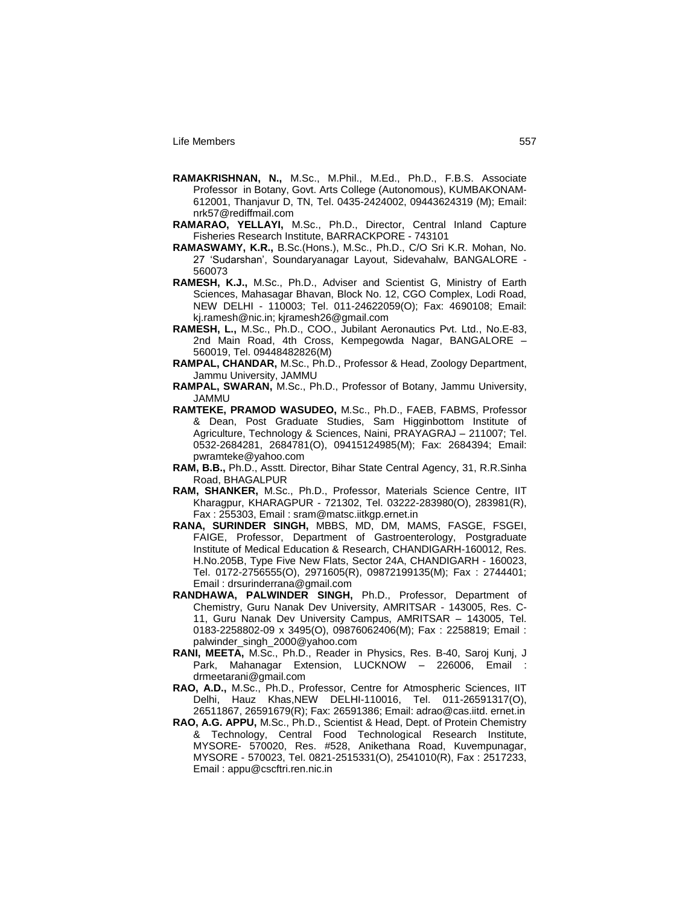- **RAMAKRISHNAN, N.,** M.Sc., M.Phil., M.Ed., Ph.D., F.B.S. Associate Professor in Botany, Govt. Arts College (Autonomous), KUMBAKONAM-612001, Thanjavur D, TN, Tel. 0435-2424002, 09443624319 (M); Email: nrk57@rediffmail.com
- **RAMARAO, YELLAYI,** M.Sc., Ph.D., Director, Central Inland Capture Fisheries Research Institute, BARRACKPORE - 743101
- **RAMASWAMY, K.R.,** B.Sc.(Hons.), M.Sc., Ph.D., C/O Sri K.R. Mohan, No. 27 "Sudarshan", Soundaryanagar Layout, Sidevahalw, BANGALORE - 560073
- **RAMESH, K.J.,** M.Sc., Ph.D., Adviser and Scientist G, Ministry of Earth Sciences, Mahasagar Bhavan, Block No. 12, CGO Complex, Lodi Road, NEW DELHI - 110003; Tel. 011-24622059(O); Fax: 4690108; Email: kj.ramesh@nic.in; kjramesh26@gmail.com
- **RAMESH, L.,** M.Sc., Ph.D., COO., Jubilant Aeronautics Pvt. Ltd., No.E-83, 2nd Main Road, 4th Cross, Kempegowda Nagar, BANGALORE – 560019, Tel. 09448482826(M)
- **RAMPAL, CHANDAR,** M.Sc., Ph.D., Professor & Head, Zoology Department, Jammu University, JAMMU
- **RAMPAL, SWARAN,** M.Sc., Ph.D., Professor of Botany, Jammu University, JAMMU
- **RAMTEKE, PRAMOD WASUDEO,** M.Sc., Ph.D., FAEB, FABMS, Professor & Dean, Post Graduate Studies, Sam Higginbottom Institute of Agriculture, Technology & Sciences, Naini, PRAYAGRAJ – 211007; Tel. 0532-2684281, 2684781(O), 09415124985(M); Fax: 2684394; Email: pwramteke@yahoo.com
- **RAM, B.B.,** Ph.D., Asstt. Director, Bihar State Central Agency, 31, R.R.Sinha Road, BHAGALPUR
- **RAM, SHANKER,** M.Sc., Ph.D., Professor, Materials Science Centre, IIT Kharagpur, KHARAGPUR - 721302, Tel. 03222-283980(O), 283981(R), Fax : 255303, Email : sram@matsc.iitkgp.ernet.in
- **RANA, SURINDER SINGH,** MBBS, MD, DM, MAMS, FASGE, FSGEI, FAIGE, Professor, Department of Gastroenterology, Postgraduate Institute of Medical Education & Research, CHANDIGARH-160012, Res. H.No.205B, Type Five New Flats, Sector 24A, CHANDIGARH - 160023, Tel. 0172-2756555(O), 2971605(R), 09872199135(M); Fax : 2744401; Email : drsurinderrana@gmail.com
- **RANDHAWA, PALWINDER SINGH,** Ph.D., Professor, Department of Chemistry, Guru Nanak Dev University, AMRITSAR - 143005, Res. C-11, Guru Nanak Dev University Campus, AMRITSAR – 143005, Tel. 0183-2258802-09 x 3495(O), 09876062406(M); Fax : 2258819; Email : palwinder\_singh\_2000@yahoo.com
- **RANI, MEETA,** M.Sc., Ph.D., Reader in Physics, Res. B-40, Saroj Kunj, J Park, Mahanagar Extension, LUCKNOW – 226006, Email : drmeetarani@gmail.com
- **RAO, A.D.,** M.Sc., Ph.D., Professor, Centre for Atmospheric Sciences, IIT Delhi, Hauz Khas,NEW DELHI-110016, Tel. 011-26591317(O), 26511867, 26591679(R); Fax: 26591386; Email: adrao@cas.iitd. ernet.in
- **RAO, A.G. APPU,** M.Sc., Ph.D., Scientist & Head, Dept. of Protein Chemistry & Technology, Central Food Technological Research Institute, MYSORE- 570020, Res. #528, Anikethana Road, Kuvempunagar, MYSORE - 570023, Tel. 0821-2515331(O), 2541010(R), Fax : 2517233, Email : appu@cscftri.ren.nic.in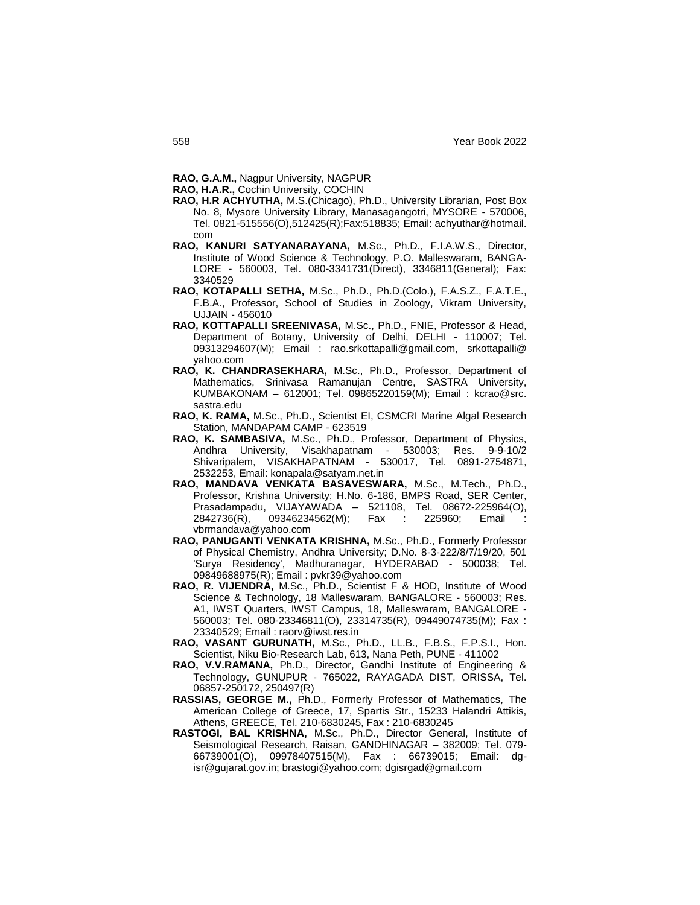- **RAO, G.A.M.,** Nagpur University, NAGPUR
- **RAO, H.A.R.,** Cochin University, COCHIN
- **RAO, H.R ACHYUTHA,** M.S.(Chicago), Ph.D., University Librarian, Post Box No. 8, Mysore University Library, Manasagangotri, MYSORE - 570006, Tel. 0821-515556(O),512425(R);Fax:518835; Email: achyuthar@hotmail. com
- **RAO, KANURI SATYANARAYANA,** M.Sc., Ph.D., F.I.A.W.S., Director, Institute of Wood Science & Technology, P.O. Malleswaram, BANGA-LORE - 560003, Tel. 080-3341731(Direct), 3346811(General); Fax: 3340529
- **RAO, KOTAPALLI SETHA,** M.Sc., Ph.D., Ph.D.(Colo.), F.A.S.Z., F.A.T.E., F.B.A., Professor, School of Studies in Zoology, Vikram University, UJJAIN - 456010
- **RAO, KOTTAPALLI SREENIVASA,** M.Sc., Ph.D., FNIE, Professor & Head, Department of Botany, University of Delhi, DELHI - 110007; Tel. 09313294607(M); Email : rao.srkottapalli@gmail.com, srkottapalli@ yahoo.com
- **RAO, K. CHANDRASEKHARA,** M.Sc., Ph.D., Professor, Department of Mathematics, Srinivasa Ramanujan Centre, SASTRA University, KUMBAKONAM – 612001; Tel. 09865220159(M); Email : kcrao@src. sastra.edu
- **RAO, K. RAMA,** M.Sc., Ph.D., Scientist EI, CSMCRI Marine Algal Research Station, MANDAPAM CAMP - 623519
- **RAO, K. SAMBASIVA,** M.Sc., Ph.D., Professor, Department of Physics, Andhra University, Visakhapatnam - 530003; Res. 9-9-10/2 Shivaripalem, VISAKHAPATNAM - 530017, Tel. 0891-2754871, 2532253, Email: konapala@satyam.net.in
- **RAO, MANDAVA VENKATA BASAVESWARA,** M.Sc., M.Tech., Ph.D., Professor, Krishna University; H.No. 6-186, BMPS Road, SER Center, Prasadampadu, VIJAYAWADA – 521108, Tel. 08672-225964(O), 2842736(R), 09346234562(M); Fax : 225960; Email vbrmandava@yahoo.com
- **RAO, PANUGANTI VENKATA KRISHNA,** M.Sc., Ph.D., Formerly Professor of Physical Chemistry, Andhra University; D.No. 8-3-222/8/7/19/20, 501 'Surya Residency', Madhuranagar, HYDERABAD - 500038; Tel. 09849688975(R); Email : pvkr39@yahoo.com
- **RAO, R. VIJENDRA,** M.Sc., Ph.D., Scientist F & HOD, Institute of Wood Science & Technology, 18 Malleswaram, BANGALORE - 560003; Res. A1, IWST Quarters, IWST Campus, 18, Malleswaram, BANGALORE - 560003; Tel. 080-23346811(O), 23314735(R), 09449074735(M); Fax : 23340529; Email : raorv@iwst.res.in
- **RAO, VASANT GURUNATH,** M.Sc., Ph.D., LL.B., F.B.S., F.P.S.I., Hon. Scientist, Niku Bio-Research Lab, 613, Nana Peth, PUNE - 411002
- **RAO, V.V.RAMANA,** Ph.D., Director, Gandhi Institute of Engineering & Technology, GUNUPUR - 765022, RAYAGADA DIST, ORISSA, Tel. 06857-250172, 250497(R)
- **RASSIAS, GEORGE M.,** Ph.D., Formerly Professor of Mathematics, The American College of Greece, 17, Spartis Str., 15233 Halandri Attikis, Athens, GREECE, Tel. 210-6830245, Fax : 210-6830245
- **RASTOGI, BAL KRISHNA,** M.Sc., Ph.D., Director General, Institute of Seismological Research, Raisan, GANDHINAGAR – 382009; Tel. 079- 66739001(O), 09978407515(M), Fax : 66739015; Email: dgisr@gujarat.gov.in; brastogi@yahoo.com; dgisrgad@gmail.com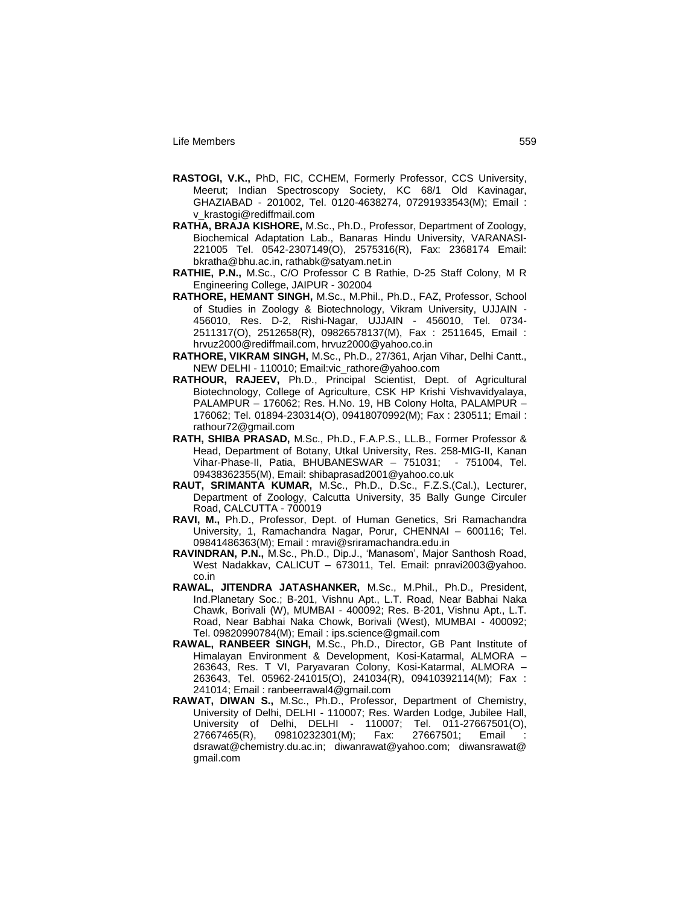- **RASTOGI, V.K.,** PhD, FIC, CCHEM, Formerly Professor, CCS University, Meerut; Indian Spectroscopy Society, KC 68/1 Old Kavinagar, GHAZIABAD - 201002, Tel. 0120-4638274, 07291933543(M); Email : v\_krastogi@rediffmail.com
- **RATHA, BRAJA KISHORE,** M.Sc., Ph.D., Professor, Department of Zoology, Biochemical Adaptation Lab., Banaras Hindu University, VARANASI-221005 Tel. 0542-2307149(O), 2575316(R), Fax: 2368174 Email: bkratha@bhu.ac.in, rathabk@satyam.net.in
- **RATHIE, P.N.,** M.Sc., C/O Professor C B Rathie, D-25 Staff Colony, M R Engineering College, JAIPUR - 302004
- **RATHORE, HEMANT SINGH,** M.Sc., M.Phil., Ph.D., FAZ, Professor, School of Studies in Zoology & Biotechnology, Vikram University, UJJAIN - 456010, Res. D-2, Rishi-Nagar, UJJAIN - 456010, Tel. 0734- 2511317(O), 2512658(R), 09826578137(M), Fax : 2511645, Email : hrvuz2000@rediffmail.com, hrvuz2000@yahoo.co.in
- **RATHORE, VIKRAM SINGH,** M.Sc., Ph.D., 27/361, Arjan Vihar, Delhi Cantt., NEW DELHI - 110010; Email:vic\_rathore@yahoo.com
- **RATHOUR, RAJEEV,** Ph.D., Principal Scientist, Dept. of Agricultural Biotechnology, College of Agriculture, CSK HP Krishi Vishvavidyalaya, PALAMPUR – 176062; Res. H.No. 19, HB Colony Holta, PALAMPUR – 176062; Tel. 01894-230314(O), 09418070992(M); Fax : 230511; Email : rathour72@gmail.com
- **RATH, SHIBA PRASAD,** M.Sc., Ph.D., F.A.P.S., LL.B., Former Professor & Head, Department of Botany, Utkal University, Res. 258-MIG-II, Kanan Vihar-Phase-II, Patia, BHUBANESWAR – 751031; - 751004, Tel. 09438362355(M), Email: shibaprasad2001@yahoo.co.uk
- **RAUT, SRIMANTA KUMAR,** M.Sc., Ph.D., D.Sc., F.Z.S.(Cal.), Lecturer, Department of Zoology, Calcutta University, 35 Bally Gunge Circuler Road, CALCUTTA - 700019
- **RAVI, M.,** Ph.D., Professor, Dept. of Human Genetics, Sri Ramachandra University, 1, Ramachandra Nagar, Porur, CHENNAI – 600116; Tel. 09841486363(M); Email : mravi@sriramachandra.edu.in
- **RAVINDRAN, P.N.,** M.Sc., Ph.D., Dip.J., "Manasom", Major Santhosh Road, West Nadakkav, CALICUT – 673011, Tel. Email: pnravi2003@yahoo. co.in
- **RAWAL, JITENDRA JATASHANKER,** M.Sc., M.Phil., Ph.D., President, Ind.Planetary Soc.; B-201, Vishnu Apt., L.T. Road, Near Babhai Naka Chawk, Borivali (W), MUMBAI - 400092; Res. B-201, Vishnu Apt., L.T. Road, Near Babhai Naka Chowk, Borivali (West), MUMBAI - 400092; Tel. 09820990784(M); Email : ips.science@gmail.com
- **RAWAL, RANBEER SINGH,** M.Sc., Ph.D., Director, GB Pant Institute of Himalayan Environment & Development, Kosi-Katarmal, ALMORA – 263643, Res. T VI, Paryavaran Colony, Kosi-Katarmal, ALMORA – 263643, Tel. 05962-241015(O), 241034(R), 09410392114(M); Fax : 241014; Email : ranbeerrawal4@gmail.com
- **RAWAT, DIWAN S.,** M.Sc., Ph.D., Professor, Department of Chemistry, University of Delhi, DELHI - 110007; Res. Warden Lodge, Jubilee Hall, University of Delhi, DELHI - 110007; Tel. 011-27667501(O),<br>27667465(R), 09810232301(M); Fax: 27667501; Email : 27667465(R), 09810232301(M); Fax: 27667501; Email : dsrawat@chemistry.du.ac.in; diwanrawat@yahoo.com; diwansrawat@ gmail.com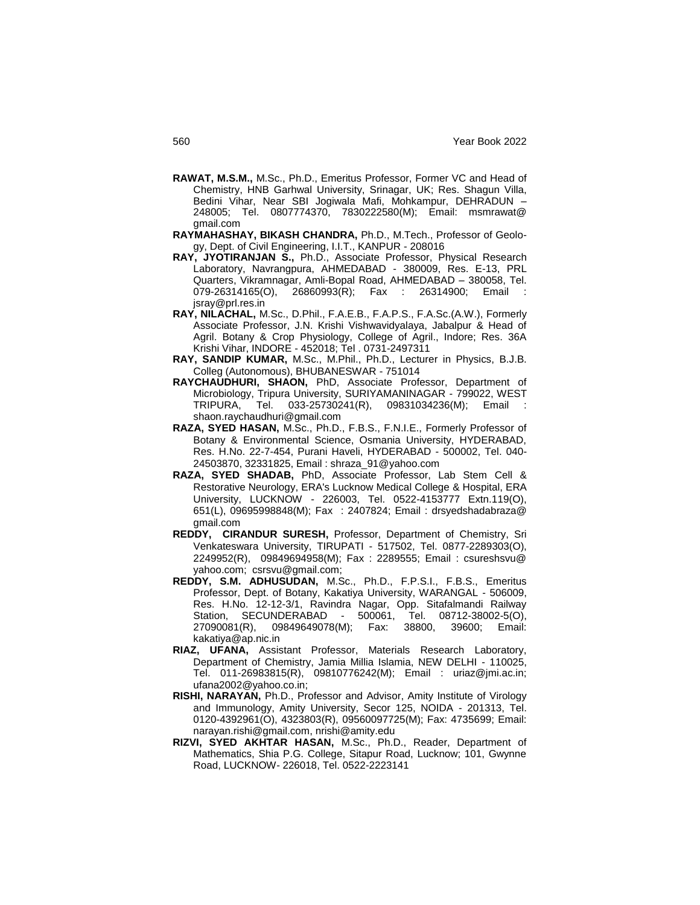- **RAWAT, M.S.M.,** M.Sc., Ph.D., Emeritus Professor, Former VC and Head of Chemistry, HNB Garhwal University, Srinagar, UK; Res. Shagun Villa, Bedini Vihar, Near SBI Jogiwala Mafi, Mohkampur, DEHRADUN – 248005; Tel. 0807774370, 7830222580(M); Email: msmrawat@ gmail.com
- **RAYMAHASHAY, BIKASH CHANDRA,** Ph.D., M.Tech., Professor of Geology, Dept. of Civil Engineering, I.I.T., KANPUR - 208016
- **RAY, JYOTIRANJAN S.,** Ph.D., Associate Professor, Physical Research Laboratory, Navrangpura, AHMEDABAD - 380009, Res. E-13, PRL Quarters, Vikramnagar, Amli-Bopal Road, AHMEDABAD – 380058, Tel. 079-26314165(O), 26860993(R); Fax : 26314900; Email jsray@prl.res.in
- **RAY, NILACHAL,** M.Sc., D.Phil., F.A.E.B., F.A.P.S., F.A.Sc.(A.W.), Formerly Associate Professor, J.N. Krishi Vishwavidyalaya, Jabalpur & Head of Agril. Botany & Crop Physiology, College of Agril., Indore; Res. 36A Krishi Vihar, INDORE - 452018; Tel . 0731-2497311
- **RAY, SANDIP KUMAR,** M.Sc., M.Phil., Ph.D., Lecturer in Physics, B.J.B. Colleg (Autonomous), BHUBANESWAR - 751014
- **RAYCHAUDHURI, SHAON,** PhD, Associate Professor, Department of Microbiology, Tripura University, SURIYAMANINAGAR - 799022, WEST TRIPURA, Tel. 033-25730241(R), 09831034236(M); Email : shaon.raychaudhuri@gmail.com
- **RAZA, SYED HASAN,** M.Sc., Ph.D., F.B.S., F.N.I.E., Formerly Professor of Botany & Environmental Science, Osmania University, HYDERABAD, Res. H.No. 22-7-454, Purani Haveli, HYDERABAD - 500002, Tel. 040- 24503870, 32331825, Email : shraza\_91@yahoo.com
- **RAZA, SYED SHADAB,** PhD, Associate Professor, Lab Stem Cell & Restorative Neurology, ERA's Lucknow Medical College & Hospital, ERA University, LUCKNOW - 226003, Tel. 0522-4153777 Extn.119(O), 651(L), 09695998848(M); Fax : 2407824; Email : drsyedshadabraza@ gmail.com
- **REDDY, CIRANDUR SURESH,** Professor, Department of Chemistry, Sri Venkateswara University, TIRUPATI - 517502, Tel. 0877-2289303(O), 2249952(R), 09849694958(M); Fax : 2289555; Email : csureshsvu@ yahoo.com; csrsvu@gmail.com;
- **REDDY, S.M. ADHUSUDAN,** M.Sc., Ph.D., F.P.S.I., F.B.S., Emeritus Professor, Dept. of Botany, Kakatiya University, WARANGAL - 506009, Res. H.No. 12-12-3/1, Ravindra Nagar, Opp. Sitafalmandi Railway .<br>Station, SECUNDERABAD - 500061, Tel. 08712-38002-5(O),<br>27090081(R), 09849649078(M); Fax: 38800, 39600; Email: 09849649078(M); Fax: 38800, 39600; Email: kakatiya@ap.nic.in
- **RIAZ, UFANA,** Assistant Professor, Materials Research Laboratory, Department of Chemistry, Jamia Millia Islamia, NEW DELHI - 110025, Tel. 011-26983815(R), 09810776242(M); Email : uriaz@jmi.ac.in; ufana2002@yahoo.co.in;
- **RISHI, NARAYAN,** Ph.D., Professor and Advisor, Amity Institute of Virology and Immunology, Amity University, Secor 125, NOIDA - 201313, Tel. 0120-4392961(O), 4323803(R), 09560097725(M); Fax: 4735699; Email: narayan.rishi@gmail.com, nrishi@amity.edu
- **RIZVI, SYED AKHTAR HASAN,** M.Sc., Ph.D., Reader, Department of Mathematics, Shia P.G. College, Sitapur Road, Lucknow; 101, Gwynne Road, LUCKNOW- 226018, Tel. 0522-2223141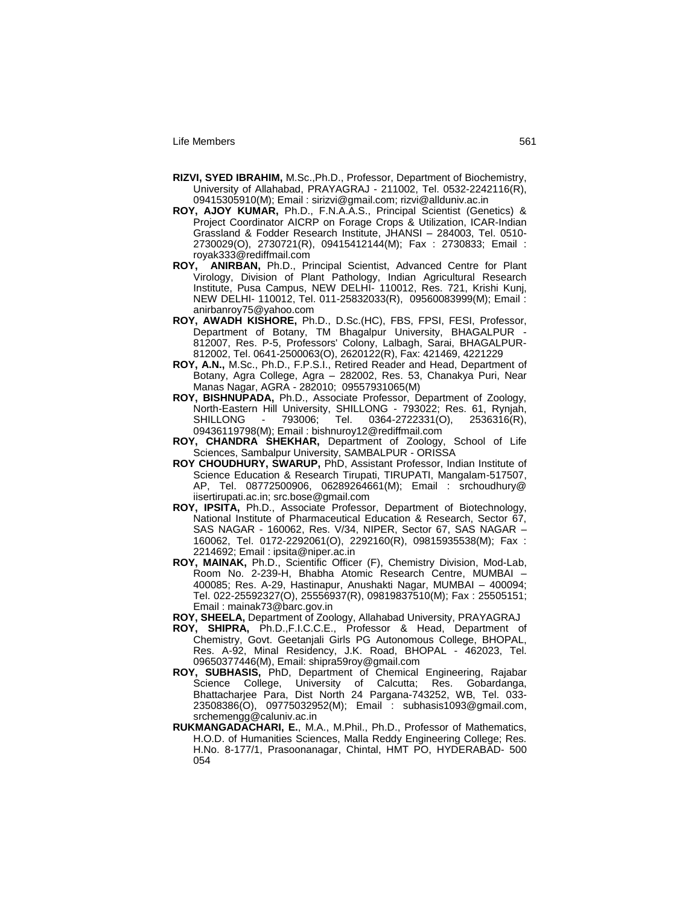- **RIZVI, SYED IBRAHIM,** M.Sc.,Ph.D., Professor, Department of Biochemistry, University of Allahabad, PRAYAGRAJ - 211002, Tel. 0532-2242116(R), 09415305910(M); Email : sirizvi@gmail.com; rizvi@allduniv.ac.in
- **ROY, AJOY KUMAR,** Ph.D., F.N.A.A.S., Principal Scientist (Genetics) & Project Coordinator AICRP on Forage Crops & Utilization, ICAR-Indian Grassland & Fodder Research Institute, JHANSI – 284003, Tel. 0510- 2730029(O), 2730721(R), 09415412144(M); Fax : 2730833; Email : royak333@rediffmail.com
- **ROY, ANIRBAN,** Ph.D., Principal Scientist, Advanced Centre for Plant Virology, Division of Plant Pathology, Indian Agricultural Research Institute, Pusa Campus, NEW DELHI- 110012, Res. 721, Krishi Kunj, NEW DELHI- 110012, Tel. 011-25832033(R), 09560083999(M); Email : anirbanroy75@yahoo.com
- **ROY, AWADH KISHORE,** Ph.D., D.Sc.(HC), FBS, FPSI, FESI, Professor, Department of Botany, TM Bhagalpur University, BHAGALPUR - 812007, Res. P-5, Professors' Colony, Lalbagh, Sarai, BHAGALPUR-812002, Tel. 0641-2500063(O), 2620122(R), Fax: 421469, 4221229
- **ROY, A.N.,** M.Sc., Ph.D., F.P.S.I., Retired Reader and Head, Department of Botany, Agra College, Agra – 282002, Res. 53, Chanakya Puri, Near Manas Nagar, AGRA - 282010; 09557931065(M)
- **ROY, BISHNUPADA,** Ph.D., Associate Professor, Department of Zoology, North-Eastern Hill University, SHILLONG - 793022; Res. 61, Rynjah,  $\overline{S}$  Tel. 0364-2722331(O), 2536316(R), 09436119798(M); Email : bishnuroy12@rediffmail.com
- **ROY, CHANDRA SHEKHAR,** Department of Zoology, School of Life Sciences, Sambalpur University, SAMBALPUR - ORISSA
- **ROY CHOUDHURY, SWARUP,** PhD, Assistant Professor, Indian Institute of Science Education & Research Tirupati, TIRUPATI, Mangalam-517507, AP, Tel. 08772500906, 06289264661(M); Email : srchoudhury@ iisertirupati.ac.in; src.bose@gmail.com
- **ROY, IPSITA,** Ph.D., Associate Professor, Department of Biotechnology, National Institute of Pharmaceutical Education & Research, Sector 67, SAS NAGAR - 160062, Res. V/34, NIPER, Sector 67, SAS NAGAR – 160062, Tel. 0172-2292061(O), 2292160(R), 09815935538(M); Fax : 2214692; Email : ipsita@niper.ac.in
- **ROY, MAINAK,** Ph.D., Scientific Officer (F), Chemistry Division, Mod-Lab, Room No. 2-239-H, Bhabha Atomic Research Centre, MUMBAI – 400085; Res. A-29, Hastinapur, Anushakti Nagar, MUMBAI – 400094; Tel. 022-25592327(O), 25556937(R), 09819837510(M); Fax : 25505151; Email : mainak73@barc.gov.in
- **ROY, SHEELA,** Department of Zoology, Allahabad University, PRAYAGRAJ
- **ROY, SHIPRA,** Ph.D.,F.I.C.C.E., Professor & Head, Department of Chemistry, Govt. Geetanjali Girls PG Autonomous College, BHOPAL, Res. A-92, Minal Residency, J.K. Road, BHOPAL - 462023, Tel. 09650377446(M), Email: shipra59roy@gmail.com
- **ROY, SUBHASIS,** PhD, Department of Chemical Engineering, Rajabar Science College, University of Calcutta; Res. Gobardanga, Bhattacharjee Para, Dist North 24 Pargana-743252, WB, Tel. 033- 23508386(O), 09775032952(M); Email : subhasis1093@gmail.com, srchemengg@caluniv.ac.in
- **RUKMANGADACHARI, E.**, M.A., M.Phil., Ph.D., Professor of Mathematics, H.O.D. of Humanities Sciences, Malla Reddy Engineering College; Res. H.No. 8-177/1, Prasoonanagar, Chintal, HMT PO, HYDERABAD- 500 054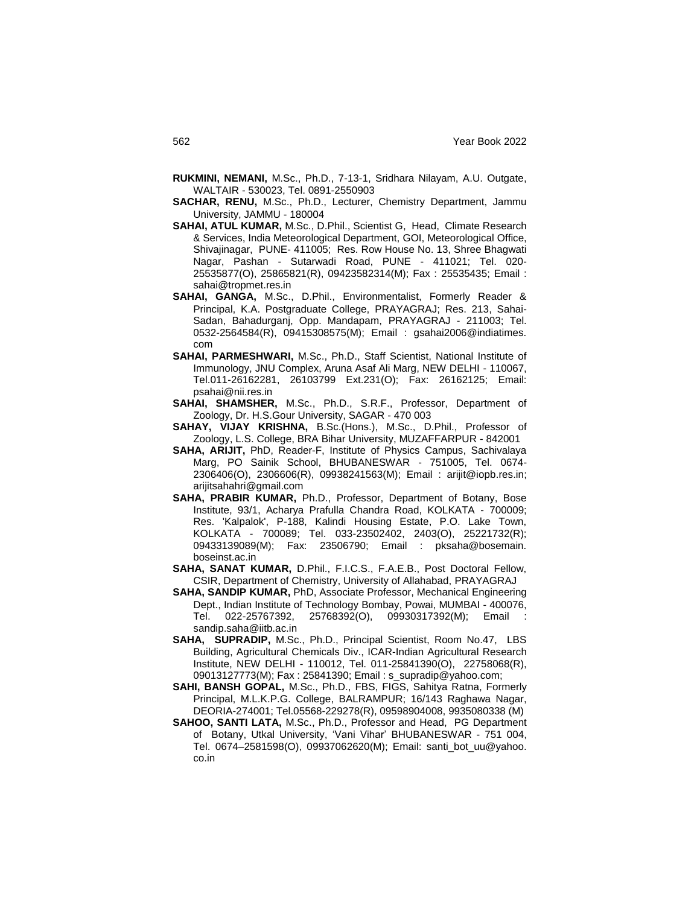- **RUKMINI, NEMANI,** M.Sc., Ph.D., 7-13-1, Sridhara Nilayam, A.U. Outgate, WALTAIR - 530023, Tel. 0891-2550903
- **SACHAR, RENU,** M.Sc., Ph.D., Lecturer, Chemistry Department, Jammu University, JAMMU - 180004
- **SAHAI, ATUL KUMAR,** M.Sc., D.Phil., Scientist G, Head, Climate Research & Services, India Meteorological Department, GOI, Meteorological Office, Shivajinagar, PUNE- 411005; Res. Row House No. 13, Shree Bhagwati Nagar, Pashan - Sutarwadi Road, PUNE - 411021; Tel. 020- 25535877(O), 25865821(R), 09423582314(M); Fax : 25535435; Email : sahai@tropmet.res.in
- **SAHAI, GANGA,** M.Sc., D.Phil., Environmentalist, Formerly Reader & Principal, K.A. Postgraduate College, PRAYAGRAJ; Res. 213, Sahai-Sadan, Bahadurganj, Opp. Mandapam, PRAYAGRAJ - 211003; Tel. 0532-2564584(R), 09415308575(M); Email : gsahai2006@indiatimes. com
- **SAHAI, PARMESHWARI,** M.Sc., Ph.D., Staff Scientist, National Institute of Immunology, JNU Complex, Aruna Asaf Ali Marg, NEW DELHI - 110067, Tel.011-26162281, 26103799 Ext.231(O); Fax: 26162125; Email: psahai@nii.res.in
- **SAHAI, SHAMSHER,** M.Sc., Ph.D., S.R.F., Professor, Department of Zoology, Dr. H.S.Gour University, SAGAR - 470 003
- **SAHAY, VIJAY KRISHNA,** B.Sc.(Hons.), M.Sc., D.Phil., Professor of Zoology, L.S. College, BRA Bihar University, MUZAFFARPUR - 842001
- **SAHA, ARIJIT,** PhD, Reader-F, Institute of Physics Campus, Sachivalaya Marg, PO Sainik School, BHUBANESWAR - 751005, Tel. 0674- 2306406(O), 2306606(R), 09938241563(M); Email : arijit@iopb.res.in; arijitsahahri@gmail.com
- **SAHA, PRABIR KUMAR,** Ph.D., Professor, Department of Botany, Bose Institute, 93/1, Acharya Prafulla Chandra Road, KOLKATA - 700009; Res. 'Kalpalok', P-188, Kalindi Housing Estate, P.O. Lake Town, KOLKATA - 700089; Tel. 033-23502402, 2403(O), 25221732(R); 09433139089(M); Fax: 23506790; Email : pksaha@bosemain. boseinst.ac.in
- **SAHA, SANAT KUMAR,** D.Phil., F.I.C.S., F.A.E.B., Post Doctoral Fellow, CSIR, Department of Chemistry, University of Allahabad, PRAYAGRAJ
- **SAHA, SANDIP KUMAR,** PhD, Associate Professor, Mechanical Engineering Dept., Indian Institute of Technology Bombay, Powai, MUMBAI - 400076, Tel. 022-25767392, 25768392(O), 09930317392(M); Email : sandip.saha@iitb.ac.in
- **SAHA, SUPRADIP,** M.Sc., Ph.D., Principal Scientist, Room No.47, LBS Building, Agricultural Chemicals Div., ICAR-Indian Agricultural Research Institute, NEW DELHI - 110012, Tel. 011-25841390(O), 22758068(R), 09013127773(M); Fax: 25841390; Email: s\_supradip@yahoo.com;
- **SAHI, BANSH GOPAL,** M.Sc., Ph.D., FBS, FIGS, Sahitya Ratna, Formerly Principal, M.L.K.P.G. College, BALRAMPUR; 16/143 Raghawa Nagar, DEORIA-274001; Tel.05568-229278(R), 09598904008, 9935080338 (M)
- **SAHOO, SANTI LATA,** M.Sc., Ph.D., Professor and Head, PG Department of Botany, Utkal University, "Vani Vihar" BHUBANESWAR - 751 004, Tel. 0674–2581598(O), 09937062620(M); Email: santi\_bot\_uu@yahoo. co.in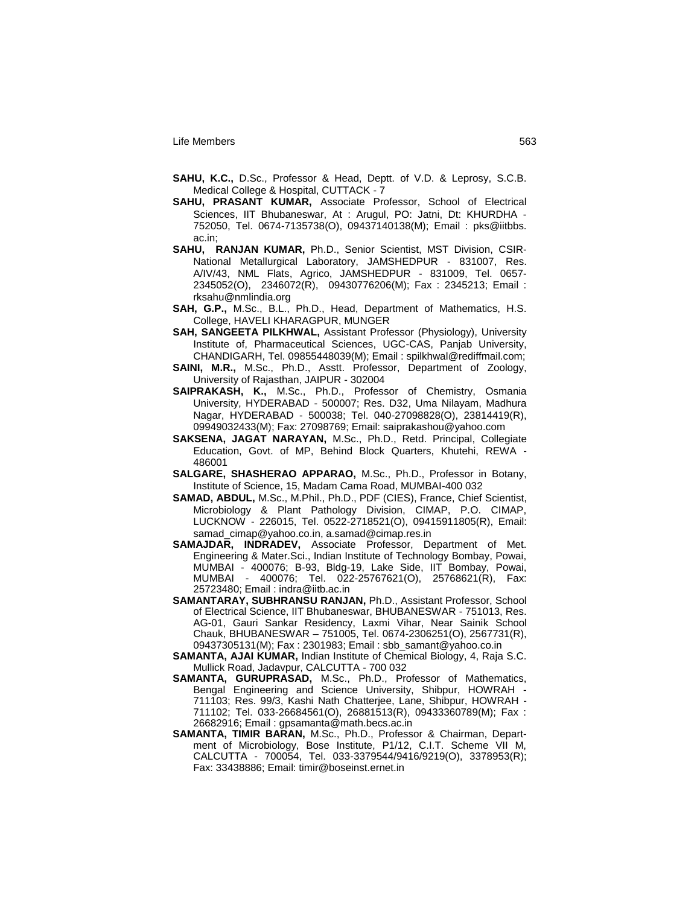- **SAHU, K.C.,** D.Sc., Professor & Head, Deptt. of V.D. & Leprosy, S.C.B. Medical College & Hospital, CUTTACK - 7
- **SAHU, PRASANT KUMAR,** Associate Professor, School of Electrical Sciences, IIT Bhubaneswar, At : Arugul, PO: Jatni, Dt: KHURDHA - 752050, Tel. 0674-7135738(O), 09437140138(M); Email : pks@iitbbs. ac.in;
- **SAHU, RANJAN KUMAR,** Ph.D., Senior Scientist, MST Division, CSIR-National Metallurgical Laboratory, JAMSHEDPUR - 831007, Res. A/IV/43, NML Flats, Agrico, JAMSHEDPUR - 831009, Tel. 0657- 2345052(O), 2346072(R), 09430776206(M); Fax : 2345213; Email : rksahu@nmlindia.org
- **SAH, G.P.,** M.Sc., B.L., Ph.D., Head, Department of Mathematics, H.S. College, HAVELI KHARAGPUR, MUNGER
- **SAH, SANGEETA PILKHWAL,** Assistant Professor (Physiology), University Institute of, Pharmaceutical Sciences, UGC-CAS, Panjab University, CHANDIGARH, Tel. 09855448039(M); Email : spilkhwal@rediffmail.com;
- **SAINI, M.R.,** M.Sc., Ph.D., Asstt. Professor, Department of Zoology, University of Rajasthan, JAIPUR - 302004
- **SAIPRAKASH, K.,** M.Sc., Ph.D., Professor of Chemistry, Osmania University, HYDERABAD - 500007; Res. D32, Uma Nilayam, Madhura Nagar, HYDERABAD - 500038; Tel. 040-27098828(O), 23814419(R), 09949032433(M); Fax: 27098769; Email: saiprakashou@yahoo.com
- **SAKSENA, JAGAT NARAYAN,** M.Sc., Ph.D., Retd. Principal, Collegiate Education, Govt. of MP, Behind Block Quarters, Khutehi, REWA - 486001
- **SALGARE, SHASHERAO APPARAO,** M.Sc., Ph.D., Professor in Botany, Institute of Science, 15, Madam Cama Road, MUMBAI-400 032
- **SAMAD, ABDUL,** M.Sc., M.Phil., Ph.D., PDF (CIES), France, Chief Scientist, Microbiology & Plant Pathology Division, CIMAP, P.O. CIMAP, LUCKNOW - 226015, Tel. 0522-2718521(O), 09415911805(R), Email: samad\_cimap@yahoo.co.in, a.samad@cimap.res.in
- **SAMAJDAR, INDRADEV,** Associate Professor, Department of Met. Engineering & Mater.Sci., Indian Institute of Technology Bombay, Powai, MUMBAI - 400076; B-93, Bldg-19, Lake Side, IIT Bombay, Powai, MUMBAI - 400076; Tel. 022-25767621(O), 25768621(R), Fax: 25723480; Email : indra@iitb.ac.in
- **SAMANTARAY, SUBHRANSU RANJAN,** Ph.D., Assistant Professor, School of Electrical Science, IIT Bhubaneswar, BHUBANESWAR - 751013, Res. AG-01, Gauri Sankar Residency, Laxmi Vihar, Near Sainik School Chauk, BHUBANESWAR – 751005, Tel. 0674-2306251(O), 2567731(R), 09437305131(M); Fax : 2301983; Email : sbb\_samant@yahoo.co.in
- **SAMANTA, AJAI KUMAR,** Indian Institute of Chemical Biology, 4, Raja S.C. Mullick Road, Jadavpur, CALCUTTA - 700 032
- **SAMANTA, GURUPRASAD,** M.Sc., Ph.D., Professor of Mathematics, Bengal Engineering and Science University, Shibpur, HOWRAH - 711103; Res. 99/3, Kashi Nath Chatterjee, Lane, Shibpur, HOWRAH - 711102; Tel. 033-26684561(O), 26881513(R), 09433360789(M); Fax : 26682916; Email : gpsamanta@math.becs.ac.in
- **SAMANTA, TIMIR BARAN,** M.Sc., Ph.D., Professor & Chairman, Department of Microbiology, Bose Institute, P1/12, C.I.T. Scheme VII M, CALCUTTA - 700054, Tel. 033-3379544/9416/9219(O), 3378953(R); Fax: 33438886; Email: timir@boseinst.ernet.in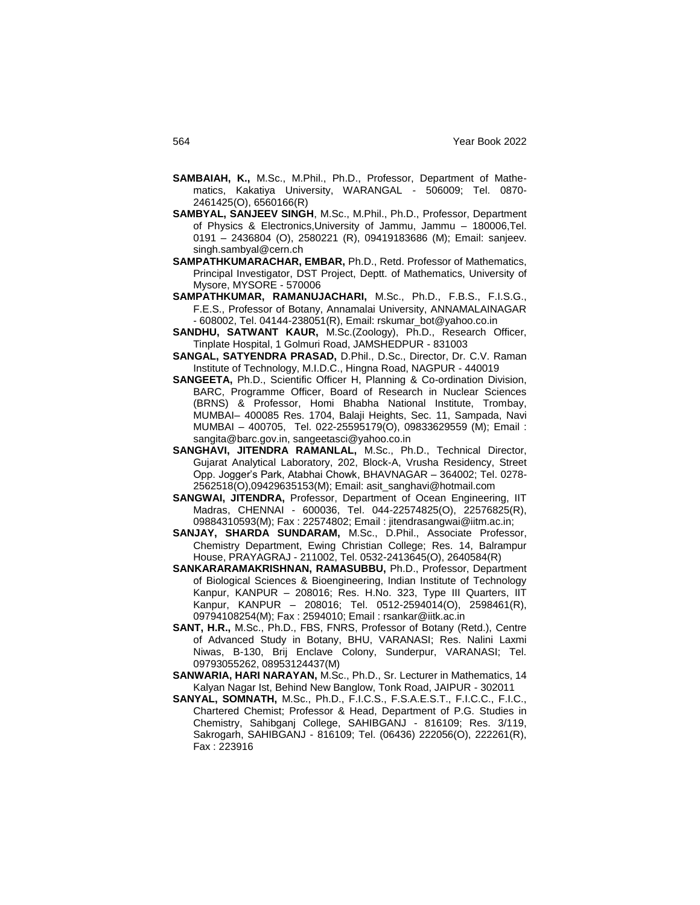- **SAMBAIAH, K.,** M.Sc., M.Phil., Ph.D., Professor, Department of Mathematics, Kakatiya University, WARANGAL - 506009; Tel. 0870- 2461425(O), 6560166(R)
- **SAMBYAL, SANJEEV SINGH**, M.Sc., M.Phil., Ph.D., Professor, Department of Physics & Electronics,University of Jammu, Jammu – 180006,Tel. 0191 – 2436804 (O), 2580221 (R), 09419183686 (M); Email: sanjeev. singh.sambyal@cern.ch
- **SAMPATHKUMARACHAR, EMBAR,** Ph.D., Retd. Professor of Mathematics, Principal Investigator, DST Project, Deptt. of Mathematics, University of Mysore, MYSORE - 570006
- **SAMPATHKUMAR, RAMANUJACHARI,** M.Sc., Ph.D., F.B.S., F.I.S.G., F.E.S., Professor of Botany, Annamalai University, ANNAMALAINAGAR - 608002, Tel. 04144-238051(R), Email: rskumar\_bot@yahoo.co.in
- **SANDHU, SATWANT KAUR,** M.Sc.(Zoology), Ph.D., Research Officer, Tinplate Hospital, 1 Golmuri Road, JAMSHEDPUR - 831003
- **SANGAL, SATYENDRA PRASAD,** D.Phil., D.Sc., Director, Dr. C.V. Raman Institute of Technology, M.I.D.C., Hingna Road, NAGPUR - 440019
- **SANGEETA,** Ph.D., Scientific Officer H, Planning & Co-ordination Division, BARC, Programme Officer, Board of Research in Nuclear Sciences (BRNS) & Professor, Homi Bhabha National Institute, Trombay, MUMBAI– 400085 Res. 1704, Balaji Heights, Sec. 11, Sampada, Navi MUMBAI – 400705, Tel. 022-25595179(O), 09833629559 (M); Email : sangita@barc.gov.in, sangeetasci@yahoo.co.in
- **SANGHAVI, JITENDRA RAMANLAL,** M.Sc., Ph.D., Technical Director, Gujarat Analytical Laboratory, 202, Block-A, Vrusha Residency, Street Opp. Jogger"s Park, Atabhai Chowk, BHAVNAGAR – 364002; Tel. 0278- 2562518(O),09429635153(M); Email: asit\_sanghavi@hotmail.com
- **SANGWAI, JITENDRA,** Professor, Department of Ocean Engineering, IIT Madras, CHENNAI - 600036, Tel. 044-22574825(O), 22576825(R), 09884310593(M); Fax : 22574802; Email : jitendrasangwai@iitm.ac.in;
- **SANJAY, SHARDA SUNDARAM,** M.Sc., D.Phil., Associate Professor, Chemistry Department, Ewing Christian College; Res. 14, Balrampur House, PRAYAGRAJ - 211002, Tel. 0532-2413645(O), 2640584(R)
- **SANKARARAMAKRISHNAN, RAMASUBBU,** Ph.D., Professor, Department of Biological Sciences & Bioengineering, Indian Institute of Technology Kanpur, KANPUR – 208016; Res. H.No. 323, Type III Quarters, IIT Kanpur, KANPUR – 208016; Tel. 0512-2594014(O), 2598461(R), 09794108254(M); Fax : 2594010; Email : rsankar@iitk.ac.in
- **SANT, H.R.,** M.Sc., Ph.D., FBS, FNRS, Professor of Botany (Retd.), Centre of Advanced Study in Botany, BHU, VARANASI; Res. Nalini Laxmi Niwas, B-130, Brij Enclave Colony, Sunderpur, VARANASI; Tel. 09793055262, 08953124437(M)
- **SANWARIA, HARI NARAYAN,** M.Sc., Ph.D., Sr. Lecturer in Mathematics, 14 Kalyan Nagar Ist, Behind New Banglow, Tonk Road, JAIPUR - 302011
- **SANYAL, SOMNATH,** M.Sc., Ph.D., F.I.C.S., F.S.A.E.S.T., F.I.C.C., F.I.C., Chartered Chemist; Professor & Head, Department of P.G. Studies in Chemistry, Sahibganj College, SAHIBGANJ - 816109; Res. 3/119, Sakrogarh, SAHIBGANJ - 816109; Tel. (06436) 222056(O), 222261(R), Fax : 223916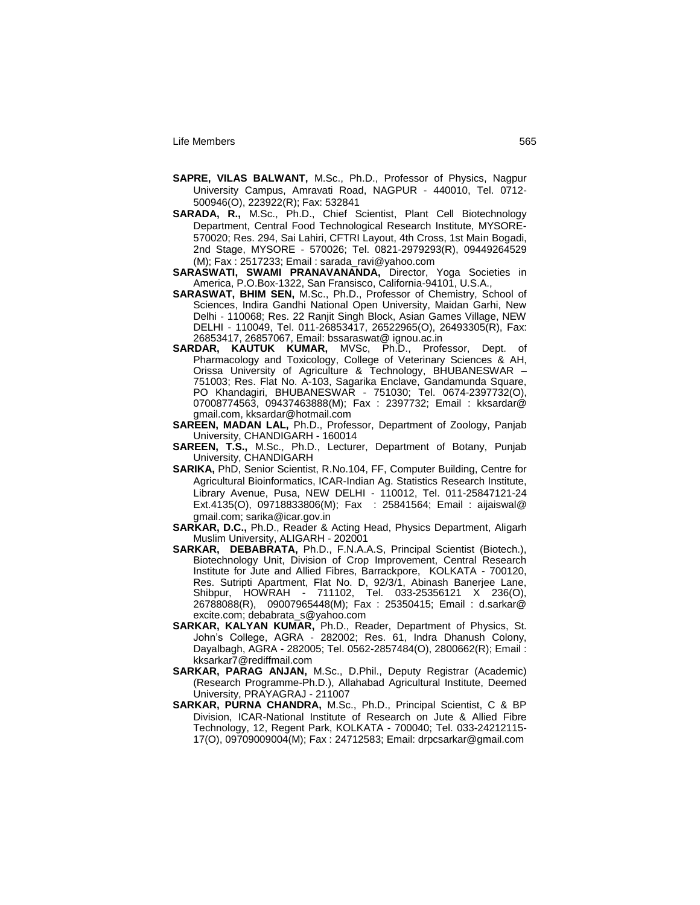- **SAPRE, VILAS BALWANT,** M.Sc., Ph.D., Professor of Physics, Nagpur University Campus, Amravati Road, NAGPUR - 440010, Tel. 0712- 500946(O), 223922(R); Fax: 532841
- **SARADA, R.,** M.Sc., Ph.D., Chief Scientist, Plant Cell Biotechnology Department, Central Food Technological Research Institute, MYSORE-570020; Res. 294, Sai Lahiri, CFTRI Layout, 4th Cross, 1st Main Bogadi, 2nd Stage, MYSORE - 570026; Tel. 0821-2979293(R), 09449264529 (M); Fax : 2517233; Email : sarada\_ravi@yahoo.com
- **SARASWATI, SWAMI PRANAVANANDA,** Director, Yoga Societies in America, P.O.Box-1322, San Fransisco, California-94101, U.S.A.,
- **SARASWAT, BHIM SEN,** M.Sc., Ph.D., Professor of Chemistry, School of Sciences, Indira Gandhi National Open University, Maidan Garhi, New Delhi - 110068; Res. 22 Ranjit Singh Block, Asian Games Village, NEW DELHI - 110049, Tel. 011-26853417, 26522965(O), 26493305(R), Fax: 26853417, 26857067, Email: bssaraswat@ ignou.ac.in
- **SARDAR, KAUTUK KUMAR,** MVSc, Ph.D., Professor, Dept. of Pharmacology and Toxicology, College of Veterinary Sciences & AH, Orissa University of Agriculture & Technology, BHUBANESWAR – 751003; Res. Flat No. A-103, Sagarika Enclave, Gandamunda Square, PO Khandagiri, BHUBANESWAR - 751030; Tel. 0674-2397732(O), 07008774563, 09437463888(M); Fax : 2397732; Email : kksardar@ gmail.com, kksardar@hotmail.com
- **SAREEN, MADAN LAL,** Ph.D., Professor, Department of Zoology, Panjab University, CHANDIGARH - 160014
- **SAREEN, T.S.,** M.Sc., Ph.D., Lecturer, Department of Botany, Punjab University, CHANDIGARH
- **SARIKA,** PhD, Senior Scientist, R.No.104, FF, Computer Building, Centre for Agricultural Bioinformatics, ICAR-Indian Ag. Statistics Research Institute, Library Avenue, Pusa, NEW DELHI - 110012, Tel. 011-25847121-24 Ext.4135(O), 09718833806(M); Fax : 25841564; Email : aijaiswal@ gmail.com; sarika@icar.gov.in
- **SARKAR, D.C.,** Ph.D., Reader & Acting Head, Physics Department, Aligarh Muslim University, ALIGARH - 202001
- **SARKAR, DEBABRATA,** Ph.D., F.N.A.A.S, Principal Scientist (Biotech.), Biotechnology Unit, Division of Crop Improvement, Central Research Institute for Jute and Allied Fibres, Barrackpore, KOLKATA - 700120, Res. Sutripti Apartment, Flat No. D, 92/3/1, Abinash Banerjee Lane, Shibpur, HOWRAH - 711102, Tel. 033-25356121 X 236(O), 26788088(R), 09007965448(M); Fax : 25350415; Email : d.sarkar@ excite.com; debabrata\_s@yahoo.com
- **SARKAR, KALYAN KUMAR,** Ph.D., Reader, Department of Physics, St. John"s College, AGRA - 282002; Res. 61, Indra Dhanush Colony, Dayalbagh, AGRA - 282005; Tel. 0562-2857484(O), 2800662(R); Email : kksarkar7@rediffmail.com
- **SARKAR, PARAG ANJAN,** M.Sc., D.Phil., Deputy Registrar (Academic) (Research Programme-Ph.D.), Allahabad Agricultural Institute, Deemed University, PRAYAGRAJ - 211007
- **SARKAR, PURNA CHANDRA,** M.Sc., Ph.D., Principal Scientist, C & BP Division, ICAR-National Institute of Research on Jute & Allied Fibre Technology, 12, Regent Park, KOLKATA - 700040; Tel. 033-24212115- 17(O), 09709009004(M); Fax : 24712583; Email: drpcsarkar@gmail.com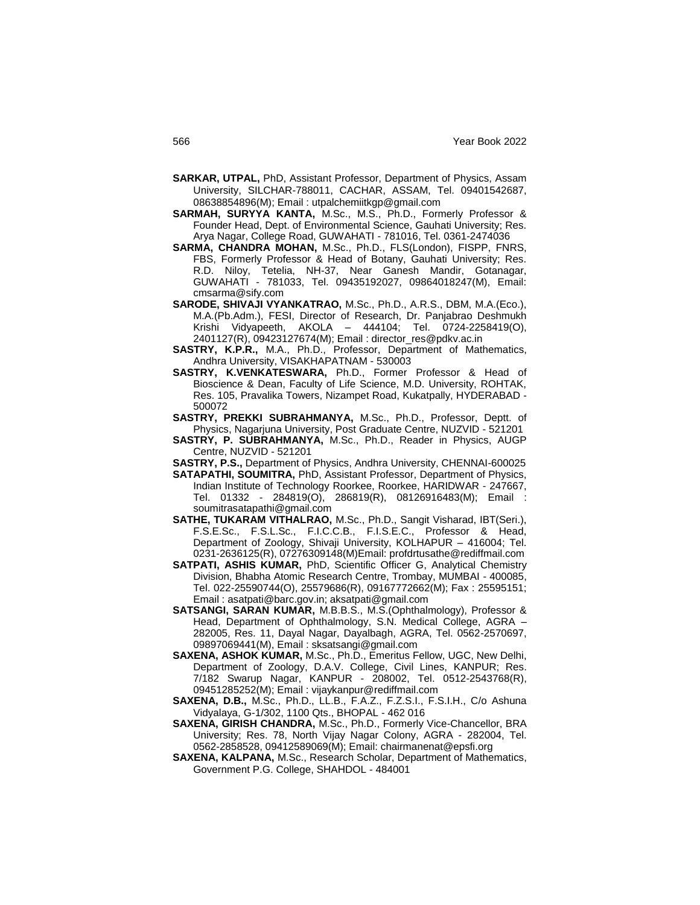- **SARKAR, UTPAL,** PhD, Assistant Professor, Department of Physics, Assam University, SILCHAR-788011, CACHAR, ASSAM, Tel. 09401542687, 08638854896(M); Email : utpalchemiitkgp@gmail.com
- **SARMAH, SURYYA KANTA,** M.Sc., M.S., Ph.D., Formerly Professor & Founder Head, Dept. of Environmental Science, Gauhati University; Res. Arya Nagar, College Road, GUWAHATI - 781016, Tel. 0361-2474036
- **SARMA, CHANDRA MOHAN,** M.Sc., Ph.D., FLS(London), FISPP, FNRS, FBS, Formerly Professor & Head of Botany, Gauhati University; Res. R.D. Niloy, Tetelia, NH-37, Near Ganesh Mandir, Gotanagar, GUWAHATI - 781033, Tel. 09435192027, 09864018247(M), Email: cmsarma@sify.com
- **SARODE, SHIVAJI VYANKATRAO,** M.Sc., Ph.D., A.R.S., DBM, M.A.(Eco.), M.A.(Pb.Adm.), FESI, Director of Research, Dr. Panjabrao Deshmukh Krishi Vidyapeeth, AKOLA – 444104; Tel. 0724-2258419(O), 2401127(R), 09423127674(M); Email : director\_res@pdkv.ac.in
- **SASTRY, K.P.R.,** M.A., Ph.D., Professor, Department of Mathematics, Andhra University, VISAKHAPATNAM - 530003
- **SASTRY, K.VENKATESWARA,** Ph.D., Former Professor & Head of Bioscience & Dean, Faculty of Life Science, M.D. University, ROHTAK, Res. 105, Pravalika Towers, Nizampet Road, Kukatpally, HYDERABAD - 500072
- **SASTRY, PREKKI SUBRAHMANYA,** M.Sc., Ph.D., Professor, Deptt. of Physics, Nagarjuna University, Post Graduate Centre, NUZVID - 521201
- **SASTRY, P. SUBRAHMANYA,** M.Sc., Ph.D., Reader in Physics, AUGP Centre, NUZVID - 521201
- **SASTRY, P.S.,** Department of Physics, Andhra University, CHENNAI-600025
- **SATAPATHI, SOUMITRA,** PhD, Assistant Professor, Department of Physics, Indian Institute of Technology Roorkee, Roorkee, HARIDWAR - 247667, Tel. 01332 - 284819(O), 286819(R), 08126916483(M); Email : soumitrasatapathi@gmail.com
- **SATHE, TUKARAM VITHALRAO,** M.Sc., Ph.D., Sangit Visharad, IBT(Seri.), F.S.E.Sc., F.S.L.Sc., F.I.C.C.B., F.I.S.E.C., Professor & Head, Department of Zoology, Shivaji University, KOLHAPUR – 416004; Tel. 0231-2636125(R), 07276309148(M)Email: profdrtusathe@rediffmail.com
- **SATPATI, ASHIS KUMAR,** PhD, Scientific Officer G, Analytical Chemistry Division, Bhabha Atomic Research Centre, Trombay, MUMBAI - 400085, Tel. 022-25590744(O), 25579686(R), 09167772662(M); Fax : 25595151; Email : asatpati@barc.gov.in; aksatpati@gmail.com
- **SATSANGI, SARAN KUMAR,** M.B.B.S., M.S.(Ophthalmology), Professor & Head, Department of Ophthalmology, S.N. Medical College, AGRA – 282005, Res. 11, Dayal Nagar, Dayalbagh, AGRA, Tel. 0562-2570697, 09897069441(M), Email : sksatsangi@gmail.com
- **SAXENA, ASHOK KUMAR,** M.Sc., Ph.D., Emeritus Fellow, UGC, New Delhi, Department of Zoology, D.A.V. College, Civil Lines, KANPUR; Res. 7/182 Swarup Nagar, KANPUR - 208002, Tel. 0512-2543768(R), 09451285252(M); Email : vijaykanpur@rediffmail.com
- **SAXENA, D.B.,** M.Sc., Ph.D., LL.B., F.A.Z., F.Z.S.I., F.S.I.H., C/o Ashuna Vidyalaya, G-1/302, 1100 Qts., BHOPAL - 462 016
- **SAXENA, GIRISH CHANDRA,** M.Sc., Ph.D., Formerly Vice-Chancellor, BRA University; Res. 78, North Vijay Nagar Colony, AGRA - 282004, Tel. 0562-2858528, 09412589069(M); Email: chairmanenat@epsfi.org
- **SAXENA, KALPANA,** M.Sc., Research Scholar, Department of Mathematics, Government P.G. College, SHAHDOL - 484001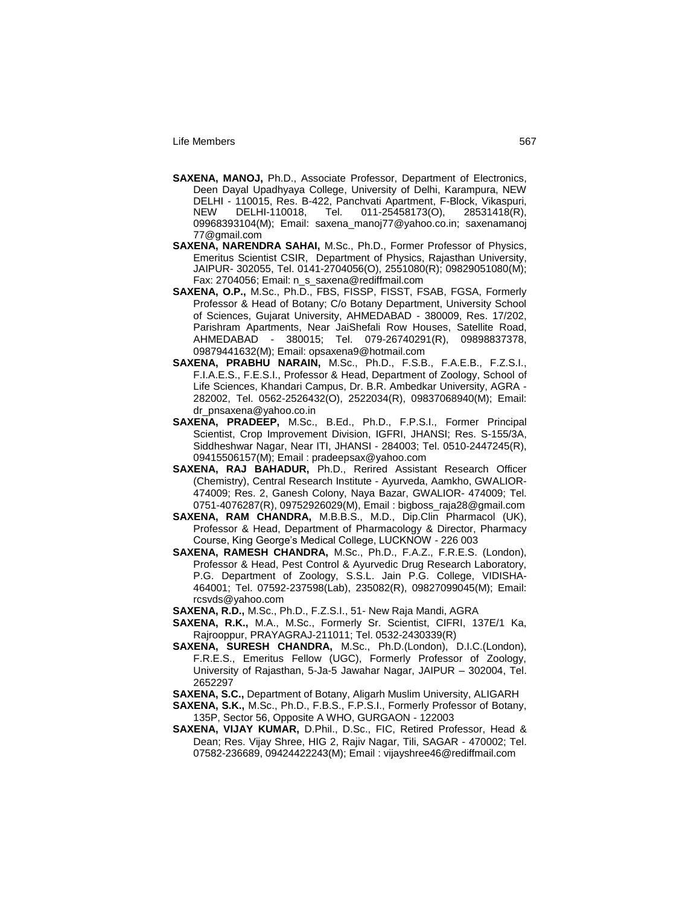- **SAXENA, MANOJ,** Ph.D., Associate Professor, Department of Electronics, Deen Dayal Upadhyaya College, University of Delhi, Karampura, NEW DELHI - 110015, Res. B-422, Panchvati Apartment, F-Block, Vikaspuri,<br>NEW DELHI-110018, Tel. 011-25458173(O), 28531418(R), NEW DELHI-110018, Tel. 011-25458173(O), 28531418(R), 09968393104(M); Email: saxena\_manoj77@yahoo.co.in; saxenamanoj 77@gmail.com
- **SAXENA, NARENDRA SAHAI,** M.Sc., Ph.D., Former Professor of Physics, Emeritus Scientist CSIR, Department of Physics, Rajasthan University, JAIPUR- 302055, Tel. 0141-2704056(O), 2551080(R); 09829051080(M); Fax: 2704056; Email: n\_s\_saxena@rediffmail.com
- **SAXENA, O.P.,** M.Sc., Ph.D., FBS, FISSP, FISST, FSAB, FGSA, Formerly Professor & Head of Botany; C/o Botany Department, University School of Sciences, Gujarat University, AHMEDABAD - 380009, Res. 17/202, Parishram Apartments, Near JaiShefali Row Houses, Satellite Road, AHMEDABAD - 380015; Tel. 079-26740291(R), 09898837378, 09879441632(M); Email: opsaxena9@hotmail.com
- **SAXENA, PRABHU NARAIN,** M.Sc., Ph.D., F.S.B., F.A.E.B., F.Z.S.I., F.I.A.E.S., F.E.S.I., Professor & Head, Department of Zoology, School of Life Sciences, Khandari Campus, Dr. B.R. Ambedkar University, AGRA - 282002, Tel. 0562-2526432(O), 2522034(R), 09837068940(M); Email: dr\_pnsaxena@yahoo.co.in
- **SAXENA, PRADEEP,** M.Sc., B.Ed., Ph.D., F.P.S.I., Former Principal Scientist, Crop Improvement Division, IGFRI, JHANSI; Res. S-155/3A, Siddheshwar Nagar, Near ITI, JHANSI - 284003; Tel. 0510-2447245(R), 09415506157(M); Email : pradeepsax@yahoo.com
- **SAXENA, RAJ BAHADUR,** Ph.D., Rerired Assistant Research Officer (Chemistry), Central Research Institute - Ayurveda, Aamkho, GWALIOR-474009; Res. 2, Ganesh Colony, Naya Bazar, GWALIOR- 474009; Tel. 0751-4076287(R), 09752926029(M), Email : bigboss\_raja28@gmail.com
- **SAXENA, RAM CHANDRA,** M.B.B.S., M.D., Dip.Clin Pharmacol (UK), Professor & Head, Department of Pharmacology & Director, Pharmacy Course, King George"s Medical College, LUCKNOW - 226 003
- **SAXENA, RAMESH CHANDRA,** M.Sc., Ph.D., F.A.Z., F.R.E.S. (London), Professor & Head, Pest Control & Ayurvedic Drug Research Laboratory, P.G. Department of Zoology, S.S.L. Jain P.G. College, VIDISHA-464001; Tel. 07592-237598(Lab), 235082(R), 09827099045(M); Email: rcsvds@yahoo.com
- **SAXENA, R.D.,** M.Sc., Ph.D., F.Z.S.I., 51- New Raja Mandi, AGRA
- **SAXENA, R.K.,** M.A., M.Sc., Formerly Sr. Scientist, CIFRI, 137E/1 Ka, Rajrooppur, PRAYAGRAJ-211011; Tel. 0532-2430339(R)
- **SAXENA, SURESH CHANDRA,** M.Sc., Ph.D.(London), D.I.C.(London), F.R.E.S., Emeritus Fellow (UGC), Formerly Professor of Zoology, University of Rajasthan, 5-Ja-5 Jawahar Nagar, JAIPUR – 302004, Tel. 2652297
- **SAXENA, S.C.,** Department of Botany, Aligarh Muslim University, ALIGARH
- **SAXENA, S.K.,** M.Sc., Ph.D., F.B.S., F.P.S.I., Formerly Professor of Botany, 135P, Sector 56, Opposite A WHO, GURGAON - 122003
- **SAXENA, VIJAY KUMAR,** D.Phil., D.Sc., FIC, Retired Professor, Head & Dean; Res. Vijay Shree, HIG 2, Rajiv Nagar, Tili, SAGAR - 470002; Tel. 07582-236689, 09424422243(M); Email : vijayshree46@rediffmail.com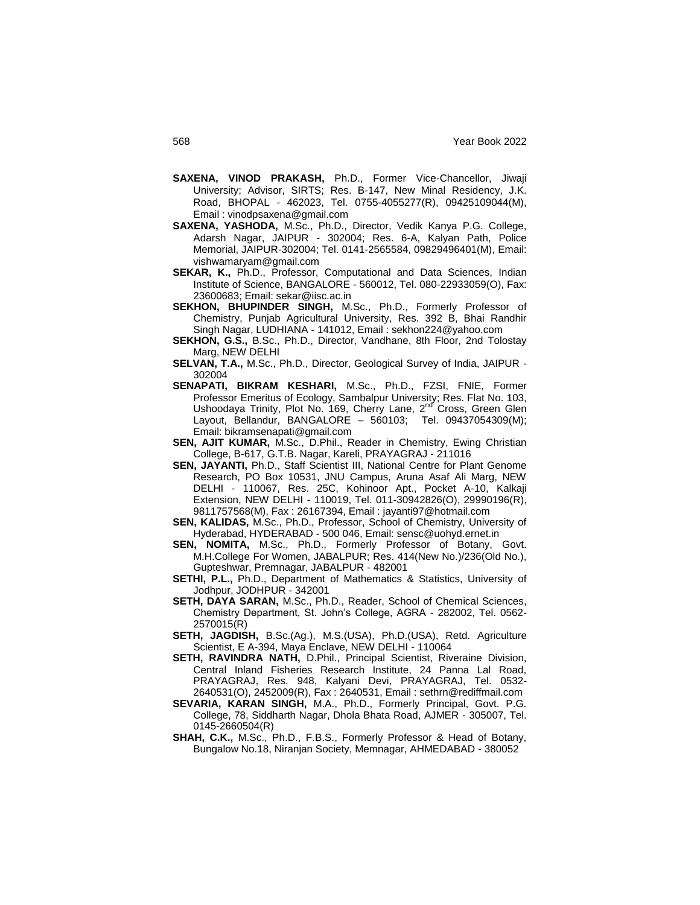- **SAXENA, VINOD PRAKASH,** Ph.D., Former Vice-Chancellor, Jiwaji University; Advisor, SIRTS; Res. B-147, New Minal Residency, J.K. Road, BHOPAL - 462023, Tel. 0755-4055277(R), 09425109044(M), Email : vinodpsaxena@gmail.com
- **SAXENA, YASHODA,** M.Sc., Ph.D., Director, Vedik Kanya P.G. College, Adarsh Nagar, JAIPUR - 302004; Res. 6-A, Kalyan Path, Police Memorial, JAIPUR-302004; Tel. 0141-2565584, 09829496401(M), Email: vishwamaryam@gmail.com
- SEKAR, K., Ph.D., Professor, Computational and Data Sciences, Indian Institute of Science, BANGALORE - 560012, Tel. 080-22933059(O), Fax: 23600683; Email: sekar@iisc.ac.in
- **SEKHON, BHUPINDER SINGH,** M.Sc., Ph.D., Formerly Professor of Chemistry, Punjab Agricultural University, Res. 392 B, Bhai Randhir Singh Nagar, LUDHIANA - 141012, Email : sekhon224@yahoo.com
- **SEKHON, G.S.,** B.Sc., Ph.D., Director, Vandhane, 8th Floor, 2nd Tolostay Marg, NEW DELHI
- **SELVAN, T.A.,** M.Sc., Ph.D., Director, Geological Survey of India, JAIPUR 302004
- **SENAPATI, BIKRAM KESHARI,** M.Sc., Ph.D., FZSI, FNIE, Former Professor Emeritus of Ecology, Sambalpur University; Res. Flat No. 103, Ushoodaya Trinity, Plot No. 169, Cherry Lane, 2<sup>nd</sup> Cross, Green Glen Layout, Bellandur, BANGALORE – 560103; Tel. 09437054309(M); Email: bikramsenapati@gmail.com
- **SEN, AJIT KUMAR,** M.Sc., D.Phil., Reader in Chemistry, Ewing Christian College, B-617, G.T.B. Nagar, Kareli, PRAYAGRAJ - 211016
- **SEN, JAYANTI,** Ph.D., Staff Scientist III, National Centre for Plant Genome Research, PO Box 10531, JNU Campus, Aruna Asaf Ali Marg, NEW DELHI - 110067, Res. 25C, Kohinoor Apt., Pocket A-10, Kalkaji Extension, NEW DELHI - 110019, Tel. 011-30942826(O), 29990196(R), 9811757568(M), Fax : 26167394, Email : jayanti97@hotmail.com
- **SEN, KALIDAS,** M.Sc., Ph.D., Professor, School of Chemistry, University of Hyderabad, HYDERABAD - 500 046, Email: sensc@uohyd.ernet.in
- **SEN, NOMITA,** M.Sc., Ph.D., Formerly Professor of Botany, Govt. M.H.College For Women, JABALPUR; Res. 414(New No.)/236(Old No.), Gupteshwar, Premnagar, JABALPUR - 482001
- **SETHI, P.L.,** Ph.D., Department of Mathematics & Statistics, University of Jodhpur, JODHPUR - 342001
- **SETH, DAYA SARAN,** M.Sc., Ph.D., Reader, School of Chemical Sciences, Chemistry Department, St. John"s College, AGRA - 282002, Tel. 0562- 2570015(R)
- **SETH, JAGDISH,** B.Sc.(Ag.), M.S.(USA), Ph.D.(USA), Retd. Agriculture Scientist, E A-394, Maya Enclave, NEW DELHI - 110064
- **SETH, RAVINDRA NATH,** D.Phil., Principal Scientist, Riveraine Division, Central Inland Fisheries Research Institute, 24 Panna Lal Road, PRAYAGRAJ, Res. 948, Kalyani Devi, PRAYAGRAJ, Tel. 0532- 2640531(O), 2452009(R), Fax : 2640531, Email : sethrn@rediffmail.com
- **SEVARIA, KARAN SINGH,** M.A., Ph.D., Formerly Principal, Govt. P.G. College, 78, Siddharth Nagar, Dhola Bhata Road, AJMER - 305007, Tel. 0145-2660504(R)
- **SHAH, C.K.,** M.Sc., Ph.D., F.B.S., Formerly Professor & Head of Botany, Bungalow No.18, Niranjan Society, Memnagar, AHMEDABAD - 380052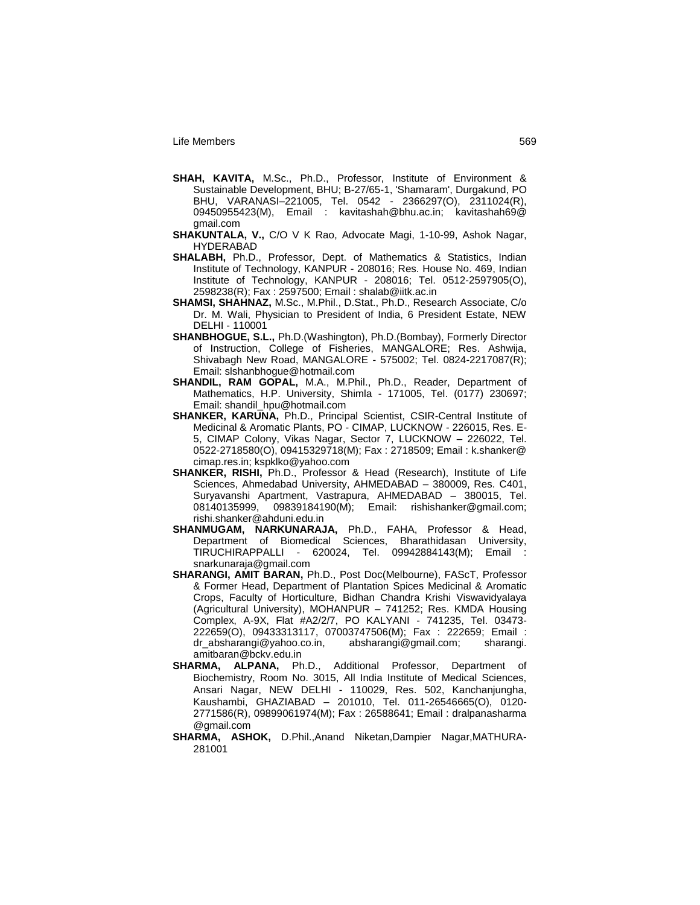- **SHAH, KAVITA,** M.Sc., Ph.D., Professor, Institute of Environment & Sustainable Development, BHU; B-27/65-1, 'Shamaram', Durgakund, PO BHU, VARANASI–221005, Tel. 0542 - 2366297(O), 2311024(R), 09450955423(M), Email : kavitashah@bhu.ac.in; kavitashah69@ gmail.com
- **SHAKUNTALA, V.,** C/O V K Rao, Advocate Magi, 1-10-99, Ashok Nagar, HYDERABAD
- **SHALABH,** Ph.D., Professor, Dept. of Mathematics & Statistics, Indian Institute of Technology, KANPUR - 208016; Res. House No. 469, Indian Institute of Technology, KANPUR - 208016; Tel. 0512-2597905(O), 2598238(R); Fax : 2597500; Email : shalab@iitk.ac.in
- **SHAMSI, SHAHNAZ,** M.Sc., M.Phil., D.Stat., Ph.D., Research Associate, C/o Dr. M. Wali, Physician to President of India, 6 President Estate, NEW DELHI - 110001
- **SHANBHOGUE, S.L.,** Ph.D.(Washington), Ph.D.(Bombay), Formerly Director of Instruction, College of Fisheries, MANGALORE; Res. Ashwija, Shivabagh New Road, MANGALORE - 575002; Tel. 0824-2217087(R); Email: slshanbhogue@hotmail.com
- **SHANDIL, RAM GOPAL,** M.A., M.Phil., Ph.D., Reader, Department of Mathematics, H.P. University, Shimla - 171005, Tel. (0177) 230697; Email: shandil\_hpu@hotmail.com
- **SHANKER, KARUNA,** Ph.D., Principal Scientist, CSIR-Central Institute of Medicinal & Aromatic Plants, PO - CIMAP, LUCKNOW - 226015, Res. E-5, CIMAP Colony, Vikas Nagar, Sector 7, LUCKNOW – 226022, Tel. 0522-2718580(O), 09415329718(M); Fax : 2718509; Email : k.shanker@ cimap.res.in; kspklko@yahoo.com
- **SHANKER, RISHI,** Ph.D., Professor & Head (Research), Institute of Life Sciences, Ahmedabad University, AHMEDABAD – 380009, Res. C401, Suryavanshi Apartment, Vastrapura, AHMEDABAD – 380015, Tel. 08140135999, 09839184190(M); Email: rishishanker@gmail.com; rishi.shanker@ahduni.edu.in
- **SHANMUGAM, NARKUNARAJA,** Ph.D., FAHA, Professor & Head, Department of Biomedical Sciences, Bharathidasan University, TIRUCHIRAPPALLI - 620024, Tel. 09942884143(M); Email : snarkunaraja@gmail.com
- **SHARANGI, AMIT BARAN,** Ph.D., Post Doc(Melbourne), FAScT, Professor & Former Head, Department of Plantation Spices Medicinal & Aromatic Crops, Faculty of Horticulture, Bidhan Chandra Krishi Viswavidyalaya (Agricultural University), MOHANPUR – 741252; Res. KMDA Housing Complex, A-9X, Flat #A2/2/7, PO KALYANI - 741235, Tel. 03473- 222659(O), 09433313117, 07003747506(M); Fax : 222659; Email : dr\_absharangi@yahoo.co.in, absharangi@gmail.com; sharangi. amitbaran@bckv.edu.in
- **SHARMA, ALPANA,** Ph.D., Additional Professor, Department of Biochemistry, Room No. 3015, All India Institute of Medical Sciences, Ansari Nagar, NEW DELHI - 110029, Res. 502, Kanchanjungha, Kaushambi, GHAZIABAD – 201010, Tel. 011-26546665(O), 0120- 2771586(R), 09899061974(M); Fax : 26588641; Email : dralpanasharma @gmail.com
- **SHARMA, ASHOK,** D.Phil.,Anand Niketan,Dampier Nagar,MATHURA-281001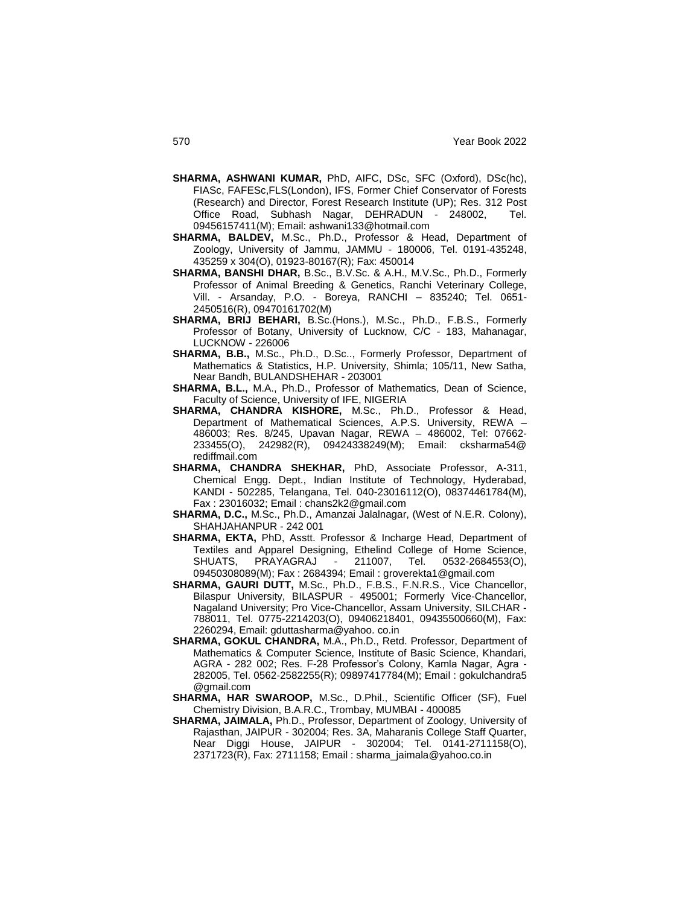- **SHARMA, ASHWANI KUMAR,** PhD, AIFC, DSc, SFC (Oxford), DSc(hc), FIASc, FAFESc,FLS(London), IFS, Former Chief Conservator of Forests (Research) and Director, Forest Research Institute (UP); Res. 312 Post Office Road, Subhash Nagar, DEHRADUN - 248002, Tel. 09456157411(M); Email: ashwani133@hotmail.com
- **SHARMA, BALDEV,** M.Sc., Ph.D., Professor & Head, Department of Zoology, University of Jammu, JAMMU - 180006, Tel. 0191-435248, 435259 x 304(O), 01923-80167(R); Fax: 450014
- **SHARMA, BANSHI DHAR,** B.Sc., B.V.Sc. & A.H., M.V.Sc., Ph.D., Formerly Professor of Animal Breeding & Genetics, Ranchi Veterinary College, Vill. - Arsanday, P.O. - Boreya, RANCHI – 835240; Tel. 0651- 2450516(R), 09470161702(M)
- **SHARMA, BRIJ BEHARI,** B.Sc.(Hons.), M.Sc., Ph.D., F.B.S., Formerly Professor of Botany, University of Lucknow, C/C - 183, Mahanagar, LUCKNOW - 226006
- **SHARMA, B.B.,** M.Sc., Ph.D., D.Sc.., Formerly Professor, Department of Mathematics & Statistics, H.P. University, Shimla; 105/11, New Satha, Near Bandh, BULANDSHEHAR - 203001
- **SHARMA, B.L.,** M.A., Ph.D., Professor of Mathematics, Dean of Science, Faculty of Science, University of IFE, NIGERIA
- **SHARMA, CHANDRA KISHORE,** M.Sc., Ph.D., Professor & Head, Department of Mathematical Sciences, A.P.S. University, REWA – 486003; Res. 8/245, Upavan Nagar, REWA – 486002, Tel: 07662- 233455(O), 242982(R), 09424338249(M); Email: cksharma54@ rediffmail.com
- **SHARMA, CHANDRA SHEKHAR,** PhD, Associate Professor, A-311, Chemical Engg. Dept., Indian Institute of Technology, Hyderabad, KANDI - 502285, Telangana, Tel. 040-23016112(O), 08374461784(M), Fax : 23016032; Email : chans2k2@gmail.com
- **SHARMA, D.C.,** M.Sc., Ph.D., Amanzai Jalalnagar, (West of N.E.R. Colony), SHAHJAHANPUR - 242 001
- **SHARMA, EKTA,** PhD, Asstt. Professor & Incharge Head, Department of Textiles and Apparel Designing, Ethelind College of Home Science, SHUATS, PRAYAGRAJ - 211007, Tel. 0532-2684553(O), 09450308089(M); Fax : 2684394; Email : groverekta1@gmail.com
- **SHARMA, GAURI DUTT,** M.Sc., Ph.D., F.B.S., F.N.R.S., Vice Chancellor, Bilaspur University, BILASPUR - 495001; Formerly Vice-Chancellor, Nagaland University; Pro Vice-Chancellor, Assam University, SILCHAR - 788011, Tel. 0775-2214203(O), 09406218401, 09435500660(M), Fax: 2260294, Email: gduttasharma@yahoo. co.in
- **SHARMA, GOKUL CHANDRA,** M.A., Ph.D., Retd. Professor, Department of Mathematics & Computer Science, Institute of Basic Science, Khandari, AGRA - 282 002; Res. F-28 Professor"s Colony, Kamla Nagar, Agra - 282005, Tel. 0562-2582255(R); 09897417784(M); Email : gokulchandra5 @gmail.com
- **SHARMA, HAR SWAROOP,** M.Sc., D.Phil., Scientific Officer (SF), Fuel Chemistry Division, B.A.R.C., Trombay, MUMBAI - 400085
- **SHARMA, JAIMALA,** Ph.D., Professor, Department of Zoology, University of Rajasthan, JAIPUR - 302004; Res. 3A, Maharanis College Staff Quarter, Near Diggi House, JAIPUR - 302004; Tel. 0141-2711158(O), 2371723(R), Fax: 2711158; Email : sharma\_jaimala@yahoo.co.in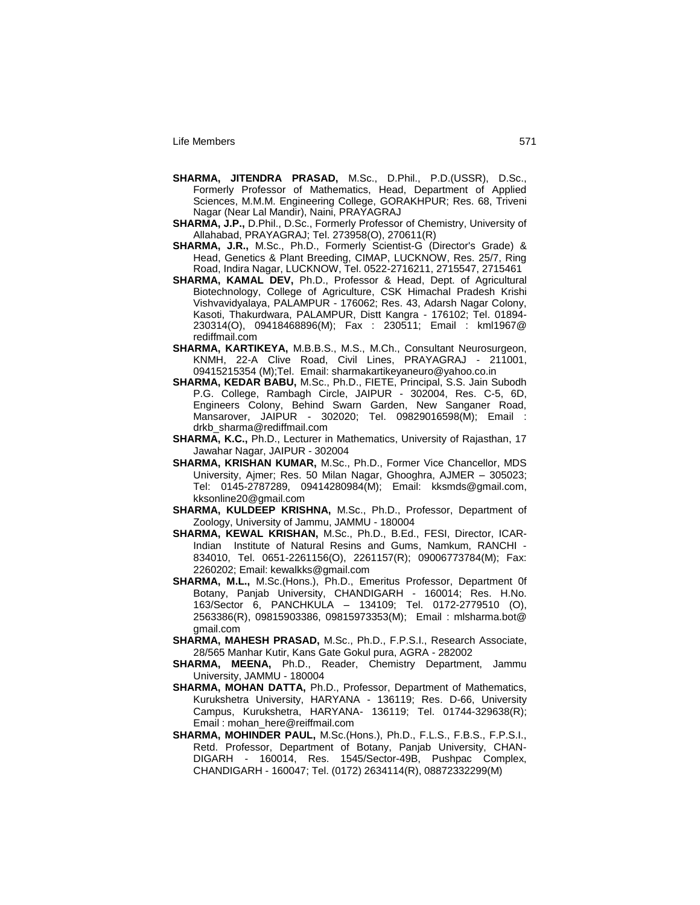- **SHARMA, JITENDRA PRASAD,** M.Sc., D.Phil., P.D.(USSR), D.Sc., Formerly Professor of Mathematics, Head, Department of Applied Sciences, M.M.M. Engineering College, GORAKHPUR; Res. 68, Triveni Nagar (Near Lal Mandir), Naini, PRAYAGRAJ
- **SHARMA, J.P.,** D.Phil., D.Sc., Formerly Professor of Chemistry, University of Allahabad, PRAYAGRAJ; Tel. 273958(O), 270611(R)
- **SHARMA, J.R.,** M.Sc., Ph.D., Formerly Scientist-G (Director's Grade) & Head, Genetics & Plant Breeding, CIMAP, LUCKNOW, Res. 25/7, Ring Road, Indira Nagar, LUCKNOW, Tel. 0522-2716211, 2715547, 2715461
- **SHARMA, KAMAL DEV,** Ph.D., Professor & Head, Dept. of Agricultural Biotechnology, College of Agriculture, CSK Himachal Pradesh Krishi Vishvavidyalaya, PALAMPUR - 176062; Res. 43, Adarsh Nagar Colony, Kasoti, Thakurdwara, PALAMPUR, Distt Kangra - 176102; Tel. 01894- 230314(O), 09418468896(M); Fax : 230511; Email : kml1967@ rediffmail.com
- **SHARMA, KARTIKEYA,** M.B.B.S., M.S., M.Ch., Consultant Neurosurgeon, KNMH, 22-A Clive Road, Civil Lines, PRAYAGRAJ - 211001, 09415215354 (M);Tel. Email: sharmakartikeyaneuro@yahoo.co.in
- **SHARMA, KEDAR BABU,** M.Sc., Ph.D., FIETE, Principal, S.S. Jain Subodh P.G. College, Rambagh Circle, JAIPUR - 302004, Res. C-5, 6D, Engineers Colony, Behind Swarn Garden, New Sanganer Road, Mansarover, JAIPUR - 302020; Tel. 09829016598(M); Email : drkb\_sharma@rediffmail.com
- **SHARMA, K.C.,** Ph.D., Lecturer in Mathematics, University of Rajasthan, 17 Jawahar Nagar, JAIPUR - 302004
- **SHARMA, KRISHAN KUMAR,** M.Sc., Ph.D., Former Vice Chancellor, MDS University, Ajmer; Res. 50 Milan Nagar, Ghooghra, AJMER – 305023; Tel: 0145-2787289, 09414280984(M); Email: kksmds@gmail.com, kksonline20@gmail.com
- **SHARMA, KULDEEP KRISHNA,** M.Sc., Ph.D., Professor, Department of Zoology, University of Jammu, JAMMU - 180004
- **SHARMA, KEWAL KRISHAN,** M.Sc., Ph.D., B.Ed., FESI, Director, ICAR-Indian Institute of Natural Resins and Gums, Namkum, RANCHI - 834010, Tel. 0651-2261156(O), 2261157(R); 09006773784(M); Fax: 2260202; Email: kewalkks@gmail.com
- **SHARMA, M.L.,** M.Sc.(Hons.), Ph.D., Emeritus Professor, Department 0f Botany, Panjab University, CHANDIGARH - 160014; Res. H.No. 163/Sector 6, PANCHKULA – 134109; Tel. 0172-2779510 (O), 2563386(R), 09815903386, 09815973353(M); Email : mlsharma.bot@ gmail.com
- **SHARMA, MAHESH PRASAD,** M.Sc., Ph.D., F.P.S.I., Research Associate, 28/565 Manhar Kutir, Kans Gate Gokul pura, AGRA - 282002
- **SHARMA, MEENA,** Ph.D., Reader, Chemistry Department, Jammu University, JAMMU - 180004
- **SHARMA, MOHAN DATTA,** Ph.D., Professor, Department of Mathematics, Kurukshetra University, HARYANA - 136119; Res. D-66, University Campus, Kurukshetra, HARYANA- 136119; Tel. 01744-329638(R); Email : mohan\_here@reiffmail.com
- **SHARMA, MOHINDER PAUL,** M.Sc.(Hons.), Ph.D., F.L.S., F.B.S., F.P.S.I., Retd. Professor, Department of Botany, Panjab University, CHAN-DIGARH - 160014, Res. 1545/Sector-49B, Pushpac Complex, CHANDIGARH - 160047; Tel. (0172) 2634114(R), 08872332299(M)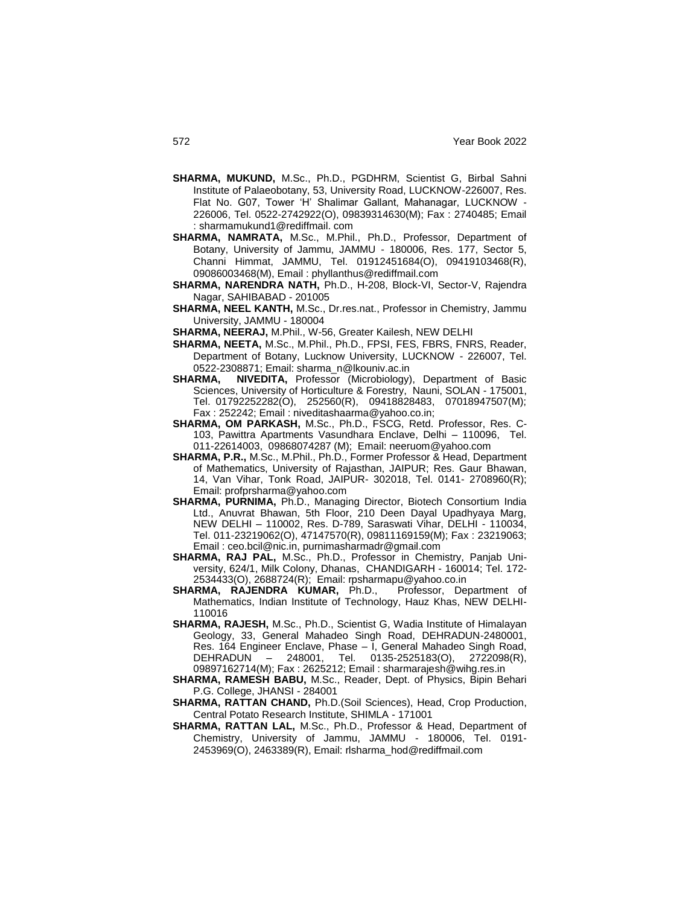- **SHARMA, MUKUND,** M.Sc., Ph.D., PGDHRM, Scientist G, Birbal Sahni Institute of Palaeobotany, 53, University Road, LUCKNOW-226007, Res. Flat No. G07, Tower "H" Shalimar Gallant, Mahanagar, LUCKNOW - 226006, Tel. 0522-2742922(O), 09839314630(M); Fax : 2740485; Email : sharmamukund1@rediffmail. com
- **SHARMA, NAMRATA,** M.Sc., M.Phil., Ph.D., Professor, Department of Botany, University of Jammu, JAMMU - 180006, Res. 177, Sector 5, Channi Himmat, JAMMU, Tel. 01912451684(O), 09419103468(R), 09086003468(M), Email : phyllanthus@rediffmail.com
- **SHARMA, NARENDRA NATH,** Ph.D., H-208, Block-VI, Sector-V, Rajendra Nagar, SAHIBABAD - 201005
- **SHARMA, NEEL KANTH,** M.Sc., Dr.res.nat., Professor in Chemistry, Jammu University, JAMMU - 180004
- **SHARMA, NEERAJ,** M.Phil., W-56, Greater Kailesh, NEW DELHI
- **SHARMA, NEETA,** M.Sc., M.Phil., Ph.D., FPSI, FES, FBRS, FNRS, Reader, Department of Botany, Lucknow University, LUCKNOW - 226007, Tel. 0522-2308871; Email: sharma\_n@lkouniv.ac.in<br> **SHARMA, NIVEDITA,** Professor (Microbiology)
- **NIVEDITA, Professor (Microbiology), Department of Basic** Sciences, University of Horticulture & Forestry, Nauni, SOLAN - 175001, Tel. 01792252282(O), 252560(R), 09418828483, 07018947507(M); Fax : 252242; Email : niveditashaarma@yahoo.co.in;
- **SHARMA, OM PARKASH,** M.Sc., Ph.D., FSCG, Retd. Professor, Res. C-103, Pawittra Apartments Vasundhara Enclave, Delhi – 110096, Tel. 011-22614003, 09868074287 (M); Email: neeruom@yahoo.com
- **SHARMA, P.R.,** M.Sc., M.Phil., Ph.D., Former Professor & Head, Department of Mathematics, University of Rajasthan, JAIPUR; Res. Gaur Bhawan, 14, Van Vihar, Tonk Road, JAIPUR- 302018, Tel. 0141- 2708960(R); Email: profprsharma@yahoo.com
- **SHARMA, PURNIMA,** Ph.D., Managing Director, Biotech Consortium India Ltd., Anuvrat Bhawan, 5th Floor, 210 Deen Dayal Upadhyaya Marg, NEW DELHI – 110002, Res. D-789, Saraswati Vihar, DELHI - 110034, Tel. 011-23219062(O), 47147570(R), 09811169159(M); Fax : 23219063; Email : ceo.bcil@nic.in, purnimasharmadr@gmail.com
- **SHARMA, RAJ PAL,** M.Sc., Ph.D., Professor in Chemistry, Panjab University, 624/1, Milk Colony, Dhanas, CHANDIGARH - 160014; Tel. 172- 2534433(O), 2688724(R); Email: rpsharmapu@yahoo.co.in
- **SHARMA, RAJENDRA KUMAR,** Ph.D., Professor, Department of Mathematics, Indian Institute of Technology, Hauz Khas, NEW DELHI-110016
- **SHARMA, RAJESH,** M.Sc., Ph.D., Scientist G, Wadia Institute of Himalayan Geology, 33, General Mahadeo Singh Road, DEHRADUN-2480001, Res. 164 Engineer Enclave, Phase – I, General Mahadeo Singh Road, DEHRADUN – 248001, Tel. 0135-2525183(O), 2722098(R), 09897162714(M); Fax : 2625212; Email : sharmarajesh@wihg.res.in
- **SHARMA, RAMESH BABU,** M.Sc., Reader, Dept. of Physics, Bipin Behari P.G. College, JHANSI - 284001
- **SHARMA, RATTAN CHAND,** Ph.D.(Soil Sciences), Head, Crop Production, Central Potato Research Institute, SHIMLA - 171001
- **SHARMA, RATTAN LAL,** M.Sc., Ph.D., Professor & Head, Department of Chemistry, University of Jammu, JAMMU - 180006, Tel. 0191- 2453969(O), 2463389(R), Email: rlsharma\_hod@rediffmail.com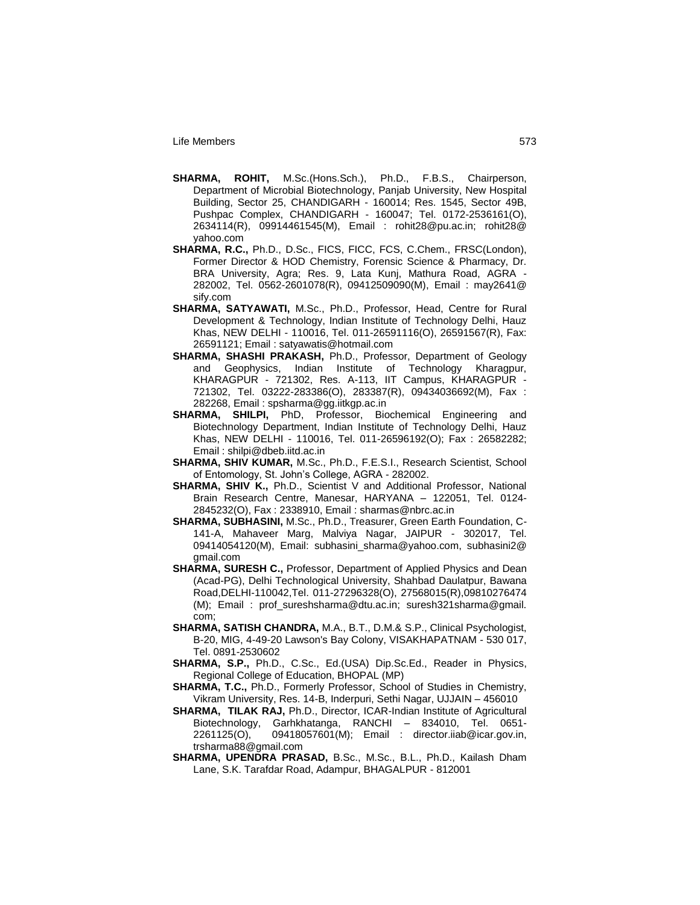- **SHARMA, ROHIT,** M.Sc.(Hons.Sch.), Ph.D., F.B.S., Chairperson, Department of Microbial Biotechnology, Panjab University, New Hospital Building, Sector 25, CHANDIGARH - 160014; Res. 1545, Sector 49B, Pushpac Complex, CHANDIGARH - 160047; Tel. 0172-2536161(O), 2634114(R), 09914461545(M), Email : rohit28@pu.ac.in; rohit28@ yahoo.com
- **SHARMA, R.C.,** Ph.D., D.Sc., FICS, FICC, FCS, C.Chem., FRSC(London), Former Director & HOD Chemistry, Forensic Science & Pharmacy, Dr. BRA University, Agra; Res. 9, Lata Kunj, Mathura Road, AGRA - 282002, Tel. 0562-2601078(R), 09412509090(M), Email : may2641@ sify.com
- **SHARMA, SATYAWATI,** M.Sc., Ph.D., Professor, Head, Centre for Rural Development & Technology, Indian Institute of Technology Delhi, Hauz Khas, NEW DELHI - 110016, Tel. 011-26591116(O), 26591567(R), Fax: 26591121; Email : satyawatis@hotmail.com
- **SHARMA, SHASHI PRAKASH,** Ph.D., Professor, Department of Geology and Geophysics, Indian Institute of Technology Kharagpur, KHARAGPUR - 721302, Res. A-113, IIT Campus, KHARAGPUR - 721302, Tel. 03222-283386(O), 283387(R), 09434036692(M), Fax : 282268, Email : spsharma@gg.iitkgp.ac.in
- **SHARMA, SHILPI,** PhD, Professor, Biochemical Engineering and Biotechnology Department, Indian Institute of Technology Delhi, Hauz Khas, NEW DELHI - 110016, Tel. 011-26596192(O); Fax : 26582282; Email : shilpi@dbeb.iitd.ac.in
- **SHARMA, SHIV KUMAR,** M.Sc., Ph.D., F.E.S.I., Research Scientist, School of Entomology, St. John"s College, AGRA - 282002.
- **SHARMA, SHIV K.,** Ph.D., Scientist V and Additional Professor, National Brain Research Centre, Manesar, HARYANA – 122051, Tel. 0124- 2845232(O), Fax : 2338910, Email : sharmas@nbrc.ac.in
- **SHARMA, SUBHASINI,** M.Sc., Ph.D., Treasurer, Green Earth Foundation, C-141-A, Mahaveer Marg, Malviya Nagar, JAIPUR - 302017, Tel. 09414054120(M), Email: subhasini\_sharma@yahoo.com, subhasini2@ gmail.com
- **SHARMA, SURESH C.,** Professor, Department of Applied Physics and Dean (Acad-PG), Delhi Technological University, Shahbad Daulatpur, Bawana Road,DELHI-110042,Tel. 011-27296328(O), 27568015(R),09810276474 (M); Email : prof\_sureshsharma@dtu.ac.in; suresh321sharma@gmail. com;
- **SHARMA, SATISH CHANDRA,** M.A., B.T., D.M.& S.P., Clinical Psychologist, B-20, MIG, 4-49-20 Lawson's Bay Colony, VISAKHAPATNAM - 530 017, Tel. 0891-2530602
- **SHARMA, S.P.,** Ph.D., C.Sc., Ed.(USA) Dip.Sc.Ed., Reader in Physics, Regional College of Education, BHOPAL (MP)
- **SHARMA, T.C.,** Ph.D., Formerly Professor, School of Studies in Chemistry, Vikram University, Res. 14-B, Inderpuri, Sethi Nagar, UJJAIN – 456010
- **SHARMA, TILAK RAJ,** Ph.D., Director, ICAR-Indian Institute of Agricultural Biotechnology, Garhkhatanga, RANCHI – 834010, Tel. 0651- 2261125(O), 09418057601(M); Email : director.iiab@icar.gov.in, trsharma88@gmail.com
- **SHARMA, UPENDRA PRASAD,** B.Sc., M.Sc., B.L., Ph.D., Kailash Dham Lane, S.K. Tarafdar Road, Adampur, BHAGALPUR - 812001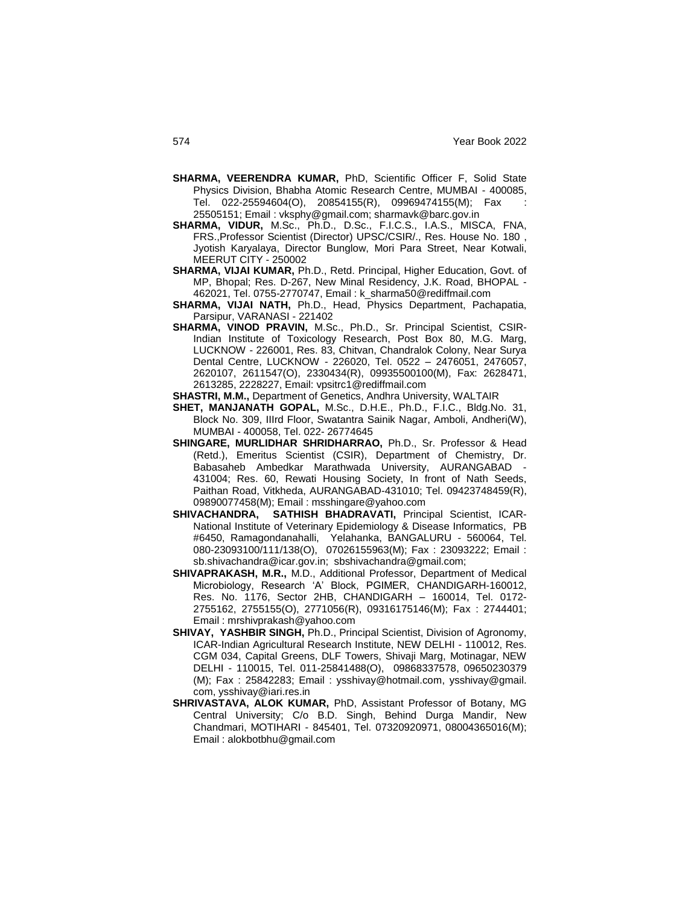- **SHARMA, VEERENDRA KUMAR,** PhD, Scientific Officer F, Solid State Physics Division, Bhabha Atomic Research Centre, MUMBAI - 400085, Tel. 022-25594604(O), 20854155(R), 09969474155(M); Fax : 25505151; Email : vksphy@gmail.com; sharmavk@barc.gov.in
- **SHARMA, VIDUR,** M.Sc., Ph.D., D.Sc., F.I.C.S., I.A.S., MISCA, FNA, FRS.,Professor Scientist (Director) UPSC/CSIR/., Res. House No. 180 , Jyotish Karyalaya, Director Bunglow, Mori Para Street, Near Kotwali, MEERUT CITY - 250002
- **SHARMA, VIJAI KUMAR,** Ph.D., Retd. Principal, Higher Education, Govt. of MP, Bhopal; Res. D-267, New Minal Residency, J.K. Road, BHOPAL - 462021, Tel. 0755-2770747, Email : k\_sharma50@rediffmail.com
- **SHARMA, VIJAI NATH,** Ph.D., Head, Physics Department, Pachapatia, Parsipur, VARANASI - 221402
- **SHARMA, VINOD PRAVIN,** M.Sc., Ph.D., Sr. Principal Scientist, CSIR-Indian Institute of Toxicology Research, Post Box 80, M.G. Marg, LUCKNOW - 226001, Res. 83, Chitvan, Chandralok Colony, Near Surya Dental Centre, LUCKNOW - 226020, Tel. 0522 – 2476051, 2476057, 2620107, 2611547(O), 2330434(R), 09935500100(M), Fax: 2628471, 2613285, 2228227, Email: vpsitrc1@rediffmail.com
- **SHASTRI, M.M.,** Department of Genetics, Andhra University, WALTAIR
- **SHET, MANJANATH GOPAL,** M.Sc., D.H.E., Ph.D., F.I.C., Bldg.No. 31, Block No. 309, IIIrd Floor, Swatantra Sainik Nagar, Amboli, Andheri(W), MUMBAI - 400058, Tel. 022- 26774645
- **SHINGARE, MURLIDHAR SHRIDHARRAO,** Ph.D., Sr. Professor & Head (Retd.), Emeritus Scientist (CSIR), Department of Chemistry, Dr. Babasaheb Ambedkar Marathwada University, AURANGABAD 431004; Res. 60, Rewati Housing Society, In front of Nath Seeds, Paithan Road, Vitkheda, AURANGABAD-431010; Tel. 09423748459(R), 09890077458(M); Email : msshingare@yahoo.com
- **SHIVACHANDRA, SATHISH BHADRAVATI,** Principal Scientist, ICAR-National Institute of Veterinary Epidemiology & Disease Informatics, PB #6450, Ramagondanahalli, Yelahanka, BANGALURU - 560064, Tel. 080-23093100/111/138(O), 07026155963(M); Fax : 23093222; Email : sb.shivachandra@icar.gov.in; sbshivachandra@gmail.com;
- **SHIVAPRAKASH, M.R.,** M.D., Additional Professor, Department of Medical Microbiology, Research "A" Block, PGIMER, CHANDIGARH-160012, Res. No. 1176, Sector 2HB, CHANDIGARH – 160014, Tel. 0172- 2755162, 2755155(O), 2771056(R), 09316175146(M); Fax : 2744401; Email : mrshivprakash@yahoo.com
- **SHIVAY, YASHBIR SINGH,** Ph.D., Principal Scientist, Division of Agronomy, ICAR-Indian Agricultural Research Institute, NEW DELHI - 110012, Res. CGM 034, Capital Greens, DLF Towers, Shivaji Marg, Motinagar, NEW DELHI - 110015, Tel. 011-25841488(O), 09868337578, 09650230379 (M); Fax : 25842283; Email : ysshivay@hotmail.com, ysshivay@gmail. com, ysshivay@iari.res.in
- **SHRIVASTAVA, ALOK KUMAR,** PhD, Assistant Professor of Botany, MG Central University; C/o B.D. Singh, Behind Durga Mandir, New Chandmari, MOTIHARI - 845401, Tel. 07320920971, 08004365016(M); Email : alokbotbhu@gmail.com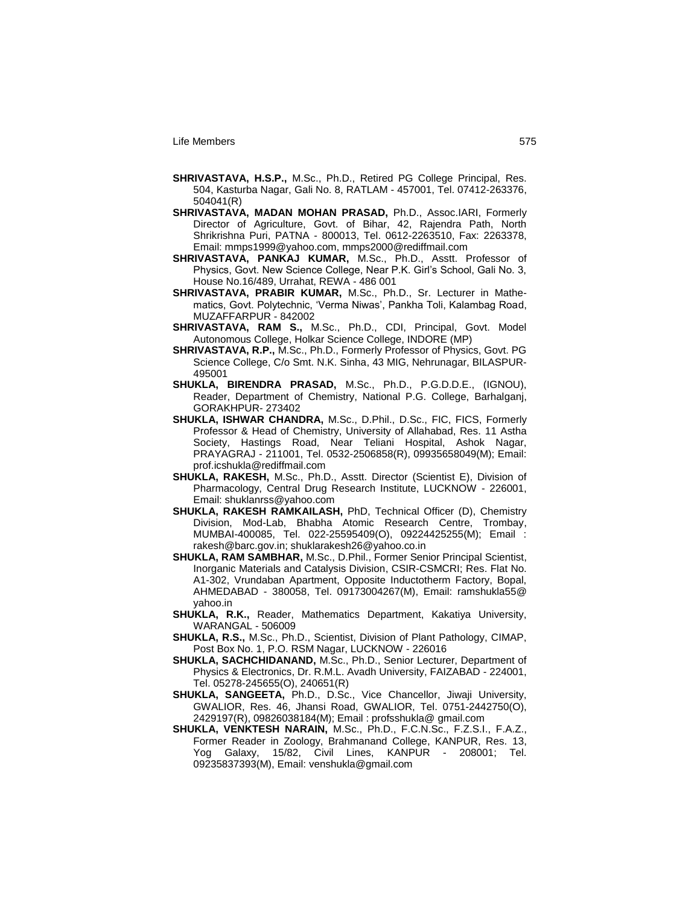- **SHRIVASTAVA, H.S.P.,** M.Sc., Ph.D., Retired PG College Principal, Res. 504, Kasturba Nagar, Gali No. 8, RATLAM - 457001, Tel. 07412-263376, 504041(R)
- **SHRIVASTAVA, MADAN MOHAN PRASAD,** Ph.D., Assoc.IARI, Formerly Director of Agriculture, Govt. of Bihar, 42, Rajendra Path, North Shrikrishna Puri, PATNA - 800013, Tel. 0612-2263510, Fax: 2263378, Email: mmps1999@yahoo.com, mmps2000@rediffmail.com
- **SHRIVASTAVA, PANKAJ KUMAR,** M.Sc., Ph.D., Asstt. Professor of Physics, Govt. New Science College, Near P.K. Girl"s School, Gali No. 3, House No.16/489, Urrahat, REWA - 486 001
- **SHRIVASTAVA, PRABIR KUMAR,** M.Sc., Ph.D., Sr. Lecturer in Mathematics, Govt. Polytechnic, "Verma Niwas", Pankha Toli, Kalambag Road, MUZAFFARPUR - 842002
- **SHRIVASTAVA, RAM S.,** M.Sc., Ph.D., CDI, Principal, Govt. Model Autonomous College, Holkar Science College, INDORE (MP)
- **SHRIVASTAVA, R.P.,** M.Sc., Ph.D., Formerly Professor of Physics, Govt. PG Science College, C/o Smt. N.K. Sinha, 43 MIG, Nehrunagar, BILASPUR-495001
- **SHUKLA, BIRENDRA PRASAD,** M.Sc., Ph.D., P.G.D.D.E., (IGNOU), Reader, Department of Chemistry, National P.G. College, Barhalganj, GORAKHPUR- 273402
- **SHUKLA, ISHWAR CHANDRA,** M.Sc., D.Phil., D.Sc., FIC, FICS, Formerly Professor & Head of Chemistry, University of Allahabad, Res. 11 Astha Society, Hastings Road, Near Teliani Hospital, Ashok Nagar, PRAYAGRAJ - 211001, Tel. 0532-2506858(R), 09935658049(M); Email: prof.icshukla@rediffmail.com
- **SHUKLA, RAKESH,** M.Sc., Ph.D., Asstt. Director (Scientist E), Division of Pharmacology, Central Drug Research Institute, LUCKNOW - 226001, Email: shuklanrss@yahoo.com
- **SHUKLA, RAKESH RAMKAILASH,** PhD, Technical Officer (D), Chemistry Division, Mod-Lab, Bhabha Atomic Research Centre, Trombay, MUMBAI-400085, Tel. 022-25595409(O), 09224425255(M); Email : rakesh@barc.gov.in; shuklarakesh26@yahoo.co.in
- **SHUKLA, RAM SAMBHAR,** M.Sc., D.Phil., Former Senior Principal Scientist, Inorganic Materials and Catalysis Division, CSIR-CSMCRI; Res. Flat No. A1-302, Vrundaban Apartment, Opposite Inductotherm Factory, Bopal, AHMEDABAD - 380058, Tel. 09173004267(M), Email: ramshukla55@ yahoo.in
- **SHUKLA, R.K.,** Reader, Mathematics Department, Kakatiya University, WARANGAL - 506009
- **SHUKLA, R.S.,** M.Sc., Ph.D., Scientist, Division of Plant Pathology, CIMAP, Post Box No. 1, P.O. RSM Nagar, LUCKNOW - 226016
- **SHUKLA, SACHCHIDANAND,** M.Sc., Ph.D., Senior Lecturer, Department of Physics & Electronics, Dr. R.M.L. Avadh University, FAIZABAD - 224001, Tel. 05278-245655(O), 240651(R)
- **SHUKLA, SANGEETA,** Ph.D., D.Sc., Vice Chancellor, Jiwaji University, GWALIOR, Res. 46, Jhansi Road, GWALIOR, Tel. 0751-2442750(O), 2429197(R), 09826038184(M); Email : profsshukla@ gmail.com
- **SHUKLA, VENKTESH NARAIN,** M.Sc., Ph.D., F.C.N.Sc., F.Z.S.I., F.A.Z., Former Reader in Zoology, Brahmanand College, KANPUR, Res. 13, Yog Galaxy, 15/82, Civil Lines, KANPUR - 208001; Tel. 09235837393(M), Email: venshukla@gmail.com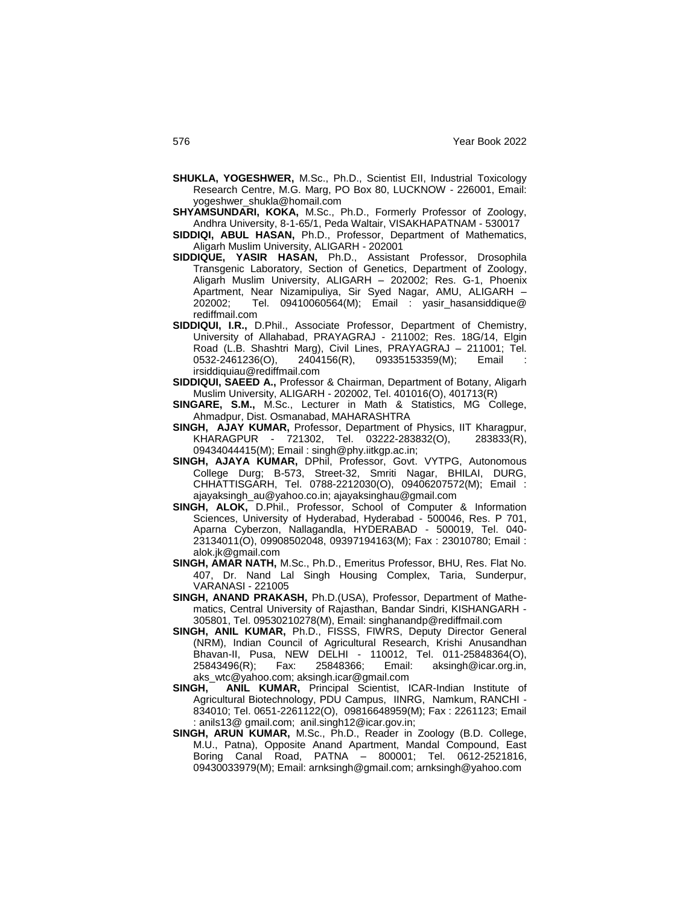- **SHUKLA, YOGESHWER,** M.Sc., Ph.D., Scientist EII, Industrial Toxicology Research Centre, M.G. Marg, PO Box 80, LUCKNOW - 226001, Email: yogeshwer\_shukla@homail.com
- **SHYAMSUNDARI, KOKA,** M.Sc., Ph.D., Formerly Professor of Zoology, Andhra University, 8-1-65/1, Peda Waltair, VISAKHAPATNAM - 530017
- **SIDDIQI, ABUL HASAN,** Ph.D., Professor, Department of Mathematics, Aligarh Muslim University, ALIGARH - 202001
- **SIDDIQUE, YASIR HASAN,** Ph.D., Assistant Professor, Drosophila Transgenic Laboratory, Section of Genetics, Department of Zoology, Aligarh Muslim University, ALIGARH – 202002; Res. G-1, Phoenix Apartment, Near Nizamipuliya, Sir Syed Nagar, AMU, ALIGARH – 202002; Tel. 09410060564(M); Email : yasir\_hasansiddique@ rediffmail.com
- **SIDDIQUI, I.R.,** D.Phil., Associate Professor, Department of Chemistry, University of Allahabad, PRAYAGRAJ - 211002; Res. 18G/14, Elgin Road (L.B. Shashtri Marg), Civil Lines, PRAYAGRAJ – 211001; Tel. 0532-2461236(O), 2404156(R), 09335153359(M); Email irsiddiquiau@rediffmail.com
- **SIDDIQUI, SAEED A.,** Professor & Chairman, Department of Botany, Aligarh Muslim University, ALIGARH - 202002, Tel. 401016(O), 401713(R)
- **SINGARE, S.M.,** M.Sc., Lecturer in Math & Statistics, MG College, Ahmadpur, Dist. Osmanabad, MAHARASHTRA
- **SINGH, AJAY KUMAR,** Professor, Department of Physics, IIT Kharagpur, KHARAGPUR - 721302, Tel. 03222-283832(O), 283833(R), 09434044415(M); Email : singh@phy.iitkgp.ac.in;
- **SINGH, AJAYA KUMAR,** DPhil, Professor, Govt. VYTPG, Autonomous College Durg; B-573, Street-32, Smriti Nagar, BHILAI, DURG, CHHATTISGARH, Tel. 0788-2212030(O), 09406207572(M); Email : ajayaksingh\_au@yahoo.co.in; ajayaksinghau@gmail.com
- **SINGH, ALOK,** D.Phil., Professor, School of Computer & Information Sciences, University of Hyderabad, Hyderabad - 500046, Res. P 701, Aparna Cyberzon, Nallagandla, HYDERABAD - 500019, Tel. 040- 23134011(O), 09908502048, 09397194163(M); Fax : 23010780; Email : alok.jk@gmail.com
- **SINGH, AMAR NATH,** M.Sc., Ph.D., Emeritus Professor, BHU, Res. Flat No. 407, Dr. Nand Lal Singh Housing Complex, Taria, Sunderpur, VARANASI - 221005
- **SINGH, ANAND PRAKASH,** Ph.D.(USA), Professor, Department of Mathematics, Central University of Rajasthan, Bandar Sindri, KISHANGARH - 305801, Tel. 09530210278(M), Email: singhanandp@rediffmail.com
- **SINGH, ANIL KUMAR,** Ph.D., FISSS, FIWRS, Deputy Director General (NRM), Indian Council of Agricultural Research, Krishi Anusandhan Bhavan-II, Pusa, NEW DELHI - 110012, Tel. 011-25848364(O), 25843496(R); Fax: 25848366; Email: aksingh@icar.org.in, aks\_wtc@yahoo.com; aksingh.icar@gmail.com
- **SINGH, ANIL KUMAR,** Principal Scientist, ICAR-Indian Institute of Agricultural Biotechnology, PDU Campus, IINRG, Namkum, RANCHI - 834010; Tel. 0651-2261122(O), 09816648959(M); Fax : 2261123; Email : anils13@ gmail.com; anil.singh12@icar.gov.in;
- **SINGH, ARUN KUMAR,** M.Sc., Ph.D., Reader in Zoology (B.D. College, M.U., Patna), Opposite Anand Apartment, Mandal Compound, East Boring Canal Road, PATNA – 800001; Tel. 0612-2521816, 09430033979(M); Email: arnksingh@gmail.com; arnksingh@yahoo.com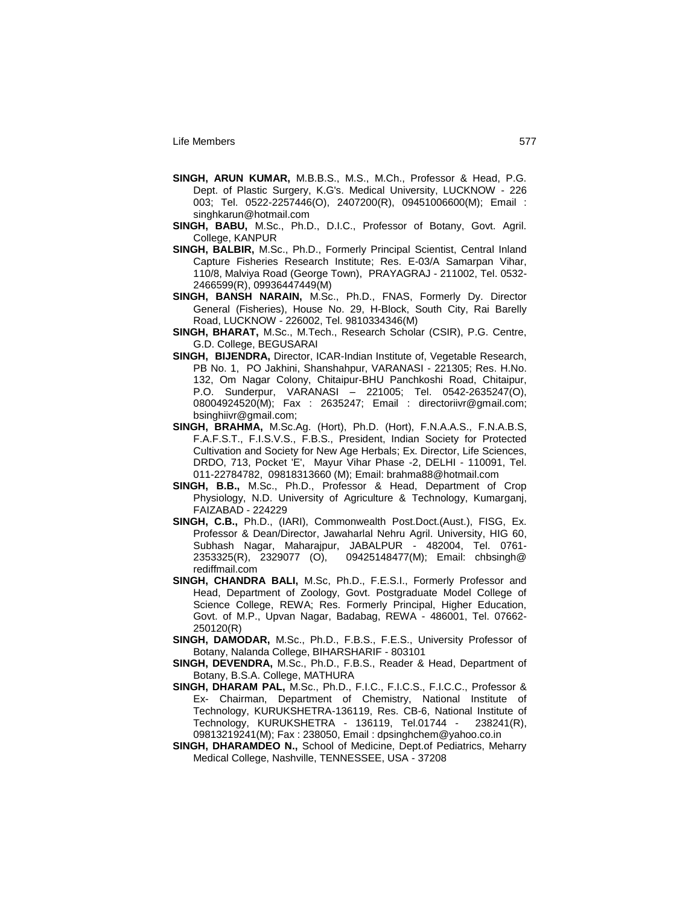- **SINGH, ARUN KUMAR,** M.B.B.S., M.S., M.Ch., Professor & Head, P.G. Dept. of Plastic Surgery, K.G's. Medical University, LUCKNOW - 226 003; Tel. 0522-2257446(O), 2407200(R), 09451006600(M); Email : singhkarun@hotmail.com
- **SINGH, BABU,** M.Sc., Ph.D., D.I.C., Professor of Botany, Govt. Agril. College, KANPUR
- **SINGH, BALBIR,** M.Sc., Ph.D., Formerly Principal Scientist, Central Inland Capture Fisheries Research Institute; Res. E-03/A Samarpan Vihar, 110/8, Malviya Road (George Town), PRAYAGRAJ - 211002, Tel. 0532- 2466599(R), 09936447449(M)
- **SINGH, BANSH NARAIN,** M.Sc., Ph.D., FNAS, Formerly Dy. Director General (Fisheries), House No. 29, H-Block, South City, Rai Barelly Road, LUCKNOW - 226002, Tel. 9810334346(M)
- **SINGH, BHARAT,** M.Sc., M.Tech., Research Scholar (CSIR), P.G. Centre, G.D. College, BEGUSARAI
- **SINGH, BIJENDRA,** Director, ICAR-Indian Institute of, Vegetable Research, PB No. 1, PO Jakhini, Shanshahpur, VARANASI - 221305; Res. H.No. 132, Om Nagar Colony, Chitaipur-BHU Panchkoshi Road, Chitaipur, P.O. Sunderpur, VARANASI – 221005; Tel. 0542-2635247(O), 08004924520(M); Fax : 2635247; Email : directoriivr@gmail.com; bsinghiivr@gmail.com;
- **SINGH, BRAHMA,** M.Sc.Ag. (Hort), Ph.D. (Hort), F.N.A.A.S., F.N.A.B.S, F.A.F.S.T., F.I.S.V.S., F.B.S., President, Indian Society for Protected Cultivation and Society for New Age Herbals; Ex. Director, Life Sciences, DRDO, 713, Pocket 'E', Mayur Vihar Phase -2, DELHI - 110091, Tel. 011-22784782, 09818313660 (M); Email: brahma88@hotmail.com
- **SINGH, B.B.,** M.Sc., Ph.D., Professor & Head, Department of Crop Physiology, N.D. University of Agriculture & Technology, Kumarganj, FAIZABAD - 224229
- **SINGH, C.B.,** Ph.D., (IARI), Commonwealth Post.Doct.(Aust.), FISG, Ex. Professor & Dean/Director, Jawaharlal Nehru Agril. University, HIG 60, Subhash Nagar, Maharajpur, JABALPUR - 482004, Tel. 0761- 2353325(R), 2329077 (O), 09425148477(M); Email: chbsingh@ rediffmail.com
- **SINGH, CHANDRA BALI,** M.Sc, Ph.D., F.E.S.I., Formerly Professor and Head, Department of Zoology, Govt. Postgraduate Model College of Science College, REWA; Res. Formerly Principal, Higher Education, Govt. of M.P., Upvan Nagar, Badabag, REWA - 486001, Tel. 07662- 250120(R)
- **SINGH, DAMODAR,** M.Sc., Ph.D., F.B.S., F.E.S., University Professor of Botany, Nalanda College, BIHARSHARIF - 803101
- **SINGH, DEVENDRA,** M.Sc., Ph.D., F.B.S., Reader & Head, Department of Botany, B.S.A. College, MATHURA
- **SINGH, DHARAM PAL,** M.Sc., Ph.D., F.I.C., F.I.C.S., F.I.C.C., Professor & Ex- Chairman, Department of Chemistry, National Institute of Technology, KURUKSHETRA-136119, Res. CB-6, National Institute of Technology, KURUKSHETRA - 136119, Tel.01744 - 238241(R), 09813219241(M); Fax : 238050, Email : dpsinghchem@yahoo.co.in
- **SINGH, DHARAMDEO N.,** School of Medicine, Dept.of Pediatrics, Meharry Medical College, Nashville, TENNESSEE, USA - 37208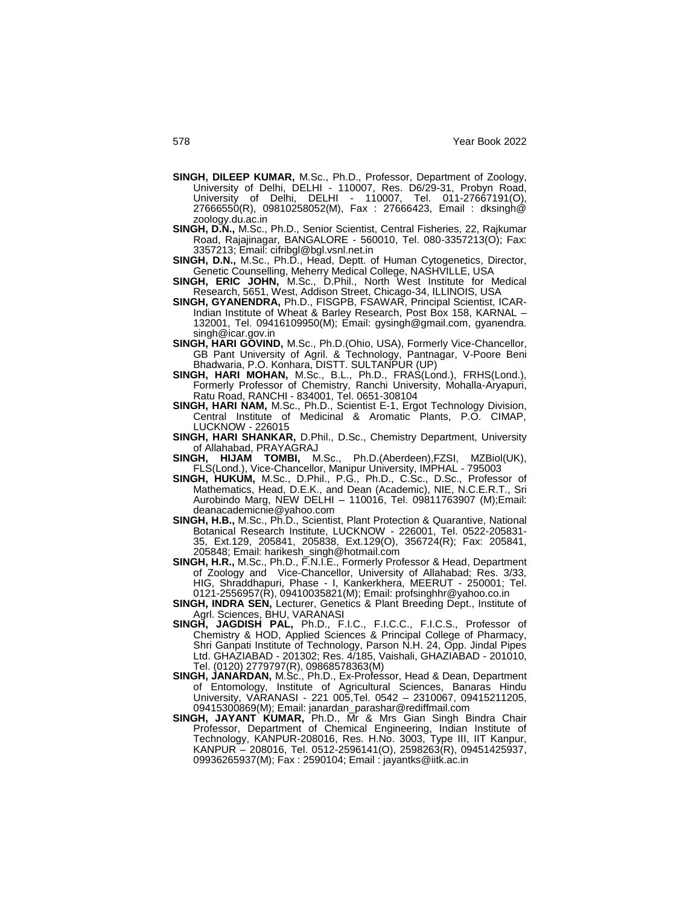- **SINGH, DILEEP KUMAR,** M.Sc., Ph.D., Professor, Department of Zoology, University of Delhi, DELHI - 110007, Res. D6/29-31, Probyn Road, University of Delhi, DELHI - 110007, Tel. 011-27667191(O), 27666550(R), 09810258052(M), Fax : 27666423, Email : dksingh@ zoology.du.ac.in
- **SINGH, D.N.,** M.Sc., Ph.D., Senior Scientist, Central Fisheries, 22, Rajkumar Road, Rajajinagar, BANGALORE - 560010, Tel. 080-3357213(O); Fax: 3357213; Email: cifribgl@bgl.vsnl.net.in
- **SINGH, D.N.,** M.Sc., Ph.D., Head, Deptt. of Human Cytogenetics, Director, Genetic Counselling, Meherry Medical College, NASHVILLE, USA
- **SINGH, ERIC JOHN,** M.Sc., D.Phil., North West Institute for Medical Research, 5651, West, Addison Street, Chicago-34, ILLINOIS, USA
- **SINGH, GYANENDRA,** Ph.D., FISGPB, FSAWAR, Principal Scientist, ICAR-Indian Institute of Wheat & Barley Research, Post Box 158, KARNAL – 132001, Tel. 09416109950(M); Email: gysingh@gmail.com, gyanendra. singh@icar.gov.in
- **SINGH, HARI GOVIND,** M.Sc., Ph.D.(Ohio, USA), Formerly Vice-Chancellor, GB Pant University of Agril. & Technology, Pantnagar, V-Poore Beni Bhadwaria, P.O. Konhara, DISTT. SULTANPUR (UP)
- **SINGH, HARI MOHAN,** M.Sc., B.L., Ph.D., FRAS(Lond.), FRHS(Lond.), Formerly Professor of Chemistry, Ranchi University, Mohalla-Aryapuri, Ratu Road, RANCHI - 834001, Tel. 0651-308104
- **SINGH, HARI NAM,** M.Sc., Ph.D., Scientist E-1, Ergot Technology Division, Central Institute of Medicinal & Aromatic Plants, P.O. CIMAP, LUCKNOW - 226015
- **SINGH, HARI SHANKAR,** D.Phil., D.Sc., Chemistry Department, University of Allahabad, PRAYAGRAJ<br>SINGH, HIJAM TOMBI, M.Sc.,
- Ph.D.(Aberdeen),FZSI, MZBiol(UK), FLS(Lond.), Vice-Chancellor, Manipur University, IMPHAL - 795003
- **SINGH, HUKUM,** M.Sc., D.Phil., P.G., Ph.D., C.Sc., D.Sc., Professor of Mathematics, Head, D.E.K., and Dean (Academic), NIE, N.C.E.R.T., Sri Aurobindo Marg, NEW DELHI – 110016, Tel. 09811763907 (M);Email: deanacademicnie@yahoo.com
- **SINGH, H.B.,** M.Sc., Ph.D., Scientist, Plant Protection & Quarantive, National Botanical Research Institute, LUCKNOW - 226001, Tel. 0522-205831- 35, Ext.129, 205841, 205838, Ext.129(O), 356724(R); Fax: 205841, 205848; Email: harikesh\_singh@hotmail.com
- **SINGH, H.R.,** M.Sc., Ph.D., F.N.I.E., Formerly Professor & Head, Department of Zoology and Vice-Chancellor, University of Allahabad; Res. 3/33, HIG, Shraddhapuri, Phase - I, Kankerkhera, MEERUT - 250001; Tel. 0121-2556957(R), 09410035821(M); Email: profsinghhr@yahoo.co.in
- **SINGH, INDRA SEN,** Lecturer, Genetics & Plant Breeding Dept., Institute of Agrl. Sciences, BHU, VARANASI
- **SINGH, JAGDISH PAL,** Ph.D., F.I.C., F.I.C.C., F.I.C.S., Professor of Chemistry & HOD, Applied Sciences & Principal College of Pharmacy, Shri Ganpati Institute of Technology, Parson N.H. 24, Opp. Jindal Pipes Ltd. GHAZIABAD - 201302; Res. 4/185, Vaishali, GHAZIABAD - 201010, Tel. (0120) 2779797(R), 09868578363(M)
- **SINGH, JANARDAN,** M.Sc., Ph.D., Ex-Professor, Head & Dean, Department of Entomology, Institute of Agricultural Sciences, Banaras Hindu University, VARANASI - 221 005,Tel. 0542 – 2310067, 09415211205, 09415300869(M); Email: janardan\_parashar@rediffmail.com
- **SINGH, JAYANT KUMAR,** Ph.D., Mr & Mrs Gian Singh Bindra Chair Professor, Department of Chemical Engineering, Indian Institute of Technology, KANPUR-208016, Res. H.No. 3003, Type III, IIT Kanpur, KANPUR – 208016, Tel. 0512-2596141(O), 2598263(R), 09451425937, 09936265937(M); Fax : 2590104; Email : jayantks@iitk.ac.in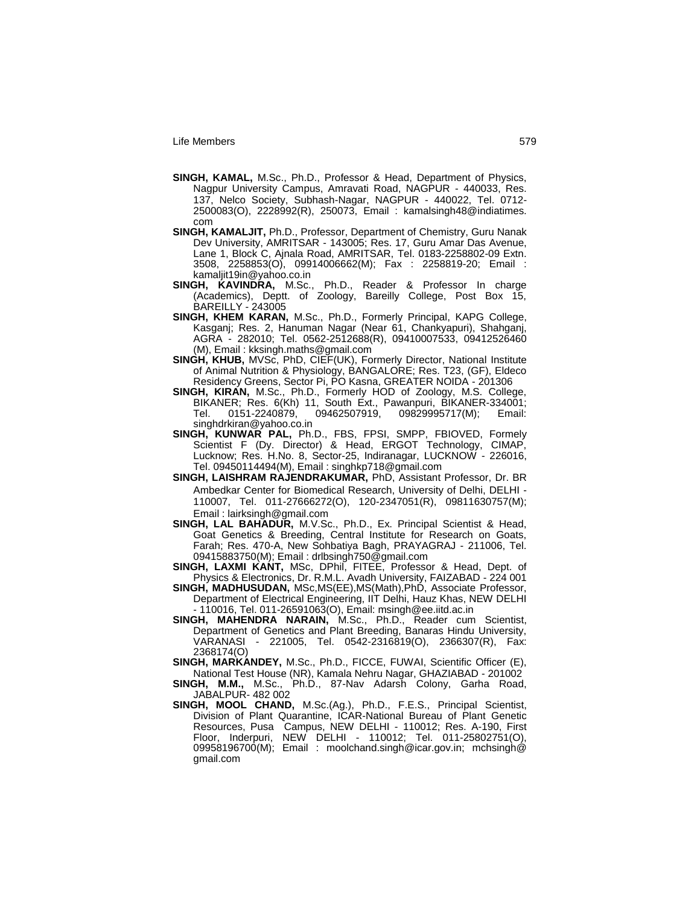- **SINGH, KAMAL,** M.Sc., Ph.D., Professor & Head, Department of Physics, Nagpur University Campus, Amravati Road, NAGPUR - 440033, Res. 137, Nelco Society, Subhash-Nagar, NAGPUR - 440022, Tel. 0712- 2500083(O), 2228992(R), 250073, Email : kamalsingh48@indiatimes. com
- **SINGH, KAMALJIT,** Ph.D., Professor, Department of Chemistry, Guru Nanak Dev University, AMRITSAR - 143005; Res. 17, Guru Amar Das Avenue, Lane 1, Block C, Ajnala Road, AMRITSAR, Tel. 0183-2258802-09 Extn. 3508, 2258853(O), 09914006662(M); Fax : 2258819-20; Email : kamaljit19in@yahoo.co.in
- **SINGH, KAVINDRA,** M.Sc., Ph.D., Reader & Professor In charge (Academics), Deptt. of Zoology, Bareilly College, Post Box 15, BAREILLY - 243005
- **SINGH, KHEM KARAN,** M.Sc., Ph.D., Formerly Principal, KAPG College, Kasganj; Res. 2, Hanuman Nagar (Near 61, Chankyapuri), Shahganj, AGRA - 282010; Tel. 0562-2512688(R), 09410007533, 09412526460 (M), Email : kksingh.maths@gmail.com
- **SINGH, KHUB,** MVSc, PhD, CIEF(UK), Formerly Director, National Institute of Animal Nutrition & Physiology, BANGALORE; Res. T23, (GF), Eldeco Residency Greens, Sector Pi, PO Kasna, GREATER NOIDA - 201306
- **SINGH, KIRAN,** M.Sc., Ph.D., Formerly HOD of Zoology, M.S. College, BIKANER; Res. 6(Kh) 11, South Ext., Pawanpuri, BIKANER-334001; Tel. 0151-2240879, 09462507919, 09829995717(M); Email: singhdrkiran@yahoo.co.in
- **SINGH, KUNWAR PAL,** Ph.D., FBS, FPSI, SMPP, FBIOVED, Formely Scientist F (Dy. Director) & Head, ERGOT Technology, CIMAP, Lucknow; Res. H.No. 8, Sector-25, Indiranagar, LUCKNOW - 226016, Tel. 09450114494(M), Email : singhkp718@gmail.com
- **SINGH, LAISHRAM RAJENDRAKUMAR,** PhD, Assistant Professor, Dr. BR Ambedkar Center for Biomedical Research, University of Delhi, DELHI - 110007, Tel. 011-27666272(O), 120-2347051(R), 09811630757(M); Email : lairksingh@gmail.com
- **SINGH, LAL BAHADUR,** M.V.Sc., Ph.D., Ex. Principal Scientist & Head, Goat Genetics & Breeding, Central Institute for Research on Goats, Farah; Res. 470-A, New Sohbatiya Bagh, PRAYAGRAJ - 211006, Tel. 09415883750(M); Email : drlbsingh750@gmail.com
- **SINGH, LAXMI KANT,** MSc, DPhil, FITEE, Professor & Head, Dept. of Physics & Electronics, Dr. R.M.L. Avadh University, FAIZABAD - 224 001
- **SINGH, MADHUSUDAN,** MSc,MS(EE),MS(Math),PhD, Associate Professor, Department of Electrical Engineering, IIT Delhi, Hauz Khas, NEW DELHI - 110016, Tel. 011-26591063(O), Email: msingh@ee.iitd.ac.in
- **SINGH, MAHENDRA NARAIN,** M.Sc., Ph.D., Reader cum Scientist, Department of Genetics and Plant Breeding, Banaras Hindu University, VARANASI - 221005, Tel. 0542-2316819(O), 2366307(R), Fax: 2368174(O)
- **SINGH, MARKANDEY,** M.Sc., Ph.D., FICCE, FUWAI, Scientific Officer (E),
- National Test House (NR), Kamala Nehru Nagar, GHAZIABAD 201002 **SINGH, M.M.,** M.Sc., Ph.D., 87-Nav Adarsh Colony, Garha Road, JABALPUR- 482 002
- **SINGH, MOOL CHAND,** M.Sc.(Ag.), Ph.D., F.E.S., Principal Scientist, Division of Plant Quarantine, ICAR-National Bureau of Plant Genetic Resources, Pusa Campus, NEW DELHI - 110012; Res. A-190, First Floor, Inderpuri, NEW DELHI - 110012; Tel. 011-25802751(O), 09958196700(M); Email : moolchand.singh@icar.gov.in; mchsingh@ gmail.com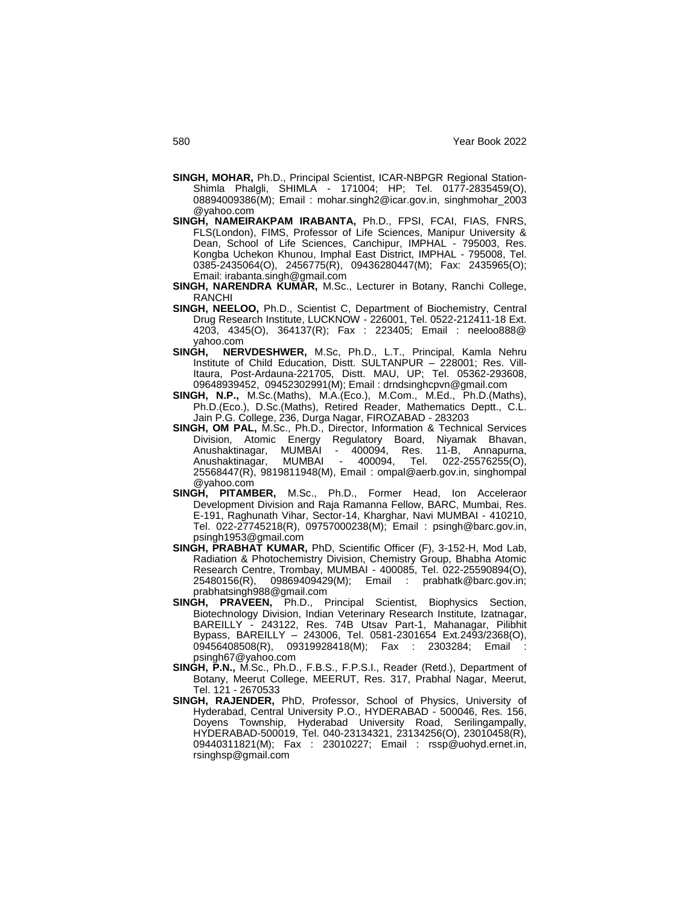- **SINGH, MOHAR,** Ph.D., Principal Scientist, ICAR-NBPGR Regional Station-Shimla Phalgli, SHIMLA - 171004; HP; Tel. 0177-2835459(O), 08894009386(M); Email : mohar.singh2@icar.gov.in, singhmohar\_2003 @yahoo.com
- **SINGH, NAMEIRAKPAM IRABANTA,** Ph.D., FPSI, FCAI, FIAS, FNRS, FLS(London), FIMS, Professor of Life Sciences, Manipur University & Dean, School of Life Sciences, Canchipur, IMPHAL - 795003, Res. Kongba Uchekon Khunou, Imphal East District, IMPHAL - 795008, Tel. 0385-2435064(O), 2456775(R), 09436280447(M); Fax: 2435965(O); Email: irabanta.singh@gmail.com
- **SINGH, NARENDRA KUMAR,** M.Sc., Lecturer in Botany, Ranchi College, RANCHI
- **SINGH, NEELOO,** Ph.D., Scientist C, Department of Biochemistry, Central Drug Research Institute, LUCKNOW - 226001, Tel. 0522-212411-18 Ext. 4203, 4345(O), 364137(R); Fax : 223405; Email : neeloo888@ yahoo.com
- **SINGH, NERVDESHWER,** M.Sc, Ph.D., L.T., Principal, Kamla Nehru Institute of Child Education, Distt. SULTANPUR – 228001; Res. Vill-Itaura, Post-Ardauna-221705, Distt. MAU, UP; Tel. 05362-293608, 09648939452, 09452302991(M); Email : drndsinghcpvn@gmail.com
- **SINGH, N.P.,** M.Sc.(Maths), M.A.(Eco.), M.Com., M.Ed., Ph.D.(Maths), Ph.D.(Eco.), D.Sc.(Maths), Retired Reader, Mathematics Deptt., C.L. Jain P.G. College, 236, Durga Nagar, FIROZABAD - 283203
- **SINGH, OM PAL,** M.Sc., Ph.D., Director, Information & Technical Services Division, Atomic Energy Regulatory Board, Niyamak Bhavan,<br>Anushaktinagar, MUMBAI - 400094, Res. 11-B, Annapurna, Anushaktinagar, MUMBAI - <sup>-</sup><br>Anushaktinagar. MUMBAI -Anushaktinagar, MUMBAI - 400094, Tel. 022-25576255(O), 25568447(R), 9819811948(M), Email : ompal@aerb.gov.in, singhompal @yahoo.com
- **SINGH, PITAMBER,** M.Sc., Ph.D., Former Head, Ion Acceleraor Development Division and Raja Ramanna Fellow, BARC, Mumbai, Res. E-191, Raghunath Vihar, Sector-14, Kharghar, Navi MUMBAI - 410210, Tel. 022-27745218(R), 09757000238(M); Email : psingh@barc.gov.in, psingh1953@gmail.com
- **SINGH, PRABHAT KUMAR,** PhD, Scientific Officer (F), 3-152-H, Mod Lab, Radiation & Photochemistry Division, Chemistry Group, Bhabha Atomic Research Centre, Trombay, MUMBAI - 400085, Tel. 022-25590894(O), 25480156(R), 09869409429(M); Email : prabhatk@barc.gov.in; prabhatsingh988@gmail.com
- **SINGH, PRAVEEN, Ph.D., Principal Scientist, Biophysics Section,** Biotechnology Division, Indian Veterinary Research Institute, Izatnagar, BAREILLY - 243122, Res. 74B Utsav Part-1, Mahanagar, Pilibhit Bypass, BAREILLY – 243006, Tel. 0581-2301654 Ext.2493/2368(O), 09456408508(R), 09319928418(M); Fax : 2303284; Email psingh67@yahoo.com
- **SINGH, P.N.,** M.Sc., Ph.D., F.B.S., F.P.S.I., Reader (Retd.), Department of Botany, Meerut College, MEERUT, Res. 317, Prabhal Nagar, Meerut, Tel. 121 - 2670533
- **SINGH, RAJENDER,** PhD, Professor, School of Physics, University of Hyderabad, Central University P.O., HYDERABAD - 500046, Res. 156, Doyens Township, Hyderabad University Road, Serilingampally, HYDERABAD-500019, Tel. 040-23134321, 23134256(O), 23010458(R), 09440311821(M); Fax : 23010227; Email : rssp@uohyd.ernet.in, rsinghsp@gmail.com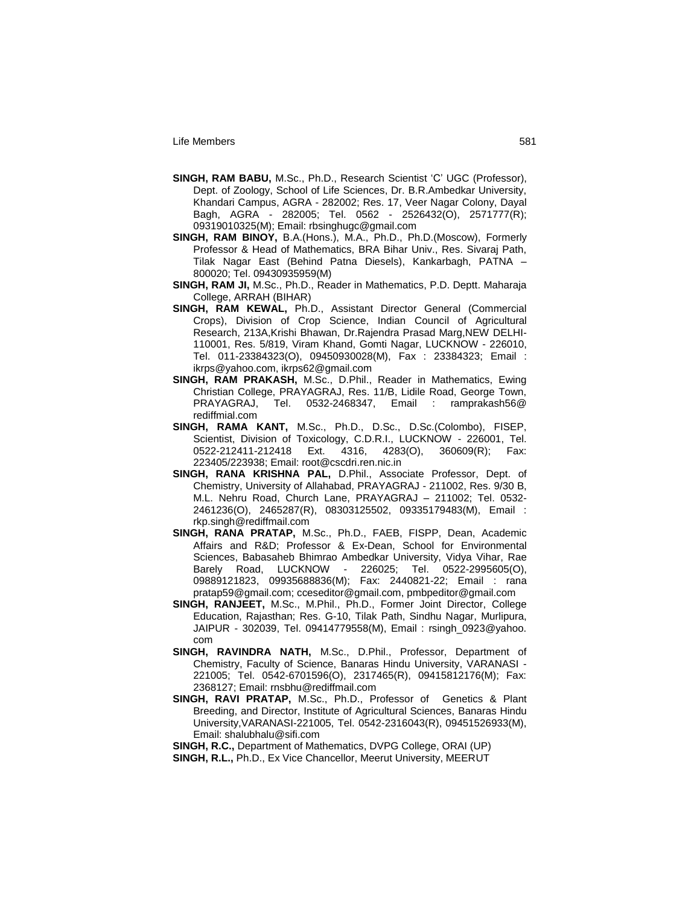- **SINGH, RAM BABU,** M.Sc., Ph.D., Research Scientist "C" UGC (Professor), Dept. of Zoology, School of Life Sciences, Dr. B.R.Ambedkar University, Khandari Campus, AGRA - 282002; Res. 17, Veer Nagar Colony, Dayal Bagh, AGRA - 282005; Tel. 0562 - 2526432(O), 2571777(R); 09319010325(M); Email: rbsinghugc@gmail.com
- **SINGH, RAM BINOY,** B.A.(Hons.), M.A., Ph.D., Ph.D.(Moscow), Formerly Professor & Head of Mathematics, BRA Bihar Univ., Res. Sivaraj Path, Tilak Nagar East (Behind Patna Diesels), Kankarbagh, PATNA – 800020; Tel. 09430935959(M)
- **SINGH, RAM JI,** M.Sc., Ph.D., Reader in Mathematics, P.D. Deptt. Maharaja College, ARRAH (BIHAR)
- **SINGH, RAM KEWAL,** Ph.D., Assistant Director General (Commercial Crops), Division of Crop Science, Indian Council of Agricultural Research, 213A,Krishi Bhawan, Dr.Rajendra Prasad Marg,NEW DELHI-110001, Res. 5/819, Viram Khand, Gomti Nagar, LUCKNOW - 226010, Tel. 011-23384323(O), 09450930028(M), Fax : 23384323; Email : ikrps@yahoo.com, ikrps62@gmail.com
- **SINGH, RAM PRAKASH,** M.Sc., D.Phil., Reader in Mathematics, Ewing Christian College, PRAYAGRAJ, Res. 11/B, Lidile Road, George Town, PRAYAGRAJ, Tel. 0532-2468347, Email : ramprakash56@ rediffmial.com
- **SINGH, RAMA KANT,** M.Sc., Ph.D., D.Sc., D.Sc.(Colombo), FISEP, Scientist, Division of Toxicology, C.D.R.I., LUCKNOW - 226001, Tel. 0522-212411-212418 Ext. 4316, 4283(O), 360609(R); Fax: 223405/223938; Email: root@cscdri.ren.nic.in
- **SINGH, RANA KRISHNA PAL,** D.Phil., Associate Professor, Dept. of Chemistry, University of Allahabad, PRAYAGRAJ - 211002, Res. 9/30 B, M.L. Nehru Road, Church Lane, PRAYAGRAJ – 211002; Tel. 0532- 2461236(O), 2465287(R), 08303125502, 09335179483(M), Email : rkp.singh@rediffmail.com
- **SINGH, RANA PRATAP,** M.Sc., Ph.D., FAEB, FISPP, Dean, Academic Affairs and R&D; Professor & Ex-Dean, School for Environmental Sciences, Babasaheb Bhimrao Ambedkar University, Vidya Vihar, Rae Barely Road, LUCKNOW - 226025; Tel. 0522-2995605(O), 09889121823, 09935688836(M); Fax: 2440821-22; Email : rana pratap59@gmail.com; cceseditor@gmail.com, pmbpeditor@gmail.com
- **SINGH, RANJEET,** M.Sc., M.Phil., Ph.D., Former Joint Director, College Education, Rajasthan; Res. G-10, Tilak Path, Sindhu Nagar, Murlipura, JAIPUR - 302039, Tel. 09414779558(M), Email : rsingh\_0923@yahoo. com
- **SINGH, RAVINDRA NATH,** M.Sc., D.Phil., Professor, Department of Chemistry, Faculty of Science, Banaras Hindu University, VARANASI - 221005; Tel. 0542-6701596(O), 2317465(R), 09415812176(M); Fax: 2368127; Email: rnsbhu@rediffmail.com
- **SINGH, RAVI PRATAP,** M.Sc., Ph.D., Professor of Genetics & Plant Breeding, and Director, Institute of Agricultural Sciences, Banaras Hindu University,VARANASI-221005, Tel. 0542-2316043(R), 09451526933(M), Email: shalubhalu@sifi.com

**SINGH, R.C.,** Department of Mathematics, DVPG College, ORAI (UP) **SINGH, R.L.,** Ph.D., Ex Vice Chancellor, Meerut University, MEERUT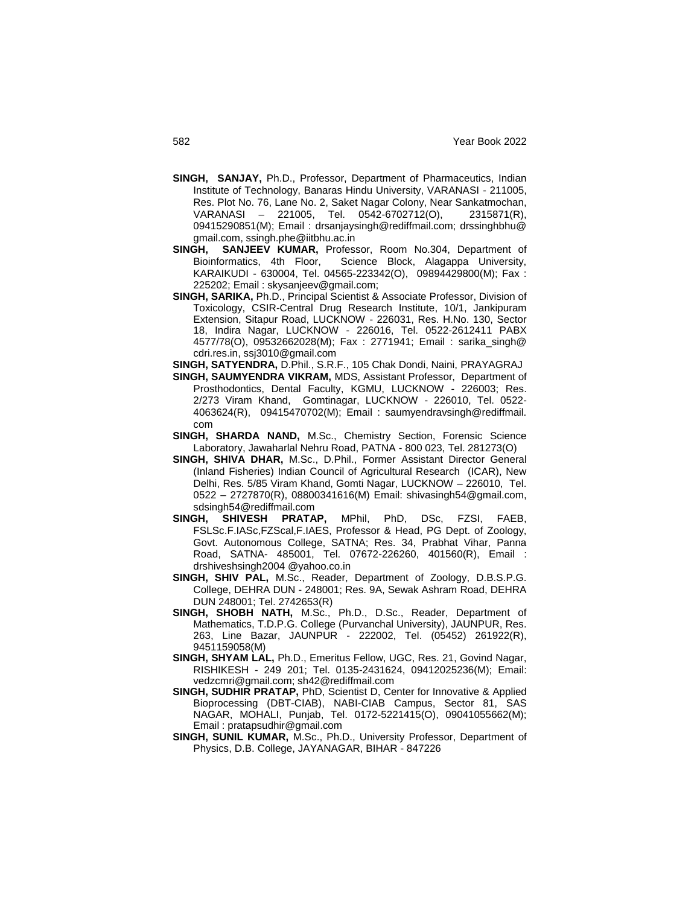- **SINGH, SANJAY,** Ph.D., Professor, Department of Pharmaceutics, Indian Institute of Technology, Banaras Hindu University, VARANASI - 211005, Res. Plot No. 76, Lane No. 2, Saket Nagar Colony, Near Sankatmochan, VARANASI – 221005, Tel. 0542-6702712(O), 2315871(R), 09415290851(M); Email : drsanjaysingh@rediffmail.com; drssinghbhu@ gmail.com, ssingh.phe@iitbhu.ac.in
- **SINGH, SANJEEV KUMAR,** Professor, Room No.304, Department of Bioinformatics, 4th Floor, Science Block, Alagappa University, KARAIKUDI - 630004, Tel. 04565-223342(O), 09894429800(M); Fax : 225202; Email : skysanjeev@gmail.com;
- **SINGH, SARIKA,** Ph.D., Principal Scientist & Associate Professor, Division of Toxicology, CSIR-Central Drug Research Institute, 10/1, Jankipuram Extension, Sitapur Road, LUCKNOW - 226031, Res. H.No. 130, Sector 18, Indira Nagar, LUCKNOW - 226016, Tel. 0522-2612411 PABX 4577/78(O), 09532662028(M); Fax : 2771941; Email : sarika\_singh@ cdri.res.in, ssj3010@gmail.com

**SINGH, SATYENDRA,** D.Phil., S.R.F., 105 Chak Dondi, Naini, PRAYAGRAJ

- **SINGH, SAUMYENDRA VIKRAM,** MDS, Assistant Professor, Department of Prosthodontics, Dental Faculty, KGMU, LUCKNOW - 226003; Res. 2/273 Viram Khand, Gomtinagar, LUCKNOW - 226010, Tel. 0522- 4063624(R), 09415470702(M); Email : saumyendravsingh@rediffmail. com
- **SINGH, SHARDA NAND,** M.Sc., Chemistry Section, Forensic Science Laboratory, Jawaharlal Nehru Road, PATNA - 800 023, Tel. 281273(O)
- **SINGH, SHIVA DHAR,** M.Sc., D.Phil., Former Assistant Director General (Inland Fisheries) Indian Council of Agricultural Research (ICAR), New Delhi, Res. 5/85 Viram Khand, Gomti Nagar, LUCKNOW – 226010, Tel. 0522 – 2727870(R), 08800341616(M) Email: shivasingh54@gmail.com, sdsingh54@rediffmail.com<br>**GH, SHIVESH PRATAP,**
- **SINGH, SHIVESH PRATAP,** MPhil, PhD, DSc, FZSI, FAEB, FSLSc.F.IASc,FZScal,F.IAES, Professor & Head, PG Dept. of Zoology, Govt. Autonomous College, SATNA; Res. 34, Prabhat Vihar, Panna Road, SATNA- 485001, Tel. 07672-226260, 401560(R), Email : drshiveshsingh2004 @yahoo.co.in
- **SINGH, SHIV PAL,** M.Sc., Reader, Department of Zoology, D.B.S.P.G. College, DEHRA DUN - 248001; Res. 9A, Sewak Ashram Road, DEHRA DUN 248001; Tel. 2742653(R)
- **SINGH, SHOBH NATH,** M.Sc., Ph.D., D.Sc., Reader, Department of Mathematics, T.D.P.G. College (Purvanchal University), JAUNPUR, Res. 263, Line Bazar, JAUNPUR - 222002, Tel. (05452) 261922(R), 9451159058(M)
- **SINGH, SHYAM LAL,** Ph.D., Emeritus Fellow, UGC, Res. 21, Govind Nagar, RISHIKESH - 249 201; Tel. 0135-2431624, 09412025236(M); Email: vedzcmri@gmail.com; sh42@rediffmail.com
- **SINGH, SUDHIR PRATAP,** PhD, Scientist D, Center for Innovative & Applied Bioprocessing (DBT-CIAB), NABI-CIAB Campus, Sector 81, SAS NAGAR, MOHALI, Punjab, Tel. 0172-5221415(O), 09041055662(M); Email : pratapsudhir@gmail.com
- **SINGH, SUNIL KUMAR,** M.Sc., Ph.D., University Professor, Department of Physics, D.B. College, JAYANAGAR, BIHAR - 847226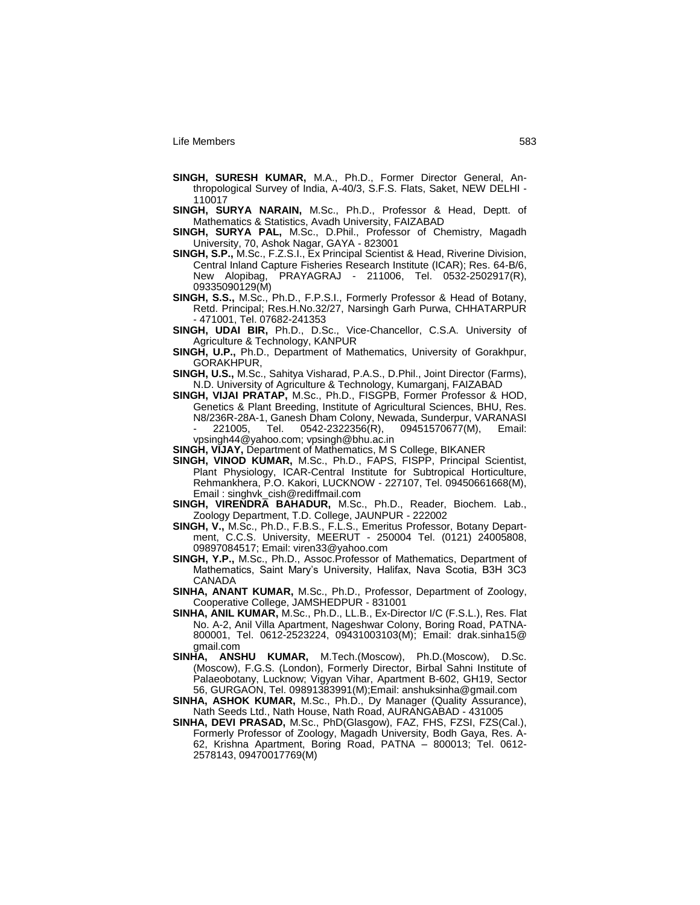- **SINGH, SURESH KUMAR,** M.A., Ph.D., Former Director General, Anthropological Survey of India, A-40/3, S.F.S. Flats, Saket, NEW DELHI - 110017
- **SINGH, SURYA NARAIN,** M.Sc., Ph.D., Professor & Head, Deptt. of Mathematics & Statistics, Avadh University, FAIZABAD
- **SINGH, SURYA PAL,** M.Sc., D.Phil., Professor of Chemistry, Magadh University, 70, Ashok Nagar, GAYA - 823001
- **SINGH, S.P.,** M.Sc., F.Z.S.I., Ex Principal Scientist & Head, Riverine Division, Central Inland Capture Fisheries Research Institute (ICAR); Res. 64-B/6, New Alopibag, PRAYAGRAJ - 211006, Tel. 0532-2502917(R), 09335090129(M)
- **SINGH, S.S.,** M.Sc., Ph.D., F.P.S.I., Formerly Professor & Head of Botany, Retd. Principal; Res.H.No.32/27, Narsingh Garh Purwa, CHHATARPUR - 471001, Tel. 07682-241353
- **SINGH, UDAI BIR,** Ph.D., D.Sc., Vice-Chancellor, C.S.A. University of Agriculture & Technology, KANPUR
- **SINGH, U.P.,** Ph.D., Department of Mathematics, University of Gorakhpur, GORAKHPUR,
- **SINGH, U.S.,** M.Sc., Sahitya Visharad, P.A.S., D.Phil., Joint Director (Farms), N.D. University of Agriculture & Technology, Kumarganj, FAIZABAD
- **SINGH, VIJAI PRATAP,** M.Sc., Ph.D., FISGPB, Former Professor & HOD, Genetics & Plant Breeding, Institute of Agricultural Sciences, BHU, Res. N8/236R-28A-1, Ganesh Dham Colony, Newada, Sunderpur, VARANASI - 221005, Tel. 0542-2322356(R), 09451570677(M), Email: vpsingh44@yahoo.com; vpsingh@bhu.ac.in
- **SINGH, VIJAY,** Department of Mathematics, M S College, BIKANER
- **SINGH, VINOD KUMAR,** M.Sc., Ph.D., FAPS, FISPP, Principal Scientist, Plant Physiology, ICAR-Central Institute for Subtropical Horticulture, Rehmankhera, P.O. Kakori, LUCKNOW - 227107, Tel. 09450661668(M), Email : singhvk\_cish@rediffmail.com
- **SINGH, VIRENDRA BAHADUR,** M.Sc., Ph.D., Reader, Biochem. Lab., Zoology Department, T.D. College, JAUNPUR - 222002
- **SINGH, V.,** M.Sc., Ph.D., F.B.S., F.L.S., Emeritus Professor, Botany Department, C.C.S. University, MEERUT - 250004 Tel. (0121) 24005808, 09897084517; Email: viren33@yahoo.com
- SINGH, Y.P., M.Sc., Ph.D., Assoc.Professor of Mathematics, Department of Mathematics, Saint Mary"s University, Halifax, Nava Scotia, B3H 3C3 CANADA
- **SINHA, ANANT KUMAR,** M.Sc., Ph.D., Professor, Department of Zoology, Cooperative College, JAMSHEDPUR - 831001
- **SINHA, ANIL KUMAR,** M.Sc., Ph.D., LL.B., Ex-Director I/C (F.S.L.), Res. Flat No. A-2, Anil Villa Apartment, Nageshwar Colony, Boring Road, PATNA-800001, Tel. 0612-2523224, 09431003103(M); Email: drak.sinha15@ gmail.com
- **SINHA, ANSHU KUMAR,** M.Tech.(Moscow), Ph.D.(Moscow), D.Sc. (Moscow), F.G.S. (London), Formerly Director, Birbal Sahni Institute of Palaeobotany, Lucknow; Vigyan Vihar, Apartment B-602, GH19, Sector 56, GURGAON, Tel. 09891383991(M);Email: anshuksinha@gmail.com
- **SINHA, ASHOK KUMAR,** M.Sc., Ph.D., Dy Manager (Quality Assurance), Nath Seeds Ltd., Nath House, Nath Road, AURANGABAD - 431005
- **SINHA, DEVI PRASAD,** M.Sc., PhD(Glasgow), FAZ, FHS, FZSI, FZS(Cal.), Formerly Professor of Zoology, Magadh University, Bodh Gaya, Res. A-62, Krishna Apartment, Boring Road, PATNA – 800013; Tel. 0612- 2578143, 09470017769(M)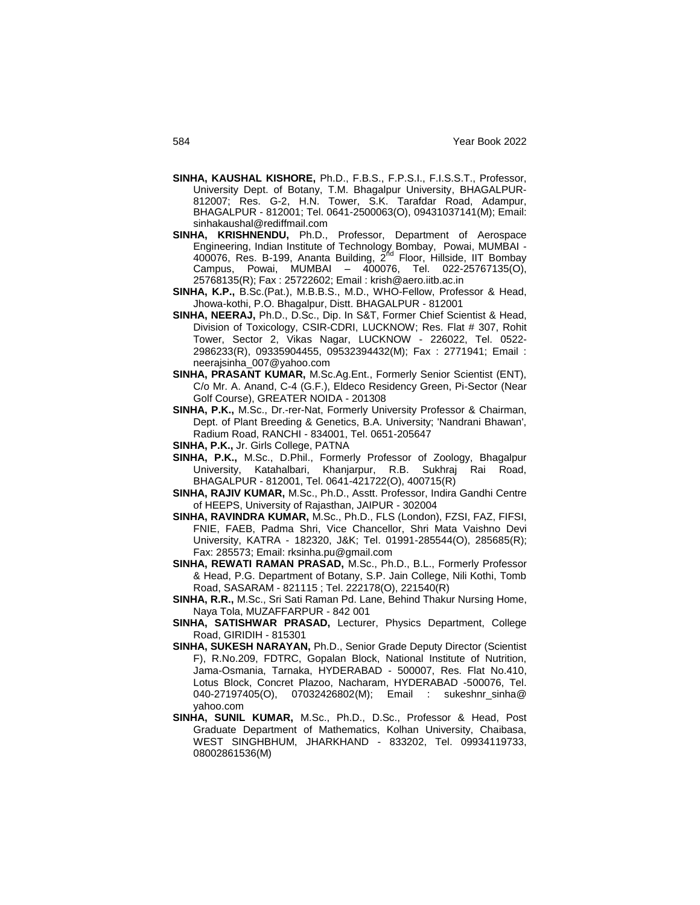- **SINHA, KAUSHAL KISHORE,** Ph.D., F.B.S., F.P.S.I., F.I.S.S.T., Professor, University Dept. of Botany, T.M. Bhagalpur University, BHAGALPUR-812007; Res. G-2, H.N. Tower, S.K. Tarafdar Road, Adampur, BHAGALPUR - 812001; Tel. 0641-2500063(O), 09431037141(M); Email: sinhakaushal@rediffmail.com
- **SINHA, KRISHNENDU,** Ph.D., Professor, Department of Aerospace Engineering, Indian Institute of Technology Bombay, Powai, MUMBAI -<br>400076, Res. B-199, Ananta Building, 2<sup>nd</sup> Floor, Hillside, IIT Bombay Campus, Powai, MUMBAI – 400076, Tel. 022-25767135(O), 25768135(R); Fax : 25722602; Email : krish@aero.iitb.ac.in
- **SINHA, K.P.,** B.Sc.(Pat.), M.B.B.S., M.D., WHO-Fellow, Professor & Head, Jhowa-kothi, P.O. Bhagalpur, Distt. BHAGALPUR - 812001
- **SINHA, NEERAJ,** Ph.D., D.Sc., Dip. In S&T, Former Chief Scientist & Head, Division of Toxicology, CSIR-CDRI, LUCKNOW; Res. Flat # 307, Rohit Tower, Sector 2, Vikas Nagar, LUCKNOW - 226022, Tel. 0522- 2986233(R), 09335904455, 09532394432(M); Fax : 2771941; Email : neerajsinha\_007@yahoo.com
- **SINHA, PRASANT KUMAR,** M.Sc.Ag.Ent., Formerly Senior Scientist (ENT), C/o Mr. A. Anand, C-4 (G.F.), Eldeco Residency Green, Pi-Sector (Near Golf Course), GREATER NOIDA - 201308
- **SINHA, P.K.,** M.Sc., Dr.-rer-Nat, Formerly University Professor & Chairman, Dept. of Plant Breeding & Genetics, B.A. University; 'Nandrani Bhawan', Radium Road, RANCHI - 834001, Tel. 0651-205647
- **SINHA, P.K.,** Jr. Girls College, PATNA
- **SINHA, P.K.,** M.Sc., D.Phil., Formerly Professor of Zoology, Bhagalpur University, Katahalbari, Khanjarpur, R.B. Sukhraj Rai Road, BHAGALPUR - 812001, Tel. 0641-421722(O), 400715(R)
- **SINHA, RAJIV KUMAR,** M.Sc., Ph.D., Asstt. Professor, Indira Gandhi Centre of HEEPS, University of Rajasthan, JAIPUR - 302004
- **SINHA, RAVINDRA KUMAR,** M.Sc., Ph.D., FLS (London), FZSI, FAZ, FIFSI, FNIE, FAEB, Padma Shri, Vice Chancellor, Shri Mata Vaishno Devi University, KATRA - 182320, J&K; Tel. 01991-285544(O), 285685(R); Fax: 285573; Email: rksinha.pu@gmail.com
- **SINHA, REWATI RAMAN PRASAD,** M.Sc., Ph.D., B.L., Formerly Professor & Head, P.G. Department of Botany, S.P. Jain College, Nili Kothi, Tomb Road, SASARAM - 821115 ; Tel. 222178(O), 221540(R)
- **SINHA, R.R.,** M.Sc., Sri Sati Raman Pd. Lane, Behind Thakur Nursing Home, Naya Tola, MUZAFFARPUR - 842 001
- **SINHA, SATISHWAR PRASAD,** Lecturer, Physics Department, College Road, GIRIDIH - 815301
- **SINHA, SUKESH NARAYAN,** Ph.D., Senior Grade Deputy Director (Scientist F), R.No.209, FDTRC, Gopalan Block, National Institute of Nutrition, Jama-Osmania, Tarnaka, HYDERABAD - 500007, Res. Flat No.410, Lotus Block, Concret Plazoo, Nacharam, HYDERABAD -500076, Tel. 040-27197405(O), 07032426802(M); Email : sukeshnr\_sinha@ yahoo.com
- **SINHA, SUNIL KUMAR,** M.Sc., Ph.D., D.Sc., Professor & Head, Post Graduate Department of Mathematics, Kolhan University, Chaibasa, WEST SINGHBHUM, JHARKHAND - 833202, Tel. 09934119733, 08002861536(M)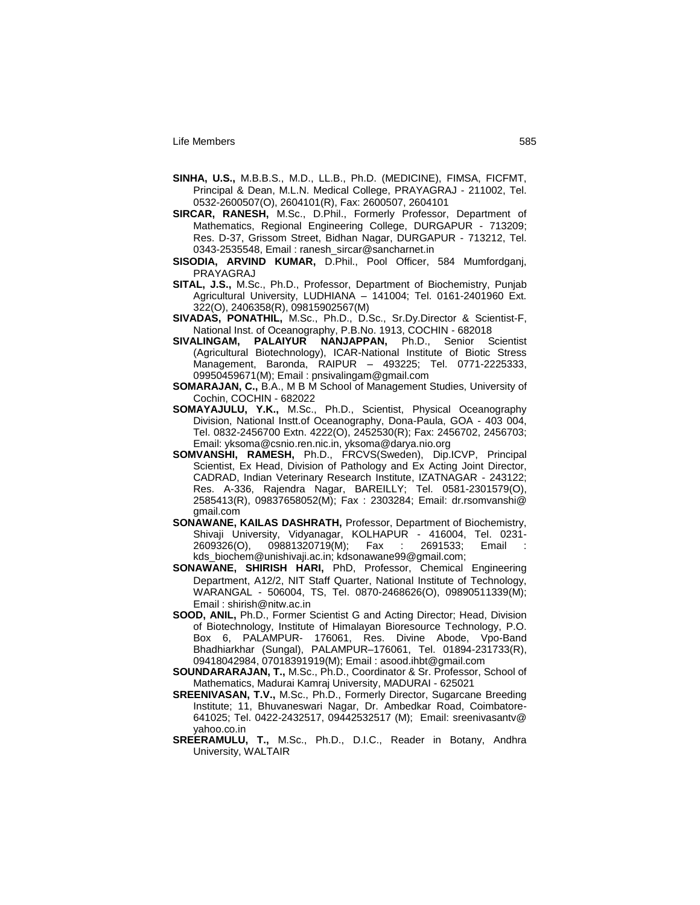- **SINHA, U.S.,** M.B.B.S., M.D., LL.B., Ph.D. (MEDICINE), FIMSA, FICFMT, Principal & Dean, M.L.N. Medical College, PRAYAGRAJ - 211002, Tel. 0532-2600507(O), 2604101(R), Fax: 2600507, 2604101
- **SIRCAR, RANESH,** M.Sc., D.Phil., Formerly Professor, Department of Mathematics, Regional Engineering College, DURGAPUR - 713209; Res. D-37, Grissom Street, Bidhan Nagar, DURGAPUR - 713212, Tel. 0343-2535548, Email : ranesh\_sircar@sancharnet.in
- **SISODIA, ARVIND KUMAR,** D.Phil., Pool Officer, 584 Mumfordganj, PRAYAGRAJ
- **SITAL, J.S.,** M.Sc., Ph.D., Professor, Department of Biochemistry, Punjab Agricultural University, LUDHIANA – 141004; Tel. 0161-2401960 Ext. 322(O), 2406358(R), 09815902567(M)
- **SIVADAS, PONATHIL,** M.Sc., Ph.D., D.Sc., Sr.Dy.Director & Scientist-F, National Inst. of Oceanography, P.B.No. 1913, COCHIN - 682018
- **SIVALINGAM, PALAIYUR NANJAPPAN,** Ph.D., Senior Scientist (Agricultural Biotechnology), ICAR-National Institute of Biotic Stress Management, Baronda, RAIPUR – 493225; Tel. 0771-2225333, 09950459671(M); Email : pnsivalingam@gmail.com
- **SOMARAJAN, C.,** B.A., M B M School of Management Studies, University of Cochin, COCHIN - 682022
- **SOMAYAJULU, Y.K.,** M.Sc., Ph.D., Scientist, Physical Oceanography Division, National Instt.of Oceanography, Dona-Paula, GOA - 403 004, Tel. 0832-2456700 Extn. 4222(O), 2452530(R); Fax: 2456702, 2456703; Email: yksoma@csnio.ren.nic.in, yksoma@darya.nio.org
- **SOMVANSHI, RAMESH,** Ph.D., FRCVS(Sweden), Dip.ICVP, Principal Scientist, Ex Head, Division of Pathology and Ex Acting Joint Director, CADRAD, Indian Veterinary Research Institute, IZATNAGAR - 243122; Res. A-336, Rajendra Nagar, BAREILLY; Tel. 0581-2301579(O), 2585413(R), 09837658052(M); Fax : 2303284; Email: dr.rsomvanshi@ gmail.com
- **SONAWANE, KAILAS DASHRATH,** Professor, Department of Biochemistry, Shivaji University, Vidyanagar, KOLHAPUR - 416004, Tel. 0231- 2609326(O), 09881320719(M); Fax : 2691533; Email : kds\_biochem@unishivaji.ac.in; kdsonawane99@gmail.com;
- **SONAWANE, SHIRISH HARI,** PhD, Professor, Chemical Engineering Department, A12/2, NIT Staff Quarter, National Institute of Technology, WARANGAL - 506004, TS, Tel. 0870-2468626(O), 09890511339(M); Email : shirish@nitw.ac.in
- **SOOD, ANIL,** Ph.D., Former Scientist G and Acting Director; Head, Division of Biotechnology, Institute of Himalayan Bioresource Technology, P.O. Box 6, PALAMPUR- 176061, Res. Divine Abode, Vpo-Band Bhadhiarkhar (Sungal), PALAMPUR–176061, Tel. 01894-231733(R), 09418042984, 07018391919(M); Email : asood.ihbt@gmail.com
- **SOUNDARARAJAN, T.,** M.Sc., Ph.D., Coordinator & Sr. Professor, School of Mathematics, Madurai Kamraj University, MADURAI - 625021
- **SREENIVASAN, T.V.,** M.Sc., Ph.D., Formerly Director, Sugarcane Breeding Institute; 11, Bhuvaneswari Nagar, Dr. Ambedkar Road, Coimbatore-641025; Tel. 0422-2432517, 09442532517 (M); Email: sreenivasantv@ yahoo.co.in
- **SREERAMULU, T.,** M.Sc., Ph.D., D.I.C., Reader in Botany, Andhra University, WALTAIR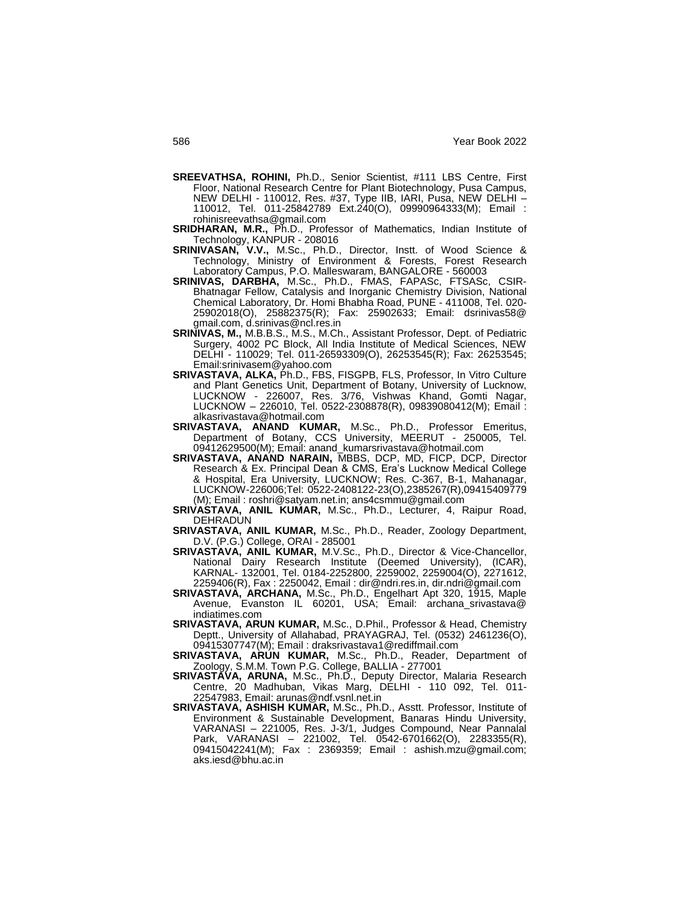- **SREEVATHSA, ROHINI,** Ph.D., Senior Scientist, #111 LBS Centre, First Floor, National Research Centre for Plant Biotechnology, Pusa Campus, NEW DELHI - 110012, Res. #37, Type IIB, IARI, Pusa, NEW DELHI – 110012, Tel. 011-25842789 Ext.240(O), 09990964333(M); Email : rohinisreevathsa@gmail.com
- **SRIDHARAN, M.R.,** Ph.D., Professor of Mathematics, Indian Institute of Technology, KANPUR - 208016
- **SRINIVASAN, V.V.,** M.Sc., Ph.D., Director, Instt. of Wood Science & Technology, Ministry of Environment & Forests, Forest Research Laboratory Campus, P.O. Malleswaram, BANGALORE - 560003
- **SRINIVAS, DARBHA,** M.Sc., Ph.D., FMAS, FAPASc, FTSASc, CSIR-Bhatnagar Fellow, Catalysis and Inorganic Chemistry Division, National Chemical Laboratory, Dr. Homi Bhabha Road, PUNE - 411008, Tel. 020- 25902018(O), 25882375(R); Fax: 25902633; Email: dsrinivas58@ gmail.com, d.srinivas@ncl.res.in
- **SRINIVAS, M.,** M.B.B.S., M.S., M.Ch., Assistant Professor, Dept. of Pediatric Surgery, 4002 PC Block, All India Institute of Medical Sciences, NEW DELHI - 110029; Tel. 011-26593309(O), 26253545(R); Fax: 26253545; Email:srinivasem@yahoo.com
- **SRIVASTAVA, ALKA,** Ph.D., FBS, FISGPB, FLS, Professor, In Vitro Culture and Plant Genetics Unit, Department of Botany, University of Lucknow, LUCKNOW - 226007, Res. 3/76, Vishwas Khand, Gomti Nagar, LUCKNOW – 226010, Tel. 0522-2308878(R), 09839080412(M); Email : alkasrivastava@hotmail.com
- **SRIVASTAVA, ANAND KUMAR,** M.Sc., Ph.D., Professor Emeritus, Department of Botany, CCS University, MEERUT - 250005, Tel. 09412629500(M); Email: anand\_kumarsrivastava@hotmail.com
- **SRIVASTAVA, ANAND NARAIN, MBBS, DCP, MD, FICP, DCP, Director** Research & Ex. Principal Dean & CMS, Era"s Lucknow Medical College & Hospital, Era University, LUCKNOW; Res. C-367, B-1, Mahanagar, LUCKNOW-226006;Tel: 0522-2408122-23(O),2385267(R),09415409779 (M); Email : roshri@satyam.net.in; ans4csmmu@gmail.com
- **SRIVASTAVA, ANIL KUMAR,** M.Sc., Ph.D., Lecturer, 4, Raipur Road, DEHRADUN
- **SRIVASTAVA, ANIL KUMAR,** M.Sc., Ph.D., Reader, Zoology Department, D.V. (P.G.) College, ORAI - 285001
- **SRIVASTAVA, ANIL KUMAR,** M.V.Sc., Ph.D., Director & Vice-Chancellor, National Dairy Research Institute (Deemed University), (ICAR), KARNAL- 132001, Tel. 0184-2252800, 2259002, 2259004(O), 2271612, 2259406(R), Fax : 2250042, Email : dir@ndri.res.in, dir.ndri@gmail.com
- **SRIVASTAVA, ARCHANA,** M.Sc., Ph.D., Engelhart Apt 320, 1915, Maple Avenue, Evanston IL 60201, USA; Email: archana\_srivastava@ indiatimes.com
- **SRIVASTAVA, ARUN KUMAR,** M.Sc., D.Phil., Professor & Head, Chemistry Deptt., University of Allahabad, PRAYAGRAJ, Tel. (0532) 2461236(O), 09415307747(M); Email : draksrivastava1@rediffmail.com
- **SRIVASTAVA, ARUN KUMAR,** M.Sc., Ph.D., Reader, Department of Zoology, S.M.M. Town P.G. College, BALLIA - 277001
- **SRIVASTAVA, ARUNA,** M.Sc., Ph.D., Deputy Director, Malaria Research Centre, 20 Madhuban, Vikas Marg, DELHI - 110 092, Tel. 011- 22547983, Email: arunas@ndf.vsnl.net.in
- **SRIVASTAVA, ASHISH KUMAR,** M.Sc., Ph.D., Asstt. Professor, Institute of Environment & Sustainable Development, Banaras Hindu University, VARANASI – 221005, Res. J-3/1, Judges Compound, Near Pannalal Park, VARANASI – 221002, Tel. 0542-6701662(O), 2283355(R), 09415042241(M); Fax : 2369359; Email : ashish.mzu@gmail.com; aks.iesd@bhu.ac.in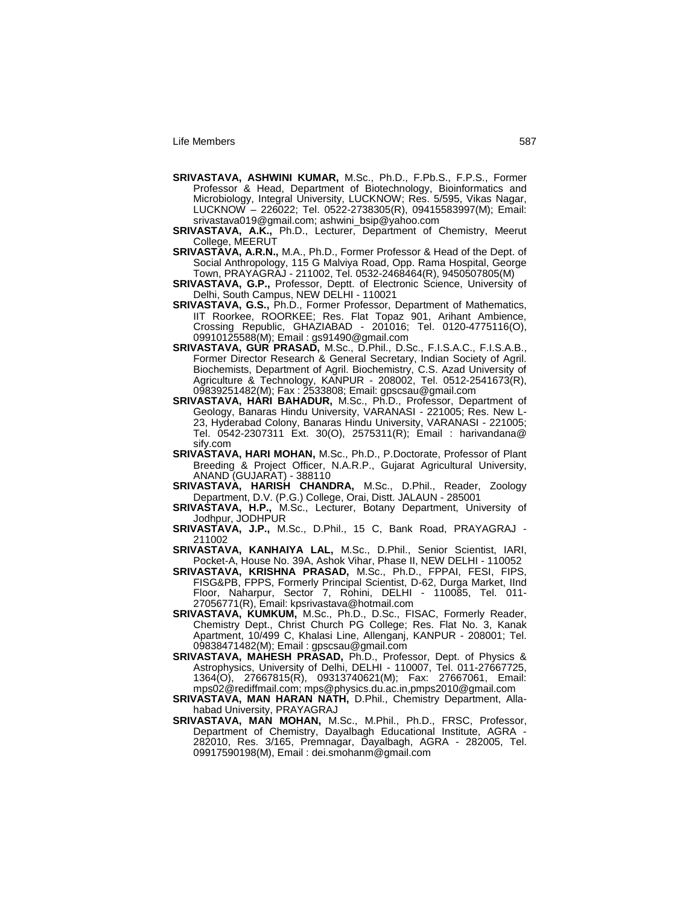- **SRIVASTAVA, ASHWINI KUMAR,** M.Sc., Ph.D., F.Pb.S., F.P.S., Former Professor & Head, Department of Biotechnology, Bioinformatics and Microbiology, Integral University, LUCKNOW; Res. 5/595, Vikas Nagar, LUCKNOW – 226022; Tel. 0522-2738305(R), 09415583997(M); Email: srivastava019@gmail.com; ashwini\_bsip@yahoo.com
- **SRIVASTAVA, A.K.,** Ph.D., Lecturer, Department of Chemistry, Meerut College, MEERUT
- **SRIVASTAVA, A.R.N.,** M.A., Ph.D., Former Professor & Head of the Dept. of Social Anthropology, 115 G Malviya Road, Opp. Rama Hospital, George Town, PRAYAGRAJ - 211002, Tel. 0532-2468464(R), 9450507805(M)
- **SRIVASTAVA, G.P.,** Professor, Deptt. of Electronic Science, University of Delhi, South Campus, NEW DELHI - 110021
- **SRIVASTAVA, G.S.,** Ph.D., Former Professor, Department of Mathematics, IIT Roorkee, ROORKEE; Res. Flat Topaz 901, Arihant Ambience, Crossing Republic, GHAZIABAD - 201016; Tel. 0120-4775116(O), 09910125588(M); Email : gs91490@gmail.com
- **SRIVASTAVA, GUR PRASAD,** M.Sc., D.Phil., D.Sc., F.I.S.A.C., F.I.S.A.B., Former Director Research & General Secretary, Indian Society of Agril. Biochemists, Department of Agril. Biochemistry, C.S. Azad University of Agriculture & Technology, KANPUR - 208002, Tel. 0512-2541673(R), 09839251482(M); Fax : 2533808; Email: gpscsau@gmail.com
- **SRIVASTAVA, HARI BAHADUR,** M.Sc., Ph.D., Professor, Department of Geology, Banaras Hindu University, VARANASI - 221005; Res. New L-23, Hyderabad Colony, Banaras Hindu University, VARANASI - 221005; Tel. 0542-2307311 Ext. 30(O), 2575311(R); Email : harivandana@ sify.com
- **SRIVASTAVA, HARI MOHAN,** M.Sc., Ph.D., P.Doctorate, Professor of Plant Breeding & Project Officer, N.A.R.P., Gujarat Agricultural University, ANAND (GUJARAT) - 388110
- **SRIVASTAVA, HARISH CHANDRA,** M.Sc., D.Phil., Reader, Zoology Department, D.V. (P.G.) College, Orai, Distt. JALAUN - 285001
- **SRIVASTAVA, H.P.,** M.Sc., Lecturer, Botany Department, University of Jodhpur, JODHPUR
- **SRIVASTAVA, J.P.,** M.Sc., D.Phil., 15 C, Bank Road, PRAYAGRAJ 211002
- **SRIVASTAVA, KANHAIYA LAL,** M.Sc., D.Phil., Senior Scientist, IARI, Pocket-A, House No. 39A, Ashok Vihar, Phase II, NEW DELHI - 110052
- **SRIVASTAVA, KRISHNA PRASAD,** M.Sc., Ph.D., FPPAI, FESI, FIPS, FISG&PB, FPPS, Formerly Principal Scientist, D-62, Durga Market, IInd Floor, Naharpur, Sector 7, Rohini, DELHI - 110085, Tel. 011- 27056771(R), Email: kpsrivastava@hotmail.com
- **SRIVASTAVA, KUMKUM,** M.Sc., Ph.D., D.Sc., FISAC, Formerly Reader, Chemistry Dept., Christ Church PG College; Res. Flat No. 3, Kanak Apartment, 10/499 C, Khalasi Line, Allenganj, KANPUR - 208001; Tel. 09838471482(M); Email : gpscsau@gmail.com
- **SRIVASTAVA, MAHESH PRASAD,** Ph.D., Professor, Dept. of Physics & Astrophysics, University of Delhi, DELHI - 110007, Tel. 011-27667725, 1364(O), 27667815(R), 09313740621(M); Fax: 27667061, Email: mps02@rediffmail.com; mps@physics.du.ac.in,pmps2010@gmail.com
- **SRIVASTAVA, MAN HARAN NATH,** D.Phil., Chemistry Department, Allahabad University, PRAYAGRAJ
- **SRIVASTAVA, MAN MOHAN,** M.Sc., M.Phil., Ph.D., FRSC, Professor, Department of Chemistry, Dayalbagh Educational Institute, AGRA - 282010, Res. 3/165, Premnagar, Dayalbagh, AGRA - 282005, Tel. 09917590198(M), Email : dei.smohanm@gmail.com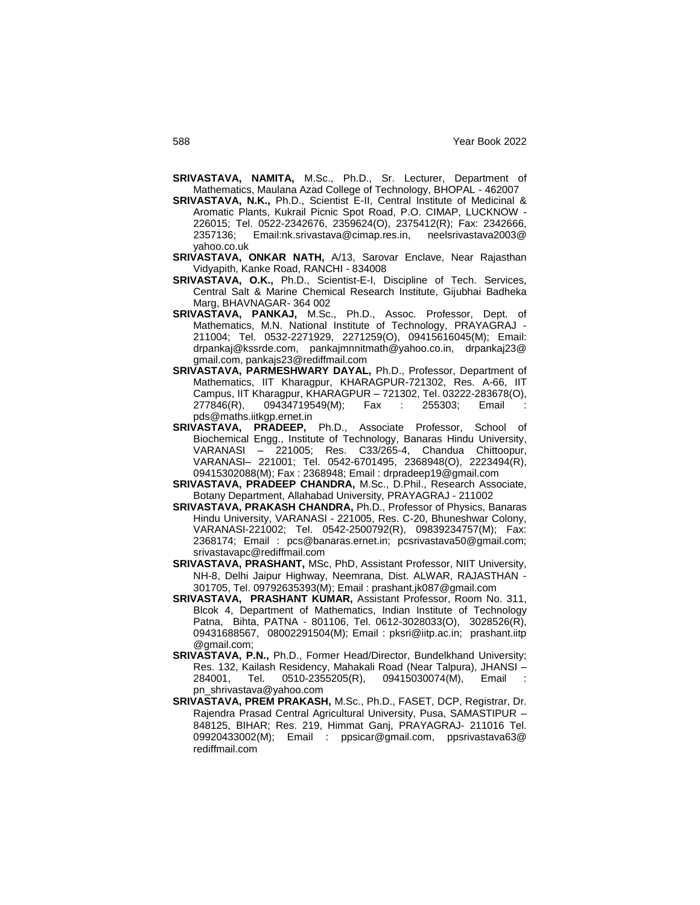- **SRIVASTAVA, NAMITA,** M.Sc., Ph.D., Sr. Lecturer, Department of Mathematics, Maulana Azad College of Technology, BHOPAL - 462007
- **SRIVASTAVA, N.K.,** Ph.D., Scientist E-II, Central Institute of Medicinal & Aromatic Plants, Kukrail Picnic Spot Road, P.O. CIMAP, LUCKNOW - 226015; Tel. 0522-2342676, 2359624(O), 2375412(R); Fax: 2342666, 2357136; Email:nk.srivastava@cimap.res.in, neelsrivastava2003@ yahoo.co.uk
- **SRIVASTAVA, ONKAR NATH,** A/13, Sarovar Enclave, Near Rajasthan Vidyapith, Kanke Road, RANCHI - 834008
- **SRIVASTAVA, O.K.,** Ph.D., Scientist-E-I, Discipline of Tech. Services, Central Salt & Marine Chemical Research Institute, Gijubhai Badheka Marg, BHAVNAGAR- 364 002
- **SRIVASTAVA, PANKAJ,** M.Sc., Ph.D., Assoc. Professor, Dept. of Mathematics, M.N. National Institute of Technology, PRAYAGRAJ - 211004; Tel. 0532-2271929, 2271259(O), 09415616045(M); Email: drpankaj@kssrde.com, pankajmnnitmath@yahoo.co.in, drpankaj23@ gmail.com, pankajs23@rediffmail.com
- **SRIVASTAVA, PARMESHWARY DAYAL,** Ph.D., Professor, Department of Mathematics, IIT Kharagpur, KHARAGPUR-721302, Res. A-66, IIT Campus, IIT Kharagpur, KHARAGPUR – 721302, Tel. 03222-283678(O), 277846(R), 09434719549(M); Fax : 255303; Email pds@maths.iitkgp.ernet.in
- **SRIVASTAVA, PRADEEP,** Ph.D., Associate Professor, School of Biochemical Engg., Institute of Technology, Banaras Hindu University, VARANASI – 221005; Res. C33/265-4, Chandua Chittoopur, VARANASI– 221001; Tel. 0542-6701495, 2368948(O), 2223494(R), 09415302088(M); Fax : 2368948; Email : drpradeep19@gmail.com
- **SRIVASTAVA, PRADEEP CHANDRA,** M.Sc., D.Phil., Research Associate, Botany Department, Allahabad University, PRAYAGRAJ - 211002
- **SRIVASTAVA, PRAKASH CHANDRA,** Ph.D., Professor of Physics, Banaras Hindu University, VARANASI - 221005, Res. C-20, Bhuneshwar Colony, VARANASI-221002; Tel. 0542-2500792(R), 09839234757(M); Fax: 2368174; Email : pcs@banaras.ernet.in; pcsrivastava50@gmail.com; srivastavapc@rediffmail.com
- **SRIVASTAVA, PRASHANT,** MSc, PhD, Assistant Professor, NIIT University, NH-8, Delhi Jaipur Highway, Neemrana, Dist. ALWAR, RAJASTHAN - 301705, Tel. 09792635393(M); Email : prashant.jk087@gmail.com
- **SRIVASTAVA, PRASHANT KUMAR,** Assistant Professor, Room No. 311, Blcok 4, Department of Mathematics, Indian Institute of Technology Patna, Bihta, PATNA - 801106, Tel. 0612-3028033(O), 3028526(R), 09431688567, 08002291504(M); Email : pksri@iitp.ac.in; prashant.iitp @gmail.com;
- **SRIVASTAVA, P.N.,** Ph.D., Former Head/Director, Bundelkhand University; Res. 132, Kailash Residency, Mahakali Road (Near Talpura), JHANSI –<br>284001, Tel. 0510-2355205(R), 09415030074(M), Email : 284001, Tel. 0510-2355205(R), 09415030074(M), Email : pn\_shrivastava@yahoo.com
- **SRIVASTAVA, PREM PRAKASH,** M.Sc., Ph.D., FASET, DCP, Registrar, Dr. Rajendra Prasad Central Agricultural University, Pusa, SAMASTIPUR – 848125, BIHAR; Res. 219, Himmat Ganj, PRAYAGRAJ- 211016 Tel. 09920433002(M); Email : ppsicar@gmail.com, ppsrivastava63@ rediffmail.com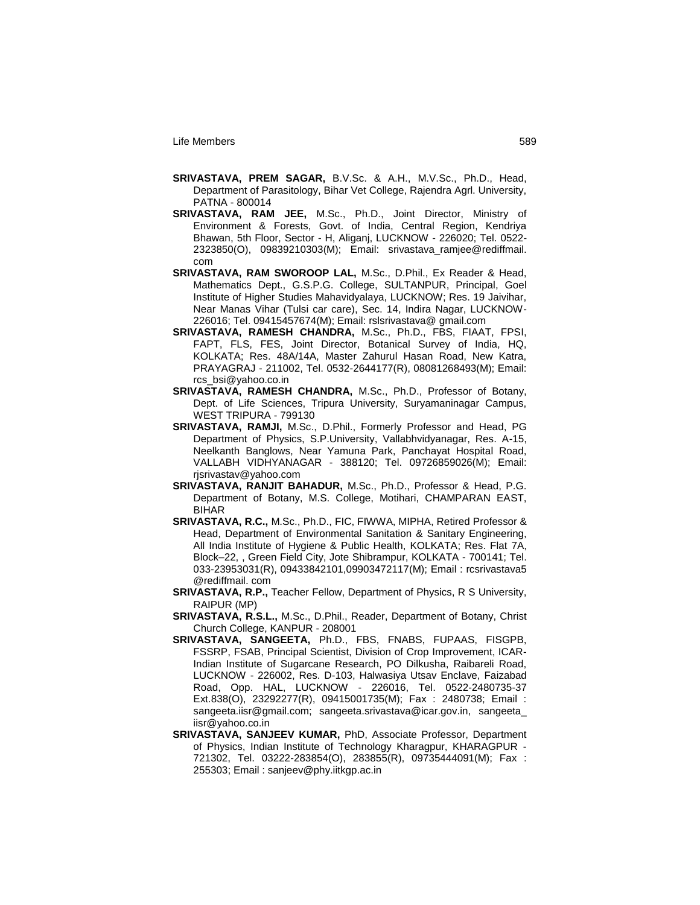- **SRIVASTAVA, PREM SAGAR,** B.V.Sc. & A.H., M.V.Sc., Ph.D., Head, Department of Parasitology, Bihar Vet College, Rajendra Agrl. University, PATNA - 800014
- **SRIVASTAVA, RAM JEE,** M.Sc., Ph.D., Joint Director, Ministry of Environment & Forests, Govt. of India, Central Region, Kendriya Bhawan, 5th Floor, Sector - H, Aliganj, LUCKNOW - 226020; Tel. 0522- 2323850(O), 09839210303(M); Email: srivastava\_ramjee@rediffmail. com
- **SRIVASTAVA, RAM SWOROOP LAL,** M.Sc., D.Phil., Ex Reader & Head, Mathematics Dept., G.S.P.G. College, SULTANPUR, Principal, Goel Institute of Higher Studies Mahavidyalaya, LUCKNOW; Res. 19 Jaivihar, Near Manas Vihar (Tulsi car care), Sec. 14, Indira Nagar, LUCKNOW-226016; Tel. 09415457674(M); Email: rslsrivastava@ gmail.com
- **SRIVASTAVA, RAMESH CHANDRA,** M.Sc., Ph.D., FBS, FIAAT, FPSI, FAPT, FLS, FES, Joint Director, Botanical Survey of India, HQ, KOLKATA; Res. 48A/14A, Master Zahurul Hasan Road, New Katra, PRAYAGRAJ - 211002, Tel. 0532-2644177(R), 08081268493(M); Email: rcs\_bsi@yahoo.co.in
- **SRIVASTAVA, RAMESH CHANDRA,** M.Sc., Ph.D., Professor of Botany, Dept. of Life Sciences, Tripura University, Suryamaninagar Campus, WEST TRIPURA - 799130
- **SRIVASTAVA, RAMJI,** M.Sc., D.Phil., Formerly Professor and Head, PG Department of Physics, S.P.University, Vallabhvidyanagar, Res. A-15, Neelkanth Banglows, Near Yamuna Park, Panchayat Hospital Road, VALLABH VIDHYANAGAR - 388120; Tel. 09726859026(M); Email: rjsrivastav@yahoo.com
- **SRIVASTAVA, RANJIT BAHADUR,** M.Sc., Ph.D., Professor & Head, P.G. Department of Botany, M.S. College, Motihari, CHAMPARAN EAST, BIHAR
- **SRIVASTAVA, R.C.,** M.Sc., Ph.D., FIC, FIWWA, MIPHA, Retired Professor & Head, Department of Environmental Sanitation & Sanitary Engineering, All India Institute of Hygiene & Public Health, KOLKATA; Res. Flat 7A, Block–22, , Green Field City, Jote Shibrampur, KOLKATA - 700141; Tel. 033-23953031(R), 09433842101,09903472117(M); Email : rcsrivastava5 @rediffmail. com
- **SRIVASTAVA, R.P.,** Teacher Fellow, Department of Physics, R S University, RAIPUR (MP)
- **SRIVASTAVA, R.S.L.,** M.Sc., D.Phil., Reader, Department of Botany, Christ Church College, KANPUR - 208001
- **SRIVASTAVA, SANGEETA,** Ph.D., FBS, FNABS, FUPAAS, FISGPB, FSSRP, FSAB, Principal Scientist, Division of Crop Improvement, ICAR-Indian Institute of Sugarcane Research, PO Dilkusha, Raibareli Road, LUCKNOW - 226002, Res. D-103, Halwasiya Utsav Enclave, Faizabad Road, Opp. HAL, LUCKNOW - 226016, Tel. 0522-2480735-37 Ext.838(O), 23292277(R), 09415001735(M); Fax : 2480738; Email : sangeeta.iisr@gmail.com; sangeeta.srivastava@icar.gov.in, sangeeta\_ iisr@yahoo.co.in
- **SRIVASTAVA, SANJEEV KUMAR,** PhD, Associate Professor, Department of Physics, Indian Institute of Technology Kharagpur, KHARAGPUR - 721302, Tel. 03222-283854(O), 283855(R), 09735444091(M); Fax : 255303; Email : sanjeev@phy.iitkgp.ac.in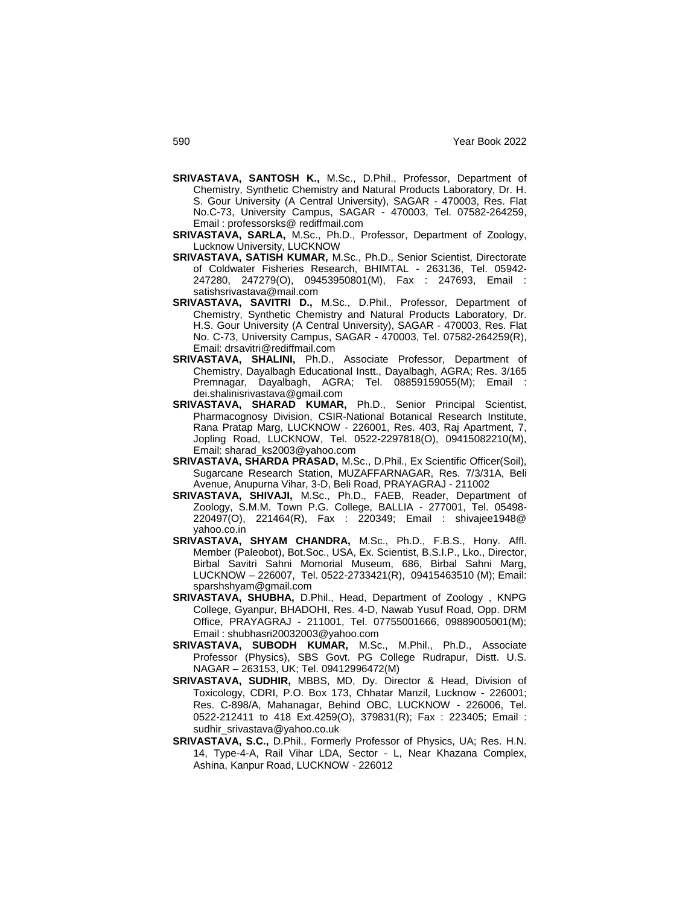- **SRIVASTAVA, SANTOSH K.,** M.Sc., D.Phil., Professor, Department of Chemistry, Synthetic Chemistry and Natural Products Laboratory, Dr. H. S. Gour University (A Central University), SAGAR - 470003, Res. Flat No.C-73, University Campus, SAGAR - 470003, Tel. 07582-264259, Email : professorsks@ rediffmail.com
- **SRIVASTAVA, SARLA,** M.Sc., Ph.D., Professor, Department of Zoology, Lucknow University, LUCKNOW
- **SRIVASTAVA, SATISH KUMAR,** M.Sc., Ph.D., Senior Scientist, Directorate of Coldwater Fisheries Research, BHIMTAL - 263136, Tel. 05942- 247280, 247279(O), 09453950801(M), Fax : 247693, Email : satishsrivastava@mail.com
- **SRIVASTAVA, SAVITRI D.,** M.Sc., D.Phil., Professor, Department of Chemistry, Synthetic Chemistry and Natural Products Laboratory, Dr. H.S. Gour University (A Central University), SAGAR - 470003, Res. Flat No. C-73, University Campus, SAGAR - 470003, Tel. 07582-264259(R), Email: drsavitri@rediffmail.com
- **SRIVASTAVA, SHALINI,** Ph.D., Associate Professor, Department of Chemistry, Dayalbagh Educational Instt., Dayalbagh, AGRA; Res. 3/165 Premnagar, Dayalbagh, AGRA; Tel. 08859159055(M); Email : dei.shalinisrivastava@gmail.com
- **SRIVASTAVA, SHARAD KUMAR,** Ph.D., Senior Principal Scientist, Pharmacognosy Division, CSIR-National Botanical Research Institute, Rana Pratap Marg, LUCKNOW - 226001, Res. 403, Raj Apartment, 7, Jopling Road, LUCKNOW, Tel. 0522-2297818(O), 09415082210(M), Email: sharad\_ks2003@yahoo.com
- **SRIVASTAVA, SHARDA PRASAD,** M.Sc., D.Phil., Ex Scientific Officer(Soil), Sugarcane Research Station, MUZAFFARNAGAR, Res. 7/3/31A, Beli Avenue, Anupurna Vihar, 3-D, Beli Road, PRAYAGRAJ - 211002
- **SRIVASTAVA, SHIVAJI,** M.Sc., Ph.D., FAEB, Reader, Department of Zoology, S.M.M. Town P.G. College, BALLIA - 277001, Tel. 05498- 220497(O), 221464(R), Fax : 220349; Email : shivajee1948@ yahoo.co.in
- **SRIVASTAVA, SHYAM CHANDRA,** M.Sc., Ph.D., F.B.S., Hony. Affl. Member (Paleobot), Bot.Soc., USA, Ex. Scientist, B.S.I.P., Lko., Director, Birbal Savitri Sahni Momorial Museum, 686, Birbal Sahni Marg, LUCKNOW – 226007, Tel. 0522-2733421(R), 09415463510 (M); Email: sparshshyam@gmail.com
- **SRIVASTAVA, SHUBHA,** D.Phil., Head, Department of Zoology , KNPG College, Gyanpur, BHADOHI, Res. 4-D, Nawab Yusuf Road, Opp. DRM Office, PRAYAGRAJ - 211001, Tel. 07755001666, 09889005001(M); Email : shubhasri20032003@yahoo.com
- **SRIVASTAVA, SUBODH KUMAR,** M.Sc., M.Phil., Ph.D., Associate Professor (Physics), SBS Govt. PG College Rudrapur, Distt. U.S. NAGAR – 263153, UK; Tel. 09412996472(M)
- **SRIVASTAVA, SUDHIR,** MBBS, MD, Dy. Director & Head, Division of Toxicology, CDRI, P.O. Box 173, Chhatar Manzil, Lucknow - 226001; Res. C-898/A, Mahanagar, Behind OBC, LUCKNOW - 226006, Tel. 0522-212411 to 418 Ext.4259(O), 379831(R); Fax : 223405; Email : sudhir\_srivastava@yahoo.co.uk
- **SRIVASTAVA, S.C.,** D.Phil., Formerly Professor of Physics, UA; Res. H.N. 14, Type-4-A, Rail Vihar LDA, Sector - L, Near Khazana Complex, Ashina, Kanpur Road, LUCKNOW - 226012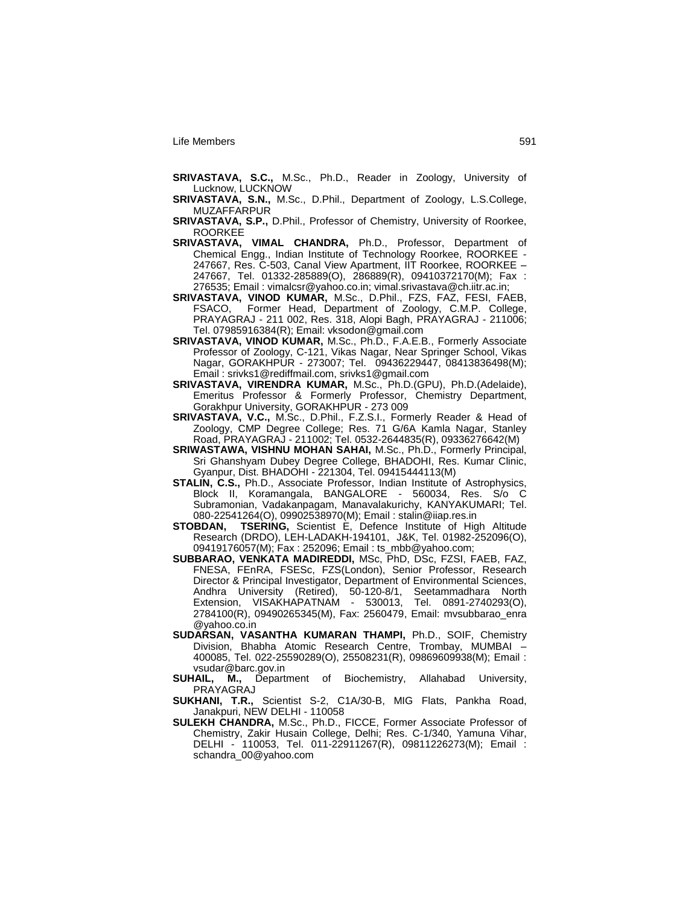- **SRIVASTAVA, S.C.,** M.Sc., Ph.D., Reader in Zoology, University of Lucknow, LUCKNOW
- **SRIVASTAVA, S.N.,** M.Sc., D.Phil., Department of Zoology, L.S.College, MUZAFFARPUR
- **SRIVASTAVA, S.P.,** D.Phil., Professor of Chemistry, University of Roorkee, ROORKEE
- **SRIVASTAVA, VIMAL CHANDRA,** Ph.D., Professor, Department of Chemical Engg., Indian Institute of Technology Roorkee, ROORKEE - 247667, Res. C-503, Canal View Apartment, IIT Roorkee, ROORKEE – 247667, Tel. 01332-285889(O), 286889(R), 09410372170(M); Fax : 276535; Email : vimalcsr@yahoo.co.in; vimal.srivastava@ch.iitr.ac.in;
- **SRIVASTAVA, VINOD KUMAR,** M.Sc., D.Phil., FZS, FAZ, FESI, FAEB, FSACO, Former Head, Department of Zoology, C.M.P. College, PRAYAGRAJ - 211 002, Res. 318, Alopi Bagh, PRAYAGRAJ - 211006; Tel. 07985916384(R); Email: vksodon@gmail.com
- **SRIVASTAVA, VINOD KUMAR,** M.Sc., Ph.D., F.A.E.B., Formerly Associate Professor of Zoology, C-121, Vikas Nagar, Near Springer School, Vikas Nagar, GORAKHPUR - 273007; Tel. 09436229447, 08413836498(M); Email : srivks1@rediffmail.com, srivks1@gmail.com
- **SRIVASTAVA, VIRENDRA KUMAR,** M.Sc., Ph.D.(GPU), Ph.D.(Adelaide), Emeritus Professor & Formerly Professor, Chemistry Department, Gorakhpur University, GORAKHPUR - 273 009
- **SRIVASTAVA, V.C.,** M.Sc., D.Phil., F.Z.S.I., Formerly Reader & Head of Zoology, CMP Degree College; Res. 71 G/6A Kamla Nagar, Stanley Road, PRAYAGRAJ - 211002; Tel. 0532-2644835(R), 09336276642(M)
- **SRIWASTAWA, VISHNU MOHAN SAHAI,** M.Sc., Ph.D., Formerly Principal, Sri Ghanshyam Dubey Degree College, BHADOHI, Res. Kumar Clinic, Gyanpur, Dist. BHADOHI - 221304, Tel. 09415444113(M)
- **STALIN, C.S.,** Ph.D., Associate Professor, Indian Institute of Astrophysics, Block II, Koramangala, BANGALORE - 560034, Res. S/o C Subramonian, Vadakanpagam, Manavalakurichy, KANYAKUMARI; Tel. 080-22541264(O), 09902538970(M); Email : stalin@iiap.res.in<br>STOBDAN, TSERING, Scientist E, Defence Institute of Hig
- **TSERING, Scientist E, Defence Institute of High Altitude** Research (DRDO), LEH-LADAKH-194101, J&K, Tel. 01982-252096(O), 09419176057(M); Fax : 252096; Email : ts\_mbb@yahoo.com;
- **SUBBARAO, VENKATA MADIREDDI,** MSc, PhD, DSc, FZSI, FAEB, FAZ, FNESA, FEnRA, FSESc, FZS(London), Senior Professor, Research Director & Principal Investigator, Department of Environmental Sciences,<br>Andhra University (Retired), 50-120-8/1, Seetammadhara North Andhra University (Retired), 50-120-8/1, Seetammadhara North Extension, VISAKHAPATNAM - 530013, Tel. 0891-2740293(O), 2784100(R), 09490265345(M), Fax: 2560479, Email: mvsubbarao\_enra @yahoo.co.in
- **SUDARSAN, VASANTHA KUMARAN THAMPI,** Ph.D., SOIF, Chemistry Division, Bhabha Atomic Research Centre, Trombay, MUMBAI – 400085, Tel. 022-25590289(O), 25508231(R), 09869609938(M); Email : vsudar@barc.gov.in
- **SUHAIL, M.,** Department of Biochemistry, Allahabad University, PRAYAGRAJ
- **SUKHANI, T.R.,** Scientist S-2, C1A/30-B, MIG Flats, Pankha Road, Janakpuri, NEW DELHI - 110058
- **SULEKH CHANDRA,** M.Sc., Ph.D., FICCE, Former Associate Professor of Chemistry, Zakir Husain College, Delhi; Res. C-1/340, Yamuna Vihar, DELHI - 110053, Tel. 011-22911267(R), 09811226273(M); Email : schandra\_00@yahoo.com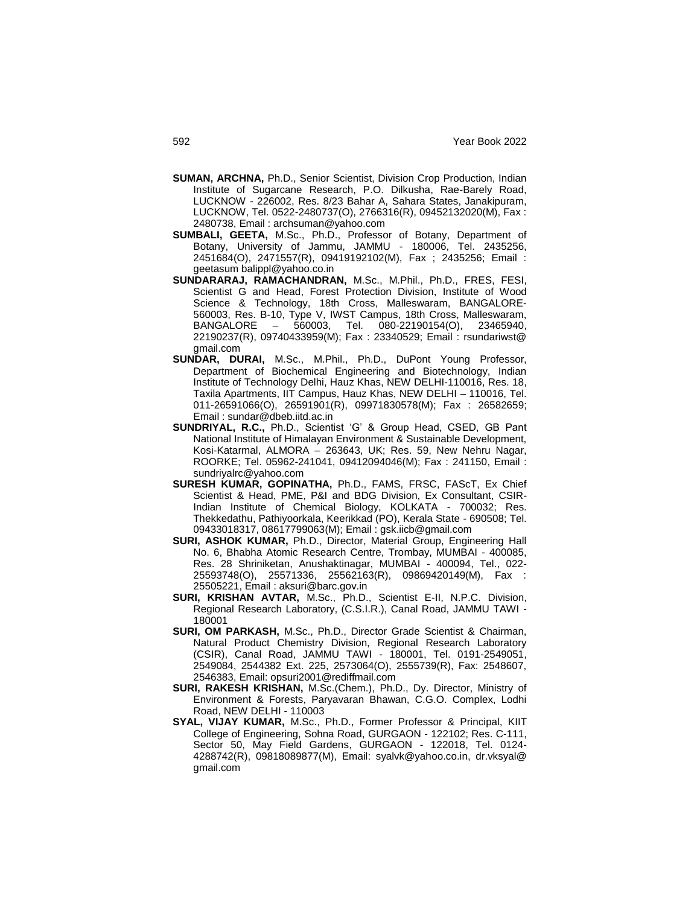- **SUMAN, ARCHNA,** Ph.D., Senior Scientist, Division Crop Production, Indian Institute of Sugarcane Research, P.O. Dilkusha, Rae-Barely Road, LUCKNOW - 226002, Res. 8/23 Bahar A, Sahara States, Janakipuram, LUCKNOW, Tel. 0522-2480737(O), 2766316(R), 09452132020(M), Fax : 2480738, Email : archsuman@yahoo.com
- **SUMBALI, GEETA,** M.Sc., Ph.D., Professor of Botany, Department of Botany, University of Jammu, JAMMU - 180006, Tel. 2435256, 2451684(O), 2471557(R), 09419192102(M), Fax ; 2435256; Email : geetasum balippl@yahoo.co.in
- **SUNDARARAJ, RAMACHANDRAN,** M.Sc., M.Phil., Ph.D., FRES, FESI, Scientist G and Head, Forest Protection Division, Institute of Wood Science & Technology, 18th Cross, Malleswaram, BANGALORE-560003, Res. B-10, Type V, IWST Campus, 18th Cross, Malleswaram, - 560003, Tel. 080-22190154(O), 23465940, 22190237(R), 09740433959(M); Fax : 23340529; Email : rsundariwst@ gmail.com
- **SUNDAR, DURAI,** M.Sc., M.Phil., Ph.D., DuPont Young Professor, Department of Biochemical Engineering and Biotechnology, Indian Institute of Technology Delhi, Hauz Khas, NEW DELHI-110016, Res. 18, Taxila Apartments, IIT Campus, Hauz Khas, NEW DELHI – 110016, Tel. 011-26591066(O), 26591901(R), 09971830578(M); Fax : 26582659; Email : sundar@dbeb.iitd.ac.in
- **SUNDRIYAL, R.C.,** Ph.D., Scientist "G" & Group Head, CSED, GB Pant National Institute of Himalayan Environment & Sustainable Development, Kosi-Katarmal, ALMORA – 263643, UK; Res. 59, New Nehru Nagar, ROORKE; Tel. 05962-241041, 09412094046(M); Fax : 241150, Email : sundriyalrc@yahoo.com
- **SURESH KUMAR, GOPINATHA,** Ph.D., FAMS, FRSC, FAScT, Ex Chief Scientist & Head, PME, P&I and BDG Division, Ex Consultant, CSIR-Indian Institute of Chemical Biology, KOLKATA - 700032; Res. Thekkedathu, Pathiyoorkala, Keerikkad (PO), Kerala State - 690508; Tel. 09433018317, 08617799063(M); Email : gsk.iicb@gmail.com
- **SURI, ASHOK KUMAR,** Ph.D., Director, Material Group, Engineering Hall No. 6, Bhabha Atomic Research Centre, Trombay, MUMBAI - 400085, Res. 28 Shriniketan, Anushaktinagar, MUMBAI - 400094, Tel., 022- 25593748(O), 25571336, 25562163(R), 09869420149(M), Fax : 25505221, Email : aksuri@barc.gov.in
- **SURI, KRISHAN AVTAR,** M.Sc., Ph.D., Scientist E-II, N.P.C. Division, Regional Research Laboratory, (C.S.I.R.), Canal Road, JAMMU TAWI - 180001
- **SURI, OM PARKASH,** M.Sc., Ph.D., Director Grade Scientist & Chairman, Natural Product Chemistry Division, Regional Research Laboratory (CSIR), Canal Road, JAMMU TAWI - 180001, Tel. 0191-2549051, 2549084, 2544382 Ext. 225, 2573064(O), 2555739(R), Fax: 2548607, 2546383, Email: opsuri2001@rediffmail.com
- **SURI, RAKESH KRISHAN,** M.Sc.(Chem.), Ph.D., Dy. Director, Ministry of Environment & Forests, Paryavaran Bhawan, C.G.O. Complex, Lodhi Road, NEW DELHI - 110003
- **SYAL, VIJAY KUMAR,** M.Sc., Ph.D., Former Professor & Principal, KIIT College of Engineering, Sohna Road, GURGAON - 122102; Res. C-111, Sector 50, May Field Gardens, GURGAON - 122018, Tel. 0124- 4288742(R), 09818089877(M), Email: syalvk@yahoo.co.in, dr.vksyal@ gmail.com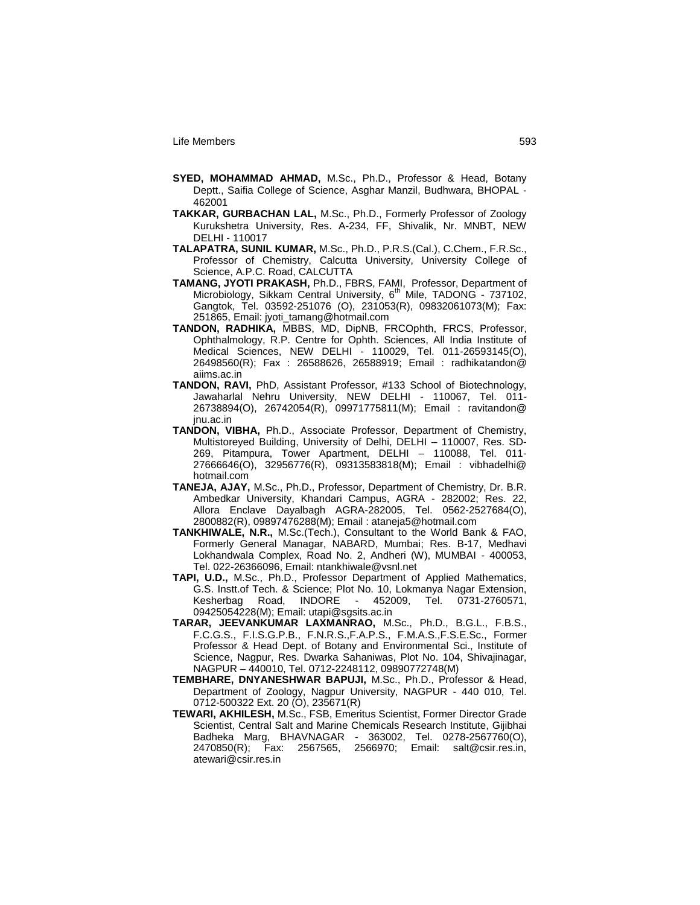- **SYED, MOHAMMAD AHMAD,** M.Sc., Ph.D., Professor & Head, Botany Deptt., Saifia College of Science, Asghar Manzil, Budhwara, BHOPAL - 462001
- **TAKKAR, GURBACHAN LAL,** M.Sc., Ph.D., Formerly Professor of Zoology Kurukshetra University, Res. A-234, FF, Shivalik, Nr. MNBT, NEW DELHI - 110017
- **TALAPATRA, SUNIL KUMAR,** M.Sc., Ph.D., P.R.S.(Cal.), C.Chem., F.R.Sc., Professor of Chemistry, Calcutta University, University College of Science, A.P.C. Road, CALCUTTA
- **TAMANG, JYOTI PRAKASH,** Ph.D., FBRS, FAMI, Professor, Department of Microbiology, Sikkam Central University, 6<sup>th Mile, TADONG</sup> - 737102, Gangtok, Tel. 03592-251076 (O), 231053(R), 09832061073(M); Fax: 251865, Email: jyoti\_tamang@hotmail.com
- **TANDON, RADHIKA,** MBBS, MD, DipNB, FRCOphth, FRCS, Professor, Ophthalmology, R.P. Centre for Ophth. Sciences, All India Institute of Medical Sciences, NEW DELHI - 110029, Tel. 011-26593145(O), 26498560(R); Fax : 26588626, 26588919; Email : radhikatandon@ aiims.ac.in
- **TANDON, RAVI,** PhD, Assistant Professor, #133 School of Biotechnology, Jawaharlal Nehru University, NEW DELHI - 110067, Tel. 011- 26738894(O), 26742054(R), 09971775811(M); Email : ravitandon@ jnu.ac.in
- **TANDON, VIBHA,** Ph.D., Associate Professor, Department of Chemistry, Multistoreyed Building, University of Delhi, DELHI – 110007, Res. SD-269, Pitampura, Tower Apartment, DELHI – 110088, Tel. 011- 27666646(O), 32956776(R), 09313583818(M); Email : vibhadelhi@ hotmail.com
- **TANEJA, AJAY,** M.Sc., Ph.D., Professor, Department of Chemistry, Dr. B.R. Ambedkar University, Khandari Campus, AGRA - 282002; Res. 22, Allora Enclave Dayalbagh AGRA-282005, Tel. 0562-2527684(O), 2800882(R), 09897476288(M); Email : ataneja5@hotmail.com
- **TANKHIWALE, N.R.,** M.Sc.(Tech.), Consultant to the World Bank & FAO, Formerly General Managar, NABARD, Mumbai; Res. B-17, Medhavi Lokhandwala Complex, Road No. 2, Andheri (W), MUMBAI - 400053, Tel. 022-26366096, Email: ntankhiwale@vsnl.net
- **TAPI, U.D.,** M.Sc., Ph.D., Professor Department of Applied Mathematics, G.S. Instt.of Tech. & Science; Plot No. 10, Lokmanya Nagar Extension, Kesherbag Road, INDORE - 452009, Tel. 0731-2760571, 09425054228(M); Email: utapi@sgsits.ac.in
- **TARAR, JEEVANKUMAR LAXMANRAO,** M.Sc., Ph.D., B.G.L., F.B.S., F.C.G.S., F.I.S.G.P.B., F.N.R.S.,F.A.P.S., F.M.A.S.,F.S.E.Sc., Former Professor & Head Dept. of Botany and Environmental Sci., Institute of Science, Nagpur, Res. Dwarka Sahaniwas, Plot No. 104, Shivajinagar, NAGPUR – 440010, Tel. 0712-2248112, 09890772748(M)
- **TEMBHARE, DNYANESHWAR BAPUJI,** M.Sc., Ph.D., Professor & Head, Department of Zoology, Nagpur University, NAGPUR - 440 010, Tel. 0712-500322 Ext. 20 (O), 235671(R)
- **TEWARI, AKHILESH,** M.Sc., FSB, Emeritus Scientist, Former Director Grade Scientist, Central Salt and Marine Chemicals Research Institute, Gijibhai Badheka Marg, BHAVNAGAR - 363002, Tel. 0278-2567760(O), 2470850(R); Fax: 2567565, 2566970; Email: salt@csir.res.in, atewari@csir.res.in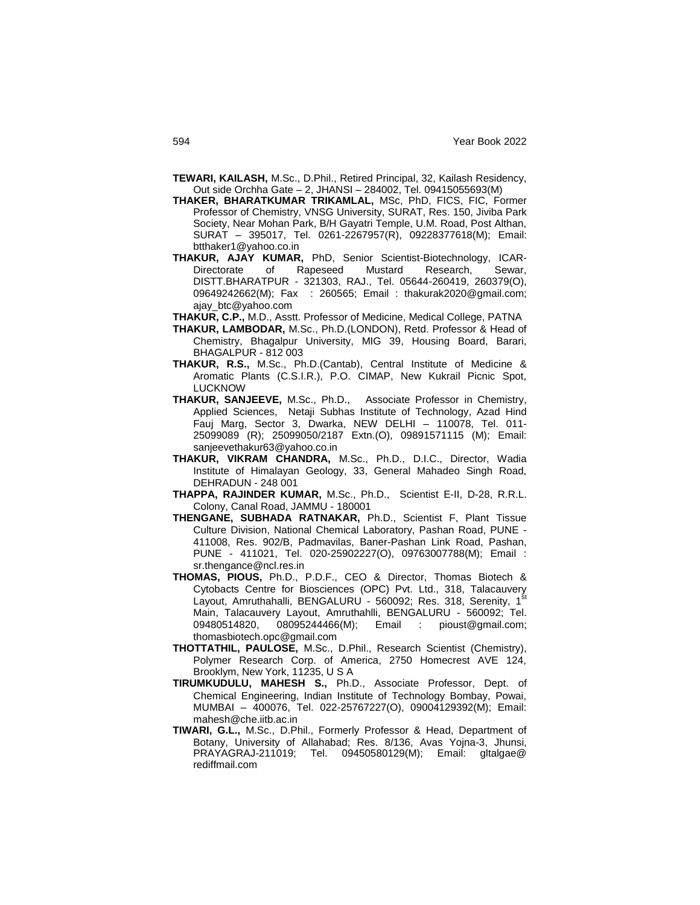- **TEWARI, KAILASH,** M.Sc., D.Phil., Retired Principal, 32, Kailash Residency, Out side Orchha Gate – 2, JHANSI – 284002, Tel. 09415055693(M)
- **THAKER, BHARATKUMAR TRIKAMLAL,** MSc, PhD, FICS, FIC, Former Professor of Chemistry, VNSG University, SURAT, Res. 150, Jiviba Park Society, Near Mohan Park, B/H Gayatri Temple, U.M. Road, Post Althan, SURAT – 395017, Tel. 0261-2267957(R), 09228377618(M); Email: btthaker1@yahoo.co.in
- **THAKUR, AJAY KUMAR,** PhD, Senior Scientist-Biotechnology, ICAR-Directorate of Rapeseed Mustard Research, Sewar, DISTT.BHARATPUR - 321303, RAJ., Tel. 05644-260419, 260379(O), 09649242662(M); Fax : 260565; Email : thakurak2020@gmail.com; ajay\_btc@yahoo.com
- **THAKUR, C.P.,** M.D., Asstt. Professor of Medicine, Medical College, PATNA
- **THAKUR, LAMBODAR,** M.Sc., Ph.D.(LONDON), Retd. Professor & Head of Chemistry, Bhagalpur University, MIG 39, Housing Board, Barari, BHAGALPUR - 812 003
- **THAKUR, R.S.,** M.Sc., Ph.D.(Cantab), Central Institute of Medicine & Aromatic Plants (C.S.I.R.), P.O. CIMAP, New Kukrail Picnic Spot, LUCKNOW
- **THAKUR, SANJEEVE,** M.Sc., Ph.D., Associate Professor in Chemistry, Applied Sciences, Netaji Subhas Institute of Technology, Azad Hind Fauj Marg, Sector 3, Dwarka, NEW DELHI – 110078, Tel. 011- 25099089 (R); 25099050/2187 Extn.(O), 09891571115 (M); Email: sanjeevethakur63@yahoo.co.in
- **THAKUR, VIKRAM CHANDRA,** M.Sc., Ph.D., D.I.C., Director, Wadia Institute of Himalayan Geology, 33, General Mahadeo Singh Road, DEHRADUN - 248 001
- **THAPPA, RAJINDER KUMAR,** M.Sc., Ph.D., Scientist E-II, D-28, R.R.L. Colony, Canal Road, JAMMU - 180001
- **THENGANE, SUBHADA RATNAKAR,** Ph.D., Scientist F, Plant Tissue Culture Division, National Chemical Laboratory, Pashan Road, PUNE - 411008, Res. 902/B, Padmavilas, Baner-Pashan Link Road, Pashan, PUNE - 411021, Tel. 020-25902227(O), 09763007788(M); Email : sr.thengance@ncl.res.in
- **THOMAS, PIOUS,** Ph.D., P.D.F., CEO & Director, Thomas Biotech & Cytobacts Centre for Biosciences (OPC) Pvt. Ltd., 318, Talacauvery Layout, Amruthahalli, BENGALURU - 560092; Res. 318, Serenity, 1<sup>st</sup> Main, Talacauvery Layout, Amruthahlli, BENGALURU - 560092; Tel. 09480514820, 08095244466(M); Email : pioust@gmail.com; thomasbiotech.opc@gmail.com
- **THOTTATHIL, PAULOSE,** M.Sc., D.Phil., Research Scientist (Chemistry), Polymer Research Corp. of America, 2750 Homecrest AVE 124, Brooklym, New York, 11235, U S A
- **TIRUMKUDULU, MAHESH S.,** Ph.D., Associate Professor, Dept. of Chemical Engineering, Indian Institute of Technology Bombay, Powai, MUMBAI – 400076, Tel. 022-25767227(O), 09004129392(M); Email: mahesh@che.iitb.ac.in
- **TIWARI, G.L.,** M.Sc., D.Phil., Formerly Professor & Head, Department of Botany, University of Allahabad; Res. 8/136, Avas Yojna-3, Jhunsi, PRAYAGRAJ-211019; Tel. 09450580129(M); Email: gltalgae@ rediffmail.com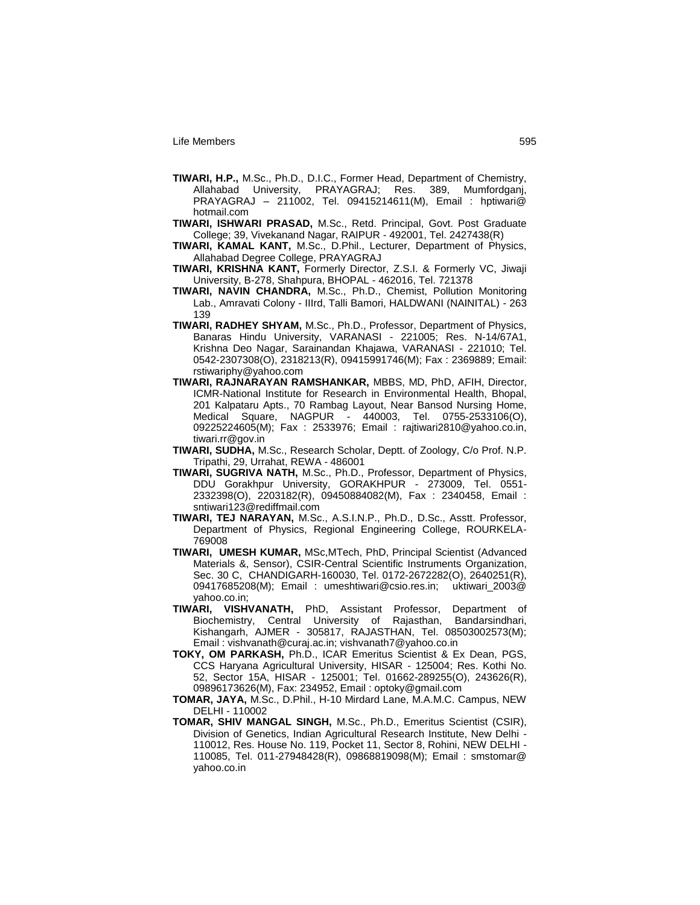- **TIWARI, H.P.,** M.Sc., Ph.D., D.I.C., Former Head, Department of Chemistry, Allahabad University, PRAYAGRAJ; Res. 389, Mumfordganj, PRAYAGRAJ – 211002, Tel. 09415214611(M), Email : hptiwari@ hotmail.com
- **TIWARI, ISHWARI PRASAD,** M.Sc., Retd. Principal, Govt. Post Graduate College; 39, Vivekanand Nagar, RAIPUR - 492001, Tel. 2427438(R)
- **TIWARI, KAMAL KANT,** M.Sc., D.Phil., Lecturer, Department of Physics, Allahabad Degree College, PRAYAGRAJ
- **TIWARI, KRISHNA KANT,** Formerly Director, Z.S.I. & Formerly VC, Jiwaji University, B-278, Shahpura, BHOPAL - 462016, Tel. 721378
- **TIWARI, NAVIN CHANDRA,** M.Sc., Ph.D., Chemist, Pollution Monitoring Lab., Amravati Colony - IIIrd, Talli Bamori, HALDWANI (NAINITAL) - 263 139
- **TIWARI, RADHEY SHYAM,** M.Sc., Ph.D., Professor, Department of Physics, Banaras Hindu University, VARANASI - 221005; Res. N-14/67A1, Krishna Deo Nagar, Sarainandan Khajawa, VARANASI - 221010; Tel. 0542-2307308(O), 2318213(R), 09415991746(M); Fax : 2369889; Email: rstiwariphy@yahoo.com
- **TIWARI, RAJNARAYAN RAMSHANKAR,** MBBS, MD, PhD, AFIH, Director, ICMR-National Institute for Research in Environmental Health, Bhopal, 201 Kalpataru Apts., 70 Rambag Layout, Near Bansod Nursing Home, Medical Square, NAGPUR - 440003, Tel. 0755-2533106(O), 09225224605(M); Fax : 2533976; Email : rajtiwari2810@yahoo.co.in, tiwari.rr@gov.in
- **TIWARI, SUDHA,** M.Sc., Research Scholar, Deptt. of Zoology, C/o Prof. N.P. Tripathi, 29, Urrahat, REWA - 486001
- **TIWARI, SUGRIVA NATH,** M.Sc., Ph.D., Professor, Department of Physics, DDU Gorakhpur University, GORAKHPUR - 273009, Tel. 0551- 2332398(O), 2203182(R), 09450884082(M), Fax : 2340458, Email : sntiwari123@rediffmail.com
- **TIWARI, TEJ NARAYAN,** M.Sc., A.S.I.N.P., Ph.D., D.Sc., Asstt. Professor, Department of Physics, Regional Engineering College, ROURKELA-769008
- **TIWARI, UMESH KUMAR,** MSc,MTech, PhD, Principal Scientist (Advanced Materials &, Sensor), CSIR-Central Scientific Instruments Organization, Sec. 30 C, CHANDIGARH-160030, Tel. 0172-2672282(O), 2640251(R), 09417685208(M); Email : umeshtiwari@csio.res.in; uktiwari\_2003@ yahoo.co.in;
- **TIWARI, VISHVANATH,** PhD, Assistant Professor, Department of Biochemistry, Central University of Rajasthan, Bandarsindhari, Kishangarh, AJMER - 305817, RAJASTHAN, Tel. 08503002573(M); Email : vishvanath@curaj.ac.in; vishvanath7@yahoo.co.in
- **TOKY, OM PARKASH,** Ph.D., ICAR Emeritus Scientist & Ex Dean, PGS, CCS Haryana Agricultural University, HISAR - 125004; Res. Kothi No. 52, Sector 15A, HISAR - 125001; Tel. 01662-289255(O), 243626(R), 09896173626(M), Fax: 234952, Email : optoky@gmail.com
- **TOMAR, JAYA,** M.Sc., D.Phil., H-10 Mirdard Lane, M.A.M.C. Campus, NEW DELHI - 110002
- **TOMAR, SHIV MANGAL SINGH,** M.Sc., Ph.D., Emeritus Scientist (CSIR), Division of Genetics, Indian Agricultural Research Institute, New Delhi - 110012, Res. House No. 119, Pocket 11, Sector 8, Rohini, NEW DELHI - 110085, Tel. 011-27948428(R), 09868819098(M); Email : smstomar@ yahoo.co.in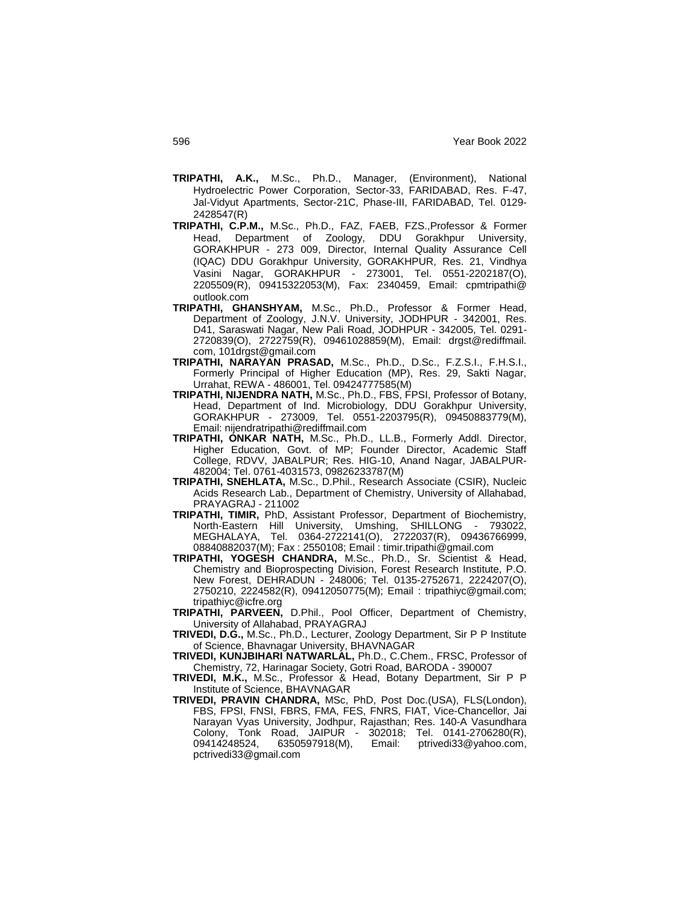- **TRIPATHI, A.K.,** M.Sc., Ph.D., Manager, (Environment), National Hydroelectric Power Corporation, Sector-33, FARIDABAD, Res. F-47, Jal-Vidyut Apartments, Sector-21C, Phase-III, FARIDABAD, Tel. 0129- 2428547(R)
- **TRIPATHI, C.P.M.,** M.Sc., Ph.D., FAZ, FAEB, FZS.,Professor & Former Head, Department of Zoology, DDU Gorakhpur University, GORAKHPUR - 273 009, Director, Internal Quality Assurance Cell (IQAC) DDU Gorakhpur University, GORAKHPUR, Res. 21, Vindhya Vasini Nagar, GORAKHPUR - 273001, Tel. 0551-2202187(O), 2205509(R), 09415322053(M), Fax: 2340459, Email: cpmtripathi@ outlook.com
- **TRIPATHI, GHANSHYAM,** M.Sc., Ph.D., Professor & Former Head, Department of Zoology, J.N.V. University, JODHPUR - 342001, Res. D41, Saraswati Nagar, New Pali Road, JODHPUR - 342005, Tel. 0291- 2720839(O), 2722759(R), 09461028859(M), Email: drgst@rediffmail. com, 101drgst@gmail.com
- **TRIPATHI, NARAYAN PRASAD,** M.Sc., Ph.D., D.Sc., F.Z.S.I., F.H.S.I., Formerly Principal of Higher Education (MP), Res. 29, Sakti Nagar, Urrahat, REWA - 486001, Tel. 09424777585(M)
- **TRIPATHI, NIJENDRA NATH,** M.Sc., Ph.D., FBS, FPSI, Professor of Botany, Head, Department of Ind. Microbiology, DDU Gorakhpur University, GORAKHPUR - 273009, Tel. 0551-2203795(R), 09450883779(M), Email: nijendratripathi@rediffmail.com
- **TRIPATHI, ONKAR NATH,** M.Sc., Ph.D., LL.B., Formerly Addl. Director, Higher Education, Govt. of MP; Founder Director, Academic Staff College, RDVV, JABALPUR; Res. HIG-10, Anand Nagar, JABALPUR-482004; Tel. 0761-4031573, 09826233787(M)
- **TRIPATHI, SNEHLATA,** M.Sc., D.Phil., Research Associate (CSIR), Nucleic Acids Research Lab., Department of Chemistry, University of Allahabad, PRAYAGRAJ - 211002
- **TRIPATHI, TIMIR,** PhD, Assistant Professor, Department of Biochemistry, North-Eastern Hill University, Umshing, SHILLONG - 793022, MEGHALAYA, Tel. 0364-2722141(O), 2722037(R), 09436766999, 08840882037(M); Fax : 2550108; Email : timir.tripathi@gmail.com
- **TRIPATHI, YOGESH CHANDRA,** M.Sc., Ph.D., Sr. Scientist & Head, Chemistry and Bioprospecting Division, Forest Research Institute, P.O. New Forest, DEHRADUN - 248006; Tel. 0135-2752671, 2224207(O), 2750210, 2224582(R), 09412050775(M); Email : tripathiyc@gmail.com; tripathiyc@icfre.org
- **TRIPATHI, PARVEEN,** D.Phil., Pool Officer, Department of Chemistry, University of Allahabad, PRAYAGRAJ
- **TRIVEDI, D.G.,** M.Sc., Ph.D., Lecturer, Zoology Department, Sir P P Institute of Science, Bhavnagar University, BHAVNAGAR
- **TRIVEDI, KUNJBIHARI NATWARLAL,** Ph.D., C.Chem., FRSC, Professor of Chemistry, 72, Harinagar Society, Gotri Road, BARODA - 390007
- **TRIVEDI, M.K.,** M.Sc., Professor & Head, Botany Department, Sir P P Institute of Science, BHAVNAGAR
- **TRIVEDI, PRAVIN CHANDRA,** MSc, PhD, Post Doc.(USA), FLS(London), FBS, FPSI, FNSI, FBRS, FMA, FES, FNRS, FIAT, Vice-Chancellor, Jai Narayan Vyas University, Jodhpur, Rajasthan; Res. 140-A Vasundhara Colony, Tonk Road, JAIPUR - 302018; Tel. 0141-2706280(R), 09414248524, 6350597918(M), Email: ptrivedi33@yahoo.com, pctrivedi33@gmail.com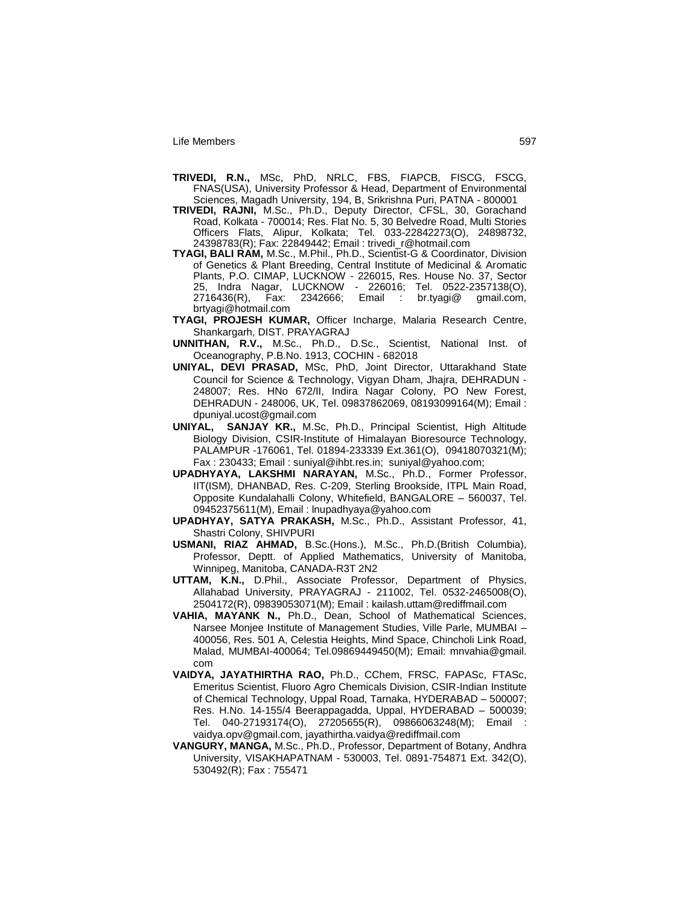- **TRIVEDI, R.N.,** MSc, PhD, NRLC, FBS, FIAPCB, FISCG, FSCG, FNAS(USA), University Professor & Head, Department of Environmental Sciences, Magadh University, 194, B, Srikrishna Puri, PATNA - 800001
- **TRIVEDI, RAJNI,** M.Sc., Ph.D., Deputy Director, CFSL, 30, Gorachand Road, Kolkata - 700014; Res. Flat No. 5, 30 Belvedre Road, Multi Stories Officers Flats, Alipur, Kolkata; Tel. 033-22842273(O), 24898732, 24398783(R); Fax: 22849442; Email : trivedi\_r@hotmail.com
- **TYAGI, BALI RAM,** M.Sc., M.Phil., Ph.D., Scientist-G & Coordinator, Division of Genetics & Plant Breeding, Central Institute of Medicinal & Aromatic Plants, P.O. CIMAP, LUCKNOW - 226015, Res. House No. 37, Sector 25, Indra Nagar, LUCKNOW - 226016; Tel. 0522-2357138(O), 2716436(R), Fax: 2342666; Email : br.tyagi@ gmail.com, brtyagi@hotmail.com
- **TYAGI, PROJESH KUMAR,** Officer Incharge, Malaria Research Centre, Shankargarh, DIST. PRAYAGRAJ
- **UNNITHAN, R.V.,** M.Sc., Ph.D., D.Sc., Scientist, National Inst. of Oceanography, P.B.No. 1913, COCHIN - 682018
- **UNIYAL, DEVI PRASAD,** MSc, PhD, Joint Director, Uttarakhand State Council for Science & Technology, Vigyan Dham, Jhajra, DEHRADUN - 248007; Res. HNo 672/II, Indira Nagar Colony, PO New Forest, DEHRADUN - 248006, UK, Tel. 09837862069, 08193099164(M); Email : dpuniyal.ucost@gmail.com
- **UNIYAL, SANJAY KR.,** M.Sc, Ph.D., Principal Scientist, High Altitude Biology Division, CSIR-Institute of Himalayan Bioresource Technology, PALAMPUR -176061, Tel. 01894-233339 Ext.361(O), 09418070321(M); Fax : 230433; Email : suniyal@ihbt.res.in; suniyal@yahoo.com;
- **UPADHYAYA, LAKSHMI NARAYAN,** M.Sc., Ph.D., Former Professor, IIT(ISM), DHANBAD, Res. C-209, Sterling Brookside, ITPL Main Road, Opposite Kundalahalli Colony, Whitefield, BANGALORE – 560037, Tel. 09452375611(M), Email : lnupadhyaya@yahoo.com
- **UPADHYAY, SATYA PRAKASH,** M.Sc., Ph.D., Assistant Professor, 41, Shastri Colony, SHIVPURI
- **USMANI, RIAZ AHMAD,** B.Sc.(Hons.), M.Sc., Ph.D.(British Columbia), Professor, Deptt. of Applied Mathematics, University of Manitoba, Winnipeg, Manitoba, CANADA-R3T 2N2
- **UTTAM, K.N.,** D.Phil., Associate Professor, Department of Physics, Allahabad University, PRAYAGRAJ - 211002, Tel. 0532-2465008(O), 2504172(R), 09839053071(M); Email : kailash.uttam@rediffmail.com
- **VAHIA, MAYANK N.,** Ph.D., Dean, School of Mathematical Sciences, Narsee Monjee Institute of Management Studies, Ville Parle, MUMBAI – 400056, Res. 501 A, Celestia Heights, Mind Space, Chincholi Link Road, Malad, MUMBAI-400064; Tel.09869449450(M); Email: mnvahia@gmail. com
- **VAIDYA, JAYATHIRTHA RAO,** Ph.D., CChem, FRSC, FAPASc, FTASc, Emeritus Scientist, Fluoro Agro Chemicals Division, CSIR-Indian Institute of Chemical Technology, Uppal Road, Tarnaka, HYDERABAD – 500007; Res. H.No. 14-155/4 Beerappagadda, Uppal, HYDERABAD – 500039; Tel. 040-27193174(O), 27205655(R), 09866063248(M); Email : vaidya.opv@gmail.com, jayathirtha.vaidya@rediffmail.com
- **VANGURY, MANGA,** M.Sc., Ph.D., Professor, Department of Botany, Andhra University, VISAKHAPATNAM - 530003, Tel. 0891-754871 Ext. 342(O), 530492(R); Fax : 755471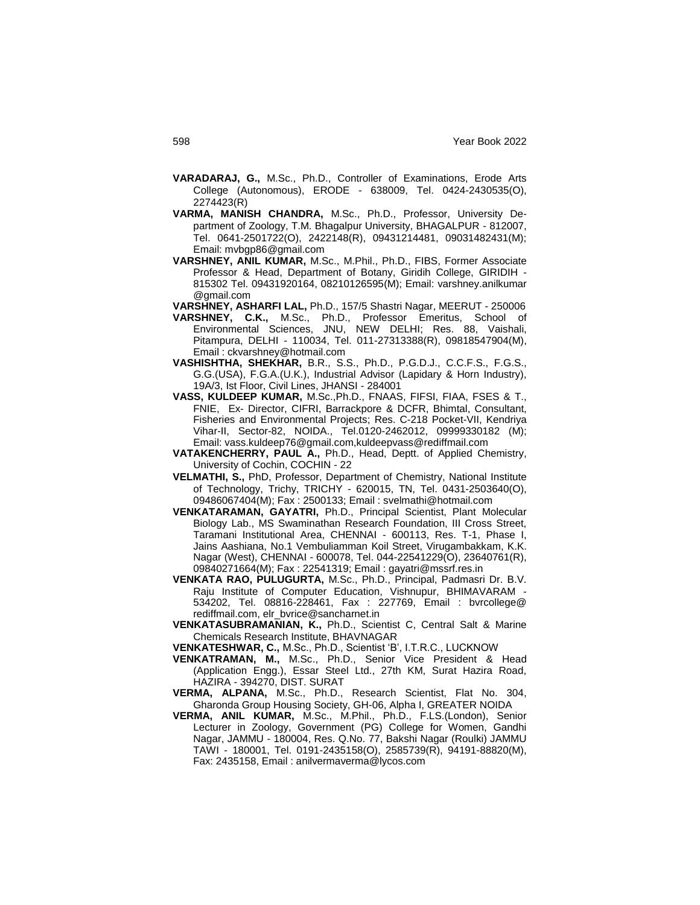- **VARADARAJ, G.,** M.Sc., Ph.D., Controller of Examinations, Erode Arts College (Autonomous), ERODE - 638009, Tel. 0424-2430535(O), 2274423(R)
- **VARMA, MANISH CHANDRA,** M.Sc., Ph.D., Professor, University Department of Zoology, T.M. Bhagalpur University, BHAGALPUR - 812007, Tel. 0641-2501722(O), 2422148(R), 09431214481, 09031482431(M); Email: mvbgp86@gmail.com
- **VARSHNEY, ANIL KUMAR,** M.Sc., M.Phil., Ph.D., FIBS, Former Associate Professor & Head, Department of Botany, Giridih College, GIRIDIH - 815302 Tel. 09431920164, 08210126595(M); Email: varshney.anilkumar @gmail.com
- **VARSHNEY, ASHARFI LAL,** Ph.D., 157/5 Shastri Nagar, MEERUT 250006
- **VARSHNEY, C.K.,** M.Sc., Ph.D., Professor Emeritus, School of Environmental Sciences, JNU, NEW DELHI; Res. 88, Vaishali, Pitampura, DELHI - 110034, Tel. 011-27313388(R), 09818547904(M), Email : ckvarshney@hotmail.com
- **VASHISHTHA, SHEKHAR,** B.R., S.S., Ph.D., P.G.D.J., C.C.F.S., F.G.S., G.G.(USA), F.G.A.(U.K.), Industrial Advisor (Lapidary & Horn Industry), 19A/3, Ist Floor, Civil Lines, JHANSI - 284001
- **VASS, KULDEEP KUMAR,** M.Sc.,Ph.D., FNAAS, FIFSI, FIAA, FSES & T., FNIE, Ex- Director, CIFRI, Barrackpore & DCFR, Bhimtal, Consultant, Fisheries and Environmental Projects; Res. C-218 Pocket-VII, Kendriya Vihar-II, Sector-82, NOIDA., Tel.0120-2462012, 09999330182 (M); Email: vass.kuldeep76@gmail.com,kuldeepvass@rediffmail.com
- **VATAKENCHERRY, PAUL A.,** Ph.D., Head, Deptt. of Applied Chemistry, University of Cochin, COCHIN - 22
- **VELMATHI, S.,** PhD, Professor, Department of Chemistry, National Institute of Technology, Trichy, TRICHY - 620015, TN, Tel. 0431-2503640(O), 09486067404(M); Fax : 2500133; Email : svelmathi@hotmail.com
- **VENKATARAMAN, GAYATRI,** Ph.D., Principal Scientist, Plant Molecular Biology Lab., MS Swaminathan Research Foundation, III Cross Street, Taramani Institutional Area, CHENNAI - 600113, Res. T-1, Phase I, Jains Aashiana, No.1 Vembuliamman Koil Street, Virugambakkam, K.K. Nagar (West), CHENNAI - 600078, Tel. 044-22541229(O), 23640761(R), 09840271664(M); Fax : 22541319; Email : gayatri@mssrf.res.in
- **VENKATA RAO, PULUGURTA,** M.Sc., Ph.D., Principal, Padmasri Dr. B.V. Raju Institute of Computer Education, Vishnupur, BHIMAVARAM - 534202, Tel. 08816-228461, Fax : 227769, Email : bvrcollege@ rediffmail.com, elr\_bvrice@sancharnet.in
- **VENKATASUBRAMANIAN, K.,** Ph.D., Scientist C, Central Salt & Marine Chemicals Research Institute, BHAVNAGAR
- **VENKATESHWAR, C.,** M.Sc., Ph.D., Scientist "B", I.T.R.C., LUCKNOW
- **VENKATRAMAN, M.,** M.Sc., Ph.D., Senior Vice President & Head (Application Engg.), Essar Steel Ltd., 27th KM, Surat Hazira Road, HAZIRA - 394270, DIST. SURAT
- **VERMA, ALPANA,** M.Sc., Ph.D., Research Scientist, Flat No. 304, Gharonda Group Housing Society, GH-06, Alpha I, GREATER NOIDA
- **VERMA, ANIL KUMAR,** M.Sc., M.Phil., Ph.D., F.LS.(London), Senior Lecturer in Zoology, Government (PG) College for Women, Gandhi Nagar, JAMMU - 180004, Res. Q.No. 77, Bakshi Nagar (Roulki) JAMMU TAWI - 180001, Tel. 0191-2435158(O), 2585739(R), 94191-88820(M), Fax: 2435158, Email : anilvermaverma@lycos.com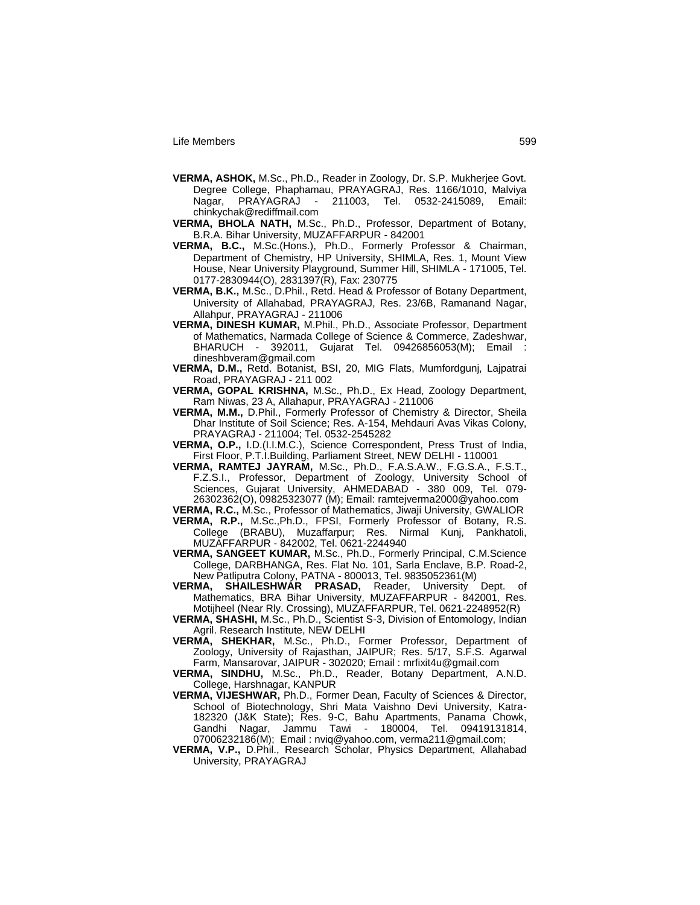- **VERMA, ASHOK,** M.Sc., Ph.D., Reader in Zoology, Dr. S.P. Mukherjee Govt. Degree College, Phaphamau, PRAYAGRAJ, Res. 1166/1010, Malviya Nagar, PRAYAGRAJ - 211003, Tel. 0532-2415089, Email: chinkychak@rediffmail.com
- **VERMA, BHOLA NATH,** M.Sc., Ph.D., Professor, Department of Botany, B.R.A. Bihar University, MUZAFFARPUR - 842001
- **VERMA, B.C.,** M.Sc.(Hons.), Ph.D., Formerly Professor & Chairman, Department of Chemistry, HP University, SHIMLA, Res. 1, Mount View House, Near University Playground, Summer Hill, SHIMLA - 171005, Tel. 0177-2830944(O), 2831397(R), Fax: 230775
- **VERMA, B.K.,** M.Sc., D.Phil., Retd. Head & Professor of Botany Department, University of Allahabad, PRAYAGRAJ, Res. 23/6B, Ramanand Nagar, Allahpur, PRAYAGRAJ - 211006
- **VERMA, DINESH KUMAR,** M.Phil., Ph.D., Associate Professor, Department of Mathematics, Narmada College of Science & Commerce, Zadeshwar, BHARUCH - 392011, Gujarat Tel. 09426856053(M); Email : dineshbveram@gmail.com
- **VERMA, D.M.,** Retd. Botanist, BSI, 20, MIG Flats, Mumfordgunj, Lajpatrai Road, PRAYAGRAJ - 211 002
- **VERMA, GOPAL KRISHNA,** M.Sc., Ph.D., Ex Head, Zoology Department, Ram Niwas, 23 A, Allahapur, PRAYAGRAJ - 211006
- **VERMA, M.M.,** D.Phil., Formerly Professor of Chemistry & Director, Sheila Dhar Institute of Soil Science; Res. A-154, Mehdauri Avas Vikas Colony, PRAYAGRAJ - 211004; Tel. 0532-2545282
- **VERMA, O.P.,** I.D.(I.I.M.C.), Science Correspondent, Press Trust of India, First Floor, P.T.I.Building, Parliament Street, NEW DELHI - 110001
- **VERMA, RAMTEJ JAYRAM,** M.Sc., Ph.D., F.A.S.A.W., F.G.S.A., F.S.T., F.Z.S.I., Professor, Department of Zoology, University School of Sciences, Gujarat University, AHMEDABAD - 380 009, Tel. 079- 26302362(O), 09825323077 (M); Email: ramtejverma2000@yahoo.com

**VERMA, R.C.,** M.Sc., Professor of Mathematics, Jiwaji University, GWALIOR

- **VERMA, R.P.,** M.Sc.,Ph.D., FPSI, Formerly Professor of Botany, R.S. College (BRABU), Muzaffarpur; Res. Nirmal Kunj, Pankhatoli, MUZAFFARPUR - 842002, Tel. 0621-2244940
- **VERMA, SANGEET KUMAR,** M.Sc., Ph.D., Formerly Principal, C.M.Science College, DARBHANGA, Res. Flat No. 101, Sarla Enclave, B.P. Road-2, New Patliputra Colony, PATNA - 800013, Tel. 9835052361(M)<br>MA. SHAII FSHWAR PRASAD. Reader University Dent
- **VERMA, SHAILESHWAR PRASAD,** Reader, University Dept. of Mathematics, BRA Bihar University, MUZAFFARPUR - 842001, Res. Motijheel (Near Rly. Crossing), MUZAFFARPUR, Tel. 0621-2248952(R)
- **VERMA, SHASHI,** M.Sc., Ph.D., Scientist S-3, Division of Entomology, Indian Agril. Research Institute, NEW DELHI
- **VERMA, SHEKHAR,** M.Sc., Ph.D., Former Professor, Department of Zoology, University of Rajasthan, JAIPUR; Res. 5/17, S.F.S. Agarwal Farm, Mansarovar, JAIPUR - 302020; Email : mrfixit4u@gmail.com

**VERMA, SINDHU,** M.Sc., Ph.D., Reader, Botany Department, A.N.D. College, Harshnagar, KANPUR

- **VERMA, VIJESHWAR,** Ph.D., Former Dean, Faculty of Sciences & Director, School of Biotechnology, Shri Mata Vaishno Devi University, Katra-182320 (J&K State); Res. 9-C, Bahu Apartments, Panama Chowk, Gandhi Nagar, Jammu Tawi - 180004, Tel. 09419131814, 07006232186(M); Email : nviq@yahoo.com, verma211@gmail.com;
- **VERMA, V.P.,** D.Phil., Research Scholar, Physics Department, Allahabad University, PRAYAGRAJ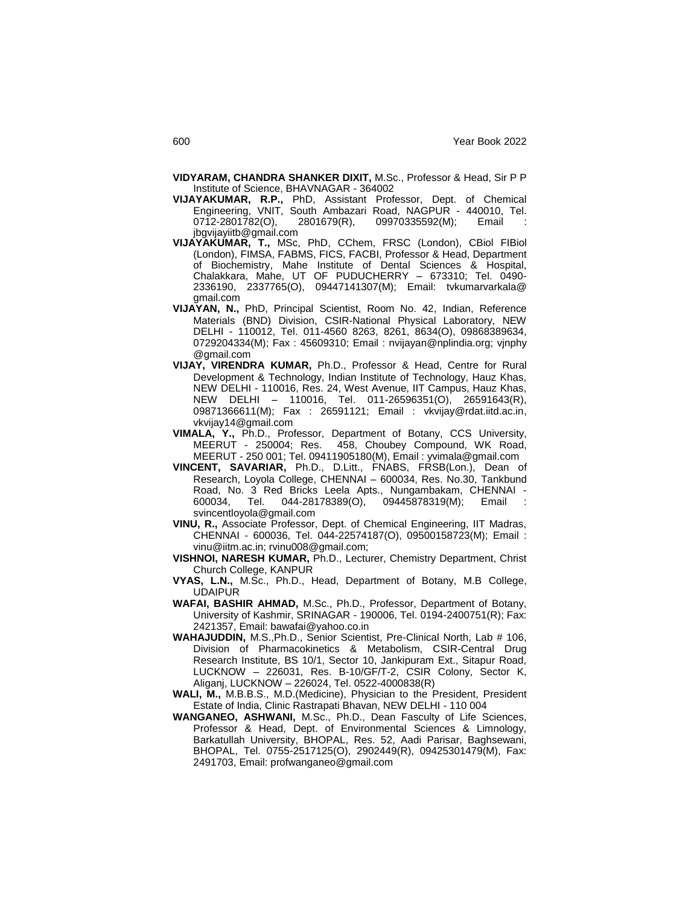- **VIDYARAM, CHANDRA SHANKER DIXIT,** M.Sc., Professor & Head, Sir P P Institute of Science, BHAVNAGAR - 364002
- **VIJAYAKUMAR, R.P.,** PhD, Assistant Professor, Dept. of Chemical Engineering, VNIT, South Ambazari Road, NAGPUR - 440010, Tel. 0712-2801782(O), 2801679(R), 09970335592(M); Email jbgvijayiitb@gmail.com
- **VIJAYAKUMAR, T.,** MSc, PhD, CChem, FRSC (London), CBiol FIBiol (London), FIMSA, FABMS, FICS, FACBI, Professor & Head, Department of Biochemistry, Mahe Institute of Dental Sciences & Hospital, Chalakkara, Mahe, UT OF PUDUCHERRY – 673310; Tel. 0490- 2336190, 2337765(O), 09447141307(M); Email: tvkumarvarkala@ gmail.com
- **VIJAYAN, N.,** PhD, Principal Scientist, Room No. 42, Indian, Reference Materials (BND) Division, CSIR-National Physical Laboratory, NEW DELHI - 110012, Tel. 011-4560 8263, 8261, 8634(O), 09868389634, 0729204334(M); Fax : 45609310; Email : nvijayan@nplindia.org; vjnphy @gmail.com
- **VIJAY, VIRENDRA KUMAR,** Ph.D., Professor & Head, Centre for Rural Development & Technology, Indian Institute of Technology, Hauz Khas, NEW DELHI - 110016, Res. 24, West Avenue, IIT Campus, Hauz Khas, NEW DELHI – 110016, Tel. 011-26596351(O), 26591643(R), 09871366611(M); Fax : 26591121; Email : vkvijay@rdat.iitd.ac.in, vkvijay14@gmail.com
- **VIMALA, Y.,** Ph.D., Professor, Department of Botany, CCS University, MEERUT - 250004; Res. 458, Choubey Compound, WK Road, MEERUT - 250 001; Tel. 09411905180(M), Email : yvimala@gmail.com
- **VINCENT, SAVARIAR,** Ph.D., D.Litt., FNABS, FRSB(Lon.), Dean of Research, Loyola College, CHENNAI – 600034, Res. No.30, Tankbund Road, No. 3 Red Bricks Leela Apts., Nungambakam, CHENNAI - 600034, Tel. 044-28178389(O), 09445878319(M); Email : svincentloyola@gmail.com
- **VINU, R.,** Associate Professor, Dept. of Chemical Engineering, IIT Madras, CHENNAI - 600036, Tel. 044-22574187(O), 09500158723(M); Email : vinu@iitm.ac.in; rvinu008@gmail.com;
- **VISHNOI, NARESH KUMAR,** Ph.D., Lecturer, Chemistry Department, Christ Church College, KANPUR
- **VYAS, L.N.,** M.Sc., Ph.D., Head, Department of Botany, M.B College, UDAIPUR
- **WAFAI, BASHIR AHMAD,** M.Sc., Ph.D., Professor, Department of Botany, University of Kashmir, SRINAGAR - 190006, Tel. 0194-2400751(R); Fax: 2421357, Email: bawafai@yahoo.co.in
- **WAHAJUDDIN,** M.S.,Ph.D., Senior Scientist, Pre-Clinical North, Lab # 106, Division of Pharmacokinetics & Metabolism, CSIR-Central Drug Research Institute, BS 10/1, Sector 10, Jankipuram Ext., Sitapur Road, LUCKNOW – 226031, Res. B-10/GF/T-2, CSIR Colony, Sector K, Aliganj, LUCKNOW – 226024, Tel. 0522-4000838(R)
- **WALI, M.,** M.B.B.S., M.D.(Medicine), Physician to the President, President Estate of India, Clinic Rastrapati Bhavan, NEW DELHI - 110 004
- **WANGANEO, ASHWANI,** M.Sc., Ph.D., Dean Fasculty of Life Sciences, Professor & Head, Dept. of Environmental Sciences & Limnology, Barkatullah University, BHOPAL, Res. 52, Aadi Parisar, Baghsewani, BHOPAL, Tel. 0755-2517125(O), 2902449(R), 09425301479(M), Fax: 2491703, Email: profwanganeo@gmail.com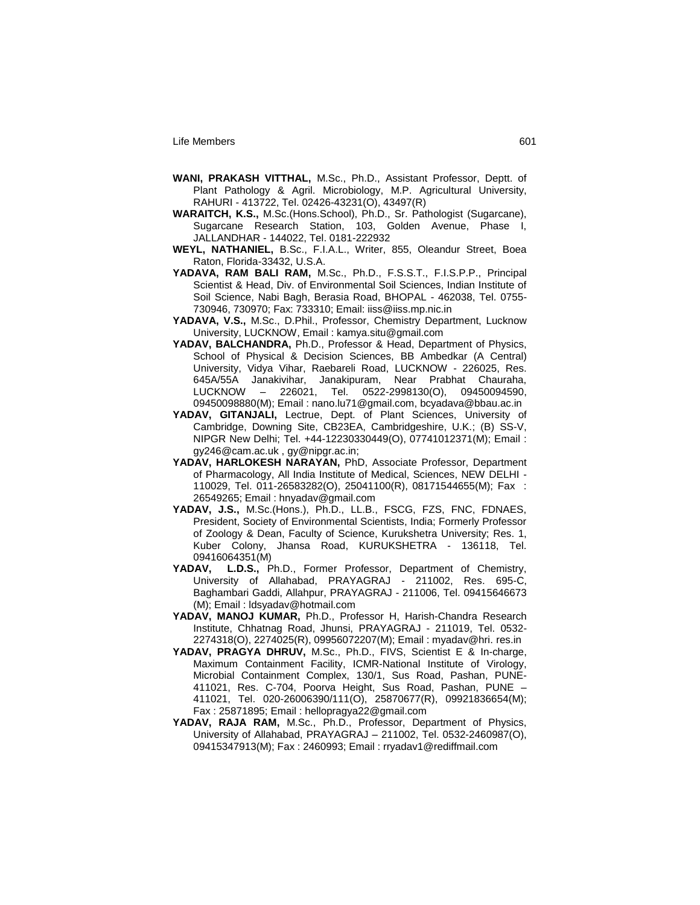- **WANI, PRAKASH VITTHAL,** M.Sc., Ph.D., Assistant Professor, Deptt. of Plant Pathology & Agril. Microbiology, M.P. Agricultural University, RAHURI - 413722, Tel. 02426-43231(O), 43497(R)
- **WARAITCH, K.S.,** M.Sc.(Hons.School), Ph.D., Sr. Pathologist (Sugarcane), Sugarcane Research Station, 103, Golden Avenue, Phase I, JALLANDHAR - 144022, Tel. 0181-222932
- **WEYL, NATHANIEL,** B.Sc., F.I.A.L., Writer, 855, Oleandur Street, Boea Raton, Florida-33432, U.S.A.
- **YADAVA, RAM BALI RAM,** M.Sc., Ph.D., F.S.S.T., F.I.S.P.P., Principal Scientist & Head, Div. of Environmental Soil Sciences, Indian Institute of Soil Science, Nabi Bagh, Berasia Road, BHOPAL - 462038, Tel. 0755- 730946, 730970; Fax: 733310; Email: iiss@iiss.mp.nic.in
- **YADAVA, V.S.,** M.Sc., D.Phil., Professor, Chemistry Department, Lucknow University, LUCKNOW, Email : kamya.situ@gmail.com
- **YADAV, BALCHANDRA,** Ph.D., Professor & Head, Department of Physics, School of Physical & Decision Sciences, BB Ambedkar (A Central) University, Vidya Vihar, Raebareli Road, LUCKNOW - 226025, Res. 645A/55A Janakivihar, Janakipuram, Near Prabhat Chauraha, LUCKNOW – 226021, Tel. 0522-2998130(O), 09450094590, 09450098880(M); Email : nano.lu71@gmail.com, bcyadava@bbau.ac.in
- **YADAV, GITANJALI,** Lectrue, Dept. of Plant Sciences, University of Cambridge, Downing Site, CB23EA, Cambridgeshire, U.K.; (B) SS-V, NIPGR New Delhi; Tel. +44-12230330449(O), 07741012371(M); Email : gy246@cam.ac.uk , gy@nipgr.ac.in;
- **YADAV, HARLOKESH NARAYAN,** PhD, Associate Professor, Department of Pharmacology, All India Institute of Medical, Sciences, NEW DELHI - 110029, Tel. 011-26583282(O), 25041100(R), 08171544655(M); Fax : 26549265; Email : hnyadav@gmail.com
- **YADAV, J.S.,** M.Sc.(Hons.), Ph.D., LL.B., FSCG, FZS, FNC, FDNAES, President, Society of Environmental Scientists, India; Formerly Professor of Zoology & Dean, Faculty of Science, Kurukshetra University; Res. 1, Kuber Colony, Jhansa Road, KURUKSHETRA - 136118, Tel. 09416064351(M)
- **YADAV, L.D.S.,** Ph.D., Former Professor, Department of Chemistry, University of Allahabad, PRAYAGRAJ - 211002, Res. 695-C, Baghambari Gaddi, Allahpur, PRAYAGRAJ - 211006, Tel. 09415646673 (M); Email : ldsyadav@hotmail.com
- **YADAV, MANOJ KUMAR,** Ph.D., Professor H, Harish-Chandra Research Institute, Chhatnag Road, Jhunsi, PRAYAGRAJ - 211019, Tel. 0532- 2274318(O), 2274025(R), 09956072207(M); Email : myadav@hri. res.in
- **YADAV, PRAGYA DHRUV,** M.Sc., Ph.D., FIVS, Scientist E & In-charge, Maximum Containment Facility, ICMR-National Institute of Virology, Microbial Containment Complex, 130/1, Sus Road, Pashan, PUNE-411021, Res. C-704, Poorva Height, Sus Road, Pashan, PUNE – 411021, Tel. 020-26006390/111(O), 25870677(R), 09921836654(M); Fax : 25871895; Email : hellopragya22@gmail.com
- **YADAV, RAJA RAM,** M.Sc., Ph.D., Professor, Department of Physics, University of Allahabad, PRAYAGRAJ – 211002, Tel. 0532-2460987(O), 09415347913(M); Fax : 2460993; Email : rryadav1@rediffmail.com